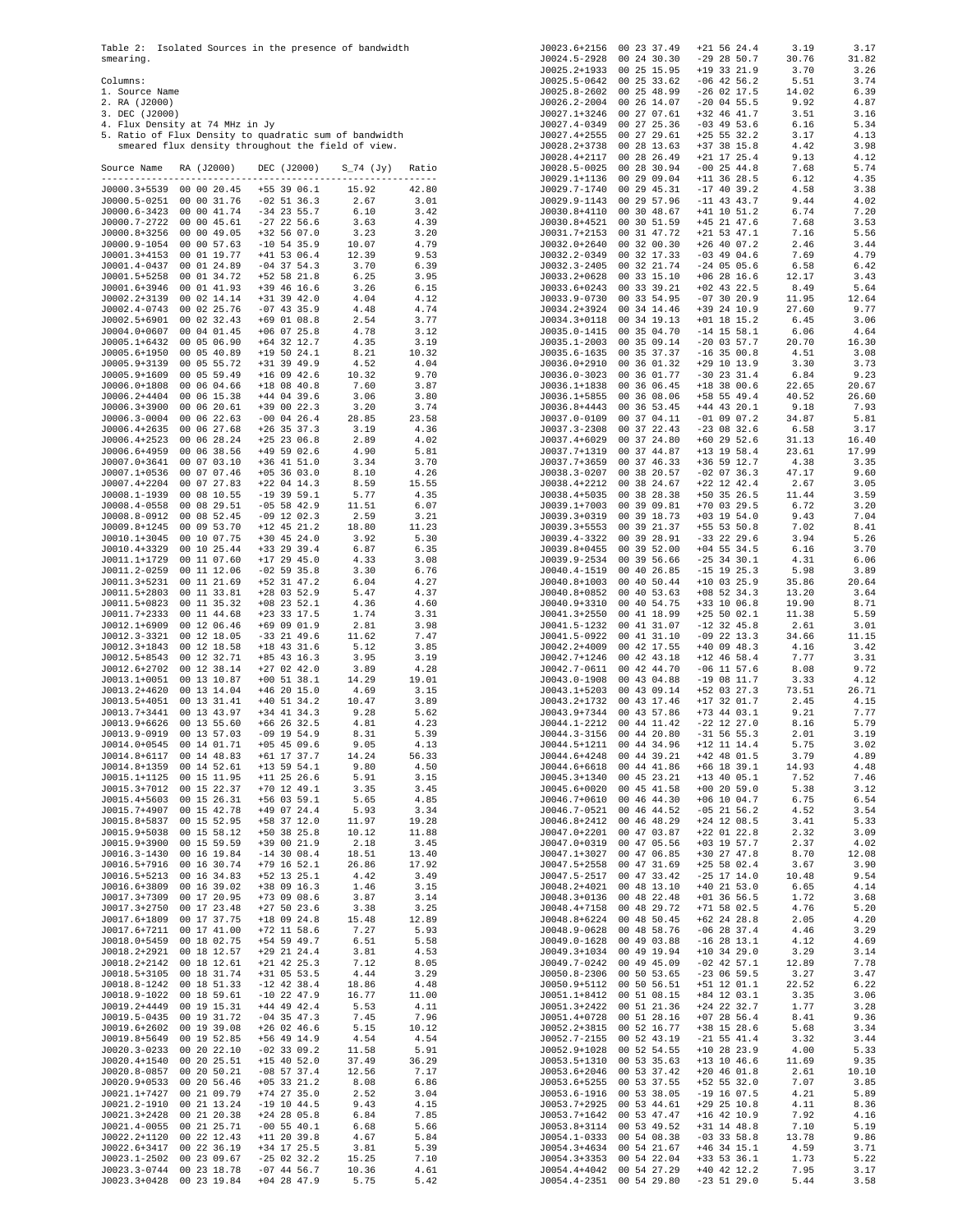Table 2: Isolated Sources in the presence of bandwidth smearing.

- 
- 
- 
- 
- 
- Columns: 1. Source Name 2. RA (J2000) 3. DEC (J2000) 4. Flux Density at 74 MHz in Jy 5. Ratio of Flux Density to quadratic sum of bandwidth smeared flux density throughout the field of view.

| Source Name                  | RA (J2000)                 | DEC (J2000) S_74 (Jy)                                                                                                                                                         |                                                 | Ratio                                                        |
|------------------------------|----------------------------|-------------------------------------------------------------------------------------------------------------------------------------------------------------------------------|-------------------------------------------------|--------------------------------------------------------------|
| J0000.3+5539                 | 00 00 20.45                | +55 39 06.1                                                                                                                                                                   | 15.92                                           | 42.80                                                        |
| J0000.5-0251                 |                            |                                                                                                                                                                               | 2.67                                            | 3.01                                                         |
| J0000.6-3423 00 00 41.74     |                            | 00 00 31.76 -02 51 36.3<br>00 00 41.74 -34 23 55.7                                                                                                                            | 6.10                                            | 3.42                                                         |
| J0000.7-2722                 | 00 00 45.61                | $-27$ 22 56.6                                                                                                                                                                 | 3.63                                            | 4.39                                                         |
| J0000.8+3256                 | 00 00 49.05                | +32 56 07.0<br>-10 54 35.9                                                                                                                                                    | 3.23                                            | 3.20                                                         |
| J0000.9-1054<br>J0001.3+4153 | 00 00 57.63                |                                                                                                                                                                               | $3.23$<br>10.07<br>12.39                        | 4.79<br>9.53                                                 |
| J0001.4-0437                 |                            |                                                                                                                                                                               | 3.70                                            | 6.39                                                         |
| J0001.5+5258                 |                            |                                                                                                                                                                               | 6.25                                            | 3.95                                                         |
| J0001.6+3946                 | 00 01 41.93                | +39 46 16.6                                                                                                                                                                   | 3.26                                            | 6.15                                                         |
| J0002.2+3139<br>J0002.4-0743 | 00 02 14.14<br>00 02 25.76 | +31 39 42.0<br>$-07$ 43 35.9                                                                                                                                                  | 4.04                                            | 4.12<br>4.74                                                 |
| J0002.5+6901                 | 00 02 32.43                | +69 01 08.8                                                                                                                                                                   | $4.48$<br>$2.54$<br>$4.78$<br>$4.35$            | 3.77                                                         |
| J0004.0+0607                 | 00 04 01.45                | $+06$ 07 25.8                                                                                                                                                                 |                                                 | 3.12                                                         |
| J0005.1+6432                 | 00 05 06.90                | $+64$ 32 12.7                                                                                                                                                                 |                                                 | 3.19                                                         |
| J0005.6+1950<br>J0005.9+3139 | 00 05 40.89<br>00 05 55.72 | $+19$ 50 24.1<br>+31 39 49.9                                                                                                                                                  | $\frac{8.21}{4.52}$                             | 10.32<br>4.04                                                |
| J0005.9+1609                 | 00 05 59.49                | +31 39 49.9<br>+16 09 42.6                                                                                                                                                    | 10.32                                           | 9.70                                                         |
| J0006.0+1808                 |                            | 00 06 04.66 +18 08 40.8<br>00 06 15.38 +44 04 39.6                                                                                                                            | 7.60                                            | 3.87                                                         |
| J0006.2+4404                 |                            |                                                                                                                                                                               | 3.06<br>3.20                                    | 3.80                                                         |
| J0006.3+3900<br>J0006.3-0004 | 00 06 20.61<br>00 06 22.63 | +39 00 22.3<br>$-00$ 04 26.4                                                                                                                                                  | 28.85                                           | 3.74<br>23.58                                                |
| J0006.4+2635                 |                            |                                                                                                                                                                               | 3.19                                            | 4.36                                                         |
| J0006.4+2523                 |                            | 00 06 27.68 + 26 35 37.3<br>00 06 28.24 + 25 23 06.8<br>00 06 38.56 + 49 59 02.6<br>00 07 03.10 + 36 41 51.0<br>00 07 07.46 + 05 36 03.0                                      | 2.89                                            | 4.02                                                         |
| J0006.6+4959                 |                            |                                                                                                                                                                               | $4.90$<br>$3.34$<br>$8.10$<br>$9.59$            | 5.81                                                         |
| J0007.0+3641                 |                            |                                                                                                                                                                               |                                                 | 3.70                                                         |
| J0007.1+0536<br>J0007.4+2204 | 00 07 27.83                | $+22$ 04 14.3                                                                                                                                                                 |                                                 | 4.26<br>15.55                                                |
| J0008.1-1939                 | 00 08 10.55                | $-19$ 39 59.1                                                                                                                                                                 | 5.77                                            | 4.35                                                         |
| J0008.4-0558                 | 00 08 29.51                | $-05$ 58 42.9                                                                                                                                                                 | 11.51<br>2.59<br>18.80<br>3.92<br>$\epsilon$ 87 | 6.07                                                         |
| J0008.8-0912                 |                            | $\begin{array}{cccc} 00 & 08 & 52.45 & -09 & 12 & 02.3 \\ 00 & 09 & 53.70 & +12 & 45 & 21.2 \\ 00 & 10 & 07.75 & +30 & 45 & 24.0 \end{array}$                                 |                                                 | $\begin{array}{c} 3\,\ldotp 21 \\ 11\,\ldotp 23 \end{array}$ |
| J0009.8+1245                 |                            |                                                                                                                                                                               |                                                 | 5.30                                                         |
| J0010.1+3045<br>J0010.4+3329 | 00 10 25.44                | $+33$ 29 39.4                                                                                                                                                                 | 6.87                                            | 6.35                                                         |
| J0011.1+1729                 | 00 11 07.60                | $+17$ 29 45.0                                                                                                                                                                 | 4.33                                            | 3.08                                                         |
| J0011.2-0259                 | 00 11 12.06                | +17 29 45.0<br>-02 59 35.8                                                                                                                                                    | $3.30$<br>6.04<br>5.47                          | 6.76                                                         |
| J0011.3+5231                 | 00 11 21.69                | +52 31 47.2                                                                                                                                                                   |                                                 | 4.27                                                         |
| J0011.5+2803<br>J0011.5+0823 | 00 11 33.81<br>00 11 35.32 | $+28$ 03 52.9<br>$+08$ 23 52.1                                                                                                                                                | 4.36                                            | 4.37<br>4.60                                                 |
| J0011.7+2333                 | 00 11 44.68                | $+23$ 33 17.5                                                                                                                                                                 |                                                 | 3.31                                                         |
| J0012.1+6909                 | 00 12 06.46                | +69 09 01.9                                                                                                                                                                   | $1.74$<br>$2.81$                                | 3.98                                                         |
| J0012.3-3321                 |                            | 00 12 18.05 -33 21 49.6                                                                                                                                                       | 11.62                                           | 7.47                                                         |
| J0012.3+1843                 |                            |                                                                                                                                                                               | 5.12                                            | 3.85<br>3.19                                                 |
| J0012.5+8543<br>J0012.6+2702 |                            | 00 12 18.58 +18 43 31.6<br>00 12 32.71 +85 43 16.3<br>00 12 38.14 +27 02 42.0                                                                                                 | $3.95$<br>$3.89$                                | 4.28                                                         |
| J0013.1+0051                 | 00 13 10.87                | $+00$ 51 38.1                                                                                                                                                                 | 14.29                                           | 19.01                                                        |
| J0013.2+4620                 | 00 13 14.04                | $+46$ 20 15.0                                                                                                                                                                 | 4.69                                            | 3.15                                                         |
| J0013.5+4051                 | 00 13 31.41                | $+40$ 51 34.2                                                                                                                                                                 | 10.47                                           | 3.89                                                         |
| J0013.7+3441<br>J0013.9+6626 | 00 13 43.97<br>00 13 55.60 | +34 41 34.3<br>$+66$ 26 32.5                                                                                                                                                  | 9.28                                            | 5.62<br>4.23                                                 |
| J0013.9-0919                 | 00 13 57.03                | $-09$ 19 54.9                                                                                                                                                                 | $\frac{4.81}{8.31}$                             | 5.39                                                         |
| J0014.0+0545                 | 00 14 01.71                | $+05$ 45 09.6                                                                                                                                                                 | 9.05                                            | 4.13                                                         |
| J0014.8+6117                 | 00 14 48.83                | +61 17 37.7                                                                                                                                                                   | 14.24                                           | 56.33                                                        |
| J0014.8+1359<br>J0015.1+1125 | 00 14 52.61<br>00 15 11.95 | $+13$ 59 54.1<br>+11 25 26.6                                                                                                                                                  | 9.80<br>5.91                                    | 4.50<br>3.15                                                 |
| J0015.3+7012                 | 00 15 22.37                | +70 12 49.1                                                                                                                                                                   |                                                 | 3.45                                                         |
| J0015.4+5603                 | 00 15 26.31                | +56 03 59.1                                                                                                                                                                   | $3.35$<br>5.65                                  | 4.85                                                         |
| J0015.7+4907                 | 00 15 42.78                | +49 07 24.4                                                                                                                                                                   | 5.93                                            | 3.34                                                         |
| J0015.8+5837                 |                            | 00 15 52.95 +58 37 12.0<br>00 15 52.95 +58 37 12.0<br>00 15 59.59 +58 38 25.8<br>00 15 59.59 +39 00 21.9<br>00 15 59.59 +39 00 21.9<br>00 16 19.84 -14 30 08.4<br>18.51 13.40 |                                                 | 3.34<br>19.28                                                |
| J0015.9+5038<br>J0015.9+3900 |                            |                                                                                                                                                                               |                                                 |                                                              |
| J0016.3-1430                 |                            |                                                                                                                                                                               |                                                 |                                                              |
| J0016.5+7916                 | 00 16 30.74                | +79 16 52.1                                                                                                                                                                   | 26.86                                           | 17.92                                                        |
| J0016.5+5213                 | 00 16 34.83                | +52 13 25.1                                                                                                                                                                   | 4.42                                            | 3.49                                                         |
| J0016.6+3809<br>J0017.3+7309 | 00 16 39.02<br>00 17 20.95 | +38 09 16.3<br>$+73$ 09 08.6                                                                                                                                                  | 1.46<br>3.87                                    | 3.15<br>3.14                                                 |
| J0017.3+2750                 | 00 17 23.48                | $+27$ 50 23.6                                                                                                                                                                 | 3.38                                            | 3.25                                                         |
| J0017.6+1809                 | 00 17 37.75                | $+18$ 09 24.8                                                                                                                                                                 | 15.48                                           | 12.89                                                        |
| J0017.6+7211                 | 00 17 41.00                | $+72$ 11 58.6                                                                                                                                                                 | 7.27                                            | 5.93                                                         |
| J0018.0+5459<br>J0018.2+2921 | 00 18 02.75<br>00 18 12.57 | $+54$ 59 49.7<br>$+29$ 21 24.4                                                                                                                                                | 6.51<br>3.81                                    | 5.58<br>4.53                                                 |
| J0018.2+2142                 | 00 18 12.61                | $+21$ 42 25.3                                                                                                                                                                 | 7.12                                            | 8.05                                                         |
| J0018.5+3105                 | 00 18 31.74                | $+31$ 05 53.5                                                                                                                                                                 | 4.44                                            | 3.29                                                         |
| J0018.8-1242                 | 00 18 51.33                | $-12$ 42 38.4                                                                                                                                                                 | 18.86                                           | 4.48                                                         |
| J0018.9-1022                 | 00 18 59.61                | $-10$ 22 47.9                                                                                                                                                                 | 16.77                                           | 11.00                                                        |
| J0019.2+4449<br>J0019.5-0435 | 00 19 15.31<br>00 19 31.72 | $+44$ 49 42.4<br>$-04$ 35 47.3                                                                                                                                                | 5.53<br>7.45                                    | 4.11<br>7.96                                                 |
| J0019.6+2602                 | 00 19 39.08                | $+26$ 02 46.6                                                                                                                                                                 | 5.15                                            | 10.12                                                        |
| J0019.8+5649                 | 00 19 52.85                | +56 49 14.9                                                                                                                                                                   | 4.54                                            | 4.54                                                         |
| J0020.3-0233                 | 00 20 22.10                | $-02$ 33 09.2                                                                                                                                                                 | 11.58                                           | 5.91                                                         |
| J0020.4+1540<br>J0020.8-0857 | 00 20 25.51<br>00 20 50.21 | $+15$ 40 52.0<br>$-08$ 57 37.4                                                                                                                                                | 37.49<br>12.56                                  | 36.29<br>7.17                                                |
| J0020.9+0533                 | 00 20 56.46                | $+05$ 33 21.2                                                                                                                                                                 | 8.08                                            | 6.86                                                         |
| J0021.1+7427                 | 00 21 09.79                | $+74$ 27 35.0                                                                                                                                                                 | 2.52                                            | 3.04                                                         |
| J0021.2-1910                 | 00 21 13.24                | $-19$ 10 44.5                                                                                                                                                                 | 9.43                                            | 4.15                                                         |
| J0021.3+2428<br>J0021.4-0055 | 00 21 20.38<br>00 21 25.71 | $+24$ 28 05.8<br>$-00$ 55 40.1                                                                                                                                                | 6.84<br>6.68                                    | 7.85<br>5.66                                                 |
| J0022.2+1120                 | 00 22 12.43                | $+11$ 20 39.8                                                                                                                                                                 | 4.67                                            | 5.84                                                         |
| J0022.6+3417                 | 00 22 36.19                | +34 17 25.5                                                                                                                                                                   | 3.81                                            | 5.39                                                         |
| J0023.1-2502                 | 00 23 09.67                | $-25$ 02 32.2                                                                                                                                                                 | 15.25                                           | 7.10                                                         |
| J0023.3-0744<br>J0023.3+0428 | 00 23 18.78<br>00 23 19.84 | $-07$ 44 56.7<br>$+04$ 28 47.9                                                                                                                                                | 10.36<br>5.75                                   | 4.61<br>5.42                                                 |
|                              |                            |                                                                                                                                                                               |                                                 |                                                              |

| J0023.6+2156 |              | 00 23 37.49 | $+21$ 56 24.4                        | 3.19  | 3.17  |
|--------------|--------------|-------------|--------------------------------------|-------|-------|
| J0024.5-2928 |              | 00 24 30.30 | $-29$ 28 50.7                        | 30.76 | 31.82 |
| J0025.2+1933 |              | 00 25 15.95 | +19 33 21.9                          | 3.70  | 3.26  |
| J0025.5-0642 |              | 00 25 33.62 | $-06$ 42 56.2                        | 5.51  | 3.74  |
| J0025.8-2602 |              | 00 25 48.99 | $-26$ 02 17.5                        | 14.02 | 6.39  |
|              |              |             |                                      |       |       |
| J0026.2-2004 |              | 00 26 14.07 | $-20$ 04 55.5                        | 9.92  | 4.87  |
| J0027.1+3246 |              | 00 27 07.61 | +32 46 41.7                          | 3.51  | 3.16  |
| J0027.4-0349 |              | 00 27 25.36 | $-03$ 49 53.6                        | 6.16  | 5.34  |
| J0027.4+2555 |              | 00 27 29.61 | $+25$ 55 32.2                        | 3.17  | 4.13  |
| J0028.2+3738 |              | 00 28 13.63 | $+37$ 38 15.8                        | 4.42  | 3.98  |
|              |              | 00 28 26.49 | $+21$ 17 25.4                        | 9.13  | 4.12  |
| J0028.4+2117 |              |             |                                      |       |       |
| J0028.5-0025 |              | 00 28 30.94 | $-00$ 25 44.8                        | 7.68  | 5.74  |
| J0029.1+1136 |              | 00 29 09.04 | $+11$ 36 28.5                        | 6.12  | 4.35  |
| J0029.7-1740 |              | 00 29 45.31 | $-17$ 40 39.2                        | 4.58  | 3.38  |
| J0029.9-1143 |              | 00 29 57.96 | $-11$ 43 43.7                        | 9.44  | 4.02  |
| J0030.8+4110 |              | 00 30 48.67 | $+41$ 10 51.2                        | 6.74  | 7.20  |
|              |              |             |                                      |       |       |
| J0030.8+4521 |              | 00 30 51.59 | $+45$ 21 47.6                        | 7.68  | 3.53  |
| J0031.7+2153 |              | 00 31 47.72 | $+21$ 53 47.1                        | 7.16  | 5.56  |
| J0032.0+2640 |              | 00 32 00.30 | $+26$ 40 07.2                        | 2.46  | 3.44  |
| J0032.2-0349 |              | 00 32 17.33 | $-03$ 49 04.6                        | 7.69  | 4.79  |
| J0032.3-2405 |              | 00 32 21.74 | $-24$ 05 05.6                        | 6.58  | 6.42  |
|              |              |             |                                      |       |       |
| J0033.2+0628 |              | 00 33 15.10 | $+06$ 28 16.6                        | 12.17 | 3.43  |
| J0033.6+0243 |              | 00 33 39.21 | $+02$ 43 22.5                        | 8.49  | 5.64  |
| J0033.9-0730 |              | 00 33 54.95 | $-07$ 30 20.9                        | 11.95 | 12.64 |
| J0034.2+3924 |              | 00 34 14.46 | +39 24 10.9                          | 27.60 | 9.77  |
| J0034.3+0118 |              | 00 34 19.13 | $+01$ 18 15.2                        | 6.45  | 3.06  |
| J0035.0-1415 |              | 00 35 04.70 | $-14$ 15 58.1                        | 6.06  | 4.64  |
| J0035.1-2003 |              |             |                                      | 20.70 |       |
|              |              | 00 35 09.14 | $-20$ 03 57.7                        |       | 16.30 |
| J0035.6-1635 |              | 00 35 37.37 | $-16$ 35 00.8                        | 4.51  | 3.08  |
| J0036.0+2910 |              | 00 36 01.32 | +29 10 13.9                          | 3.30  | 3.73  |
| J0036.0-3023 |              | 00 36 01.77 | $-30$ 23 31.4                        | 6.84  | 9.23  |
| J0036.1+1838 |              | 00 36 06.45 | $+18$ 38 00.6                        | 22.65 | 20.67 |
| J0036.1+5855 |              | 00 36 08.06 | +58 55 49.4                          | 40.52 | 26.60 |
| J0036.8+4443 |              | 00 36 53.45 | $+44$ 43 20.1                        | 9.18  | 7.93  |
|              |              |             |                                      |       |       |
| J0037.0-0109 |              | 00 37 04.11 | $-01$ 09 07.2                        | 34.87 | 5.81  |
| J0037.3-2308 |              | 00 37 22.43 | $-23$ 08 32.6                        | 6.58  | 3.17  |
| J0037.4+6029 |              | 00 37 24.80 | $+60$ 29 52.6                        | 31.13 | 16.40 |
| J0037.7+1319 |              | 00 37 44.87 | $+13$ 19 58.4                        | 23.61 | 17.99 |
| J0037.7+3659 |              | 00 37 46.33 | +36 59 12.7                          | 4.38  | 3.35  |
| J0038.3-0207 |              | 00 38 20.57 | $-02$ 07 36.3                        | 47.17 | 9.60  |
|              |              |             |                                      |       |       |
| J0038.4+2212 |              | 00 38 24.67 | $+22$ 12 42.4                        | 2.67  | 3.05  |
| J0038.4+5035 |              | 00 38 28.38 | +50 35 26.5                          | 11.44 | 3.59  |
| J0039.1+7003 |              | 00 39 09.81 | $+70$ 03 29.5                        | 6.72  | 3.20  |
| J0039.3+0319 |              | 00 39 18.73 | $+03$ 19 54.0                        | 9.43  | 7.04  |
| J0039.3+5553 |              | 00 39 21.37 | $+55$ 53 50.8                        | 7.02  | 8.41  |
|              |              |             |                                      |       |       |
| J0039.4-3322 |              | 00 39 28.91 | $-33$ 22 29.6                        | 3.94  | 5.26  |
| J0039.8+0455 |              | 00 39 52.00 | $+04$ 55 34.5                        | 6.16  | 3.70  |
| J0039.9-2534 |              | 00 39 56.66 | $-25$ 34 30.1                        | 4.31  | 6.06  |
| J0040.4-1519 |              | 00 40 26.85 | $-15$ 19 25.3                        | 5.98  | 3.89  |
| J0040.8+1003 |              | 00 40 50.44 | $+10$ 03 25.9                        | 35.86 | 20.64 |
| J0040.8+0852 |              | 00 40 53.63 | $+08$ 52 34.3                        | 13.20 | 3.64  |
|              |              |             |                                      |       |       |
| J0040.9+3310 |              | 00 40 54.75 | +33 10 06.8                          | 19.90 | 8.71  |
| J0041.3+2550 |              | 00 41 18.99 | $+25 50 02.1$                        | 11.38 | 5.59  |
| J0041.5-1232 |              | 00 41 31.07 | $-12$ 32 45.8                        | 2.61  | 3.01  |
| J0041.5-0922 |              | 00 41 31.10 | $-09$ 22 13.3                        | 34.66 | 11.15 |
| J0042.2+4009 |              | 00 42 17.55 | $+40$ 09 48.3                        | 4.16  | 3.42  |
| J0042.7+1246 |              |             | $+12$ 46 58.4                        |       |       |
|              |              | 00 42 43.18 |                                      | 7.77  | 3.31  |
| J0042.7-0611 |              | 00 42 44.70 | $-06$ 11 57.6                        | 8.08  | 9.72  |
| J0043.0-1908 |              | 00 43 04.88 | $-19$ 08 11.7                        | 3.33  | 4.12  |
| J0043.1+5203 |              | 00 43 09.14 | +52 03 27.3                          | 73.51 | 26.71 |
| J0043.2+1732 |              | 00 43 17.46 | $+17$ 32 01.7                        | 2.45  | 4.15  |
| J0043.9+7344 |              | 00 43 57.86 | $+73$ 44 03.1                        | 9.21  | 7.77  |
|              |              |             |                                      |       |       |
| J0044.1-2212 |              | 00 44 11.42 | $-22$ 12 27.0                        | 8.16  | 5.79  |
|              |              |             | J0044.3-3156 00 44 20.80 -31 56 55.3 | 2.01  | 3.19  |
| J0044.5+1211 |              | 00 44 34.96 | $+12$ 11 14.4                        | 5.75  | 3.02  |
| J0044.6+4248 |              | 00 44 39.21 | $+42$ 48<br>01.5                     | 3.79  | 4.89  |
| J0044.6+6618 |              | 00 44 41.86 | 39.1<br>+66<br>18                    | 14.93 | 4.48  |
| J0045.3+1340 |              | 00 45 23.21 | 05.1<br>$+13$<br>40                  | 7.52  | 7.46  |
| J0045.6+0020 |              | 00 45 41.58 | $+00$ 20 59.0                        | 5.38  | 3.12  |
|              |              |             |                                      |       |       |
| J0046.7+0610 |              | 00 46 44.30 | $+06$ 10 04.7                        | 6.75  | 6.54  |
| J0046.7-0521 | 00           | 46 44.52    | $-05$<br>21<br>56.2                  | 4.52  | 3.54  |
| J0046.8+2412 |              | 00 46 48.29 | $+24$<br>12 08.5                     | 3.41  | 5.33  |
| J0047.0+2201 | 00 47        | 03.87       | $+22$ 01<br>22.8                     | 2.32  | 3.09  |
| J0047.0+0319 | 00 47        | 05.56       | 57.7<br>$+03$<br>19                  | 2.37  | 4.02  |
| J0047.1+3027 | 00 47        | 06.85       | $+30$<br>47.8<br>27                  | 8.70  | 12.08 |
| J0047.5+2558 | 00 47        | 31.69       | $+25$<br>58 02.4                     | 3.67  | 3.90  |
|              |              |             |                                      |       |       |
| J0047.5-2517 | $00\,$<br>47 | 33.42       | 14.0<br>$-25$<br>17                  | 10.48 | 9.54  |
| J0048.2+4021 |              | 00 48 13.10 | $+40$<br>21 53.0                     | 6.65  | 4.14  |
| J0048.3+0136 |              | 00 48 22.48 | $+01$<br>36 56.5                     | 1.72  | 3.68  |
| J0048.4+7158 |              | 00 48 29.72 | 02.5<br>$+71$<br>58                  | 4.76  | 5.20  |
| J0048.8+6224 |              | 00 48 50.45 | $+62$ 24<br>28.8                     | 2.05  | 4.20  |
|              |              | 00 48 58.76 | $-06$ 28 37.4                        | 4.46  |       |
| J0048.9-0628 |              |             |                                      |       | 3.29  |
| J0049.0-1628 | 00 49        | 03.88       | $-16$<br>28<br>13.1                  | 4.12  | 4.69  |
| J0049.3+1034 | 00 49        | 19.94       | 34 29.0<br>$+10$                     | 3.29  | 3.14  |
| J0049.7-0242 |              | 00 49 45.09 | $-02$ 42 57.1                        | 12.89 | 7.78  |
| J0050.8-2306 |              | 00 50 53.65 | $-23$ 06 59.5                        | 3.27  | 3.47  |
| J0050.9+5112 |              | 00 50 56.51 | $+51$<br>12 01.1                     | 22.52 | 6.22  |
| J0051.1+8412 |              | 00 51 08.15 | +84 12 03.1                          | 3.35  | 3.06  |
|              |              |             |                                      |       |       |
| J0051.3+2422 |              | 00 51 21.36 | $+24$<br>22<br>32.7                  | 1.77  | 3.28  |
| J0051.4+0728 | 00           | 51 28.16    | $+07$<br>28 56.4                     | 8.41  | 9.36  |
| J0052.2+3815 |              | 00 52 16.77 | +38 15 28.6                          | 5.68  | 3.34  |
| J0052.7-2155 |              | 00 52 43.19 | 55 41.4<br>$-21$                     | 3.32  | 3.44  |
| J0052.9+1028 |              | 00 52 54.55 | $+10.28$<br>23.9                     | 4.00  | 5.33  |
| J0053.5+1310 | 00 53        | 35.63       | $+13$ 10 46.6                        | 11.69 | 9.35  |
|              |              |             |                                      |       |       |
| J0053.6+2046 | 53<br>00     | 37.42       | $+2046$<br>01.8                      | 2.61  | 10.10 |
| J0053.6+5255 | 00<br>53     | 37.55       | $+52$ 55<br>32.0                     | 7.07  | 3.85  |
| J0053.6-1916 |              | 00 53 38.05 | $-19$<br>16 07.5                     | 4.21  | 5.89  |
| J0053.7+2925 |              | 00 53 44.61 | 10.8<br>$+29$<br>25                  | 4.11  | 8.36  |
| J0053.7+1642 |              | 00 53 47.47 | $+16$ 42<br>10.9                     | 7.92  | 4.16  |
| J0053.8+3114 |              | 00 53 49.52 | $+31$<br>14 48.8                     | 7.10  | 5.19  |
|              |              |             |                                      |       |       |
| J0054.1-0333 |              | 00 54 08.38 | $-03$<br>58.8<br>33                  | 13.78 | 9.86  |
| J0054.3+4634 | 00           | 54 21.67    | $+46$<br>34<br>15.1                  | 4.59  | 3.71  |
| J0054.3+3353 |              | 00 54 22.04 | $+33553$<br>36.1                     | 1.73  | 5.22  |
|              |              |             |                                      |       |       |
| J0054.4+4042 |              | 00 54 27.29 | $+4042$<br>12.2                      | 7.95  | 3.17  |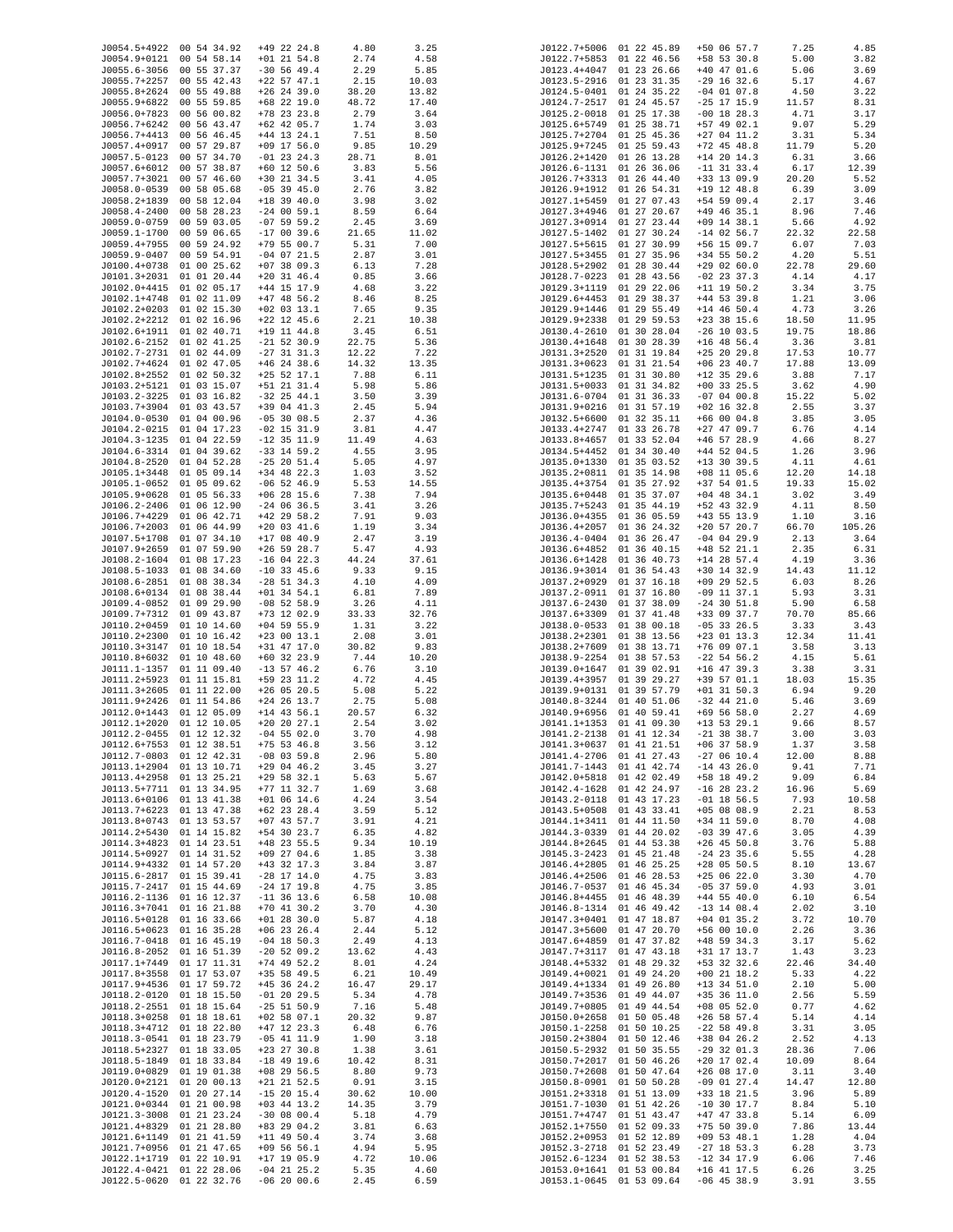| J0054.5+4922 00 54 34.92                             |                            | $+49$ 22 24.8                  | 4.80          | 3.25          |                              | J0122.7+5006 01 22 45.89                             | +50 06 57.7                    | 7.25          | 4.85           |
|------------------------------------------------------|----------------------------|--------------------------------|---------------|---------------|------------------------------|------------------------------------------------------|--------------------------------|---------------|----------------|
| J0054.9+0121 00 54 58.14                             |                            | $+01$ 21 54.8                  | 2.74          | 4.58          |                              | J0122.7+5853 01 22 46.56                             | +58 53 30.8                    | 5.00          | 3.82           |
| J0055.6-3056                                         | 00 55 37.37                | $-30$ 56 49.4                  | 2.29          | 5.85          | J0123.4+4047                 | 01 23 26.66                                          | $+40$ 47 01.6                  | 5.06          | 3.69           |
| J0055.7+2257 00 55 42.43                             |                            | $+22$ 57 47.1                  | 2.15          | 10.03         |                              | J0123.5-2916 01 23 31.35                             | $-29$ 16 32.6                  | 5.17          | 4.67           |
| J0055.8+2624 00 55 49.88                             |                            | $+26$ 24 39.0                  | 38.20         | 13.82         | J0124.5-0401                 | 01 24 35.22                                          | $-04$ 01 07.8                  | 4.50          | 3.22           |
| J0055.9+6822 00 55 59.85<br>J0056.0+7823 00 56 00.82 |                            | $+68$ 22 19.0<br>$+78$ 23 23.8 | 48.72<br>2.79 | 17.40<br>3.64 | J0124.7-2517<br>J0125.2-0018 | 01 24 45.57<br>01 25 17.38                           | $-25$ 17 15.9<br>$-00$ 18 28.3 | 11.57<br>4.71 | 8.31<br>3.17   |
| J0056.7+6242 00 56 43.47                             |                            | $+62$ 42 05.7                  | 1.74          | 3.03          | J0125.6+5749                 | 01 25 38.71                                          | +57 49 02.1                    | 9.07          | 5.29           |
| J0056.7+4413                                         | 00 56 46.45                | $+44$ 13 24.1                  | 7.51          | 8.50          | J0125.7+2704                 | 01 25 45.36                                          | $+27$ 04 11.2                  | 3.31          | 5.34           |
| J0057.4+0917                                         | 00 57 29.87                | $+09$ 17 56.0                  | 9.85          | 10.29         | J0125.9+7245                 | 01 25 59.43                                          | $+72$ 45 48.8                  | 11.79         | 5.20           |
| J0057.5-0123 00 57 34.70                             |                            | $-01$ 23 24.3                  | 28.71         | 8.01          | J0126.2+1420                 | 01 26 13.28                                          | $+14$ 20 14.3                  | 6.31          | 3.66           |
| J0057.6+6012 00 57 38.87                             |                            | $+60$ 12 50.6                  | 3.83          | 5.56          | J0126.6-1131                 | 01 26 36.06                                          | $-11$ 31 33.4                  | 6.17          | 12.39          |
| J0057.7+3021                                         | 00 57 46.60                | $+30$ 21 34.5                  | 3.41          | 4.05          | J0126.7+3313                 | 01 26 44.40                                          | $+33$ 13 09.9                  | 20.20         | 5.52           |
| J0058.0-0539                                         | 00 58 05.68                | $-05$ 39 45.0                  | 2.76          | 3.82          | J0126.9+1912<br>J0127.1+5459 | 01 26 54.31                                          | $+19$ 12 48.8                  | 6.39          | 3.09           |
| J0058.2+1839<br>J0058.4-2400                         | 00 58 12.04<br>00 58 28.23 | $+18$ 39 40.0<br>$-24$ 00 59.1 | 3.98<br>8.59  | 3.02<br>6.64  | J0127.3+4946                 | 01 27 07.43<br>01 27 20.67                           | +54 59 09.4<br>$+49$ 46 35.1   | 2.17<br>8.96  | 3.46<br>7.46   |
| J0059.0-0759                                         | 00 59 03.05                | $-07$ 59 59.2                  | 2.45          | 3.69          | J0127.3+0914                 | 01 27 23.44                                          | $+09$ 14 38.1                  | 5.66          | 4.92           |
| J0059.1-1700                                         | 00 59 06.65                | $-170039.6$                    | 21.65         | 11.02         | J0127.5-1402                 | 01 27 30.24                                          | $-14$ 02 56.7                  | 22.32         | 22.58          |
| J0059.4+7955 00 59 24.92                             |                            | $+79$ 55 00.7                  | 5.31          | 7.00          |                              | J0127.5+5615 01 27 30.99                             | $+56$ 15 09.7                  | 6.07          | 7.03           |
| J0059.9-0407 00 59 54.91                             |                            | $-04$ 07 21.5                  | 2.87          | 3.01          | J0127.5+3455                 | 01 27 35.96                                          | $+34$ 55 50.2                  | 4.20          | 5.51           |
| J0100.4+0738 01 00 25.62                             |                            | $+07$ 38 09.3                  | 6.13          | 7.28          | J0128.5+2902                 | 01 28 30.44                                          | $+29$ 02 60.0                  | 22.78         | 29.60          |
| J0101.3+2031 01 01 20.44                             |                            | $+20$ 31 46.4                  | 0.85          | 3.66          |                              | J0128.7-0223 01 28 43.56                             | $-02$ 23 37.3                  | 4.14          | 4.17           |
| J0102.0+4415 01 02 05.17<br>J0102.1+4748 01 02 11.09 |                            | $+44$ 15 17.9<br>$+47$ 48 56.2 | 4.68<br>8.46  | 3.22<br>8.25  |                              | J0129.3+1119 01 29 22.06<br>J0129.6+4453 01 29 38.37 | $+11$ 19 50.2<br>$+44$ 53 39.8 | 3.34<br>1.21  | 3.75<br>3.06   |
| J0102.2+0203 01 02 15.30                             |                            | $+02$ 03 13.1                  | 7.65          | 9.35          | J0129.9+1446                 | 01 29 55.49                                          | $+14$ 46 50.4                  | 4.73          | 3.26           |
| J0102.2+2212 01 02 16.96                             |                            | $+22$ 12 45.6                  | 2.21          | 10.38         | J0129.9+2338                 | 01 29 59.53                                          | $+23$ 38 15.6                  | 18.50         | 11.95          |
| J0102.6+1911 01 02 40.71                             |                            | $+19$ 11 44.8                  | 3.45          | 6.51          | J0130.4-2610                 | 01 30 28.04                                          | $-26$ 10 03.5                  | 19.75         | 18.86          |
| J0102.6-2152 01 02 41.25                             |                            | $-21$ 52 30.9                  | 22.75         | 5.36          | J0130.4+1648                 | 01 30 28.39                                          | $+16$ 48 56.4                  | 3.36          | 3.81           |
| J0102.7-2731 01 02 44.09                             |                            | $-27$ 31 31.3                  | 12.22         | 7.22          | J0131.3+2520                 | 01 31 19.84                                          | $+25$ 20 29.8                  | 17.53         | 10.77          |
| J0102.7+4624 01 02 47.05                             |                            | $+46$ 24 38.6                  | 14.32         | 13.35         | J0131.3+0623                 | 01 31 21.54                                          | $+06$ 23 40.7                  | 17.88         | 13.09          |
| J0102.8+2552 01 02 50.32                             |                            | $+25$ 52 17.1                  | 7.88          | 6.11          | J0131.5+1235                 | 01 31 30.80                                          | $+12$ 35 29.6                  | 3.88          | 7.17           |
| J0103.2+5121 01 03 15.07                             |                            | $+51$ 21 31.4                  | 5.98          | 5.86          | J0131.5+0033                 | 01 31 34.82                                          | $+00$ 33 25.5                  | 3.62          | 4.90           |
| J0103.2-3225 01 03 16.82                             |                            | $-32$ 25 44.1                  | 3.50          | 3.39          | J0131.6-0704<br>J0131.9+0216 | 01 31 36.33                                          | $-07$ 04 00.8<br>$+02$ 16 32.8 | 15.22         | 5.02           |
| J0103.7+3904 01 03 43.57<br>J0104.0-0530 01 04 00.96 |                            | $+39$ 04 41.3<br>$-05$ 30 08.5 | 2.45<br>2.37  | 5.94<br>4.36  | J0132.5+6600                 | 01 31 57.19<br>01 32 35.11                           | $+66$ 00 04.8                  | 2.55<br>3.85  | 3.37<br>3.05   |
| J0104.2-0215 01 04 17.23                             |                            | $-02$ 15 31.9                  | 3.81          | 4.47          | J0133.4+2747                 | 01 33 26.78                                          | $+27$ 47 09.7                  | 6.76          | 4.14           |
| J0104.3-1235 01 04 22.59                             |                            | $-12$ 35 11.9                  | 11.49         | 4.63          | J0133.8+4657                 | 01 33 52.04                                          | $+46$ 57 28.9                  | 4.66          | 8.27           |
| J0104.6-3314 01 04 39.62                             |                            | $-33$ 14 59.2                  | 4.55          | 3.95          | J0134.5+4452                 | 01 34 30.40                                          | $+44$ 52 04.5                  | 1.26          | 3.96           |
| J0104.8-2520 01 04 52.28                             |                            | $-25$ 20 $51.4$                | 5.05          | 4.97          | J0135.0+1330                 | 01 35 03.52                                          | +13 30 39.5                    | 4.11          | 4.61           |
| J0105.1+3448 01 05 09.14                             |                            | $+34$ 48 22.3                  | 1.03          | 3.52          |                              | J0135.2+0811 01 35 14.98                             | $+08$ 11 05.6                  | 12.20         | 14.18          |
| J0105.1-0652 01 05 09.62                             |                            | $-06$ 52 46.9                  | 5.53          | 14.55         | J0135.4+3754                 | 01 35 27.92                                          | $+37$ 54 01.5                  | 19.33         | 15.02          |
| J0105.9+0628 01 05 56.33                             |                            | $+06$ 28 15.6                  | 7.38          | 7.94          | J0135.6+0448                 | 01 35 37.07                                          | $+04$ 48 34.1                  | 3.02          | 3.49           |
| J0106.2-2406 01 06 12.90                             |                            | $-24$ 06 36.5                  | 3.41          | 3.26          |                              | J0135.7+5243 01 35 44.19                             | $+52$ 43 32.9                  | 4.11          | 8.50           |
| J0106.7+4229 01 06 42.71<br>J0106.7+2003 01 06 44.99 |                            | $+42$ 29 58.2                  | 7.91          | 9.03          | J0136.0+4355                 | 01 36 05.59<br>01 36 24.32                           | $+43$ 55 13.9<br>$+20$ 57 20.7 | 1.10          | 3.16<br>105.26 |
| J0107.5+1708                                         | 01 07 34.10                | $+20$ 03 41.6<br>$+17$ 08 40.9 | 1.19<br>2.47  | 3.34<br>3.19  | J0136.4+2057<br>J0136.4-0404 | 01 36 26.47                                          | $-04$ 04 29.9                  | 66.70<br>2.13 | 3.64           |
| J0107.9+2659                                         | 01 07 59.90                | $+26$ 59 28.7                  | 5.47          | 4.93          | J0136.6+4852                 | 01 36 40.15                                          | $+48$ 52 21.1                  | 2.35          | 6.31           |
| J0108.2-1604 01 08 17.23                             |                            | $-16$ 04 22.3                  | 44.24         | 37.61         | J0136.6+1428                 | 01 36 40.73                                          | $+14$ 28 57.4                  | 4.19          | 3.36           |
| J0108.5-1033 01 08 34.60                             |                            | $-10$ 33 45.6                  | 9.33          | 9.15          | J0136.9+3014                 | 01 36 54.43                                          | $+30$ 14 32.9                  | 14.43         | 11.12          |
| J0108.6-2851 01 08 38.34                             |                            | $-28$ 51 34.3                  | 4.10          | 4.09          | J0137.2+0929                 | 01 37 16.18                                          | $+09$ 29 52.5                  | 6.03          | 8.26           |
| J0108.6+0134 01 08 38.44                             |                            | $+01$ 34 54.1                  | 6.81          | 7.89          | J0137.2-0911                 | 01 37 16.80                                          | $-09$ 11 37.1                  | 5.93          | 3.31           |
| J0109.4-0852 01 09 29.90                             |                            | $-08$ 52 58.9                  | 3.26          | 4.11          | J0137.6-2430                 | 01 37 38.09                                          | $-24$ 30 51.8                  | 5.90          | 6.58           |
| J0109.7+7312 01 09 43.87                             |                            | +73 12 02.9                    | 33.33         | 32.76         | J0137.6+3309                 | 01 37 41.48                                          | +33 09 37.7                    | 70.70         | 85.66          |
| J0110.2+0459<br>J0110.2+2300 01 10 16.42             | 01 10 14.60                | $+04$ 59 55.9<br>$+23$ 00 13.1 | 1.31<br>2.08  | 3.22<br>3.01  | J0138.0-0533<br>J0138.2+2301 | 01 38 00.18<br>01 38 13.56                           | $-05$ 33 26.5<br>$+23$ 01 13.3 | 3.33<br>12.34 | 3.43<br>11.41  |
| J0110.3+3147 01 10 18.54                             |                            | +31 47 17.0                    | 30.82         | 9.83          | J0138.2+7609                 | 01 38 13.71                                          | $+76$ 09 07.1                  | 3.58          | 3.13           |
| J0110.8+6032 01 10 48.60                             |                            | $+60$ 32 23.9                  | 7.44          | 10.20         | J0138.9-2254                 | 01 38 57.53                                          | $-22$ 54 56.2                  | 4.15          | 5.61           |
| J0111.1-1357 01 11 09.40                             |                            | $-13$ 57 46.2                  | 6.76          | 3.10          |                              | J0139.0+1647 01 39 02.91                             | $+16$ 47 39.3                  | 3.38          | 3.31           |
| J0111.2+5923 01 11 15.81                             |                            | +59 23 11.2                    | 4.72          | 4.45          |                              | J0139.4+3957 01 39 29.27                             | +39 57 01.1                    | 18.03         | 15.35          |
| J0111.3+2605 01 11 22.00                             |                            | $+26$ 05 20.5                  | 5.08          | 5.22          | J0139.9+0131                 | 01 39 57.79                                          | $+01$ 31 50.3                  | 6.94          | 9.20           |
| J0111.9+2426 01 11 54.86                             |                            | $+24$ 26 13.7                  | 2.75          | 5.08          |                              | J0140.8-3244 01 40 51.06                             | $-32$ 44 21.0                  | 5.46          | 3.69           |
| J0112.0+1443 01 12 05.09                             |                            | $+14$ 43 56.1                  | 20.57         | 6.32          |                              | J0140.9+6956 01 40 59.41                             | $+69$ 56 58.0                  | 2.27          | 4.69           |
| J0112.1+2020 01 12 10.05                             |                            | $+20$ 20 27.1                  | 2.54          | 3.02          |                              | J0141.1+1353 01 41 09.30                             | $+13$ 53 29.1                  | 9.66          | 8.57           |
| J0112.2-0455 01 12 12.32<br>J0112.6+7553 01 12 38.51 |                            | $-04$ 55 02.0<br>$+75$ 53 46.8 | 3.70<br>3.56  | 4.98<br>3.12  |                              | J0141.2-2138 01 41 12.34<br>J0141.3+0637 01 41 21.51 | $-21$ 38 38.7<br>$+06$ 37 58.9 | 3.00<br>1.37  | 3.03<br>3.58   |
| J0112.7-0803 01 12 42.31                             |                            | $-08$ 03 59.8                  | 2.96          | 5.80          |                              | J0141.4-2706 01 41 27.43                             | $-270610.4$                    | 12.00         | 8.88           |
| J0113.1+2904 01 13 10.71                             |                            | $+29$ 04 46.2                  | 3.45          | 3.27          | J0141.7-1443                 | 01 41 42.74                                          | $-14$ 43 26.0                  | 9.41          | 7.71           |
| J0113.4+2958 01 13 25.21                             |                            | $+29$ 58 32.1                  | 5.63          | 5.67          | J0142.0+5818                 | 01 42 02.49                                          | +58 18 49.2                    | 9.09          | 6.84           |
| J0113.5+7711 01 13 34.95                             |                            | $+77$ 11 32.7                  | 1.69          | 3.68          | J0142.4-1628                 | 01 42 24.97                                          | $-16$ 28 23.2                  | 16.96         | 5.69           |
| J0113.6+0106 01 13 41.38                             |                            | $+01$ 06 14.6                  | 4.24          | 3.54          | J0143.2-0118                 | 01 43 17.23                                          | $-01$ 18 56.5                  | 7.93          | 10.58          |
| J0113.7+6223 01 13 47.38<br>J0113.8+0743 01 13 53.57 |                            | $+62$ 23 28.4<br>$+07$ 43 57.7 | 3.59          | 5.12          | J0143.5+0508<br>J0144.1+3411 | 01 43 33.41                                          | $+05$ 08 08.9                  | 2.21          | 8.53<br>4.08   |
| J0114.2+5430 01 14 15.82                             |                            | +54 30 23.7                    | 3.91<br>6.35  | 4.21<br>4.82  | J0144.3-0339                 | 01 44 11.50<br>01 44 20.02                           | $+34$ 11 59.0<br>$-03$ 39 47.6 | 8.70<br>3.05  | 4.39           |
| J0114.3+4823 01 14 23.51                             |                            | $+48$ 23 55.5                  | 9.34          | 10.19         | J0144.8+2645                 | 01 44 53.38                                          | $+26$ 45 50.8                  | 3.76          | 5.88           |
| J0114.5+0927 01 14 31.52                             |                            | $+09$ 27 04.6                  | 1.85          | 3.38          | J0145.3-2423                 | 01 45 21.48                                          | $-24$ 23 35.6                  | 5.55          | 4.28           |
| J0114.9+4332 01 14 57.20                             |                            | $+43$ 32 17.3                  | 3.84          | 3.87          | J0146.4+2805                 | 01 46 25.25                                          | $+28$ 05 50.5                  | 8.10          | 13.67          |
| J0115.6-2817 01 15 39.41                             |                            | $-28$ 17 14.0                  | 4.75          | 3.83          | J0146.4+2506                 | 01 46 28.53                                          | $+25$ 06 22.0                  | 3.30          | 4.70           |
| J0115.7-2417 01 15 44.69                             |                            | $-24$ 17 19.8                  | 4.75          | 3.85          | J0146.7-0537                 | 01 46 45.34                                          | $-05$ 37 59.0                  | 4.93          | 3.01           |
| J0116.2-1136 01 16 12.37                             |                            | $-11$ 36 13.6                  | 6.58          | 10.08         | J0146.8+4455                 | 01 46 48.39                                          | $+44$ 55 40.0                  | 6.10          | 6.54           |
| J0116.3+7041 01 16 21.88<br>J0116.5+0128 01 16 33.66 |                            | $+70$ 41 30.2<br>$+01$ 28 30.0 | 3.70          | 4.30          | J0146.8-1314<br>J0147.3+0401 | 01 46 49.42<br>01 47 18.87                           | $-13$ 14 08.4<br>$+04$ 01 35.2 | 2.02          | 3.10<br>10.70  |
| J0116.5+0623 01 16 35.28                             |                            | $+06$ 23 26.4                  | 5.87          | 4.18<br>5.12  | J0147.3+5600                 | 01 47 20.70                                          | +56 00 10.0                    | 3.72          | 3.36           |
| J0116.7-0418 01 16 45.19                             |                            | $-04$ 18 50.3                  | 2.44<br>2.49  | 4.13          | J0147.6+4859                 | 01 47 37.82                                          | $+48$ 59 34.3                  | 2.26<br>3.17  | 5.62           |
| J0116.8-2052 01 16 51.39                             |                            | $-20$ 52 09.2                  | 13.62         | 4.43          | J0147.7+3117                 | 01 47 43.18                                          | +31 17 13.7                    | 1.43          | 3.23           |
| J0117.1+7449 01 17 11.31                             |                            | $+74$ 49 52.2                  | 8.01          | 4.24          | J0148.4+5332                 | 01 48 29.32                                          | +53 32 32.6                    | 22.46         | 34.40          |
| J0117.8+3558 01 17 53.07                             |                            | $+35$ 58 49.5                  | 6.21          | 10.49         | J0149.4+0021                 | 01 49 24.20                                          | $+00$ 21 18.2                  | 5.33          | 4.22           |
| J0117.9+4536 01 17 59.72                             |                            | $+45$ 36 24.2                  | 16.47         | 29.17         | J0149.4+1334                 | 01 49 26.80                                          | $+13$ 34 51.0                  | 2.10          | 5.00           |
| J0118.2-0120 01 18 15.50                             |                            | $-01$ 20 29.5                  | 5.34          | 4.78          | J0149.7+3536                 | 01 49 44.07                                          | +35 36 11.0                    | 2.56          | 5.59           |
| J0118.2-2551 01 18 15.64                             |                            | $-25$ 51 50.9                  | 7.16          | 5.48          | J0149.7+0805                 | 01 49 44.54                                          | $+08$ 05 52.0                  | 0.77          | 4.62           |
| J0118.3+0258 01 18 18.61<br>J0118.3+4712 01 18 22.80 |                            | $+02$ 58 07.1                  | 20.32         | 9.87          | J0150.0+2658                 | 01 50 05.48                                          | $+26$ 58 57.4                  | 5.14          | 4.14<br>3.05   |
| J0118.3-0541 01 18 23.79                             |                            | $+47$ 12 23.3<br>$-05$ 41 11.9 | 6.48<br>1.90  | 6.76<br>3.18  | J0150.1-2258<br>J0150.2+3804 | 01 50 10.25<br>01 50 12.46                           | $-22$ 58 49.8<br>+38 04 26.2   | 3.31<br>2.52  | 4.13           |
| J0118.5+2327 01 18 33.05                             |                            | $+23$ 27 30.8                  | 1.38          | 3.61          | J0150.5-2932                 | 01 50 35.55                                          | $-29$ 32 01.3                  | 28.36         | 7.06           |
| J0118.5-1849 01 18 33.84                             |                            | $-18$ 49 19.6                  | 10.42         | 8.31          | J0150.7+2017                 | 01 50 46.26                                          | $+20$ 17 02.4                  | 10.09         | 8.64           |
| J0119.0+0829 01 19 01.38                             |                            | $+08$ 29 56.5                  | 8.80          | 9.73          | J0150.7+2608                 | 01 50 47.64                                          | $+26$ 08 17.0                  | 3.11          | 3.40           |
| J0120.0+2121 01 20 00.13                             |                            | $+21$ 21 52.5                  | 0.91          | 3.15          | J0150.8-0901                 | 01 50 50.28                                          | $-09$ 01 27.4                  | 14.47         | 12.80          |
| J0120.4-1520 01 20 27.14                             |                            | $-15$ 20 15.4                  | 30.62         | 10.00         | J0151.2+3318                 | 01 51 13.09                                          | +33 18 21.5                    | 3.96          | 5.89           |
| J0121.0+0344 01 21 00.98                             |                            | $+03$ 44 13.2                  | 14.35         | 3.79          | J0151.7-1030                 | 01 51 42.26                                          | $-10$ 30 17.7                  | 8.84          | 5.10           |
| J0121.3-3008 01 21 23.24                             |                            | $-30$ 08 00.4                  | 5.18          | 4.79          | J0151.7+4747                 | 01 51 43.47                                          | $+47$ 47 33.8                  | 5.14          | 6.09           |
| J0121.4+8329 01 21 28.80                             |                            | +83 29 04.2                    | 3.81          | 6.63          | J0152.1+7550                 | 01 52 09.33                                          | $+75$ 50 39.0                  | 7.86          | 13.44          |
| J0121.6+1149 01 21 41.59<br>J0121.7+0956             | 01 21 47.65                | $+11$ 49 50.4<br>$+09$ 56 56.1 | 3.74<br>4.94  | 3.68<br>5.95  | J0152.2+0953<br>J0152.3-2718 | 01 52 12.89<br>01 52 23.49                           | $+09$ 53 48.1<br>$-27$ 18 53.3 | 1.28<br>6.28  | 4.04<br>3.73   |
| J0122.1+1719                                         | 01 22 10.91                | $+17$ 19 05.9                  | 4.72          | 10.06         | J0152.6-1234                 | 01 52 38.53                                          | $-12$ 34 17.9                  | 6.06          | 7.46           |
| J0122.4-0421 01 22 28.06                             |                            | $-04$ 21 25.2                  | 5.35          | 4.60          | J0153.0+1641                 | 01 53 00.84                                          | $+16$ 41 17.5                  | 6.26          | 3.25           |
| J0122.5-0620 01 22 32.76                             |                            | $-06$ 20 00.6                  | 2.45          | 6.59          |                              | J0153.1-0645 01 53 09.64                             | $-06$ 45 38.9                  | 3.91          | 3.55           |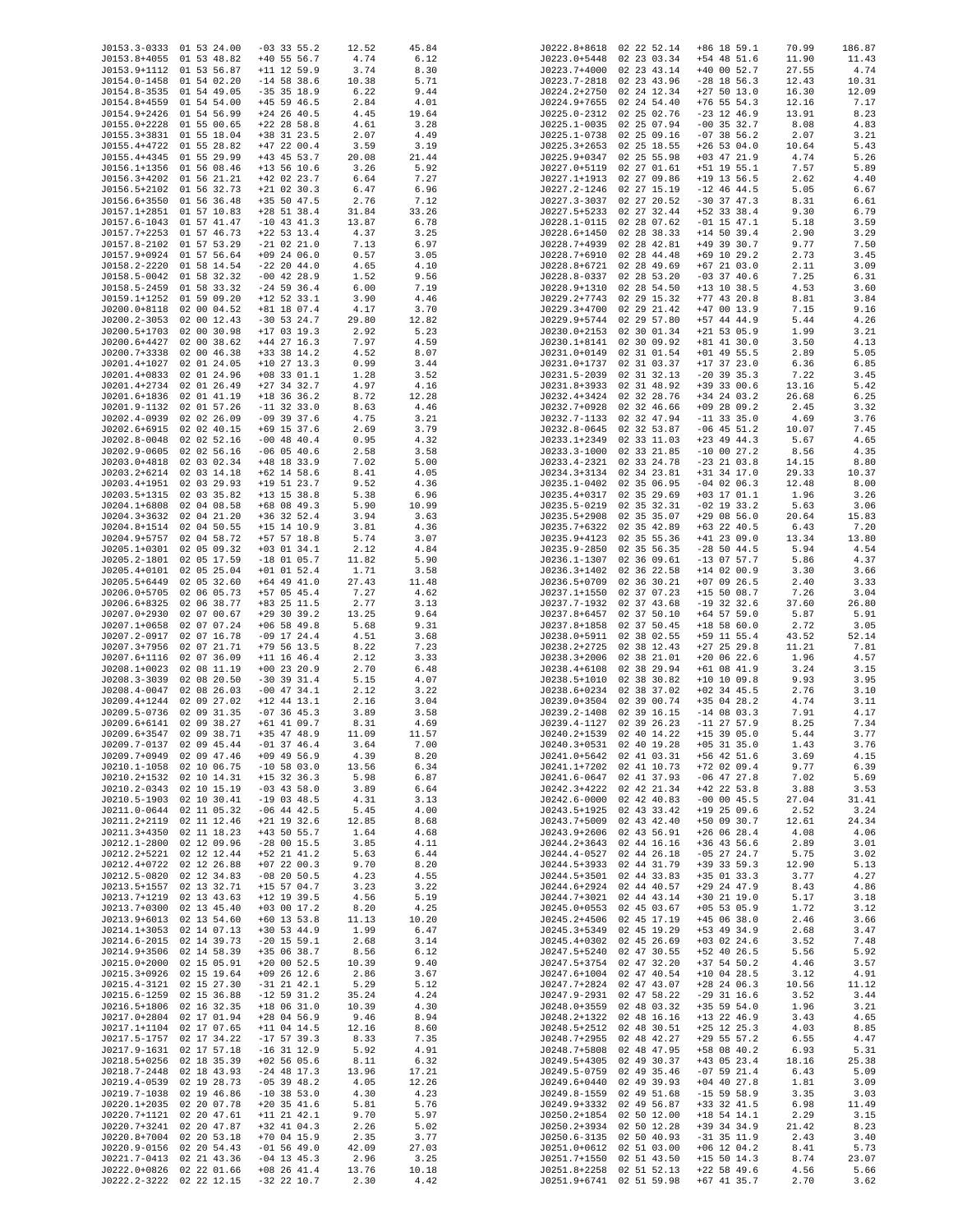| J0153.3-0333 01 53 24.00 |             | $-03$ 33 55.2 | 12.52 | 45.84 |                  | J0222.8+8618 02 22 52.14 | $+86$ 18 59.1 | 70.99 | 186.87 |
|--------------------------|-------------|---------------|-------|-------|------------------|--------------------------|---------------|-------|--------|
| J0153.8+4055 01 53 48.82 |             | $+40$ 55 56.7 | 4.74  | 6.12  |                  | J0223.0+5448 02 23 03.34 | $+54$ 48 51.6 | 11.90 | 11.43  |
| J0153.9+1112 01 53 56.87 |             | $+11$ 12 59.9 | 3.74  | 8.30  | J0223.7+4000     | 02 23 43.14              | $+40$ 00 52.7 | 27.55 | 4.74   |
| J0154.0-1458 01 54 02.20 |             | $-14$ 58 38.6 | 10.38 | 5.71  | J0223.7-2818     | 02 23 43.96              | $-28$ 18 56.3 | 12.43 | 10.31  |
| J0154.8-3535 01 54 49.05 |             | $-35$ 35 18.9 | 6.22  | 9.44  | J0224.2+2750     | 02 24 12.34              | $+27$ 50 13.0 | 16.30 | 12.09  |
| J0154.8+4559             | 01 54 54.00 | $+45$ 59 46.5 | 2.84  | 4.01  | J0224.9+7655     | 02 24 54.40              | $+76$ 55 54.3 | 12.16 | 7.17   |
|                          |             |               |       |       |                  |                          |               |       |        |
| J0154.9+2426 01 54 56.99 |             | $+24$ 26 40.5 | 4.45  | 19.64 | J0225.0-2312     | 02 25 02.76              | $-23$ 12 46.9 | 13.91 | 8.23   |
| J0155.0+2228             | 01 55 00.65 | $+22$ 28 58.8 | 4.61  | 3.28  | $J0225.1 - 0035$ | 02 25 07.94              | $-00$ 35 32.7 | 8.08  | 4.83   |
| J0155.3+3831 01 55 18.04 |             | +38 31 23.5   | 2.07  | 4.49  | J0225.1-0738     | 02 25 09.16              | $-07$ 38 56.2 | 2.07  | 3.21   |
| J0155.4+4722 01 55 28.82 |             | $+47$ 22 00.4 | 3.59  | 3.19  | J0225.3+2653     | 02 25 18.55              | $+26$ 53 04.0 | 10.64 | 5.43   |
| J0155.4+4345 01 55 29.99 |             | +43 45 53.7   | 20.08 | 21.44 | J0225.9+0347     | 02 25 55.98              | $+03$ 47 21.9 | 4.74  | 5.26   |
|                          |             |               |       |       |                  |                          |               |       |        |
| J0156.1+1356 01 56 08.46 |             | $+13$ 56 10.6 | 3.26  | 5.92  |                  | J0227.0+5119 02 27 01.61 | +51 19 55.1   | 7.57  | 5.89   |
| J0156.3+4202 01 56 21.21 |             | $+42$ 02 23.7 | 6.64  | 7.27  | J0227.1+1913     | 02 27 09.86              | $+19$ 13 56.5 | 2.62  | 4.40   |
| J0156.5+2102 01 56 32.73 |             | $+21$ 02 30.3 | 6.47  | 6.96  | J0227.2-1246     | 02 27 15.19              | $-12$ 46 44.5 | 5.05  | 6.67   |
| J0156.6+3550 01 56 36.48 |             | $+35$ 50 47.5 | 2.76  | 7.12  | J0227.3-3037     | 02 27 20.52              | $-30$ 37 47.3 | 8.31  | 6.61   |
| J0157.1+2851 01 57 10.83 |             | $+28$ 51 38.4 | 31.84 | 33.26 |                  | J0227.5+5233 02 27 32.44 | $+52$ 33 38.4 | 9.30  | 6.79   |
| J0157.6-1043 01 57 41.47 |             | $-10$ 43 41.3 | 13.87 | 6.78  |                  | J0228.1-0115 02 28 07.62 | $-01$ 15 47.1 | 5.18  | 3.59   |
|                          |             |               |       |       |                  |                          |               |       |        |
| J0157.7+2253 01 57 46.73 |             | $+22$ 53 13.4 | 4.37  | 3.25  | J0228.6+1450     | 02 28 38.33              | $+14$ 50 39.4 | 2.90  | 3.29   |
| J0157.8-2102 01 57 53.29 |             | $-21$ 02 21.0 | 7.13  | 6.97  | J0228.7+4939     | 02 28 42.81              | +49 39 30.7   | 9.77  | 7.50   |
| J0157.9+0924 01 57 56.64 |             | $+09$ 24 06.0 | 0.57  | 3.05  | J0228.7+6910     | 02 28 44.48              | $+69$ 10 29.2 | 2.73  | 3.45   |
| J0158.2-2220 01 58 14.54 |             | $-22$ 20 44.0 | 4.65  | 4.10  | J0228.8+6721     | 02 28 49.69              | $+67$ 21 03.0 | 2.11  | 3.09   |
| J0158.5-0042 01 58 32.32 |             | $-00$ 42 28.9 | 1.52  | 9.56  | J0228.8-0337     | 02 28 53.20              | $-03$ 37 40.6 | 7.25  | 6.31   |
| J0158.5-2459 01 58 33.32 |             | $-24$ 59 36.4 |       | 7.19  | J0228.9+1310     | 02 28 54.50              | $+13$ 10 38.5 |       | 3.60   |
|                          |             |               | 6.00  |       |                  |                          |               | 4.53  |        |
| J0159.1+1252 01 59 09.20 |             | $+12$ 52 33.1 | 3.90  | 4.46  | J0229.2+7743     | 02 29 15.32              | $+77$ 43 20.8 | 8.81  | 3.84   |
| J0200.0+8118 02 00 04.52 |             | $+81$ 18 07.4 | 4.17  | 3.70  | J0229.3+4700     | 02 29 21.42              | $+47$ 00 13.9 | 7.15  | 9.16   |
| J0200.2-3053 02 00 12.43 |             | $-30$ 53 24.7 | 29.80 | 12.82 | J0229.9+5744     | 02 29 57.80              | +57 44 44.9   | 5.44  | 4.26   |
| J0200.5+1703 02 00 30.98 |             | $+17$ 03 19.3 | 2.92  | 5.23  | J0230.0+2153     | 02 30 01.34              | $+21$ 53 05.9 | 1.99  | 3.21   |
| J0200.6+4427 02 00 38.62 |             | $+44$ 27 16.3 | 7.97  | 4.59  |                  | J0230.1+8141 02 30 09.92 | $+81$ 41 30.0 | 3.50  | 4.13   |
| J0200.7+3338 02 00 46.38 |             | +33 38 14.2   | 4.52  | 8.07  |                  | J0231.0+0149 02 31 01.54 | $+01$ 49 55.5 | 2.89  | 5.05   |
|                          |             |               |       |       |                  |                          |               |       |        |
| J0201.4+1027 02 01 24.05 |             | $+10$ 27 13.3 | 0.99  | 3.44  | J0231.0+1737     | 02 31 03.37              | $+17$ 37 23.0 | 6.36  | 6.85   |
| J0201.4+0833 02 01 24.96 |             | $+08$ 33 01.1 | 1.28  | 3.52  |                  | J0231.5-2039 02 31 32.13 | $-20$ 39 35.3 | 7.22  | 3.45   |
| J0201.4+2734 02 01 26.49 |             | $+27$ 34 32.7 | 4.97  | 4.16  |                  | J0231.8+3933 02 31 48.92 | $+39$ 33 00.6 | 13.16 | 5.42   |
| J0201.6+1836 02 01 41.19 |             | $+18$ 36 36.2 | 8.72  | 12.28 | J0232.4+3424     | 02 32 28.76              | $+34$ 24 03.2 | 26.68 | 6.25   |
| J0201.9-1132 02 01 57.26 |             | $-11$ 32 33.0 | 8.63  | 4.46  | J0232.7+0928     | 02 32 46.66              | $+09$ 28 09.2 | 2.45  | 3.32   |
|                          |             |               |       |       |                  |                          |               |       |        |
| J0202.4-0939 02 02 26.09 |             | $-09$ 39 37.6 | 4.75  | 3.21  | J0232.7-1133     | 02 32 47.94              | $-11$ 33 35.0 | 4.69  | 3.76   |
| J0202.6+6915 02 02 40.15 |             | $+69$ 15 37.6 | 2.69  | 3.79  | J0232.8-0645     | 02 32 53.87              | $-06$ 45 51.2 | 10.07 | 7.45   |
| J0202.8-0048 02 02 52.16 |             | $-00$ 48 40.4 | 0.95  | 4.32  | J0233.1+2349     | 02 33 11.03              | $+23$ 49 44.3 | 5.67  | 4.65   |
| J0202.9-0605 02 02 56.16 |             | $-06$ 05 40.6 | 2.58  | 3.58  | J0233.3-1000     | 02 33 21.85              | $-10$ 00 27.2 | 8.56  | 4.35   |
| J0203.0+4818 02 03 02.34 |             | +48 18 33.9   | 7.02  | 5.00  | J0233.4-2321     | 02 33 24.78              | $-23$ 21 03.8 | 14.15 | 8.80   |
| J0203.2+6214 02 03 14.18 |             | $+62$ 14 58.6 | 8.41  | 4.05  | J0234.3+3134     | 02 34 23.81              | +31 34 17.0   | 29.33 | 10.37  |
|                          |             |               |       |       |                  |                          | $-04$ 02 06.3 |       |        |
| J0203.4+1951 02 03 29.93 |             | $+19$ 51 23.7 | 9.52  | 4.36  |                  | J0235.1-0402 02 35 06.95 |               | 12.48 | 8.00   |
| J0203.5+1315 02 03 35.82 |             | $+13$ 15 38.8 | 5.38  | 6.96  | J0235.4+0317     | 02 35 29.69              | $+03$ 17 01.1 | 1.96  | 3.26   |
| J0204.1+6808 02 04 08.58 |             | $+68$ 08 49.3 | 5.90  | 10.99 |                  | J0235.5-0219 02 35 32.31 | $-02$ 19 33.2 | 5.63  | 3.06   |
| J0204.3+3632 02 04 21.20 |             | $+36$ 32 52.4 | 3.94  | 3.63  | J0235.5+2908     | 02 35 35.07              | $+29$ 08 56.0 | 20.64 | 15.83  |
| J0204.8+1514 02 04 50.55 |             | $+15$ 14 10.9 | 3.81  | 4.36  | J0235.7+6322     | 02 35 42.89              | $+63$ 22 40.5 | 6.43  | 7.20   |
| J0204.9+5757 02 04 58.72 |             | $+57$ 57 18.8 | 5.74  | 3.07  | J0235.9+4123     | 02 35 55.36              | $+41$ 23 09.0 | 13.34 | 13.80  |
|                          |             |               |       |       |                  |                          |               |       |        |
| J0205.1+0301 02 05 09.32 |             | $+03$ 01 34.1 | 2.12  | 4.84  | J0235.9-2850     | 02 35 56.35              | $-28$ 50 44.5 | 5.94  | 4.54   |
| J0205.2-1801 02 05 17.59 |             | $-18$ 01 05.7 | 11.82 | 5.90  | J0236.1-1307     | 02 36 09.61              | $-13$ 07 57.7 | 5.86  | 4.37   |
| J0205.4+0101 02 05 25.04 |             | $+01$ 01 52.4 | 1.71  | 3.58  | J0236.3+1402     | 02 36 22.58              | $+14$ 02 00.9 | 3.30  | 3.66   |
| J0205.5+6449 02 05 32.60 |             | $+64$ 49 41.0 | 27.43 | 11.48 | J0236.5+0709     | 02 36 30.21              | $+07$ 09 26.5 | 2.40  | 3.33   |
| J0206.0+5705 02 06 05.73 |             | $+57$ 05 45.4 | 7.27  | 4.62  | J0237.1+1550     | 02 37 07.23              | $+15$ 50 08.7 | 7.26  | 3.04   |
| J0206.6+8325 02 06 38.77 |             | +83 25 11.5   | 2.77  | 3.13  | J0237.7-1932     | 02 37 43.68              | $-19$ 32 32.6 | 37.60 | 26.80  |
| J0207.0+2930 02 07 00.67 |             | $+29$ 30 39.2 | 13.25 | 9.64  | J0237.8+6457     | 02 37 50.10              | $+64$ 57 59.0 | 5.87  | 5.91   |
|                          |             |               |       |       |                  |                          |               |       |        |
| J0207.1+0658 02 07 07.24 |             | $+06$ 58 49.8 | 5.68  | 9.31  | J0237.8+1858     | 02 37 50.45              | $+18$ 58 60.0 | 2.72  | 3.05   |
| J0207.2-0917 02 07 16.78 |             | $-09$ 17 24.4 | 4.51  | 3.68  | J0238.0+5911     | 02 38 02.55              | +59 11 55.4   | 43.52 | 52.14  |
| J0207.3+7956 02 07 21.71 |             | $+79$ 56 13.5 | 8.22  | 7.23  | J0238.2+2725     | 02 38 12.43              | $+27$ 25 29.8 | 11.21 | 7.81   |
| J0207.6+1116 02 07 36.09 |             | $+11$ 16 46.4 | 2.12  | 3.33  | J0238.3+2006     | 02 38 21.01              | $+20$ 06 22.6 | 1.96  | 4.57   |
| J0208.1+0023 02 08 11.19 |             | $+00$ 23 20.9 | 2.70  | 6.48  | J0238.4+6108     | 02 38 29.94              | $+61$ 08 41.9 | 3.24  | 3.15   |
| J0208.3-3039 02 08 20.50 |             | $-30$ 39 31.4 |       | 4.07  | J0238.5+1010     | 02 38 30.82              | $+10$ 10 09.8 |       |        |
|                          |             |               | 5.15  |       |                  |                          |               | 9.93  | 3.95   |
| J0208.4-0047 02 08 26.03 |             | $-00$ 47 34.1 | 2.12  | 3.22  | J0238.6+0234     | 02 38 37.02              | $+02$ 34 45.5 | 2.76  | 3.10   |
| J0209.4+1244 02 09 27.02 |             | $+12$ 44 13.1 | 2.16  | 3.04  | J0239.0+3504     | 02 39 00.74              | $+35$ 04 28.2 | 4.74  | 3.11   |
| J0209.5-0736 02 09 31.35 |             | $-07$ 36 45.3 | 3.89  | 3.58  | J0239.2-1408     | 02 39 16.15              | $-14$ 08 03.3 | 7.91  | 4.17   |
| J0209.6+6141 02 09 38.27 |             | $+61$ 41 09.7 | 8.31  | 4.69  | J0239.4-1127     | 02 39 26.23              | $-11$ 27 57.9 | 8.25  | 7.34   |
| J0209.6+3547 02 09 38.71 |             | +35 47 48.9   | 11.09 | 11.57 |                  | J0240.2+1539 02 40 14.22 | $+15$ 39 05.0 | 5.44  | 3.77   |
| J0209.7-0137 02 09 45.44 |             | $-01$ 37 46.4 | 3.64  | 7.00  |                  | J0240.3+0531 02 40 19.28 | $+05$ 31 35.0 | 1.43  | 3.76   |
| J0209.7+0949 02 09 47.46 |             |               |       |       |                  | J0241.0+5642 02 41 03.31 |               |       |        |
|                          |             | $+09$ 49 56.9 | 4.39  | 8.20  |                  |                          | $+56$ 42 51.6 | 3.69  | 4.15   |
| J0210.1-1058 02 10 06.75 |             | $-10$ 58 03.0 | 13.56 | 6.34  |                  | J0241.1+7202 02 41 10.73 | $+72$ 02 09.4 | 9.77  | 6.39   |
| J0210.2+1532 02 10 14.31 |             | $+15$ 32 36.3 | 5.98  | 6.87  | J0241.6-0647     | 02 41 37.93              | $-06$ 47 27.8 | 7.02  | 5.69   |
| J0210.2-0343 02 10 15.19 |             | $-03$ 43 58.0 | 3.89  | 6.64  |                  | J0242.3+4222 02 42 21.34 | $+42$ 22 53.8 | 3.88  | 3.53   |
| J0210.5-1903 02 10 30.41 |             | $-19$ 03 48.5 | 4.31  | 3.13  | J0242.6-0000     | 02 42 40.83              | $-00$ 00 45.5 | 27.04 | 31.41  |
| J0211.0-0644 02 11 05.32 |             | $-06$ 44 42.5 | 5.45  | 4.00  | J0243.5+1925     | 02 43 33.42              | $+19$ 25 09.6 | 2.52  | 3.24   |
| J0211.2+2119 02 11 12.46 |             | $+21$ 19 32.6 | 12.85 | 8.68  | J0243.7+5009     | 02 43 42.40              | +50 09 30.7   | 12.61 | 24.34  |
|                          |             |               |       |       |                  |                          |               |       |        |
| J0211.3+4350 02 11 18.23 |             | $+43$ 50 55.7 | 1.64  | 4.68  | J0243.9+2606     | 02 43 56.91              | $+26$ 06 28.4 | 4.08  | 4.06   |
| J0212.1-2800 02 12 09.96 |             | $-28$ 00 15.5 | 3.85  | 4.11  | J0244.2+3643     | 02 44 16.16              | $+36$ 43 56.6 | 2.89  | 3.01   |
| J0212.2+5221 02 12 12.44 |             | $+52$ 21 41.2 | 5.63  | 6.44  | J0244.4-0527     | 02 44 26.18              | $-05$ 27 24.7 | 5.75  | 3.02   |
| J0212.4+0722 02 12 26.88 |             | $+07$ 22 00.3 | 9.70  | 8.20  | J0244.5+3933     | 02 44 31.79              | $+39$ 33 59.3 | 12.90 | 5.13   |
| J0212.5-0820 02 12 34.83 |             | $-08$ 20 50.5 | 4.23  | 4.55  |                  | J0244.5+3501 02 44 33.83 | $+35$ 01 33.3 | 3.77  | 4.27   |
| J0213.5+1557 02 13 32.71 |             | $+15$ 57 04.7 | 3.23  | 3.22  |                  | J0244.6+2924 02 44 40.57 | $+29$ 24 47.9 | 8.43  | 4.86   |
| J0213.7+1219 02 13 43.63 |             | $+12$ 19 39.5 | 4.56  | 5.19  | J0244.7+3021     | 02 44 43.14              | $+30$ 21 19.0 | 5.17  | 3.18   |
|                          |             |               |       |       | J0245.0+0553     |                          |               |       |        |
| J0213.7+0300 02 13 45.40 |             | $+03$ 00 17.2 | 8.20  | 4.25  |                  | 02 45 03.67              | $+05$ 53 05.9 | 1.72  | 3.12   |
| J0213.9+6013 02 13 54.60 |             | $+60$ 13 53.8 | 11.13 | 10.20 | J0245.2+4506     | 02 45 17.19              | $+45$ 06 38.0 | 2.46  | 3.66   |
| J0214.1+3053 02 14 07.13 |             | $+30$ 53 44.9 | 1.99  | 6.47  | J0245.3+5349     | 02 45 19.29              | +53 49 34.9   | 2.68  | 3.47   |
| J0214.6-2015 02 14 39.73 |             | $-20$ 15 59.1 | 2.68  | 3.14  |                  | J0245.4+0302 02 45 26.69 | $+03$ 02 24.6 | 3.52  | 7.48   |
| J0214.9+3506 02 14 58.39 |             | +35 06 38.7   | 8.56  | 6.12  | J0247.5+5240     | 02 47 30.55              | $+52$ 40 26.5 | 5.56  | 5.92   |
| J0215.0+2000 02 15 05.91 |             | $+20$ 00 52.5 | 10.39 | 9.40  |                  | J0247.5+3754 02 47 32.20 | $+37$ 54 50.2 | 4.46  | 3.57   |
|                          |             |               |       |       |                  |                          |               |       |        |
| J0215.3+0926 02 15 19.64 |             | $+09$ 26 12.6 | 2.86  | 3.67  |                  | J0247.6+1004 02 47 40.54 | $+10$ 04 28.5 | 3.12  | 4.91   |
| J0215.4-3121 02 15 27.30 |             | $-31$ 21 42.1 | 5.29  | 5.12  |                  | J0247.7+2824 02 47 43.07 | $+28$ 24 06.3 | 10.56 | 11.12  |
| J0215.6-1259 02 15 36.88 |             | $-12$ 59 31.2 | 35.24 | 4.24  |                  | J0247.9-2931 02 47 58.22 | $-29$ 31 16.6 | 3.52  | 3.44   |
| J0216.5+1806 02 16 32.35 |             | $+18$ 06 31.0 | 10.39 | 4.30  | J0248.0+3559     | 02 48 03.32              | $+35$ 59 54.0 | 1.96  | 3.21   |
| J0217.0+2804 02 17 01.94 |             | $+28$ 04 56.9 | 9.46  | 8.94  | J0248.2+1322     | 02 48 16.16              | $+13$ 22 46.9 | 3.43  | 4.65   |
| J0217.1+1104 02 17 07.65 |             | $+11$ 04 14.5 | 12.16 | 8.60  | J0248.5+2512     | 02 48 30.51              | $+25$ 12 25.3 | 4.03  | 8.85   |
|                          |             |               |       |       |                  | 02 48 42.27              | $+29$ 55 57.2 |       |        |
| J0217.5-1757 02 17 34.22 |             | $-17$ 57 39.3 | 8.33  | 7.35  | J0248.7+2955     |                          |               | 6.55  | 4.47   |
| J0217.9-1631 02 17 57.18 |             | $-16$ 31 12.9 | 5.92  | 4.91  | J0248.7+5808     | 02 48 47.95              | +58 08 40.2   | 6.93  | 5.31   |
| J0218.5+0256 02 18 35.39 |             | $+02$ 56 05.6 | 8.11  | 6.32  | J0249.5+4305     | 02 49 30.37              | $+43$ 05 23.4 | 18.16 | 25.38  |
| J0218.7-2448 02 18 43.93 |             | $-24$ 48 17.3 | 13.96 | 17.21 | J0249.5-0759     | 02 49 35.46              | $-07$ 59 21.4 | 6.43  | 5.09   |
| J0219.4-0539 02 19 28.73 |             | $-05$ 39 48.2 | 4.05  | 12.26 | J0249.6+0440     | 02 49 39.93              | $+04$ 40 27.8 | 1.81  | 3.09   |
| J0219.7-1038 02 19 46.86 |             | $-10$ 38 53.0 | 4.30  | 4.23  | J0249.8-1559     | 02 49 51.68              | $-15$ 59 58.9 | 3.35  | 3.03   |
|                          |             |               |       |       |                  |                          |               |       |        |
| J0220.1+2035 02 20 07.78 |             | $+20$ 35 41.6 | 5.81  | 5.76  |                  | J0249.9+3332 02 49 56.87 | +33 32 41.5   | 6.98  | 11.49  |
| J0220.7+1121 02 20 47.61 |             | $+11$ 21 42.1 | 9.70  | 5.97  | J0250.2+1854     | 02 50 12.00              | $+18$ 54 14.1 | 2.29  | 3.15   |
| J0220.7+3241 02 20 47.87 |             | $+32$ 41 04.3 | 2.26  | 5.02  | J0250.2+3934     | 02 50 12.28              | +39 34 34.9   | 21.42 | 8.23   |
| J0220.8+7004 02 20 53.18 |             | $+70$ 04 15.9 | 2.35  | 3.77  |                  | J0250.6-3135 02 50 40.93 | $-31$ 35 11.9 | 2.43  | 3.40   |
| J0220.9-0156 02 20 54.43 |             | $-01$ 56 49.0 | 42.09 | 27.03 | J0251.0+0612     | 02 51 03.00              | $+06$ 12 04.2 | 8.41  | 5.73   |
| J0221.7-0413 02 21 43.36 |             | $-04$ 13 45.3 | 2.96  | 3.25  | J0251.7+1550     | 02 51 43.50              | $+15$ 50 14.3 | 8.74  | 23.07  |
| J0222.0+0826 02 22 01.66 |             | $+08$ 26 41.4 | 13.76 | 10.18 | J0251.8+2258     | 02 51 52.13              | $+22$ 58 49.6 | 4.56  | 5.66   |
|                          |             |               |       |       |                  |                          |               |       |        |
| J0222.2-3222 02 22 12.15 |             | $-32$ 22 10.7 | 2.30  | 4.42  |                  | J0251.9+6741 02 51 59.98 | $+67$ 41 35.7 | 2.70  | 3.62   |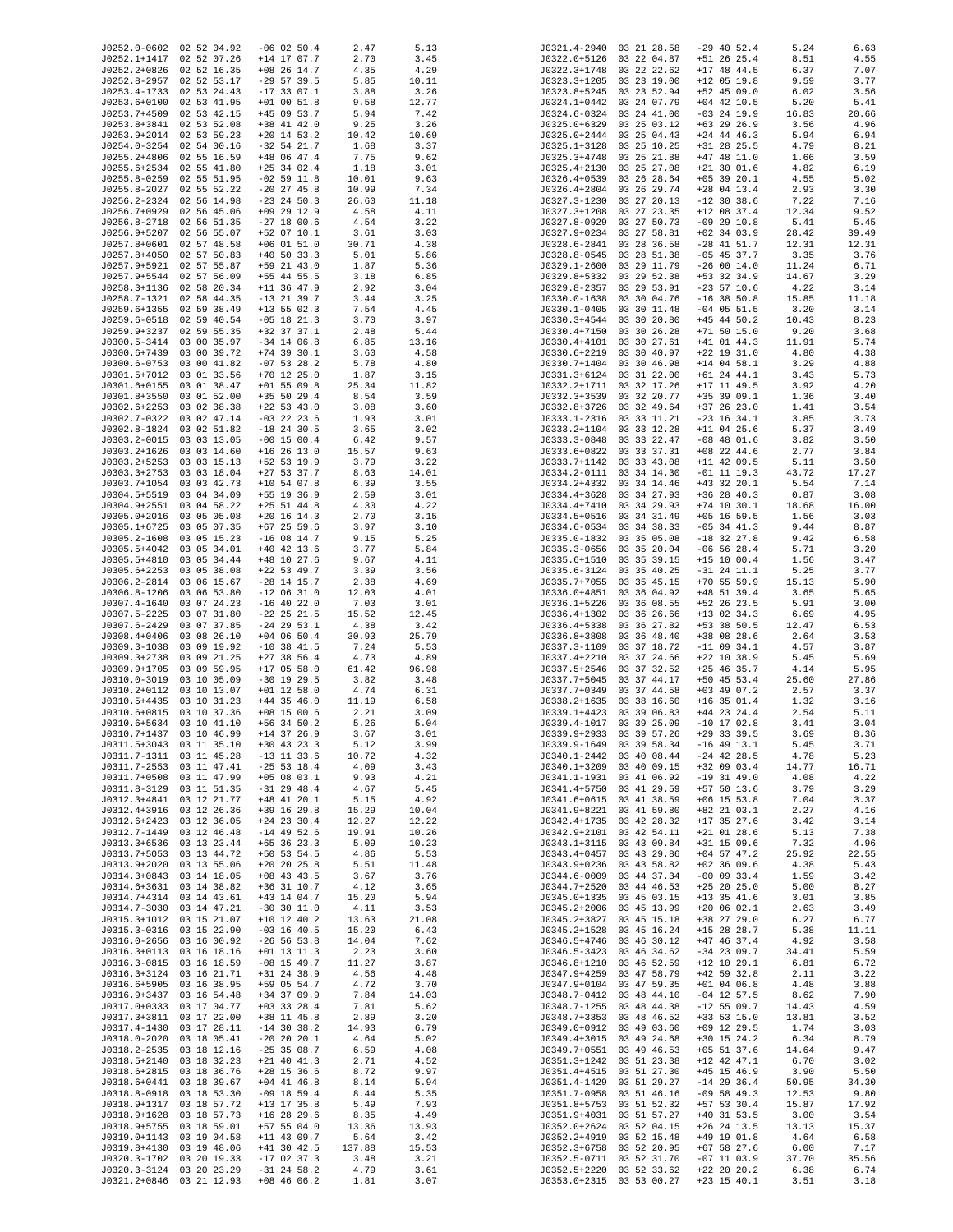| J0252.0-0602 02 52 04.92 |             |                 |        |       | J0321.4-2940 |                          |               |       |       |
|--------------------------|-------------|-----------------|--------|-------|--------------|--------------------------|---------------|-------|-------|
|                          |             | $-06$ 02 50.4   | 2.47   | 5.13  |              | 03 21 28.58              | $-29$ 40 52.4 | 5.24  | 6.63  |
| J0252.1+1417             | 02 52 07.26 | $+14$ 17 07.7   | 2.70   | 3.45  |              | J0322.0+5126 03 22 04.87 | $+51$ 26 25.4 | 8.51  | 4.55  |
| J0252.2+0826             | 02 52 16.35 | $+08$ 26 14.7   | 4.35   | 4.29  | J0322.3+1748 | 03 22 22.62              | $+17$ 48 44.5 | 6.37  | 7.07  |
| J0252.8-2957             | 02 52 53.17 | $-29$ 57 39.5   | 5.85   | 10.11 | J0323.3+1205 | 03 23 19.00              | $+12$ 05 19.8 | 9.59  | 3.77  |
| J0253.4-1733             | 02 53 24.43 | $-17$ 33 07.1   | 3.88   | 3.26  | J0323.8+5245 | 03 23 52.94              | $+52$ 45 09.0 | 6.02  | 3.56  |
| J0253.6+0100             | 02 53 41.95 | $+01$ 00 51.8   | 9.58   | 12.77 | J0324.1+0442 | 03 24 07.79              | $+04$ 42 10.5 | 5.20  | 5.41  |
|                          |             |                 |        | 7.42  |              |                          |               |       |       |
| J0253.7+4509             | 02 53 42.15 | $+45$ 09 53.7   | 5.94   |       | J0324.6-0324 | 03 24 41.00              | $-03$ 24 19.9 | 16.83 | 20.66 |
| J0253.8+3841 02 53 52.08 |             | +38 41 42.0     | 9.25   | 3.26  | J0325.0+6329 | 03 25 03.12              | $+63$ 29 26.9 | 3.56  | 4.96  |
| J0253.9+2014             | 02 53 59.23 | $+20$ 14 53.2   | 10.42  | 10.69 | J0325.0+2444 | 03 25 04.43              | $+24$ 44 46.3 | 5.94  | 6.94  |
| J0254.0-3254             | 02 54 00.16 | $-32$ 54 21.7   | 1.68   | 3.37  | J0325.1+3128 | 03 25 10.25              | +31 28 25.5   | 4.79  | 8.21  |
| J0255.2+4806 02 55 16.59 |             | +48 06 47.4     | 7.75   | 9.62  | J0325.3+4748 | 03 25 21.88              | $+47$ 48 11.0 | 1.66  | 3.59  |
|                          |             |                 |        |       |              |                          |               |       |       |
| J0255.6+2534 02 55 41.80 |             | $+25$ 34 02.4   | 1.18   | 3.01  | J0325.4+2130 | 03 25 27.08              | $+21$ 30 01.6 | 4.82  | 6.19  |
| J0255.8-0259             | 02 55 51.95 | $-02$ 59 11.8   | 10.01  | 9.63  | J0326.4+0539 | 03 26 28.64              | $+05$ 39 20.1 | 4.55  | 5.02  |
| J0255.8-2027             | 02 55 52.22 | $-20$ 27 45.8   | 10.99  | 7.34  | J0326.4+2804 | 03 26 29.74              | $+28$ 04 13.4 | 2.93  | 3.30  |
| J0256.2-2324             | 02 56 14.98 | $-23$ 24 50.3   | 26.60  | 11.18 | J0327.3-1230 | 03 27 20.13              | $-12$ 30 38.6 | 7.22  | 7.16  |
|                          |             |                 |        |       |              |                          |               |       |       |
| J0256.7+0929             | 02 56 45.06 | $+09$ 29 12.9   | 4.58   | 4.11  | J0327.3+1208 | 03 27 23.35              | $+12$ 08 37.4 | 12.34 | 9.52  |
| J0256.8-2718             | 02 56 51.35 | $-27$ 18 00.6   | 4.54   | 3.22  | J0327.8-0929 | 03 27 50.73              | $-09$ 29 10.8 | 5.41  | 5.45  |
| J0256.9+5207             | 02 56 55.07 | +52 07 10.1     | 3.61   | 3.03  | J0327.9+0234 | 03 27 58.81              | $+02$ 34 03.9 | 28.42 | 39.49 |
| J0257.8+0601             | 02 57 48.58 | $+06$ 01 51.0   | 30.71  | 4.38  | J0328.6-2841 | 03 28 36.58              | $-28$ 41 51.7 | 12.31 | 12.31 |
| J0257.8+4050             | 02 57 50.83 | $+40$ 50 33.3   | 5.01   | 5.86  | J0328.8-0545 | 03 28 51.38              | $-05$ 45 37.7 | 3.35  | 3.76  |
|                          |             |                 |        |       |              |                          |               |       |       |
| J0257.9+5921             | 02 57 55.87 | +59 21 43.0     | 1.87   | 5.36  | J0329.1-2600 | 03 29 11.79              | $-260014.0$   | 11.24 | 6.71  |
| J0257.9+5544             | 02 57 56.09 | +55 44 55.5     | 3.18   | 6.85  | J0329.8+5332 | 03 29 52.38              | +53 32 34.9   | 14.67 | 3.29  |
| J0258.3+1136 02 58 20.34 |             | $+11$ 36 47.9   | 2.92   | 3.04  | J0329.8-2357 | 03 29 53.91              | $-23$ 57 10.6 | 4.22  | 3.14  |
| J0258.7-1321             | 02 58 44.35 | $-13$ 21 39.7   | 3.44   | 3.25  | J0330.0-1638 | 03 30 04.76              | $-16$ 38 50.8 | 15.85 | 11.18 |
| J0259.6+1355             | 02 59 38.49 | $+13$ 55 02.3   | 7.54   | 4.45  | J0330.1-0405 | 03 30 11.48              | $-04$ 05 51.5 | 3.20  | 3.14  |
|                          |             |                 |        |       |              |                          |               |       |       |
| J0259.6-0518             | 02 59 40.54 | $-05$ 18 21.3   | 3.70   | 3.97  | J0330.3+4544 | 03 30 20.80              | $+45$ 44 50.2 | 10.43 | 8.23  |
| J0259.9+3237             | 02 59 55.35 | +32 37 37.1     | 2.48   | 5.44  | J0330.4+7150 | 03 30 26.28              | $+71$ 50 15.0 | 9.20  | 3.68  |
| J0300.5-3414             | 03 00 35.97 | $-34$ 14 06.8   | 6.85   | 13.16 | J0330.4+4101 | 03 30 27.61              | $+41$ 01 44.3 | 11.91 | 5.74  |
| J0300.6+7439             | 03 00 39.72 | $+74$ 39 30.1   | 3.60   | 4.58  | J0330.6+2219 | 03 30 40.97              | $+22$ 19 31.0 | 4.80  | 4.38  |
|                          |             |                 |        |       |              |                          |               |       |       |
| J0300.6-0753             | 03 00 41.82 | $-07$ 53 28.2   | 5.78   | 4.80  | J0330.7+1404 | 03 30 46.98              | $+14$ 04 58.1 | 3.29  | 4.88  |
| J0301.5+7012             | 03 01 33.56 | $+70$ 12 25.0   | 1.87   | 3.15  | J0331.3+6124 | 03 31 22.00              | $+61$ 24 44.1 | 3.43  | 5.73  |
| J0301.6+0155             | 03 01 38.47 | $+01$ 55 09.8   | 25.34  | 11.82 | J0332.2+1711 | 03 32 17.26              | $+17$ 11 49.5 | 3.92  | 4.20  |
| J0301.8+3550             | 03 01 52.00 | $+35$ 50 29.4   | 8.54   | 3.59  | J0332.3+3539 | 03 32 20.77              | +35 39 09.1   | 1.36  | 3.40  |
| J0302.6+2253             | 03 02 38.38 | $+22$ 53 43.0   | 3.08   | 3.60  | J0332.8+3726 | 03 32 49.64              | $+37$ 26 23.0 | 1.41  | 3.54  |
| J0302.7-0322             | 03 02 47.14 | $-03$ 22 23.6   |        | 3.01  | J0333.1-2316 | 03 33 11.21              | $-23$ 16 34.1 |       |       |
|                          |             |                 | 1.93   |       |              |                          |               | 3.85  | 3.73  |
| J0302.8-1824             | 03 02 51.82 | $-18$ 24 30.5   | 3.65   | 3.02  | J0333.2+1104 | 03 33 12.28              | $+11$ 04 25.6 | 5.37  | 3.49  |
| J0303.2-0015             | 03 03 13.05 | $-00$ 15 00.4   | 6.42   | 9.57  | J0333.3-0848 | 03 33 22.47              | $-08$ 48 01.6 | 3.82  | 3.50  |
| J0303.2+1626             | 03 03 14.60 | $+16$ 26 13.0   | 15.57  | 9.63  | J0333.6+0822 | 03 33 37.31              | $+08$ 22 44.6 | 2.77  | 3.84  |
| J0303.2+5253             | 03 03 15.13 | +52 53 19.9     | 3.79   | 3.22  | J0333.7+1142 | 03 33 43.08              | $+11$ 42 09.5 | 5.11  | 3.50  |
| J0303.3+2753             | 03 03 18.04 | $+27$ 53 37.7   | 8.63   | 14.01 | J0334.2-0111 | 03 34 14.30              | $-01$ 11 19.3 | 43.72 | 17.27 |
| J0303.7+1054             | 03 03 42.73 | $+10$ 54 07.8   |        |       | J0334.2+4332 | 03 34 14.46              | $+43$ 32 20.1 |       |       |
|                          |             |                 | 6.39   | 3.55  |              |                          |               | 5.54  | 7.14  |
| J0304.5+5519             | 03 04 34.09 | +55 19 36.9     | 2.59   | 3.01  | J0334.4+3628 | 03 34 27.93              | $+36$ 28 40.3 | 0.87  | 3.08  |
| J0304.9+2551             | 03 04 58.22 | $+25$ 51 44.8   | 4.30   | 4.22  | J0334.4+7410 | 03 34 29.93              | $+74$ 10 30.1 | 18.68 | 16.00 |
| J0305.0+2016             | 03 05 05.08 | $+20$ 16 14.3   | 2.70   | 3.15  | J0334.5+0516 | 03 34 31.49              | $+05$ 16 59.5 | 1.56  | 3.03  |
| J0305.1+6725             | 03 05 07.35 | $+67$ 25 59.6   | 3.97   | 3.10  | J0334.6-0534 | 03 34 38.33              | $-05$ 34 41.3 | 9.44  | 8.87  |
|                          |             |                 |        |       |              |                          |               |       |       |
| J0305.2-1608             | 03 05 15.23 | $-16$ 08 14.7   | 9.15   | 5.25  | J0335.0-1832 | 03 35 05.08              | $-18$ 32 27.8 | 9.42  | 6.58  |
| J0305.5+4042             | 03 05 34.01 | $+40$ 42 13.6   | 3.77   | 5.84  | J0335.3-0656 | 03 35 20.04              | $-06$ 56 28.4 | 5.71  | 3.20  |
| J0305.5+4810             | 03 05 34.44 | $+48$ 10 27.6   | 9.67   | 4.11  | J0335.6+1510 | 03 35 39.15              | $+15$ 10 00.4 | 1.56  | 3.47  |
| J0305.6+2253             | 03 05 38.08 | $+22$ 53 49.7   | 3.39   | 3.56  | J0335.6-3124 | 03 35 40.25              | $-31$ 24 11.1 | 5.25  | 3.77  |
| J0306.2-2814             | 03 06 15.67 | $-28$ 14 15.7   | 2.38   | 4.69  | J0335.7+7055 | 03 35 45.15              | $+70$ 55 59.9 | 15.13 | 5.90  |
|                          |             |                 |        |       |              |                          |               |       |       |
| J0306.8-1206             | 03 06 53.80 | $-12$ 06 31.0   | 12.03  | 4.01  | J0336.0+4851 | 03 36 04.92              | $+48$ 51 39.4 | 3.65  | 5.65  |
| J0307.4-1640             | 03 07 24.23 | $-16$ 40 22.0   | 7.03   | 3.01  | J0336.1+5226 | 03 36 08.55              | +52 26 23.5   | 5.91  | 3.00  |
| J0307.5-2225             | 03 07 31.80 | $-22$ 25 21.5   | 15.52  | 12.45 | J0336.4+1302 | 03 36 26.66              | $+13$ 02 34.3 | 6.69  | 4.95  |
| J0307.6-2429             | 03 07 37.85 | $-24$ 29 53.1   | 4.38   | 3.42  | J0336.4+5338 | 03 36 27.82              | +53 38 50.5   | 12.47 | 6.53  |
| J0308.4+0406             | 03 08 26.10 | $+04$ 06 50.4   | 30.93  | 25.79 | J0336.8+3808 | 03 36 48.40              | +38 08 28.6   | 2.64  | 3.53  |
| J0309.3-1038             | 03 09 19.92 | $-10$ 38 41.5   | 7.24   | 5.53  | J0337.3-1109 | 03 37 18.72              | $-11$ 09 34.1 | 4.57  | 3.87  |
|                          |             |                 |        |       |              |                          |               |       |       |
| J0309.3+2738             | 03 09 21.25 | $+27$ 38 56.4   | 4.73   | 4.89  | J0337.4+2210 | 03 37 24.66              | $+22$ 10 38.9 | 5.45  | 5.69  |
| J0309.9+1705             | 03 09 59.95 | $+17$ 05 58.0   | 61.42  | 96.98 | J0337.5+2546 | 03 37 32.52              | $+25$ 46 35.7 | 4.14  | 5.95  |
| J0310.0-3019             | 03 10 05.09 | $-30$ 19 29.5   | 3.82   | 3.48  | J0337.7+5045 | 03 37 44.17              | $+50$ 45 53.4 | 25.60 | 27.86 |
| J0310.2+0112             | 03 10 13.07 | $+01$ 12 58.0   | 4.74   | 6.31  | J0337.7+0349 | 03 37 44.58              | $+03$ 49 07.2 | 2.57  | 3.37  |
|                          |             |                 |        |       |              |                          |               |       |       |
| J0310.5+4435             | 03 10 31.23 | $+44$ 35 46.0   | 11.19  | 6.58  | J0338.2+1635 | 03 38 16.60              | $+16$ 35 01.4 | 1.32  | 3.16  |
| J0310.6+0815             | 03 10 37.36 | $+08$ 15 00.6   | 2.21   | 3.09  | J0339.1+4423 | 03 39 06.83              | $+44$ 23 24.4 | 2.54  | 5.11  |
| J0310.6+5634 03 10 41.10 |             | $+56$ 34 50.2   | 5.26   | 5.04  |              | J0339.4-1017 03 39 25.09 | $-10$ 17 02.8 | 3.41  | 3.04  |
| J0310.7+1437             | 03 10 46.99 | $+14$ 37 26.9   | 3.67   | 3.01  |              | J0339.9+2933 03 39 57.26 | $+29$ 33 39.5 | 3.69  | 8.36  |
| J0311.5+3043 03 11 35.10 |             | $+30$ 43 23.3   | 5.12   | 3.99  | J0339.9-1649 | 03 39 58.34              | $-16$ 49 13.1 | 5.45  | 3.71  |
|                          |             |                 |        |       |              |                          |               |       |       |
| J0311.7-1311 03 11 45.28 |             | $-13$ 11 33.6   | 10.72  | 4.32  | J0340.1-2442 | 03 40 08.44              | $-24$ 42 28.5 | 4.78  | 5.23  |
| J0311.7-2553             | 03 11 47.41 | $-25$ 53 18.4   | 4.09   | 3.43  | J0340.1+3209 | 03 40 09.15              | +32 09 03.4   | 14.77 | 16.71 |
| J0311.7+0508             | 03 11 47.99 | $+05$ 08 03.1   | 9.93   | 4.21  | J0341.1-1931 | 03 41 06.92              | $-19$ 31 49.0 | 4.08  | 4.22  |
| J0311.8-3129             | 03 11 51.35 | $-31$ 29 48.4   | 4.67   | 5.45  | J0341.4+5750 | 03 41 29.59              | $+57$ 50 13.6 | 3.79  | 3.29  |
| J0312.3+4841             | 03 12 21.77 | $+48$ 41 20.1   | 5.15   | 4.92  | J0341.6+0615 | 03 41 38.59              | $+06$ 15 53.8 | 7.04  | 3.37  |
|                          |             |                 |        |       |              |                          |               |       |       |
| J0312.4+3916             | 03 12 26.36 | $+39$ 16 29.8   | 15.29  | 10.04 | J0341.9+8221 | 03 41 59.80              | +82 21 03.1   | 2.27  | 4.16  |
| J0312.6+2423             | 03 12 36.05 | $+24$ 23 30.4   | 12.27  | 12.22 | J0342.4+1735 | 03 42 28.32              | $+17$ 35 27.6 | 3.42  | 3.14  |
| J0312.7-1449             | 03 12 46.48 | $-14$ 49 52.6   | 19.91  | 10.26 | J0342.9+2101 | 03 42 54.11              | $+21$ 01 28.6 | 5.13  | 7.38  |
| J0313.3+6536             | 03 13 23.44 | $+65$ 36 23.3   | 5.09   | 10.23 | J0343.1+3115 | 03 43 09.84              | $+31$ 15 09.6 | 7.32  | 4.96  |
| J0313.7+5053             | 03 13 44.72 | $+50$ 53 54.5   | 4.86   | 5.53  | J0343.4+0457 | 03 43 29.86              | $+04$ 57 47.2 | 25.92 | 22.55 |
| J0313.9+2020             | 03 13 55.06 | $+20$ 20 25.8   | 5.51   | 11.48 | J0343.9+0236 | 03 43 58.82              | $+02$ 36 09.6 | 4.38  | 5.43  |
|                          |             |                 |        |       |              |                          |               |       |       |
| J0314.3+0843 03 14 18.05 |             | $+08$ 43 43.5   | 3.67   | 3.76  | J0344.6-0009 | 03 44 37.34              | $-00$ 09 33.4 | 1.59  | 3.42  |
| J0314.6+3631 03 14 38.82 |             | +36 31 10.7     | 4.12   | 3.65  | J0344.7+2520 | 03 44 46.53              | $+25$ 20 25.0 | 5.00  | 8.27  |
| J0314.7+4314             | 03 14 43.61 | +43 14 04.7     | 15.20  | 5.94  | J0345.0+1335 | 03 45 03.15              | $+13$ 35 41.6 | 3.01  | 3.85  |
| J0314.7-3030             | 03 14 47.21 | $-30$ 30 11.0   | 4.11   | 3.53  | J0345.2+2006 | 03 45 13.99              | $+20$ 06 02.1 | 2.63  | 3.49  |
|                          | 03 15 21.07 | $+10$ 12 40.2   | 13.63  |       | J0345.2+3827 | 03 45 15.18              |               |       |       |
| J0315.3+1012             |             |                 |        | 21.08 |              |                          | +38 27 29.0   | 6.27  | 6.77  |
| J0315.3-0316             | 03 15 22.90 | $-03$ 16 40.5   | 15.20  | 6.43  | J0345.2+1528 | 03 45 16.24              | $+15$ 28 28.7 | 5.38  | 11.11 |
| J0316.0-2656 03 16 00.92 |             | $-26$ 56 53.8   | 14.04  | 7.62  | J0346.5+4746 | 03 46 30.12              | $+47$ 46 37.4 | 4.92  | 3.58  |
| J0316.3+0113             | 03 16 18.16 | $+01$ 13 11.3   | 2.23   | 3.60  | J0346.5-3423 | 03 46 34.62              | $-34$ 23 09.7 | 34.41 | 5.59  |
| J0316.3-0815 03 16 18.59 |             | $-08$ 15 49.7   | 11.27  | 3.87  | J0346.8+1210 | 03 46 52.59              | $+12$ 10 29.1 | 6.81  | 6.72  |
|                          |             |                 |        |       |              |                          |               |       |       |
| J0316.3+3124             | 03 16 21.71 | $+31$ 24 38.9   | 4.56   | 4.48  | J0347.9+4259 | 03 47 58.79              | $+42$ 59 32.8 | 2.11  | 3.22  |
| J0316.6+5905             | 03 16 38.95 | +59 05 54.7     | 4.72   | 3.70  | J0347.9+0104 | 03 47 59.35              | $+01$ 04 06.8 | 4.48  | 3.88  |
| J0316.9+3437             | 03 16 54.48 | +34 37 09.9     | 7.84   | 14.03 | J0348.7-0412 | 03 48 44.10              | $-04$ 12 57.5 | 8.62  | 7.90  |
| J0317.0+0333 03 17 04.77 |             | $+03$ 33 28.4   | 7.81   | 5.62  | J0348.7-1255 | 03 48 44.38              | $-12$ 55 09.7 | 14.43 | 4.59  |
| J0317.3+3811             | 03 17 22.00 | +38 11 45.8     | 2.89   | 3.20  | J0348.7+3353 | 03 48 46.52              | $+33$ 53 15.0 | 13.81 | 3.52  |
|                          |             |                 |        |       |              |                          |               |       |       |
| J0317.4-1430             | 03 17 28.11 | $-14$ 30 38.2   | 14.93  | 6.79  | J0349.0+0912 | 03 49 03.60              | $+09$ 12 29.5 | 1.74  | 3.03  |
| J0318.0-2020             | 03 18 05.41 | $-20$ 20 20.1   | 4.64   | 5.02  | J0349.4+3015 | 03 49 24.68              | $+30$ 15 24.2 | 6.34  | 8.79  |
| J0318.2-2535             | 03 18 12.16 | $-25$ 35 08.7   | 6.59   | 4.08  | J0349.7+0551 | 03 49 46.53              | $+05$ 51 37.6 | 14.64 | 9.47  |
| J0318.5+2140             | 03 18 32.23 | $+21$ 40 41.3   | 2.71   | 4.52  | J0351.3+1242 | 03 51 23.38              | $+12$ 42 47.1 | 6.70  | 3.02  |
| J0318.6+2815             | 03 18 36.76 | $+28$ 15 36.6   | 8.72   | 9.97  | J0351.4+4515 | 03 51 27.30              | $+45$ 15 46.9 | 3.90  | 5.50  |
|                          |             |                 |        |       |              |                          |               |       |       |
| J0318.6+0441             | 03 18 39.67 | $+04$ 41 46.8   | 8.14   | 5.94  | J0351.4-1429 | 03 51 29.27              | $-14$ 29 36.4 | 50.95 | 34.30 |
| J0318.8-0918             | 03 18 53.30 | $-09$ 18 59.4   | 8.44   | 5.35  | J0351.7-0958 | 03 51 46.16              | $-09$ 58 49.3 | 12.53 | 9.80  |
| J0318.9+1317             | 03 18 57.72 | $+13$ 17 35.8   | 5.49   | 7.93  | J0351.8+5753 | 03 51 52.32              | +57 53 30.4   | 15.87 | 17.92 |
| J0318.9+1628             | 03 18 57.73 | $+16$ 28 29.6   | 8.35   | 4.49  | J0351.9+4031 | 03 51 57.27              | $+40$ 31 53.5 | 3.00  | 3.54  |
|                          |             |                 |        |       |              |                          |               |       |       |
| J0318.9+5755             | 03 18 59.01 | $+57$ 55 04.0   | 13.36  | 13.93 | J0352.0+2624 | 03 52 04.15              | $+26$ 24 13.5 | 13.13 | 15.37 |
| J0319.0+1143             | 03 19 04.58 | $+11$ 43 09.7   | 5.64   | 3.42  | J0352.2+4919 | 03 52 15.48              | $+49$ 19 01.8 | 4.64  | 6.58  |
| J0319.8+4130             | 03 19 48.06 | $+41$ 30 $42.5$ | 137.88 | 15.53 | J0352.3+6758 | 03 52 20.95              | $+67$ 58 27.6 | 6.00  | 7.17  |
| J0320.3-1702             | 03 20 19.33 | $-17$ 02 37.3   | 3.48   | 3.21  | J0352.5-0711 | 03 52 31.70              | $-07$ 11 03.9 | 37.70 | 35.56 |
| J0320.3-3124             | 03 20 23.29 | $-31$ 24 58.2   | 4.79   | 3.61  | J0352.5+2220 | 03 52 33.62              | $+22$ 20 20.2 | 6.38  | 6.74  |
| J0321.2+0846 03 21 12.93 |             | $+08$ 46 06.2   | 1.81   | 3.07  |              | J0353.0+2315 03 53 00.27 | $+23$ 15 40.1 | 3.51  | 3.18  |
|                          |             |                 |        |       |              |                          |               |       |       |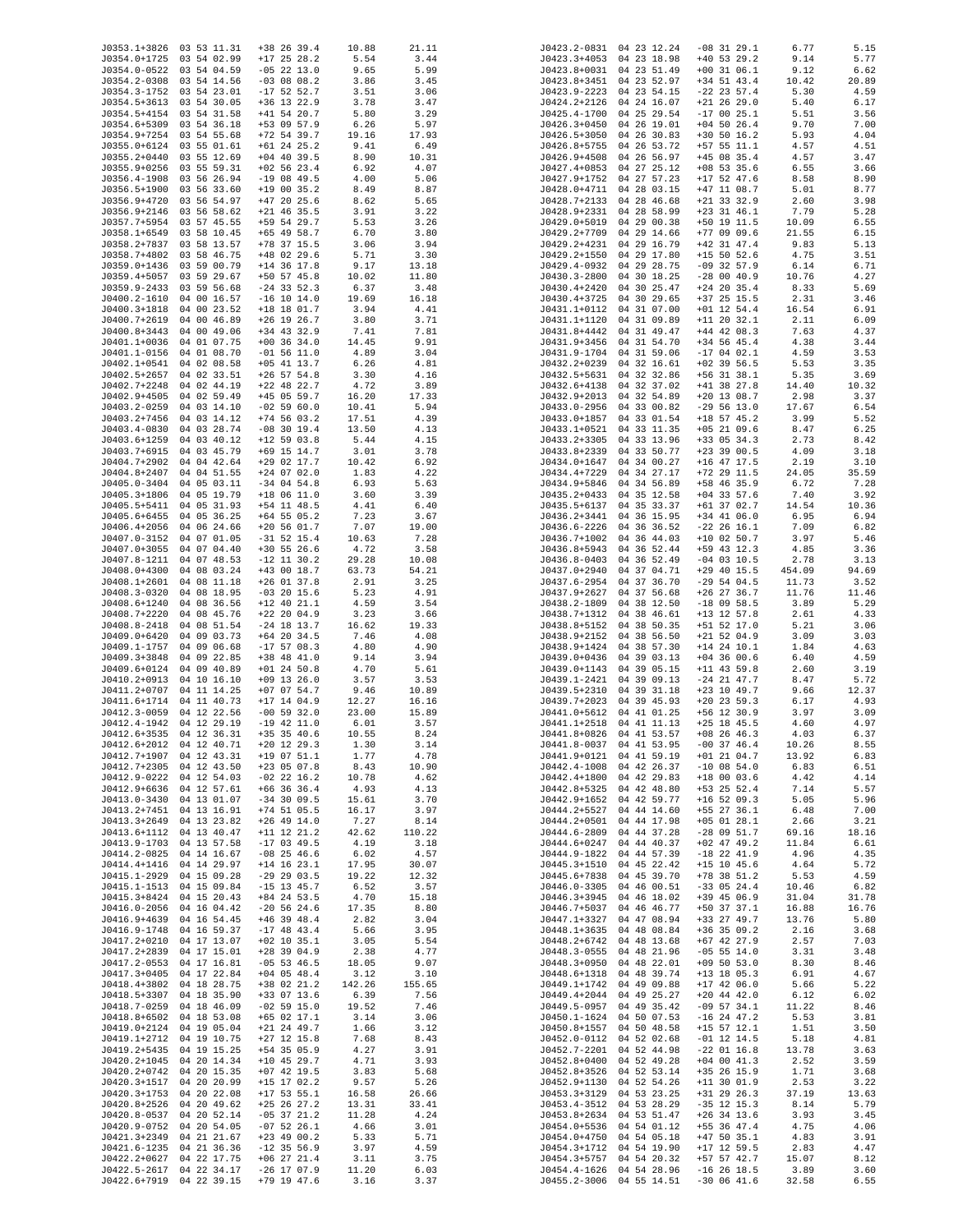| J0353.1+3826 03 53 11.31 |             | $+38$ 26 39.4 | 10.88  | 21.11  |                  | J0423.2-0831 04 23 12.24 | $-08$ 31 29.1   | 6.77   | 5.15  |
|--------------------------|-------------|---------------|--------|--------|------------------|--------------------------|-----------------|--------|-------|
| J0354.0+1725 03 54 02.99 |             | $+17$ 25 28.2 | 5.54   | 3.44   |                  | J0423.3+4053 04 23 18.98 | $+40$ 53 29.2   | 9.14   | 5.77  |
| J0354.0-0522 03 54 04.59 |             | $-05$ 22 13.0 | 9.65   | 5.99   | J0423.8+0031     | 04 23 51.49              | $+00$ 31 06.1   | 9.12   | 6.62  |
| J0354.2-0308 03 54 14.56 |             | $-03$ 08 08.2 | 3.86   | 3.45   | J0423.8+3451     | 04 23 52.97              | $+34$ 51 43.4   | 10.42  | 20.89 |
| J0354.3-1752 03 54 23.01 |             | $-17$ 52 52.7 | 3.51   | 3.06   |                  | J0423.9-2223 04 23 54.15 | $-22$ 23 57.4   | 5.30   | 4.59  |
| J0354.5+3613 03 54 30.05 |             | $+36$ 13 22.9 | 3.78   | 3.47   | J0424.2+2126     | 04 24 16.07              | $+21$ 26 29.0   | 5.40   | 6.17  |
| J0354.5+4154 03 54 31.58 |             |               |        |        | $J0425.4 - 1700$ |                          | $-170025.1$     |        | 3.56  |
|                          |             | $+41$ 54 20.7 | 5.80   | 3.29   |                  | 04 25 29.54              |                 | 5.51   |       |
| J0354.6+5309 03 54 36.18 |             | +53 09 57.9   | 6.26   | 5.97   | J0426.3+0450     | 04 26 19.01              | $+04$ 50 26.4   | 9.70   | 7.00  |
| J0354.9+7254 03 54 55.68 |             | $+72$ 54 39.7 | 19.16  | 17.93  | J0426.5+3050     | 04 26 30.83              | $+30$ 50 16.2   | 5.93   | 4.04  |
| J0355.0+6124 03 55 01.61 |             | $+61$ 24 25.2 | 9.41   | 6.49   | J0426.8+5755     | 04 26 53.72              | $+57$ 55 11.1   | 4.57   | 4.51  |
| J0355.2+0440 03 55 12.69 |             | $+04$ 40 39.5 | 8.90   | 10.31  | J0426.9+4508     | 04 26 56.97              | $+45$ 08 35.4   | 4.57   | 3.47  |
| J0355.9+0256 03 55 59.31 |             | $+02$ 56 23.4 | 6.92   | 4.07   | J0427.4+0853     | 04 27 25.12              | $+08$ 53 35.6   | 6.55   | 3.66  |
| J0356.4-1908 03 56 26.94 |             | $-19$ 08 49.5 | 4.00   | 5.06   | J0427.9+1752     | 04 27 57.23              | $+17$ 52 47.6   | 8.58   | 8.90  |
|                          |             |               |        |        |                  |                          |                 |        |       |
| J0356.5+1900 03 56 33.60 |             | $+19$ 00 35.2 | 8.49   | 8.87   |                  | J0428.0+4711 04 28 03.15 | $+47$ 11 08.7   | 5.01   | 8.77  |
| J0356.9+4720             | 03 56 54.97 | $+47$ 20 25.6 | 8.62   | 5.65   | J0428.7+2133     | 04 28 46.68              | $+21$ 33 32.9   | 2.60   | 3.98  |
| J0356.9+2146 03 56 58.62 |             | $+21$ 46 35.5 | 3.91   | 3.22   | J0428.9+2331     | 04 28 58.99              | $+23$ 31 46.1   | 7.79   | 5.28  |
| J0357.7+5954 03 57 45.55 |             | +59 54 29.7   | 5.53   | 3.26   | J0429.0+5019     | 04 29 00.38              | +50 19 11.5     | 10.09  | 6.55  |
| J0358.1+6549 03 58 10.45 |             | $+65$ 49 58.7 | 6.70   | 3.80   | J0429.2+7709     | 04 29 14.66              | $+77$ 09 09.6   | 21.55  | 6.15  |
| J0358.2+7837             | 03 58 13.57 | +78 37 15.5   | 3.06   | 3.94   | J0429.2+4231     | 04 29 16.79              | $+42$ 31 47.4   | 9.83   | 5.13  |
| J0358.7+4802 03 58 46.75 |             | $+48$ 02 29.6 |        |        | J0429.2+1550     | 04 29 17.80              | $+15$ 50 52.6   |        | 3.51  |
|                          |             |               | 5.71   | 3.30   |                  |                          |                 | 4.75   |       |
| J0359.0+1436 03 59 00.79 |             | $+14$ 36 17.8 | 9.17   | 13.18  | J0429.4-0932     | 04 29 28.75              | $-09$ 32 57.9   | 6.14   | 6.71  |
| J0359.4+5057 03 59 29.67 |             | $+50$ 57 45.8 | 10.02  | 11.80  | J0430.3-2800     | 04 30 18.25              | $-280040.9$     | 10.76  | 4.27  |
| J0359.9-2433 03 59 56.68 |             | $-24$ 33 52.3 | 6.37   | 3.48   | J0430.4+2420     | 04 30 25.47              | $+24$ 20 35.4   | 8.33   | 5.69  |
| J0400.2-1610 04 00 16.57 |             | $-16$ 10 14.0 | 19.69  | 16.18  | J0430.4+3725     | 04 30 29.65              | +37 25 15.5     | 2.31   | 3.46  |
| J0400.3+1818 04 00 23.52 |             | $+18$ 18 01.7 | 3.94   | 4.41   | J0431.1+0112     | 04 31 07.00              | $+01$ 12 54.4   | 16.54  | 6.91  |
| J0400.7+2619             | 04 00 46.89 | $+26$ 19 26.7 | 3.80   | 3.71   | J0431.1+1120     | 04 31 09.89              | $+11$ 20 32.1   | 2.11   | 6.09  |
| J0400.8+3443 04 00 49.06 |             | $+34$ 43 32.9 | 7.41   | 7.81   | J0431.8+4442     | 04 31 49.47              | $+44$ 42 08.3   | 7.63   | 4.37  |
|                          |             |               |        |        |                  |                          |                 |        |       |
| J0401.1+0036 04 01 07.75 |             | $+00$ 36 34.0 | 14.45  | 9.91   | J0431.9+3456     | 04 31 54.70              | +34 56 45.4     | 4.38   | 3.44  |
| J0401.1-0156 04 01 08.70 |             | $-01$ 56 11.0 | 4.89   | 3.04   |                  | J0431.9-1704 04 31 59.06 | $-17$ 04 02.1   | 4.59   | 3.53  |
| J0402.1+0541 04 02 08.58 |             | $+05$ 41 13.7 | 6.26   | 4.81   | J0432.2+0239     | 04 32 16.61              | $+02$ 39 56.5   | 5.53   | 3.35  |
| J0402.5+2657 04 02 33.51 |             | $+26$ 57 54.8 | 3.30   | 4.16   |                  | J0432.5+5631 04 32 32.86 | $+56$ 31 38.1   | 5.35   | 3.69  |
| J0402.7+2248 04 02 44.19 |             | $+22$ 48 22.7 | 4.72   | 3.89   | J0432.6+4138     | 04 32 37.02              | $+41$ 38 27.8   | 14.40  | 10.32 |
| J0402.9+4505 04 02 59.49 |             | $+45$ 05 59.7 | 16.20  | 17.33  | J0432.9+2013     | 04 32 54.89              | $+20$ 13 08.7   | 2.98   | 3.37  |
| J0403.2-0259             | 04 03 14.10 | $-02$ 59 60.0 | 10.41  | 5.94   | J0433.0-2956     | 04 33 00.82              | $-29$ 56 13.0   | 17.67  | 6.54  |
|                          |             |               |        |        | J0433.0+1857     |                          |                 |        |       |
| J0403.2+7456             | 04 03 14.12 | $+74$ 56 03.2 | 17.51  | 4.39   |                  | 04 33 01.54              | $+18$ 57 45.2   | 3.99   | 5.52  |
| J0403.4-0830 04 03 28.74 |             | $-08$ 30 19.4 | 13.50  | 4.13   | J0433.1+0521     | 04 33 11.35              | $+05$ 21 09.6   | 8.47   | 6.25  |
| J0403.6+1259 04 03 40.12 |             | $+12$ 59 03.8 | 5.44   | 4.15   | J0433.2+3305     | 04 33 13.96              | +33 05 34.3     | 2.73   | 8.42  |
| J0403.7+6915 04 03 45.79 |             | $+69$ 15 14.7 | 3.01   | 3.78   | J0433.8+2339     | 04 33 50.77              | $+23$ 39 00.5   | 4.09   | 3.18  |
| J0404.7+2902 04 04 42.64 |             | $+29$ 02 17.7 | 10.42  | 6.92   | J0434.0+1647     | 04 34 00.27              | $+16$ 47 17.5   | 2.19   | 3.10  |
| J0404.8+2407             | 04 04 51.55 | $+24$ 07 02.0 | 1.83   | 4.22   | J0434.4+7229     | 04 34 27.17              | $+72$ 29 11.5   | 24.05  | 35.59 |
| J0405.0-3404 04 05 03.11 |             | $-34$ 04 54.8 | 6.93   | 5.63   | J0434.9+5846     | 04 34 56.89              | +58 46 35.9     | 6.72   | 7.28  |
|                          |             |               |        |        |                  |                          |                 |        |       |
| J0405.3+1806 04 05 19.79 |             | $+18$ 06 11.0 | 3.60   | 3.39   | J0435.2+0433     | 04 35 12.58              | $+04$ 33 57.6   | 7.40   | 3.92  |
| J0405.5+5411 04 05 31.93 |             | +54 11 48.5   | 4.41   | 6.40   |                  | J0435.5+6137 04 35 33.37 | $+61$ 37 02.7   | 14.54  | 10.36 |
| J0405.6+6455 04 05 36.25 |             | $+64$ 55 05.2 | 7.23   | 3.67   |                  | J0436.2+3441 04 36 15.95 | $+34$ 41 06.0   | 6.95   | 6.94  |
| J0406.4+2056 04 06 24.66 |             | $+20$ 56 01.7 | 7.07   | 19.00  | J0436.6-2226     | 04 36 36.52              | $-22$ 26 16.1   | 7.09   | 6.82  |
| J0407.0-3152 04 07 01.05 |             | $-31$ 52 15.4 | 10.63  | 7.28   | J0436.7+1002     | 04 36 44.03              | $+10$ 02 50.7   | 3.97   | 5.46  |
| J0407.0+3055 04 07 04.40 |             | $+30$ 55 26.6 | 4.72   | 3.58   |                  | J0436.8+5943 04 36 52.44 | +59 43 12.3     | 4.85   | 3.36  |
| J0407.8-1211 04 07 48.53 |             | $-12$ 11 30.2 | 29.28  | 10.08  | J0436.8-0403     | 04 36 52.49              | $-04$ 03 10.5   | 2.78   | 3.13  |
| J0408.0+4300 04 08 03.24 |             |               |        |        | J0437.0+2940     |                          |                 |        | 94.69 |
|                          |             | +43 00 18.7   | 63.73  | 54.21  |                  | 04 37 04.71              | $+29$ 40 15.5   | 454.09 |       |
| J0408.1+2601 04 08 11.18 |             | $+26$ 01 37.8 | 2.91   | 3.25   | J0437.6-2954     | 04 37 36.70              | $-29$ 54 04.5   | 11.73  | 3.52  |
| J0408.3-0320             | 04 08 18.95 | $-03$ 20 15.6 | 5.23   | 4.91   | J0437.9+2627     | 04 37 56.68              | $+26$ 27 36.7   | 11.76  | 11.46 |
| J0408.6+1240             | 04 08 36.56 | $+12$ 40 21.1 | 4.59   | 3.54   | J0438.2-1809     | 04 38 12.50              | $-18$ 09 58.5   | 3.89   | 5.29  |
| J0408.7+2220             | 04 08 45.76 | $+22$ 20 04.9 | 3.23   | 3.66   | J0438.7+1312     | 04 38 46.61              | $+13$ 12 57.8   | 2.61   | 4.33  |
| J0408.8-2418 04 08 51.54 |             | $-24$ 18 13.7 | 16.62  | 19.33  | J0438.8+5152     | 04 38 50.35              | +51 52 17.0     | 5.21   | 3.06  |
| J0409.0+6420 04 09 03.73 |             | $+64$ 20 34.5 | 7.46   | 4.08   | J0438.9+2152     | 04 38 56.50              | $+21$ 52 04.9   | 3.09   | 3.03  |
| J0409.1-1757             | 04 09 06.68 | $-17$ 57 08.3 | 4.80   | 4.90   | J0438.9+1424     | 04 38 57.30              | $+14$ 24 10.1   | 1.84   | 4.63  |
|                          |             |               |        |        |                  |                          | $+04$ 36 00.6   |        |       |
| J0409.3+3848 04 09 22.85 |             | $+38$ 48 41.0 | 9.14   | 3.94   | J0439.0+0436     | 04 39 03.13              |                 | 6.40   | 4.59  |
| J0409.6+0124 04 09 40.89 |             | $+01$ 24 50.8 | 4.70   | 5.61   | J0439.0+1143     | 04 39 05.15              | $+11$ 43 59.8   | 2.60   | 3.19  |
| J0410.2+0913 04 10 16.10 |             | $+09$ 13 26.0 | 3.57   | 3.53   |                  | J0439.1-2421 04 39 09.13 | $-24$ 21 47.7   | 8.47   | 5.72  |
| J0411.2+0707 04 11 14.25 |             | $+07$ 07 54.7 | 9.46   | 10.89  | J0439.5+2310     | 04 39 31.18              | $+23$ 10 49.7   | 9.66   | 12.37 |
| J0411.6+1714 04 11 40.73 |             | $+17$ 14 04.9 | 12.27  | 16.16  | J0439.7+2023     | 04 39 45.93              | $+20$ 23 59.3   | 6.17   | 4.93  |
| J0412.3-0059 04 12 22.56 |             | $-00$ 59 32.0 | 23.00  | 15.89  |                  | J0441.0+5612 04 41 01.25 | $+56$ 12 30.9   | 3.97   | 3.09  |
| J0412.4-1942 04 12 29.19 |             | $-19$ 42 11.0 | 6.01   | 3.57   |                  | J0441.1+2518 04 41 11.13 | $+25$ 18 45.5   | 4.60   | 4.97  |
| J0412.6+3535 04 12 36.31 |             | +35 35 40.6   | 10.55  | 8.24   | J0441.8+0826     | 04 41 53.57              | $+08$ 26 46.3   | 4.03   | 6.37  |
|                          |             |               |        |        |                  |                          |                 |        |       |
| J0412.6+2012 04 12 40.71 |             | $+20$ 12 29.3 | 1.30   | 3.14   |                  | J0441.8-0037 04 41 53.95 | $-00$ 37 46.4   | 10.26  | 8.55  |
| J0412.7+1907 04 12 43.31 |             | $+19$ 07 51.1 | 1.77   | 4.78   |                  | J0441.9+0121 04 41 59.19 | $+01$ 21 04.7   | 13.92  | 6.83  |
| J0412.7+2305 04 12 43.50 |             | $+23$ 05 07.8 | 8.43   | 10.90  | $J0442.4 - 1008$ | 04 42 26.37              | $-10$ 08 54.0   | 6.83   | 6.51  |
| J0412.9-0222 04 12 54.03 |             | $-02$ 22 16.2 | 10.78  | 4.62   | J0442.4+1800     | 04 42 29.83              | $+18$ 00 03.6   | 4.42   | 4.14  |
| J0412.9+6636 04 12 57.61 |             | $+66$ 36 36.4 | 4.93   | 4.13   | J0442.8+5325     | 04 42 48.80              | +53 25 52.4     | 7.14   | 5.57  |
| J0413.0-3430 04 13 01.07 |             | $-34$ 30 09.5 | 15.61  | 3.70   | J0442.9+1652     | 04 42 59.77              | $+16$ 52 09.3   | 5.05   | 5.96  |
| J0413.2+7451 04 13 16.91 |             | $+74$ 51 05.5 | 16.17  | 3.97   | J0444.2+5527     | 04 44 14.60              | +55 27 36.1     | 6.48   | 7.00  |
| J0413.3+2649 04 13 23.82 |             | $+26$ 49 14.0 | 7.27   | 8.14   | J0444.2+0501     | 04 44 17.98              | $+05$ 01 28.1   | 2.66   | 3.21  |
| J0413.6+1112 04 13 40.47 |             | $+11$ 12 21.2 | 42.62  | 110.22 | J0444.6-2809     | 04 44 37.28              | $-28$ 09 51.7   | 69.16  | 18.16 |
|                          |             |               |        |        |                  |                          |                 |        |       |
| J0413.9-1703 04 13 57.58 |             | $-17$ 03 49.5 | 4.19   | 3.18   | J0444.6+0247     | 04 44 40.37              | $+02$ 47 49.2   | 11.84  | 6.61  |
| J0414.2-0825 04 14 16.67 |             | $-08$ 25 46.6 | 6.02   | 4.57   | J0444.9-1822     | 04 44 57.39              | $-18$ 22 41.9   | 4.96   | 4.35  |
| J0414.4+1416 04 14 29.97 |             | $+14$ 16 23.1 | 17.95  | 30.07  | J0445.3+1510     | 04 45 22.42              | $+15$ 10 45.6   | 4.64   | 5.72  |
| J0415.1-2929 04 15 09.28 |             | $-29$ 29 03.5 | 19.22  | 12.32  | J0445.6+7838     | 04 45 39.70              | $+78$ 38 51.2   | 5.53   | 4.59  |
| J0415.1-1513 04 15 09.84 |             | $-15$ 13 45.7 | 6.52   | 3.57   | J0446.0-3305     | 04 46 00.51              | $-33$ 05 24.4   | 10.46  | 6.82  |
| J0415.3+8424 04 15 20.43 |             | +84 24 53.5   | 4.70   | 15.18  | J0446.3+3945     | 04 46 18.02              | +39 45 06.9     | 31.04  | 31.78 |
| J0416.0-2056 04 16 04.42 |             | $-20$ 56 24.6 | 17.35  | 8.80   | J0446.7+5037     | 04 46 46.77              | $+50$ 37 37.1   | 16.88  | 16.76 |
| J0416.9+4639 04 16 54.45 |             | $+46$ 39 48.4 | 2.82   | 3.04   | J0447.1+3327     | 04 47 08.94              | +33 27 49.7     | 13.76  | 5.80  |
|                          |             |               |        |        |                  |                          |                 |        |       |
| J0416.9-1748 04 16 59.37 |             | $-17$ 48 43.4 | 5.66   | 3.95   | J0448.1+3635     | 04 48 08.84              | $+36$ 35 09.2   | 2.16   | 3.68  |
| J0417.2+0210 04 17 13.07 |             | $+02$ 10 35.1 | 3.05   | 5.54   | J0448.2+6742     | 04 48 13.68              | $+67$ 42 27.9   | 2.57   | 7.03  |
| J0417.2+2839 04 17 15.01 |             | $+28$ 39 04.9 | 2.38   | 4.77   | J0448.3-0555     | 04 48 21.96              | $-05$ 55 14.0   | 3.31   | 3.48  |
| J0417.2-0553 04 17 16.81 |             | $-05$ 53 46.5 | 18.05  | 9.07   | J0448.3+0950     | 04 48 22.01              | $+09$ 50 53.0   | 8.30   | 8.46  |
| J0417.3+0405 04 17 22.84 |             | $+04$ 05 48.4 | 3.12   | 3.10   |                  | J0448.6+1318 04 48 39.74 | $+13$ 18 05.3   | 6.91   | 4.67  |
| J0418.4+3802 04 18 28.75 |             | $+38$ 02 21.2 | 142.26 | 155.65 |                  | J0449.1+1742 04 49 09.88 | $+17$ 42 06.0   | 5.66   | 5.22  |
| J0418.5+3307 04 18 35.90 |             | +33 07 13.6   | 6.39   | 7.56   |                  | J0449.4+2044 04 49 25.27 | $+20$ 44 42.0   | 6.12   | 6.02  |
|                          |             |               |        |        |                  | 04 49 35.42              |                 |        |       |
| J0418.7-0259 04 18 46.09 |             | $-02$ 59 15.0 | 19.52  | 7.46   | J0449.5-0957     |                          | $-09$ 57 34.1   | 11.22  | 8.46  |
| J0418.8+6502 04 18 53.08 |             | $+65$ 02 17.1 | 3.14   | 3.06   | J0450.1-1624     | 04 50 07.53              | $-16$ 24 47.2   | 5.53   | 3.81  |
| J0419.0+2124 04 19 05.04 |             | $+21$ 24 49.7 | 1.66   | 3.12   | J0450.8+1557     | 04 50 48.58              | $+15$ 57 12.1   | 1.51   | 3.50  |
| J0419.1+2712 04 19 10.75 |             | $+27$ 12 15.8 | 7.68   | 8.43   | J0452.0-0112     | 04 52 02.68              | $-01$ 12 14.5   | 5.18   | 4.81  |
| J0419.2+5435 04 19 15.25 |             | $+54$ 35 05.9 | 4.27   | 3.91   | J0452.7-2201     | 04 52 44.98              | $-22$ 01 16.8   | 13.78  | 3.63  |
| J0420.2+1045 04 20 14.34 |             | $+10$ 45 29.7 | 4.71   | 3.93   | J0452.8+0400     | 04 52 49.28              | $+04$ 00 $41.3$ | 2.52   | 3.59  |
| J0420.2+0742 04 20 15.35 |             | $+07$ 42 19.5 | 3.83   | 5.68   | J0452.8+3526     | 04 52 53.14              | +35 26 15.9     | 1.71   | 3.68  |
| J0420.3+1517 04 20 20.99 |             | $+15$ 17 02.2 | 9.57   | 5.26   | J0452.9+1130     | 04 52 54.26              | $+11$ 30 01.9   | 2.53   | 3.22  |
|                          |             |               |        |        |                  |                          |                 |        |       |
| J0420.3+1753 04 20 22.08 |             | $+17$ 53 55.1 | 16.58  | 26.66  | J0453.3+3129     | 04 53 23.25              | $+31$ 29 26.3   | 37.19  | 13.63 |
| J0420.8+2526 04 20 49.62 |             | $+25$ 26 27.2 | 13.31  | 33.41  | J0453.4-3512     | 04 53 28.29              | $-35$ 12 15.3   | 8.14   | 5.79  |
| J0420.8-0537 04 20 52.14 |             | $-05$ 37 21.2 | 11.28  | 4.24   | J0453.8+2634     | 04 53 51.47              | $+26$ 34 13.6   | 3.93   | 3.45  |
| J0420.9-0752 04 20 54.05 |             | $-07$ 52 26.1 | 4.66   | 3.01   | J0454.0+5536     | 04 54 01.12              | +55 36 47.4     | 4.75   | 4.06  |
| J0421.3+2349 04 21 21.67 |             | $+23$ 49 00.2 | 5.33   | 5.71   | J0454.0+4750     | 04 54 05.18              | $+47$ 50 35.1   | 4.83   | 3.91  |
| J0421.6-1235 04 21 36.36 |             | $-12$ 35 56.9 | 3.97   | 4.59   | J0454.3+1712     | 04 54 19.90              | $+17$ 12 59.5   | 2.83   | 4.47  |
| J0422.2+0627 04 22 17.75 |             | $+06$ 27 21.4 | 3.11   | 3.75   | J0454.3+5757     | 04 54 20.32              | +57 57 42.7     | 15.07  | 8.12  |
| J0422.5-2617 04 22 34.17 |             | $-26$ 17 07.9 | 11.20  | 6.03   | J0454.4-1626     | 04 54 28.96              | $-16$ 26 18.5   | 3.89   | 3.60  |
| J0422.6+7919 04 22 39.15 |             | $+79$ 19 47.6 |        |        |                  |                          |                 |        |       |
|                          |             |               | 3.16   | 3.37   |                  | J0455.2-3006 04 55 14.51 | $-30$ 06 41.6   | 32.58  | 6.55  |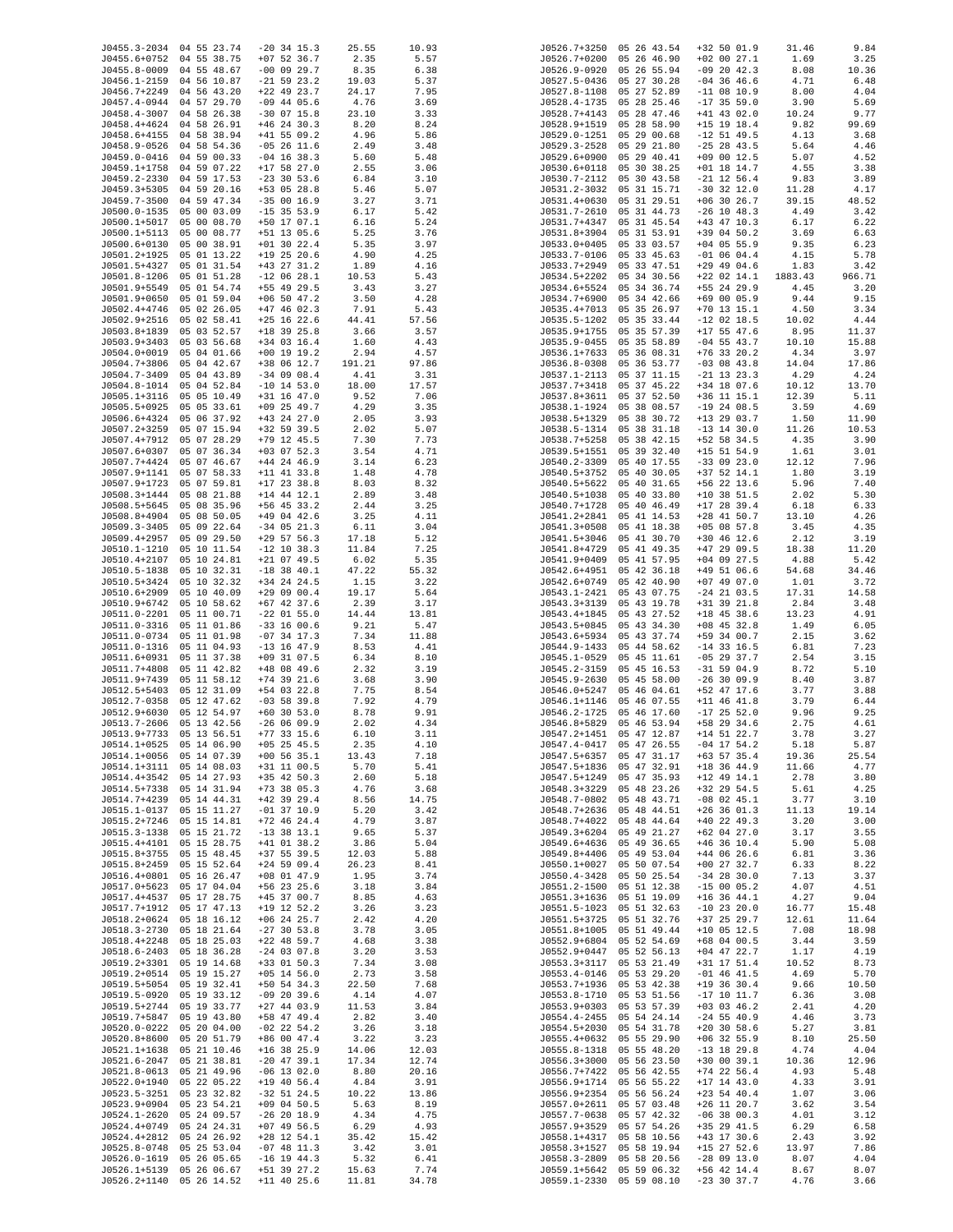| J0455.3-2034 04 55 23.74     |                            | $-20$ 34 15.3                  | 25.55          | 10.93        | J0526.7+3250                 | 05 26 43.54                | +32 50 01.9                    | 31.46         | 9.84          |
|------------------------------|----------------------------|--------------------------------|----------------|--------------|------------------------------|----------------------------|--------------------------------|---------------|---------------|
| J0455.6+0752 04 55 38.75     |                            | $+07$ 52 36.7                  | 2.35           | 5.57         | J0526.7+0200                 | 05 26 46.90                | $+02$ 00 27.1                  | 1.69          | 3.25          |
| J0455.8-0009                 | 04 55 48.67                | $-00$ 09 29.7                  | 8.35           | 6.38         | J0526.9-0920                 | 05 26 55.94                | $-09$ 20 42.3                  | 8.08          | 10.36         |
| J0456.1-2159                 | 04 56 10.87                | $-21$ 59 23.2                  | 19.03          | 5.37         | J0527.5-0436                 | 05 27 30.28                | $-04$ 36 46.6                  | 4.71          | 6.48          |
| J0456.7+2249                 | 04 56 43.20                | $+22$ 49 23.7                  | 24.17          | 7.95         | J0527.8-1108                 | 05 27 52.89                | $-11$ 08 10.9                  | 8.00          | 4.04          |
| J0457.4-0944                 | 04 57 29.70                | $-09$ 44 05.6                  | 4.76           | 3.69         | J0528.4-1735                 | 05 28 25.46                | $-17$ 35 59.0                  | 3.90          | 5.69          |
| J0458.4-3007                 | 04 58 26.38                | $-30$ 07 15.8                  | 23.10          | 3.33         | J0528.7+4143                 | 05 28 47.46                | $+41$ 43 02.0                  | 10.24         | 9.77          |
| J0458.4+4624                 | 04 58 26.91                | $+46$ 24 30.3                  | 8.20           | 8.24         | J0528.9+1519                 | 05 28 58.90                | $+15$ 19 18.4                  | 9.82          | 99.69         |
| J0458.6+4155                 | 04 58 38.94                | $+41$ 55 09.2                  | 4.96           | 5.86         | J0529.0-1251                 | 05 29 00.68                | $-12$ 51 49.5                  | 4.13          | 3.68          |
| J0458.9-0526                 | 04 58 54.36                | $-05$ 26 11.6                  | 2.49           | 3.48         | J0529.3-2528                 | 05 29 21.80                | $-25$ 28 43.5                  | 5.64          | 4.46          |
| J0459.0-0416                 | 04 59 00.33                | $-04$ 16 38.3                  | 5.60           | 5.48         | J0529.6+0900                 | 05 29 40.41                | $+09$ 00 12.5                  | 5.07          | 4.52          |
| J0459.1+1758                 | 04 59 07.22                | $+17$ 58 27.0                  | 2.55           | 3.06         | J0530.6+0118                 | 05 30 38.25                | $+01$ 18 14.7                  | 4.55          | 3.38          |
| J0459.2-2330                 | 04 59 17.53                | $-23$ 30 53.6                  | 6.84           | 3.10         | J0530.7-2112                 | 05 30 43.58                | $-21$ 12 56.4                  | 9.83          | 3.89          |
| J0459.3+5305                 | 04 59 20.16                | +53 05 28.8                    | 5.46           | 5.07         | J0531.2-3032                 | 05 31 15.71                | $-30$ 32 12.0                  | 11.28         | 4.17          |
| J0459.7-3500                 | 04 59 47.34                | $-350016.9$                    | 3.27           | 3.71         | J0531.4+0630                 | 05 31 29.51                | $+06$ 30 26.7                  | 39.15         | 48.52         |
| J0500.0-1535                 | 05 00 03.09                | $-15$ 35 53.9                  | 6.17           | 5.42         | J0531.7-2610                 | 05 31 44.73                | $-26$ 10 48.3                  | 4.49          | 3.42          |
| J0500.1+5017<br>J0500.1+5113 | 05 00 08.70<br>05 00 08.77 | +50 17 07.1<br>+51 13 05.6     | 6.16<br>5.25   | 5.24<br>3.76 | J0531.7+4347<br>J0531.8+3904 | 05 31 45.54<br>05 31 53.91 | $+43$ 47 10.3<br>+39 04 50.2   | 6.17<br>3.69  | 6.22<br>6.63  |
| J0500.6+0130                 | 05 00 38.91                | $+01$ 30 22.4                  | 5.35           | 3.97         | J0533.0+0405                 | 05 33 03.57                | $+04$ 05 55.9                  | 9.35          | 6.23          |
| J0501.2+1925                 | 05 01 13.22                | $+19$ 25 20.6                  | 4.90           | 4.25         | J0533.7-0106                 | 05 33 45.63                | $-01$ 06 04.4                  | 4.15          | 5.78          |
| J0501.5+4327                 | 05 01 31.54                | $+43$ 27 31.2                  | 1.89           | 4.16         | J0533.7+2949                 | 05 33 47.51                | $+29$ 49 04.6                  | 1.83          | 3.42          |
| J0501.8-1206                 | 05 01 51.28                | $-12$ 06 28.1                  | 10.53          | 5.43         | J0534.5+2202                 | 05 34 30.56                | $+22$ 02 14.1                  | 1883.43       | 966.71        |
| J0501.9+5549                 | 05 01 54.74                | +55 49 29.5                    | 3.43           | 3.27         | J0534.6+5524                 | 05 34 36.74                | +55 24 29.9                    | 4.45          | 3.20          |
| J0501.9+0650                 | 05 01 59.04                | $+06$ 50 47.2                  | 3.50           | 4.28         | J0534.7+6900                 | 05 34 42.66                | +69 00 05.9                    | 9.44          | 9.15          |
| J0502.4+4746                 | 05 02 26.05                | $+47$ 46 02.3                  | 7.91           | 5.43         | J0535.4+7013                 | 05 35 26.97                | $+70$ 13 15.1                  | 4.50          | 3.34          |
| J0502.9+2516                 | 05 02 58.41                | $+25$ 16 22.6                  | 44.41          | 57.56        | J0535.5-1202                 | 05 35 33.44                | $-12$ 02 18.5                  | 10.02         | 4.44          |
| J0503.8+1839                 | 05 03 52.57                | $+18$ 39 25.8                  | 3.66           | 3.57         | J0535.9+1755                 | 05 35 57.39                | $+17$ 55 47.6                  | 8.95          | 11.37         |
| J0503.9+3403                 | 05 03 56.68                | +34 03 16.4                    | 1.60           | 4.43         | J0535.9-0455                 | 05 35 58.89                | $-04$ 55 43.7                  | 10.10         | 15.88         |
| J0504.0+0019                 | 05 04 01.66                | $+00$ 19 19.2                  | 2.94           | 4.57         | J0536.1+7633                 | 05 36 08.31                | $+76$ 33 20.2                  | 4.34          | 3.97          |
| J0504.7+3806                 | 05 04 42.67                | +38 06 12.7                    | 191.21         | 97.86        | J0536.8-0308                 | 05 36 53.77                | $-03$ 08 43.8                  | 14.04         | 17.86         |
| J0504.7-3409                 | 05 04 43.89                | $-34$ 09 08.4                  | 4.41           | 3.31         | J0537.1-2113                 | 05 37 11.15                | $-21$ 13 23.3                  | 4.29          | 4.24          |
| J0504.8-1014                 | 05 04 52.84                | $-10$ 14 53.0                  | 18.00          | 17.57        | J0537.7+3418                 | 05 37 45.22                | +34 18 07.6                    | 10.12         | 13.70         |
| J0505.1+3116                 | 05 05 10.49                | $+31$ 16 47.0                  | 9.52           | 7.06         | J0537.8+3611                 | 05 37 52.50                | $+36$ 11 15.1                  | 12.39         | 5.11          |
| J0505.5+0925                 | 05 05 33.61                | $+09$ 25 49.7                  | 4.29           | 3.35         | J0538.1-1924                 | 05 38 08.57                | $-19$ 24 08.5                  | 3.59          | 4.69          |
| J0506.6+4324                 | 05 06 37.92                | +43 24 27.0                    | 2.05           | 3.93         | J0538.5+1329                 | 05 38 30.72                | +13 29 03.7                    | 1.50          | 11.90         |
| J0507.2+3259                 | 05 07 15.94                | $+32$ 59 39.5                  | 2.02           | 5.07         | J0538.5-1314                 | 05 38 31.18                | $-13$ 14 30.0                  | 11.26         | 10.53         |
| J0507.4+7912                 | 05 07 28.29                | $+79$ 12 45.5                  | 7.30           | 7.73         | J0538.7+5258                 | 05 38 42.15                | +52 58 34.5                    | 4.35          | 3.90          |
| J0507.6+0307                 | 05 07 36.34                | $+03$ 07 52.3                  | 3.54           | 4.71         | J0539.5+1551                 | 05 39 32.40                | $+15$ 51 54.9                  | 1.61          | 3.01          |
| J0507.7+4424                 | 05 07 46.67                | $+44$ 24 46.9                  | 3.14           | 6.23         | J0540.2-3309                 | 05 40 17.55                | $-33$ 09 23.0                  | 12.12         | 7.96          |
| J0507.9+1141                 | 05 07 58.33                | $+11$ 41 33.8                  | 1.48           | 4.78         | J0540.5+3752                 | 05 40 30.05                | $+37$ 52 14.1                  | 1.80          | 3.19          |
| J0507.9+1723                 | 05 07 59.81                | $+17$ 23 38.8                  | 8.03           | 8.32         | J0540.5+5622                 | 05 40 31.65                | +56 22 13.6                    | 5.96          | 7.40          |
| J0508.3+1444                 | 05 08 21.88                | $+14$ 44 12.1                  | 2.89           | 3.48         | J0540.5+1038                 | 05 40 33.80                | $+10$ 38 51.5                  | 2.02          | 5.30          |
| J0508.5+5645                 | 05 08 35.96                | +56 45 33.2                    | 2.44           | 3.25         | J0540.7+1728                 | 05 40 46.49                | $+17$ 28 39.4                  | 6.18          | 6.33          |
| J0508.8+4904                 | 05 08 50.05                | $+49$ 04 42.6                  | 3.25           | 4.11         | J0541.2+2841                 | 05 41 14.53                | $+28$ 41 50.7                  | 13.10         | 4.26          |
| J0509.3-3405                 | 05 09 22.64                | $-34$ 05 21.3                  | 6.11           | 3.04         | J0541.3+0508                 | 05 41 18.38                | $+05$ 08 57.8                  | 3.45          | 4.35          |
| J0509.4+2957                 | 05 09 29.50                | $+29$ 57 56.3                  | 17.18          | 5.12         | J0541.5+3046                 | 05 41 30.70                | $+30$ 46 12.6                  | 2.12          | 3.19          |
| J0510.1-1210<br>J0510.4+2107 | 05 10 11.54<br>05 10 24.81 | $-12$ 10 38.3<br>$+21$ 07 49.5 | 11.84<br>6.02  | 7.25<br>5.35 | J0541.8+4729<br>J0541.9+0409 | 05 41 49.35<br>05 41 57.95 | $+47$ 29 09.5<br>$+04$ 09 27.5 | 18.38<br>4.88 | 11.20<br>5.42 |
| J0510.5-1838                 | 05 10 32.31                | $-18$ 38 40.1                  | 47.22          | 55.32        | J0542.6+4951                 | 05 42 36.18                | $+49$ 51 06.6                  | 54.68         | 34.46         |
| J0510.5+3424                 | 05 10 32.32                | $+34$ 24 24.5                  | 1.15           | 3.22         | J0542.6+0749                 | 05 42 40.90                | $+07$ 49 07.0                  | 1.01          | 3.72          |
| J0510.6+2909                 | 05 10 40.09                | $+290900.4$                    | 19.17          | 5.64         | J0543.1-2421                 | 05 43 07.75                | $-24$ 21 03.5                  | 17.31         | 14.58         |
| J0510.9+6742                 | 05 10 58.62                | $+67$ 42 37.6                  | 2.39           | 3.17         | J0543.3+3139                 | 05 43 19.78                | +31 39 21.8                    | 2.84          | 3.48          |
| J0511.0-2201                 | 05 11 00.71                | $-22$ 01 55.0                  | 14.44          | 13.81        | J0543.4+1845                 | 05 43 27.52                | $+18$ 45 38.6                  | 13.23         | 4.91          |
| J0511.0-3316                 | 05 11 01.86                | $-33$ 16 00.6                  | 9.21           | 5.47         | J0543.5+0845                 | 05 43 34.30                | $+08$ 45 32.8                  | 1.49          | 6.05          |
| J0511.0-0734                 | 05 11 01.98                | $-07$ 34 17.3                  | 7.34           | 11.88        | J0543.6+5934                 | 05 43 37.74                | +59 34 00.7                    | 2.15          | 3.62          |
| J0511.0-1316                 | 05 11 04.93                | $-13$ 16 47.9                  | 8.53           | 4.41         | J0544.9-1433                 | 05 44 58.62                | $-14$ 33 16.5                  | 6.81          | 7.23          |
| J0511.6+0931                 | 05 11 37.38                | $+09$ 31 07.5                  | 6.34           | 8.10         | J0545.1-0529                 | 05 45 11.61                | $-05$ 29 37.7                  | 2.54          | 3.15          |
| J0511.7+4808                 | 05 11 42.82                | +48 08 49.6                    | 2.32           | 3.19         | J0545.2-3159                 | 05 45 16.53                | $-31$ 59 04.9                  | 8.72          | 5.10          |
| J0511.9+7439                 | 05 11 58.12                | $+74$ 39 21.6                  | 3.68           | 3.90         | J0545.9-2630                 | 05 45 58.00                | $-26$ 30 09.9                  | 8.40          | 3.87          |
| J0512.5+5403                 | 05 12 31.09                | +54 03 22.8                    | 7.75           | 8.54         | J0546.0+5247                 | 05 46 04.61                | +52 47 17.6                    | 3.77          | 3.88          |
| J0512.7-0358                 | 05 12 47.62                | $-03$ 58 39.8                  | 7.92           | 4.79         | J0546.1+1146                 | 05 46 07.55                | $+11$ 46 41.8                  | 3.79          | 6.44          |
| J0512.9+6030                 | 05 12 54.97                | $+60$ 30 53.0                  | 8.78           | 9.91         | J0546.2-1725                 | 05 46 17.60                | $-17$ 25 52.0                  | 9.96          | 9.25          |
| J0513.7-2606                 | 05 13 42.56                | $-260609.9$                    | 2.02           | 4.34         | J0546.8+5829                 | 05 46 53.94                | +58 29 34.6                    | 2.75          | 4.61          |
| J0513.9+7733                 | 05 13 56.51                | $+77$ 33 15.6                  | 6.10           | 3.11         | J0547.2+1451                 | 05 47 12.87                | $+14$ 51 22.7                  | 3.78          | 3.27          |
| J0514.1+0525                 | 05 14 06.90                | $+05$ 25 45.5                  | 2.35           | 4.10         | J0547.4-0417                 | 05 47 26.55                | $-04$ 17 54.2                  | 5.18          | 5.87          |
| J0514.1+0056                 | 05 14 07.39                | $+00$ 56 35.1                  | 13.43          | 7.18         | J0547.5+6357                 | 05 47 31.17                | $+63$ 57 35.4                  | 19.36         | 25.54         |
| J0514.1+3111                 | 05 14 08.03                | $+31$ 11 00.5                  | 5.70           | 5.41         | J0547.5+1836                 | 05 47 32.91                | $+18$ 36 44.9                  | 11.66         | 4.77          |
| J0514.4+3542                 | 05 14 27.93                | $+35$ 42 50.3                  | 2.60           | 5.18         | J0547.5+1249                 | 05 47 35.93                | $+12$ 49 14.1                  | 2.78          | 3.80          |
| J0514.5+7338                 | 05 14 31.94                | $+73$ 38 05.3                  | 4.76           | 3.68         | J0548.3+3229                 | 05 48 23.26                | $+32$ 29 54.5                  | 5.61          | 4.25          |
| J0514.7+4239                 | 05 14 44.31                | $+42$ 39 29.4                  | 8.56           | 14.75        | J0548.7-0802                 | 05 48 43.71                | $-08$ 02 45.1                  | 3.77          | 3.10          |
| J0515.1-0137                 | 05 15 11.27                | $-01$ 37 10.9                  | 5.20           | 3.42         | J0548.7+2636                 | 05 48 44.51                | $+26$ 36 01.3                  | 11.13         | 19.14         |
| J0515.2+7246                 | 05 15 14.81                | $+72$ 46 24.4                  | 4.79           | 3.87         | J0548.7+4022                 | 05 48 44.64                | $+40$ 22 49.3                  | 3.20          | 3.00          |
| J0515.3-1338                 | 05 15 21.72                | $-13$ 38 13.1                  | 9.65           | 5.37         | J0549.3+6204                 | 05 49 21.27                | $+62$ 04 27.0                  | 3.17          | 3.55          |
| J0515.4+4101                 | 05 15 28.75<br>05 15 48.45 | $+41$ 01 38.2                  | 3.86           | 5.04         | J0549.6+4636                 | 05 49 36.65                | $+46$ 36 10.4<br>$+44$ 06 26.6 | 5.90          | 5.08          |
| J0515.8+3755<br>J0515.8+2459 | 05 15 52.64                | $+37$ 55 39.5<br>$+24$ 59 09.4 | 12.03<br>26.23 | 5.88         | J0549.8+4406<br>J0550.1+0027 | 05 49 53.04<br>05 50 07.54 | $+00$ 27 32.7                  | 6.81          | 3.36<br>8.22  |
| J0516.4+0801                 | 05 16 26.47                | $+08$ 01 47.9                  | 1.95           | 8.41<br>3.74 | J0550.4-3428                 | 05 50 25.54                | $-34$ 28 30.0                  | 6.33<br>7.13  | 3.37          |
| J0517.0+5623                 | 05 17 04.04                | $+56$ 23 25.6                  | 3.18           | 3.84         | J0551.2-1500                 | 05 51 12.38                | $-15$ 00 05.2                  | 4.07          | 4.51          |
| J0517.4+4537                 | 05 17 28.75                | +45 37 00.7                    | 8.85           | 4.63         | J0551.3+1636                 | 05 51 19.09                | $+16$ 36 44.1                  | 4.27          | 9.04          |
| J0517.7+1912                 | 05 17 47.13                | +19 12 52.2                    | 3.26           | 3.23         | J0551.5-1023                 | 05 51 32.63                | $-10$ 23 20.0                  | 16.77         | 15.48         |
| J0518.2+0624                 | 05 18 16.12                | $+06$ 24 25.7                  | 2.42           | 4.20         | J0551.5+3725                 | 05 51 32.76                | $+37$ 25 29.7                  | 12.61         | 11.64         |
| J0518.3-2730                 | 05 18 21.64                | $-27$ 30 53.8                  | 3.78           | 3.05         | J0551.8+1005                 | 05 51 49.44                | $+10$ 05 12.5                  | 7.08          | 18.98         |
| J0518.4+2248                 | 05 18 25.03                | $+22$ 48 59.7                  | 4.68           | 3.38         | J0552.9+6804                 | 05 52 54.69                | +68 04 00.5                    | 3.44          | 3.59          |
| J0518.6-2403                 | 05 18 36.28                | $-24$ 03 07.8                  | 3.20           | 3.53         | J0552.9+0447                 | 05 52 56.13                | $+04$ 47 22.7                  | 1.17          | 4.19          |
| J0519.2+3301                 | 05 19 14.68                | $+33$ 01 50.3                  | 7.34           | 3.08         | J0553.3+3117                 | 05 53 21.49                | +31 17 51.4                    | 10.52         | 8.73          |
| J0519.2+0514                 | 05 19 15.27                | $+05$ 14 56.0                  | 2.73           | 3.58         | $J0553.4 - 0146$             | 05 53 29.20                | $-01$ 46 41.5                  | 4.69          | 5.70          |
| J0519.5+5054                 | 05 19 32.41                | $+50$ 54 34.3                  | 22.50          | 7.68         | J0553.7+1936                 | 05 53 42.38                | $+19$ 36 30.4                  | 9.66          | 10.50         |
| J0519.5-0920                 | 05 19 33.12                | $-09$ 20 39.6                  | 4.14           | 4.07         | J0553.8-1710                 | 05 53 51.56                | $-17$ 10 11.7                  | 6.36          | 3.08          |
| J0519.5+2744                 | 05 19 33.77                | $+27$ 44 03.9                  | 11.53          | 3.84         | J0553.9+0303                 | 05 53 57.39                | $+03$ 03 46.2                  | 2.41          | 4.20          |
| J0519.7+5847                 | 05 19 43.80                | +58 47 49.4                    | 2.82           | 3.40         | J0554.4-2455                 | 05 54 24.14                | $-24$ 55 40.9                  | 4.46          | 3.73          |
| J0520.0-0222                 | 05 20 04.00                | $-02$ 22 54.2                  | 3.26           | 3.18         | J0554.5+2030                 | 05 54 31.78                | $+20$ 30 58.6                  | 5.27          | 3.81          |
| J0520.8+8600                 | 05 20 51.79                | +86 00 47.4                    | 3.22           | 3.23         | J0555.4+0632                 | 05 55 29.90                | $+06$ 32 55.9                  | 8.10          | 25.50         |
| J0521.1+1638                 | 05 21 10.46                | $+16$ 38 25.9                  | 14.06          | 12.03        | J0555.8-1318                 | 05 55 48.20                | $-13$ 18 29.8                  | 4.74          | 4.04          |
| J0521.6-2047                 | 05 21 38.81                | $-20$ 47 39.1                  | 17.34          | 12.74        | $J0556.3+3000$               | 05 56 23.50                | $+30$ 00 39.1                  | 10.36         | 12.96         |
| $J0521.8 - 0613$             | 05 21 49.96                | $-06$ 13 02.0                  | 8.80           | 20.16        | J0556.7+7422                 | 05 56 42.55                | $+74$ 22 56.4                  | 4.93          | 5.48          |
| J0522.0+1940                 | 05 22 05.22                | $+19$ 40 56.4                  | 4.84           | 3.91         | J0556.9+1714                 | 05 56 55.22                | $+17$ 14 43.0                  | 4.33          | 3.91          |
| J0523.5-3251                 | 05 23 32.82                | $-32$ 51 24.5                  | 10.22          | 13.86        | J0556.9+2354                 | 05 56 56.24                | $+23$ 54 40.4                  | 1.07          | 3.06          |
| J0523.9+0904                 | 05 23 54.21                | $+09$ 04 50.5                  | 5.63           | 8.19         | J0557.0+2611                 | 05 57 03.48                | $+26$ 11 20.7                  | 3.62          | 3.54          |
| J0524.1-2620                 | 05 24 09.57                | $-26$ 20 18.9                  | 4.34           | 4.75         | J0557.7-0638                 | 05 57 42.32                | $-06$ 38 00.3                  | 4.01          | 3.12          |
| J0524.4+0749                 | 05 24 24.31                | $+07$ 49 56.5                  | 6.29           | 4.93         | J0557.9+3529                 | 05 57 54.26                | +35 29 41.5                    | 6.29          | 6.58          |
| J0524.4+2812                 | 05 24 26.92                | $+28$ 12 54.1                  | 35.42          | 15.42        | J0558.1+4317                 | 05 58 10.56                | $+43$ 17 30.6                  | 2.43          | 3.92          |
| J0525.8-0748                 | 05 25 53.04                | $-07$ 48 11.3                  | 3.42           | 3.01         | J0558.3+1527                 | 05 58 19.94                | $+15$ 27 52.6                  | 13.97         | 7.86          |
| J0526.0-1619                 | 05 26 05.65                | $-16$ 19 44.3                  | 5.32           | 6.41         | J0558.3-2809                 | 05 58 20.56                | $-28$ 09 13.0                  | 8.07          | 4.04          |
| J0526.1+5139                 | 05 26 06.67                | +51 39 27.2                    | 15.63          | 7.74         | J0559.1+5642                 | 05 59 06.32                | +56 42 14.4                    | 8.67          | 8.07          |
| J0526.2+1140 05 26 14.52     |                            | $+11$ 40 25.6                  | 11.81          | 34.78        |                              | J0559.1-2330 05 59 08.10   | $-23$ 30 37.7                  | 4.76          | 3.66          |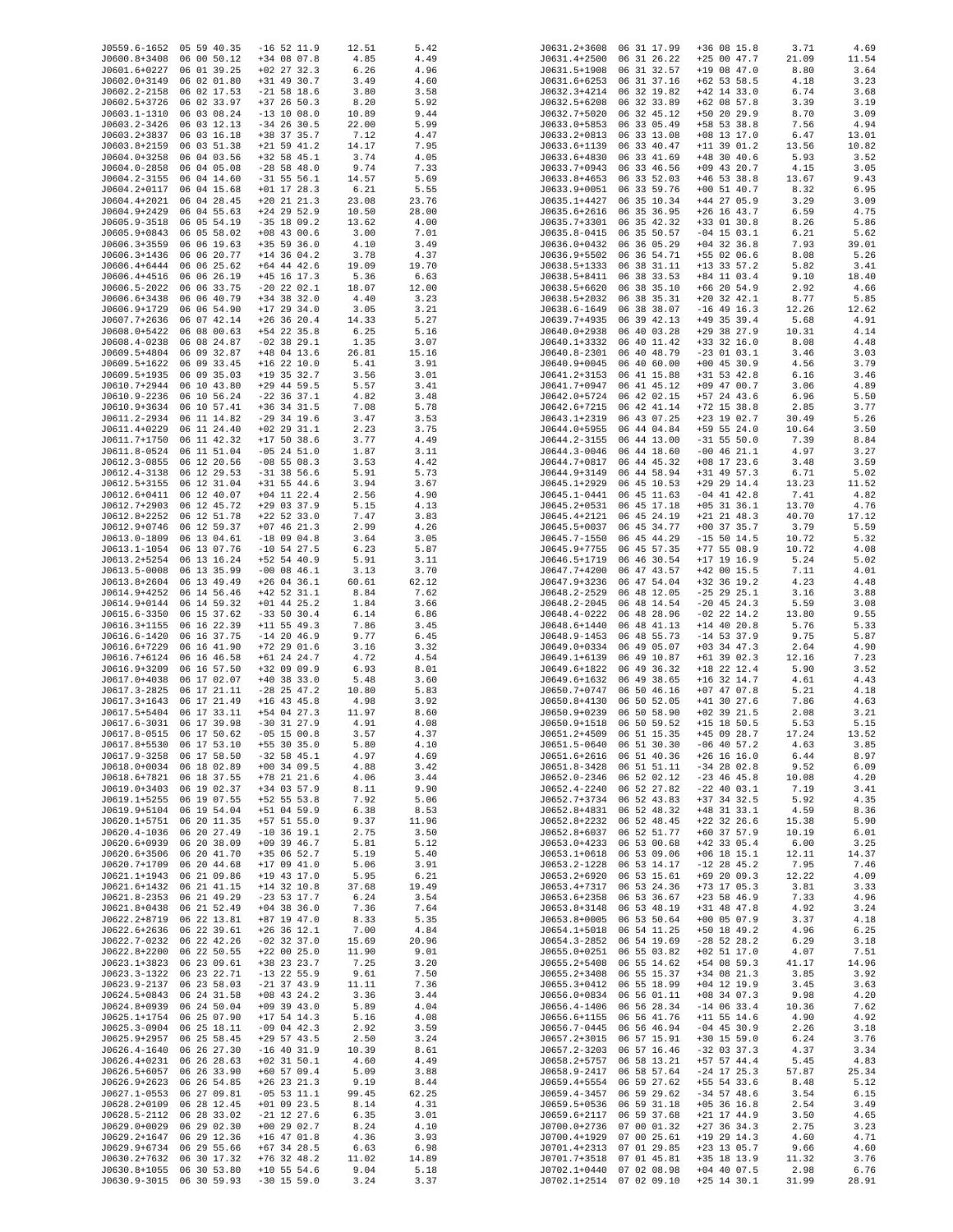| J0559.6-1652 05 59 40.35 |                          | $-16$ 52 11.9   | 12.51 | 5.42  |                  | J0631.2+3608 06 31 17.99 | $+36$ 08 15.8 | 3.71  | 4.69  |
|--------------------------|--------------------------|-----------------|-------|-------|------------------|--------------------------|---------------|-------|-------|
| J0600.8+3408 06 00 50.12 |                          | $+34$ 08 07.8   | 4.85  | 4.49  | J0631.4+2500     | 06 31 26.22              | $+250047.7$   | 21.09 | 11.54 |
| J0601.6+0227 06 01 39.25 |                          | $+02$ 27 32.3   | 6.26  | 4.96  | J0631.5+1908     | 06 31 32.57              | $+19$ 08 47.0 | 8.80  | 3.64  |
| J0602.0+3149             | 06 02 01.80              | +31 49 30.7     | 3.49  | 4.60  | J0631.6+6253     | 06 31 37.16              | $+62$ 53 58.5 | 4.18  | 3.23  |
| J0602.2-2158             | 06 02 17.53              | $-21$ 58 18.6   | 3.80  | 3.58  | J0632.3+4214     | 06 32 19.82              | $+42$ 14 33.0 | 6.74  | 3.68  |
| J0602.5+3726             | 06 02 33.97              | $+37$ 26 50.3   | 8.20  | 5.92  | J0632.5+6208     | 06 32 33.89              | $+62$ 08 57.8 | 3.39  | 3.19  |
|                          |                          |                 |       |       |                  |                          |               |       |       |
| J0603.1-1310 06 03 08.24 |                          | $-13$ 10 08.0   | 10.89 | 9.44  | J0632.7+5020     | 06 32 45.12              | +50 20 29.9   | 8.70  | 3.09  |
| J0603.2-3426             | 06 03 12.13              | $-34$ 26 30.5   | 22.00 | 5.99  | J0633.0+5853     | 06 33 05.49              | $+58$ 53 38.8 | 7.56  | 4.94  |
| J0603.2+3837             | 06 03 16.18              | +38 37 35.7     | 7.12  | 4.47  | J0633.2+0813     | 06 33 13.08              | $+08$ 13 17.0 | 6.47  | 13.01 |
| J0603.8+2159             | 06 03 51.38              | $+21$ 59 41.2   | 14.17 | 7.95  | J0633.6+1139     | 06 33 40.47              | $+11$ 39 01.2 | 13.56 | 10.82 |
| J0604.0+3258             | 06 04 03.56              | $+32$ 58 45.1   | 3.74  | 4.05  | J0633.6+4830     | 06 33 41.69              | $+48$ 30 40.6 | 5.93  |       |
|                          |                          |                 |       |       |                  |                          |               |       | 3.52  |
| J0604.0-2858             | 06 04 05.08              | $-28$ 58 48.0   | 9.74  | 7.33  | J0633.7+0943     | 06 33 46.56              | $+09$ 43 20.7 | 4.15  | 3.05  |
| J0604.2-3155 06 04 14.60 |                          | $-31$ 55 56.1   | 14.57 | 5.69  | J0633.8+4653     | 06 33 52.03              | $+46$ 53 38.8 | 13.67 | 9.43  |
| J0604.2+0117             | 06 04 15.68              | $+01$ 17 28.3   | 6.21  | 5.55  | J0633.9+0051     | 06 33 59.76              | $+00$ 51 40.7 | 8.32  | 6.95  |
| J0604.4+2021             | 06 04 28.45              | $+20$ 21 21.3   | 23.08 | 23.76 | J0635.1+4427     | 06 35 10.34              | $+44$ 27 05.9 | 3.29  | 3.09  |
|                          | 06 04 55.63              |                 | 10.50 | 28.00 |                  |                          | $+26$ 16 43.7 |       |       |
| J0604.9+2429             |                          | $+24$ 29 52.9   |       |       | J0635.6+2616     | 06 35 36.95              |               | 6.59  | 4.75  |
| J0605.9-3518             | 06 05 54.19              | $-35$ 18 09.2   | 13.62 | 4.00  | J0635.7+3301     | 06 35 42.32              | $+33$ 01 30.8 | 8.26  | 5.86  |
| J0605.9+0843             | 06 05 58.02              | $+08$ 43 00.6   | 3.00  | 7.01  | J0635.8-0415     | 06 35 50.57              | $-04$ 15 03.1 | 6.21  | 5.62  |
| J0606.3+3559 06 06 19.63 |                          | $+35$ 59 36.0   | 4.10  | 3.49  |                  | J0636.0+0432 06 36 05.29 | $+04$ 32 36.8 | 7.93  | 39.01 |
| J0606.3+1436 06 06 20.77 |                          | $+14$ 36 04.2   | 3.78  | 4.37  | J0636.9+5502     | 06 36 54.71              | +55 02 06.6   | 8.08  | 5.26  |
|                          |                          |                 |       |       |                  |                          |               |       |       |
| J0606.4+6444 06 06 25.62 |                          | $+64$ 44 42.6   | 19.09 | 19.70 | J0638.5+1333     | 06 38 31.11              | $+13$ 33 57.2 | 5.82  | 3.41  |
| J0606.4+4516             | 06 06 26.19              | $+45$ 16 17.3   | 5.36  | 6.63  | J0638.5+8411     | 06 38 33.53              | +84 11 03.4   | 9.10  | 18.40 |
| J0606.5-2022             | 06 06 33.75              | $-20$ 22 02.1   | 18.07 | 12.00 | J0638.5+6620     | 06 38 35.10              | $+66$ 20 54.9 | 2.92  | 4.66  |
| J0606.6+3438             | 06 06 40.79              | $+34$ 38 32.0   | 4.40  | 3.23  | J0638.5+2032     | 06 38 35.31              | $+20$ 32 42.1 | 8.77  | 5.85  |
| J0606.9+1729             | 06 06 54.90              | $+17$ 29 34.0   | 3.05  | 3.21  | J0638.6-1649     | 06 38 38.07              | $-16$ 49 16.3 | 12.26 | 12.62 |
|                          |                          |                 |       |       |                  |                          |               |       |       |
| J0607.7+2636             | 06 07 42.14              | $+26$ 36 20.4   | 14.33 | 5.27  | J0639.7+4935     | 06 39 42.13              | $+49$ 35 39.4 | 5.68  | 4.91  |
| J0608.0+5422             | 06 08 00.63              | $+54$ 22 35.8   | 6.25  | 5.16  | J0640.0+2938     | 06 40 03.28              | $+29$ 38 27.9 | 10.31 | 4.14  |
| J0608.4-0238             | 06 08 24.87              | $-02$ 38 29.1   | 1.35  | 3.07  | J0640.1+3332     | 06 40 11.42              | $+33$ 32 16.0 | 8.08  | 4.48  |
| J0609.5+4804             | 06 09 32.87              | $+48$ 04 13.6   | 26.81 | 15.16 | J0640.8-2301     | 06 40 48.79              | $-23$ 01 03.1 | 3.46  | 3.03  |
| J0609.5+1622 06 09 33.45 |                          | $+16$ 22 10.0   | 5.41  | 3.91  | J0640.9+0045     | 06 40 60.00              | $+00$ 45 30.9 | 4.56  | 3.79  |
|                          |                          |                 |       |       |                  |                          |               |       |       |
| J0609.5+1935 06 09 35.03 |                          | $+19$ 35 32.7   | 3.56  | 3.01  | J0641.2+3153     | 06 41 15.88              | +31 53 42.8   | 6.16  | 3.46  |
| J0610.7+2944 06 10 43.80 |                          | $+29$ 44 59.5   | 5.57  | 3.41  | J0641.7+0947     | 06 41 45.12              | $+09$ 47 00.7 | 3.06  | 4.89  |
| J0610.9-2236 06 10 56.24 |                          | $-22$ 36 37.1   | 4.82  | 3.48  | J0642.0+5724     | 06 42 02.15              | $+57$ 24 43.6 | 6.96  | 5.50  |
| J0610.9+3634 06 10 57.41 |                          | $+36$ 34 31.5   | 7.08  | 5.78  | J0642.6+7215     | 06 42 41.14              | $+72$ 15 38.8 | 2.85  | 3.77  |
|                          |                          |                 |       |       |                  | 06 43 07.25              |               |       |       |
| J0611.2-2934 06 11 14.82 |                          | $-29$ 34 19.6   | 3.47  | 3.53  | J0643.1+2319     |                          | $+23$ 19 02.7 | 30.49 | 5.26  |
| J0611.4+0229 06 11 24.40 |                          | $+02$ 29 31.1   | 2.23  | 3.75  | J0644.0+5955     | 06 44 04.84              | +59 55 24.0   | 10.64 | 3.50  |
| J0611.7+1750 06 11 42.32 |                          | $+175038.6$     | 3.77  | 4.49  | J0644.2-3155     | 06 44 13.00              | $-31$ 55 50.0 | 7.39  | 8.84  |
| J0611.8-0524 06 11 51.04 |                          | $-05$ 24 51.0   | 1.87  | 3.11  | J0644.3-0046     | 06 44 18.60              | $-00$ 46 21.1 | 4.97  | 3.27  |
| J0612.3-0855 06 12 20.56 |                          | $-08$ 55 08.3   | 3.53  | 4.42  | J0644.7+0817     | 06 44 45.32              | $+08$ 17 23.6 | 3.48  | 3.59  |
|                          |                          |                 |       |       |                  |                          |               |       |       |
| J0612.4-3138 06 12 29.53 |                          | $-31$ 38 56.6   | 5.91  | 5.73  | J0644.9+3149     | 06 44 58.94              | $+31$ 49 57.3 | 6.71  | 5.02  |
| J0612.5+3155 06 12 31.04 |                          | $+31$ 55 44.6   | 3.94  | 3.67  | J0645.1+2929     | 06 45 10.53              | $+29$ 29 14.4 | 13.23 | 11.52 |
| J0612.6+0411 06 12 40.07 |                          | $+04$ 11 22.4   | 2.56  | 4.90  | $J0645.1 - 0441$ | 06 45 11.63              | $-04$ 41 42.8 | 7.41  | 4.82  |
| J0612.7+2903 06 12 45.72 |                          | $+29$ 03 37.9   | 5.15  | 4.13  | J0645.2+0531     | 06 45 17.18              | $+05$ 31 36.1 | 13.70 | 4.76  |
|                          |                          |                 |       |       |                  | 06 45 24.19              |               |       |       |
| J0612.8+2252 06 12 51.78 |                          | $+22$ 52 33.0   | 7.47  | 3.83  | J0645.4+2121     |                          | $+21$ 21 48.3 | 40.70 | 17.12 |
| J0612.9+0746 06 12 59.37 |                          | $+07$ 46 21.3   | 2.99  | 4.26  | J0645.5+0037     | 06 45 34.77              | $+00$ 37 35.7 | 3.79  | 5.59  |
| J0613.0-1809 06 13 04.61 |                          | $-18$ 09 04.8   | 3.64  | 3.05  | J0645.7-1550     | 06 45 44.29              | $-15$ 50 14.5 | 10.72 | 5.32  |
| J0613.1-1054 06 13 07.76 |                          | $-10$ 54 27.5   | 6.23  | 5.87  | J0645.9+7755     | 06 45 57.35              | $+77$ 55 08.9 | 10.72 | 4.08  |
| J0613.2+5254 06 13 16.24 |                          | $+52$ 54 40.9   | 5.91  | 3.11  | J0646.5+1719     | 06 46 30.54              | $+17$ 19 16.9 | 5.24  | 5.02  |
|                          |                          |                 |       |       |                  |                          |               |       |       |
| J0613.5-0008 06 13 35.99 |                          | $-00$ 08 46.1   | 3.13  | 3.70  | J0647.7+4200     | 06 47 43.57              | +42 00 15.5   | 7.11  | 4.01  |
| J0613.8+2604 06 13 49.49 |                          | $+26$ 04 36.1   | 60.61 | 62.12 | J0647.9+3236     | 06 47 54.04              | $+32$ 36 19.2 | 4.23  | 4.48  |
| J0614.9+4252 06 14 56.46 |                          | $+42$ 52 31.1   | 8.84  | 7.62  | J0648.2-2529     | 06 48 12.05              | $-25$ 29 25.1 | 3.16  | 3.88  |
| J0614.9+0144 06 14 59.32 |                          | $+01$ 44 25.2   | 1.84  | 3.66  | J0648.2-2045     | 06 48 14.54              | $-20$ 45 24.3 | 5.59  | 3.08  |
| J0615.6-3350 06 15 37.62 |                          | $-33$ 50 30.4   | 6.14  | 6.86  | J0648.4-0222     | 06 48 28.96              | $-02$ 22 14.2 | 13.80 | 9.55  |
|                          |                          |                 |       |       |                  |                          |               |       |       |
| J0616.3+1155 06 16 22.39 |                          | $+11$ 55 49.3   | 7.86  | 3.45  | J0648.6+1440     | 06 48 41.13              | $+14$ 40 20.8 | 5.76  | 5.33  |
| J0616.6-1420 06 16 37.75 |                          | $-14$ 20 46.9   | 9.77  | 6.45  |                  | J0648.9-1453 06 48 55.73 | $-14$ 53 37.9 | 9.75  | 5.87  |
| J0616.6+7229             | 06 16 41.90              | $+72, 29, 01.6$ | 3.16  | 3.32  | J0649.0+0334     | 06 49 05.07              | $+03$ 34 47.3 | 2.64  | 4.90  |
| J0616.7+6124 06 16 46.58 |                          | $+61$ 24 24.7   | 4.72  | 4.54  | J0649.1+6139     | 06 49 10.87              | $+61$ 39 02.3 | 12.16 | 7.23  |
| J0616.9+3209             | 06 16 57.50              | +32 09 09.9     | 6.93  | 8.01  | J0649.6+1822     | 06 49 36.32              | $+18$ 22 12.4 | 5.90  | 3.52  |
|                          |                          |                 |       |       |                  |                          |               |       |       |
| J0617.0+4038             | 06 17 02.07              | $+40$ 38 33.0   | 5.48  | 3.60  | J0649.6+1632     | 06 49 38.65              | $+16$ 32 14.7 | 4.61  | 4.43  |
| J0617.3-2825             | 06 17 21.11              | $-28$ 25 47.2   | 10.80 | 5.83  | J0650.7+0747     | 06 50 46.16              | $+07$ 47 07.8 | 5.21  | 4.18  |
| J0617.3+1643 06 17 21.49 |                          | $+16$ 43 45.8   | 4.98  | 3.92  | J0650.8+4130     | 06 50 52.05              | $+41$ 30 27.6 | 7.86  | 4.63  |
| J0617.5+5404 06 17 33.11 |                          | +54 04 27.3     | 11.97 | 8.60  | J0650.9+0239     | 06 50 58.90              | $+02$ 39 21.5 | 2.08  | 3.21  |
| J0617.6-3031 06 17 39.98 |                          | $-30$ 31 27.9   | 4.91  |       | J0650.9+1518     | 06 50 59.52              | $+15$ 18 50.5 | 5.53  |       |
|                          |                          |                 |       | 4.08  |                  |                          |               |       | 5.15  |
| J0617.8-0515 06 17 50.62 |                          | $-05$ 15 00.8   | 3.57  | 4.37  | J0651.2+4509     | 06 51 15.35              | $+45$ 09 28.7 | 17.24 | 13.52 |
| J0617.8+5530 06 17 53.10 |                          | $+55$ 30 35.0   | 5.80  | 4.10  |                  | J0651.5-0640 06 51 30.30 | $-06$ 40 57.2 | 4.63  | 3.85  |
| J0617.9-3258 06 17 58.50 |                          | $-32$ 58 45.1   | 4.97  | 4.69  |                  | J0651.6+2616 06 51 40.36 | $+26$ 16 16.0 | 6.44  | 8.97  |
| J0618.0+0034 06 18 02.89 |                          | $+00$ 34 09.5   | 4.88  | 3.42  | J0651.8-3428     | 06 51 51.11              | $-34$ 28 02.8 | 9.52  | 6.09  |
| J0618.6+7821             | 06 18 37.55              |                 |       |       | J0652.0-2346     | 06 52 02.12              | $-23$ 46 45.8 |       |       |
|                          |                          | $+78$ 21 21.6   | 4.06  | 3.44  |                  |                          |               | 10.08 | 4.20  |
| J0619.0+3403             | 06 19 02.37              | +34 03 57.9     | 8.11  | 9.90  | J0652.4-2240     | 06 52 27.82              | $-22$ 40 03.1 | 7.19  | 3.41  |
| J0619.1+5255 06 19 07.55 |                          | $+52$ 55 53.8   | 7.92  | 5.06  | J0652.7+3734     | 06 52 43.83              | $+37$ 34 32.5 | 5.92  | 4.35  |
| J0619.9+5104 06 19 54.04 |                          | $+51$ 04 59.9   | 6.38  | 8.53  | J0652.8+4831     | 06 52 48.32              | $+48$ 31 33.1 | 4.59  | 8.36  |
| J0620.1+5751 06 20 11.35 |                          | +57 51 55.0     | 9.37  | 11.96 | J0652.8+2232     | 06 52 48.45              | $+22$ 32 26.6 | 15.38 | 5.90  |
| J0620.4-1036 06 20 27.49 |                          | $-10$ 36 19.1   | 2.75  | 3.50  | J0652.8+6037     | 06 52 51.77              | $+60$ 37 57.9 | 10.19 | 6.01  |
|                          |                          |                 |       |       |                  |                          |               |       |       |
| J0620.6+0939             | 06 20 38.09              | $+09$ 39 46.7   | 5.81  | 5.12  | J0653.0+4233     | 06 53 00.68              | $+42$ 33 05.4 | 6.00  | 3.25  |
| J0620.6+3506             | 06 20 41.70              | +35 06 52.7     | 5.19  | 5.40  | J0653.1+0618     | 06 53 09.06              | $+06$ 18 15.1 | 12.11 | 14.37 |
| J0620.7+1709             | 06 20 44.68              | $+17$ 09 41.0   | 5.06  | 3.91  | J0653.2-1228     | 06 53 14.17              | $-12$ 28 45.2 | 7.95  | 7.46  |
| J0621.1+1943             | 06 21 09.86              | $+19$ 43 17.0   | 5.95  | 6.21  | J0653.2+6920     | 06 53 15.61              | $+69$ 20 09.3 | 12.22 | 4.09  |
| J0621.6+1432 06 21 41.15 |                          | $+14$ 32 10.8   | 37.68 | 19.49 | J0653.4+7317     | 06 53 24.36              | $+73$ 17 05.3 | 3.81  | 3.33  |
|                          |                          |                 |       |       |                  |                          |               |       |       |
| J0621.8-2353 06 21 49.29 |                          | $-23$ 53 17.7   | 6.24  | 3.54  | J0653.6+2358     | 06 53 36.67              | $+23$ 58 46.9 | 7.33  | 4.96  |
| J0621.8+0438             | 06 21 52.49              | $+04$ 38 36.0   | 7.36  | 7.64  | J0653.8+3148     | 06 53 48.19              | +31 48 47.8   | 4.92  | 3.24  |
| J0622.2+8719             | 06 22 13.81              | +87 19 47.0     | 8.33  | 5.35  | J0653.8+0005     | 06 53 50.64              | $+00$ 05 07.9 | 3.37  | 4.18  |
| J0622.6+2636 06 22 39.61 |                          | $+26$ 36 12.1   | 7.00  | 4.84  | J0654.1+5018     | 06 54 11.25              | $+50$ 18 49.2 | 4.96  | 6.25  |
| J0622.7-0232             | 06 22 42.26              | $-02$ 32 37.0   | 15.69 | 20.96 | J0654.3-2852     | 06 54 19.69              | $-28$ 52 28.2 | 6.29  | 3.18  |
|                          |                          |                 |       |       |                  |                          |               |       |       |
| J0622.8+2200             | 06 22 50.55              | $+22$ 00 25.0   | 11.90 | 9.01  | J0655.0+0251     | 06 55 03.82              | $+02$ 51 17.0 | 4.07  | 7.51  |
| J0623.1+3823 06 23 09.61 |                          | +38 23 23.7     | 7.25  | 3.20  | J0655.2+5408     | 06 55 14.62              | +54 08 59.3   | 41.17 | 14.96 |
| J0623.3-1322 06 23 22.71 |                          | $-13$ 22 55.9   | 9.61  | 7.50  | J0655.2+3408     | 06 55 15.37              | +34 08 21.3   | 3.85  | 3.92  |
| J0623.9-2137 06 23 58.03 |                          | $-21$ 37 43.9   | 11.11 | 7.36  | J0655.3+0412     | 06 55 18.99              | $+04$ 12 19.9 | 3.45  | 3.63  |
| J0624.5+0843 06 24 31.58 |                          | $+08$ 43 24.2   | 3.36  | 3.44  | J0656.0+0834     | 06 56 01.11              | $+08$ 34 07.3 | 9.98  | 4.20  |
|                          |                          |                 |       |       |                  |                          |               |       |       |
| J0624.8+0939 06 24 50.04 |                          | $+09$ 39 43.0   | 5.89  | 4.04  | $J0656.4 - 1406$ | 06 56 28.34              | $-14$ 06 33.4 | 10.36 | 7.62  |
| J0625.1+1754 06 25 07.90 |                          | $+17$ 54 14.3   | 5.16  | 4.08  | J0656.6+1155     | 06 56 41.76              | $+11$ 55 14.6 | 4.90  | 4.92  |
| J0625.3-0904 06 25 18.11 |                          | $-09$ 04 42.3   | 2.92  | 3.59  | J0656.7-0445     | 06 56 46.94              | $-04$ 45 30.9 | 2.26  | 3.18  |
| J0625.9+2957             | 06 25 58.45              | $+29$ 57 43.5   | 2.50  | 3.24  | J0657.2+3015     | 06 57 15.91              | $+30$ 15 59.0 | 6.24  | 3.76  |
| J0626.4-1640 06 26 27.30 |                          | $-16$ 40 31.9   |       |       |                  | 06 57 16.46              | $-32$ 03 37.3 |       |       |
|                          |                          |                 | 10.39 | 8.61  | J0657.2-3203     |                          |               | 4.37  | 3.34  |
| J0626.4+0231 06 26 28.63 |                          | $+02$ 31 50.1   | 4.60  | 4.49  | J0658.2+5757     | 06 58 13.21              | +57 57 44.4   | 5.45  | 4.83  |
| J0626.5+6057             | 06 26 33.90              | $+60$ 57 09.4   | 5.09  | 3.88  | J0658.9-2417     | 06 58 57.64              | $-24$ 17 25.3 | 57.87 | 25.34 |
| J0626.9+2623             | 06 26 54.85              | $+26$ 23 21.3   | 9.19  | 8.44  | J0659.4+5554     | 06 59 27.62              | +55 54 33.6   | 8.48  | 5.12  |
| J0627.1-0553 06 27 09.81 |                          | $-05$ 53 11.1   | 99.45 | 62.25 | J0659.4-3457     | 06 59 29.62              | $-34$ 57 48.6 | 3.54  | 6.15  |
|                          |                          |                 |       |       |                  |                          |               |       |       |
| J0628.2+0109             | 06 28 12.45              | $+01$ 09 23.5   | 8.14  | 4.31  | J0659.5+0536     | 06 59 31.18              | $+05$ 36 16.8 | 2.54  | 3.49  |
| J0628.5-2112             | 06 28 33.02              | $-21$ 12 27.6   | 6.35  | 3.01  | J0659.6+2117     | 06 59 37.68              | $+21$ 17 44.9 | 3.50  | 4.65  |
| J0629.0+0029             | 06 29 02.30              | $+00$ 29 02.7   | 8.24  | 4.10  | J0700.0+2736     | 07 00 01.32              | $+27$ 36 34.3 | 2.75  | 3.23  |
| J0629.2+1647             | 06 29 12.36              | $+16$ 47 01.8   | 4.36  | 3.93  | J0700.4+1929     | 07 00 25.61              | $+19$ 29 14.3 | 4.60  | 4.71  |
| J0629.9+6734             | 06 29 55.66              | $+67$ 34 28.5   | 6.63  | 6.98  | J0701.4+2313     | 07 01 29.85              | $+23$ 13 05.7 | 9.66  | 4.60  |
|                          |                          |                 |       |       |                  |                          |               |       |       |
| J0630.2+7632             | 06 30 17.32              | $+76$ 32 48.2   | 11.02 | 14.89 | J0701.7+3518     | 07 01 45.81              | +35 18 13.9   | 11.32 | 3.76  |
| J0630.8+1055             | 06 30 53.80              | $+10$ 55 54.6   | 9.04  | 5.18  | J0702.1+0440     | 07 02 08.98              | $+04$ 40 07.5 | 2.98  | 6.76  |
|                          | J0630.9-3015 06 30 59.93 | $-30$ 15 59.0   | 3.24  | 3.37  |                  | J0702.1+2514 07 02 09.10 | $+25$ 14 30.1 | 31.99 | 28.91 |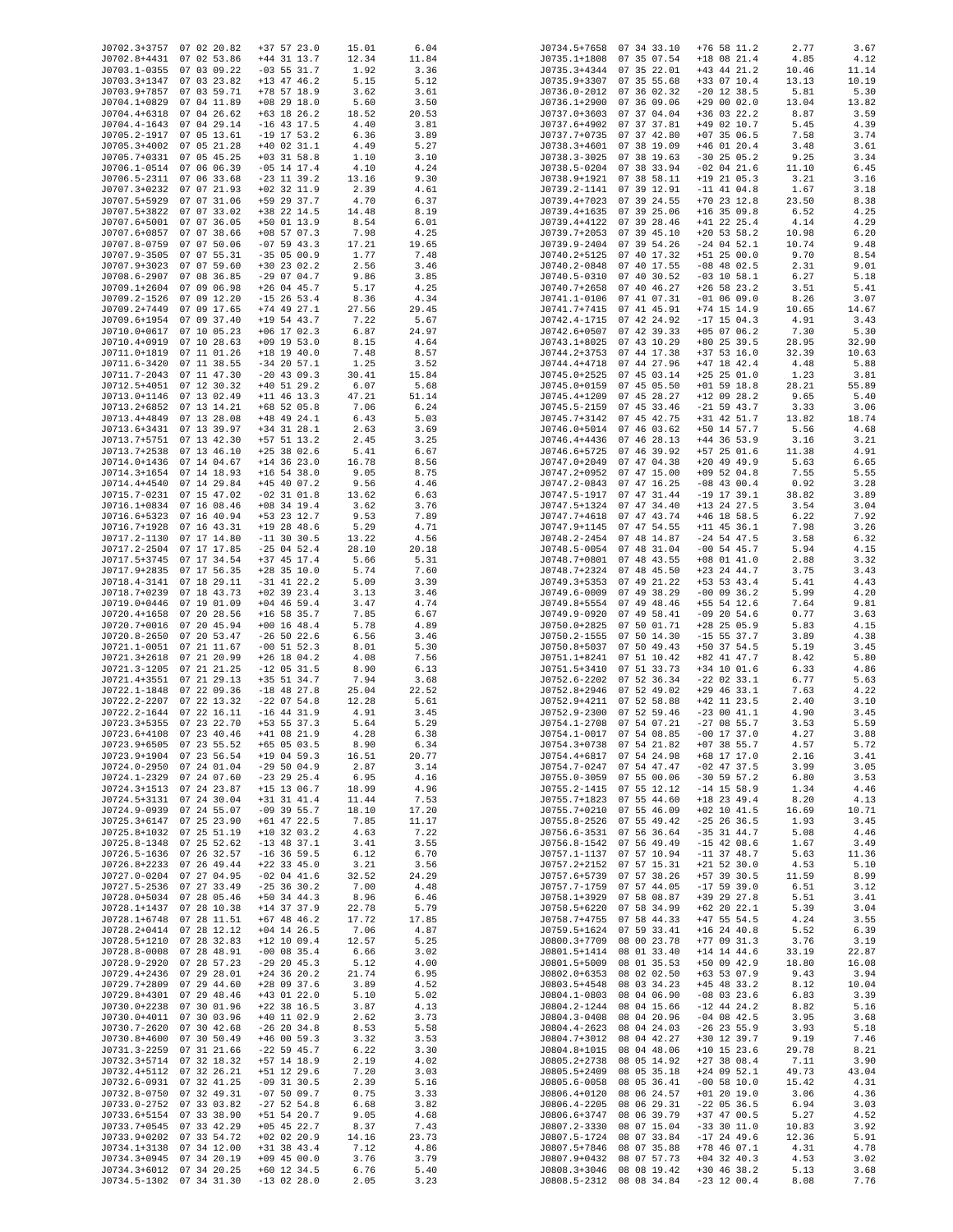| J0702.3+3757 07 02 20.82 |                          | $+37$ 57 23.0   |       |       |              |                          | $+76$ 58 11.2 | 2.77  |       |
|--------------------------|--------------------------|-----------------|-------|-------|--------------|--------------------------|---------------|-------|-------|
|                          |                          |                 | 15.01 | 6.04  |              | J0734.5+7658 07 34 33.10 |               |       | 3.67  |
| J0702.8+4431 07 02 53.86 |                          | $+44$ 31 13.7   | 12.34 | 11.84 |              | J0735.1+1808 07 35 07.54 | $+18$ 08 21.4 | 4.85  | 4.12  |
| J0703.1-0355 07 03 09.22 |                          | $-03$ 55 31.7   | 1.92  | 3.36  |              | J0735.3+4344 07 35 22.01 | $+43$ 44 21.2 | 10.46 | 11.14 |
| J0703.3+1347 07 03 23.82 |                          | $+13$ 47 46.2   | 5.15  | 5.12  | J0735.9+3307 | 07 35 55.68              | +33 07 10.4   | 13.13 | 10.19 |
| J0703.9+7857 07 03 59.71 |                          | $+78$ 57 18.9   | 3.62  | 3.61  |              | J0736.0-2012 07 36 02.32 | $-20$ 12 38.5 | 5.81  | 5.30  |
| J0704.1+0829 07 04 11.89 |                          | $+08$ 29 18.0   | 5.60  | 3.50  | J0736.1+2900 | 07 36 09.06              | $+290002.0$   | 13.04 | 13.82 |
|                          |                          |                 |       |       |              |                          |               |       |       |
| J0704.4+6318 07 04 26.62 |                          | $+63$ 18 26.2   | 18.52 | 20.53 | J0737.0+3603 | 07 37 04.04              | +36 03 22.2   | 8.87  | 3.59  |
| J0704.4-1643 07 04 29.14 |                          | $-16$ 43 17.5   | 4.40  | 3.81  | J0737.6+4902 | 07 37 37.81              | +49 02 10.7   | 5.45  | 4.39  |
| J0705.2-1917 07 05 13.61 |                          | $-19$ 17 53.2   | 6.36  | 3.89  | J0737.7+0735 | 07 37 42.80              | $+07$ 35 06.5 | 7.58  | 3.74  |
| J0705.3+4002 07 05 21.28 |                          | $+40$ 02 31.1   | 4.49  | 5.27  | J0738.3+4601 | 07 38 19.09              | $+46$ 01 20.4 | 3.48  | 3.61  |
| J0705.7+0331 07 05 45.25 |                          | $+03$ 31 58.8   | 1.10  | 3.10  | J0738.3-3025 | 07 38 19.63              | $-30$ 25 05.2 | 9.25  | 3.34  |
|                          |                          |                 |       |       |              |                          |               |       |       |
| J0706.1-0514 07 06 06.39 |                          | $-05$ 14 17.4   | 4.10  | 4.24  | J0738.5-0204 | 07 38 33.94              | $-02$ 04 21.6 | 11.10 | 6.45  |
| J0706.5-2311 07 06 33.68 |                          | $-23$ 11 39.2   | 13.16 | 9.30  | J0738.9+1921 | 07 38 58.11              | $+19$ 21 05.3 | 3.21  | 3.16  |
| J0707.3+0232 07 07 21.93 |                          | $+02$ 32 11.9   | 2.39  | 4.61  | J0739.2-1141 | 07 39 12.91              | $-11$ 41 04.8 | 1.67  | 3.18  |
| J0707.5+5929 07 07 31.06 |                          | +59 29 37.7     | 4.70  | 6.37  | J0739.4+7023 | 07 39 24.55              | $+70$ 23 12.8 | 23.50 | 8.38  |
| J0707.5+3822 07 07 33.02 |                          | +38 22 14.5     | 14.48 |       |              | 07 39 25.06              | $+16$ 35 09.8 |       |       |
|                          |                          |                 |       | 8.19  | J0739.4+1635 |                          |               | 6.52  | 4.25  |
| J0707.6+5001 07 07 36.05 |                          | $+50$ 01 13.9   | 8.54  | 6.01  | J0739.4+4122 | 07 39 28.46              | $+41$ 22 25.4 | 4.14  | 4.29  |
| J0707.6+0857             | 07 07 38.66              | $+08$ 57 07.3   | 7.98  | 4.25  | J0739.7+2053 | 07 39 45.10              | $+20$ 53 58.2 | 10.98 | 6.20  |
| J0707.8-0759 07 07 50.06 |                          | $-07$ 59 43.3   | 17.21 | 19.65 |              | J0739.9-2404 07 39 54.26 | $-24$ 04 52.1 | 10.74 | 9.48  |
| J0707.9-3505 07 07 55.31 |                          | $-35$ 05 00.9   | 1.77  | 7.48  | J0740.2+5125 | 07 40 17.32              | $+51$ 25 00.0 | 9.70  | 8.54  |
|                          |                          |                 |       |       |              |                          |               |       |       |
| J0707.9+3023 07 07 59.60 |                          | $+30$ 23 02.2   | 2.56  | 3.46  | J0740.2-0848 | 07 40 17.55              | $-08$ 48 02.5 | 2.31  | 9.01  |
| J0708.6-2907             | 07 08 36.85              | $-290704.7$     | 9.86  | 3.85  | J0740.5-0310 | 07 40 30.52              | $-03$ 10 58.1 | 6.27  | 5.18  |
| J0709.1+2604 07 09 06.98 |                          | $+26$ 04 45.7   | 5.17  | 4.25  | J0740.7+2658 | 07 40 46.27              | $+26$ 58 23.2 | 3.51  | 5.41  |
| J0709.2-1526 07 09 12.20 |                          | $-15$ 26 53.4   | 8.36  | 4.34  | J0741.1-0106 | 07 41 07.31              | $-01$ 06 09.0 | 8.26  | 3.07  |
| J0709.2+7449 07 09 17.65 |                          | $+74$ 49 27.1   | 27.56 | 29.45 | J0741.7+7415 | 07 41 45.91              | $+74$ 15 14.9 | 10.65 | 14.67 |
|                          |                          |                 |       |       |              |                          |               |       |       |
| J0709.6+1954 07 09 37.40 |                          | $+19$ 54 43.7   | 7.22  | 5.67  | J0742.4-1715 | 07 42 24.92              | $-17$ 15 04.3 | 4.91  | 3.43  |
| J0710.0+0617 07 10 05.23 |                          | $+06$ 17 02.3   | 6.87  | 24.97 | J0742.6+0507 | 07 42 39.33              | $+05$ 07 06.2 | 7.30  | 5.30  |
| J0710.4+0919 07 10 28.63 |                          | $+09$ 19 53.0   | 8.15  | 4.64  | J0743.1+8025 | 07 43 10.29              | +80 25 39.5   | 28.95 | 32.90 |
| J0711.0+1819 07 11 01.26 |                          | $+18$ 19 40.0   | 7.48  | 8.57  | J0744.2+3753 | 07 44 17.38              | $+37$ 53 16.0 | 32.39 | 10.63 |
| J0711.6-3420 07 11 38.55 |                          | $-34$ 20 57.1   | 1.25  | 3.52  | J0744.4+4718 | 07 44 27.96              | +47 18 42.4   | 4.48  | 5.88  |
|                          |                          |                 |       |       |              |                          |               |       |       |
| J0711.7-2043 07 11 47.30 |                          | $-20$ 43 09.3   | 30.41 | 15.84 | J0745.0+2525 | 07 45 03.14              | $+25$ 25 01.0 | 1.23  | 3.81  |
| J0712.5+4051 07 12 30.32 |                          | $+40$ 51 29.2   | 6.07  | 5.68  | J0745.0+0159 | 07 45 05.50              | $+01$ 59 18.8 | 28.21 | 55.89 |
| J0713.0+1146 07 13 02.49 |                          | $+11$ 46 13.3   | 47.21 | 51.14 | J0745.4+1209 | 07 45 28.27              | $+12$ 09 28.2 | 9.65  | 5.40  |
| J0713.2+6852 07 13 14.21 |                          | $+68$ 52 05.8   | 7.06  | 6.24  | J0745.5-2159 | 07 45 33.46              | $-21$ 59 43.7 | 3.33  | 3.06  |
|                          |                          | $+48$ 49 24.1   |       |       |              |                          | $+31$ 42 51.7 |       |       |
| J0713.4+4849 07 13 28.08 |                          |                 | 6.43  | 5.03  |              | J0745.7+3142 07 45 42.75 |               | 13.82 | 18.74 |
| J0713.6+3431 07 13 39.97 |                          | $+34$ 31 28.1   | 2.63  | 3.69  | J0746.0+5014 | 07 46 03.62              | +50 14 57.7   | 5.56  | 4.68  |
| J0713.7+5751 07 13 42.30 |                          | $+57$ 51 13.2   | 2.45  | 3.25  | J0746.4+4436 | 07 46 28.13              | $+44$ 36 53.9 | 3.16  | 3.21  |
| J0713.7+2538 07 13 46.10 |                          | $+25$ 38 02.6   | 5.41  | 6.67  | J0746.6+5725 | 07 46 39.92              | $+57$ 25 01.6 | 11.38 | 4.91  |
| J0714.0+1436 07 14 04.67 |                          | $+14$ 36 23.0   | 16.78 | 8.56  | J0747.0+2049 | 07 47 04.38              | $+20$ 49 49.9 | 5.63  | 6.65  |
|                          |                          |                 |       |       |              |                          |               |       |       |
| J0714.3+1654 07 14 18.93 |                          | $+16$ 54 38.0   | 9.05  | 8.75  | J0747.2+0952 | 07 47 15.00              | $+09$ 52 04.8 | 7.55  | 5.55  |
| J0714.4+4540 07 14 29.84 |                          | $+45$ 40 07.2   | 9.56  | 4.46  | J0747.2-0843 | 07 47 16.25              | $-08$ 43 00.4 | 0.92  | 3.28  |
| J0715.7-0231 07 15 47.02 |                          | $-02$ 31 $01.8$ | 13.62 | 6.63  | J0747.5-1917 | 07 47 31.44              | $-19$ 17 39.1 | 38.82 | 3.89  |
| J0716.1+0834 07 16 08.46 |                          | $+08$ 34 19.4   | 3.62  | 3.76  | J0747.5+1324 | 07 47 34.40              | $+13$ 24 27.5 | 3.54  | 3.04  |
| J0716.6+5323 07 16 40.94 |                          | +53 23 12.7     |       | 7.89  | J0747.7+4618 | 07 47 43.74              | $+46$ 18 58.5 |       | 7.92  |
|                          |                          |                 | 9.53  |       |              |                          |               | 6.22  |       |
| J0716.7+1928 07 16 43.31 |                          | $+19$ 28 48.6   | 5.29  | 4.71  | J0747.9+1145 | 07 47 54.55              | $+11$ 45 36.1 | 7.98  | 3.26  |
| J0717.2-1130 07 17 14.80 |                          | $-11$ 30 30.5   | 13.22 | 4.56  | J0748.2-2454 | 07 48 14.87              | $-24$ 54 47.5 | 3.58  | 6.32  |
| J0717.2-2504 07 17 17.85 |                          | $-25$ 04 52.4   | 28.10 | 20.18 | J0748.5-0054 | 07 48 31.04              | $-00$ 54 45.7 | 5.94  | 4.15  |
| J0717.5+3745 07 17 34.54 |                          | $+37$ 45 17.4   | 5.66  | 5.31  | J0748.7+0801 | 07 48 43.55              | $+08$ 01 41.0 | 2.88  | 3.32  |
|                          |                          |                 |       |       |              |                          |               |       |       |
| J0717.9+2835 07 17 56.35 |                          | $+28$ 35 10.0   | 5.74  | 7.60  | J0748.7+2324 | 07 48 45.50              | $+23$ 24 44.7 | 3.75  | 3.43  |
| J0718.4-3141 07 18 29.11 |                          | $-31$ 41 22.2   | 5.09  | 3.39  | J0749.3+5353 | 07 49 21.22              | +53 53 43.4   | 5.41  | 4.43  |
| J0718.7+0239 07 18 43.73 |                          | $+02$ 39 23.4   | 3.13  | 3.46  | J0749.6-0009 | 07 49 38.29              | $-00$ 09 36.2 | 5.99  | 4.20  |
| J0719.0+0446 07 19 01.09 |                          | $+04$ 46 59.4   | 3.47  | 4.74  | J0749.8+5554 | 07 49 48.46              | +55 54 12.6   | 7.64  | 9.81  |
| J0720.4+1658 07 20 28.56 |                          | $+16$ 58 35.7   | 7.85  | 6.67  | J0749.9-0920 | 07 49 58.41              | $-09$ 20 54.6 | 0.77  | 3.63  |
| J0720.7+0016 07 20 45.94 |                          |                 |       |       | J0750.0+2825 | 07 50 01.71              |               | 5.83  |       |
|                          |                          | $+00$ 16 48.4   | 5.78  | 4.89  |              |                          | +28 25 05.9   |       | 4.15  |
| J0720.8-2650 07 20 53.47 |                          | $-26$ 50 22.6   | 6.56  | 3.46  | J0750.2-1555 | 07 50 14.30              | $-15$ 55 37.7 | 3.89  | 4.38  |
| J0721.1-0051 07 21 11.67 |                          | $-00$ 51 52.3   | 8.01  | 5.30  | J0750.8+5037 | 07 50 49.43              | +50 37 54.5   | 5.19  | 3.45  |
| J0721.3+2618 07 21 20.99 |                          | $+26$ 18 04.2   | 4.08  | 7.56  | J0751.1+8241 | 07 51 10.42              | +82 41 47.7   | 8.42  | 5.80  |
| J0721.3-1205 07 21 21.25 |                          | $-12$ 05 31.5   | 8.90  | 6.13  | J0751.5+3410 | 07 51 33.73              | $+34$ 10 01.6 | 6.33  | 4.86  |
|                          |                          |                 |       |       |              |                          |               |       |       |
| J0721.4+3551 07 21 29.13 |                          | +35 51 34.7     | 7.94  | 3.68  |              | J0752.6-2202 07 52 36.34 | $-22$ 02 33.1 | 6.77  | 5.63  |
| J0722.1-1848 07 22 09.36 |                          | $-18$ 48 27.8   | 25.04 | 22.52 | J0752.8+2946 | 07 52 49.02              | $+29$ 46 33.1 | 7.63  | 4.22  |
| J0722.2-2207 07 22 13.32 |                          | $-22$ 07 54.8   | 12.28 | 5.61  | J0752.9+4211 | 07 52 58.88              | $+42$ 11 23.5 | 2.40  | 3.10  |
| J0722.2-1644 07 22 16.11 |                          | $-16$ 44 31.9   | 4.91  | 3.45  | J0752.9-2300 | 07 52 59.46              | $-230041.1$   | 4.90  | 3.45  |
| J0723.3+5355 07 23 22.70 |                          | $+53$ 55 37.3   | 5.64  | 5.29  |              | J0754.1-2708 07 54 07.21 | $-27$ 08 55.7 | 3.53  | 5.59  |
|                          |                          |                 |       |       |              | J0754.1-0017 07 54 08.85 |               |       |       |
| J0723.6+4108 07 23 40.46 |                          | +41 08 21.9     | 4.28  | 6.38  |              |                          | $-00$ 17 37.0 | 4.27  | 3.88  |
| J0723.9+6505 07 23 55.52 |                          | $+65$ 05 03.5   | 8.90  | 6.34  |              | J0754.3+0738 07 54 21.82 | $+07$ 38 55.7 | 4.57  | 5.72  |
| J0723.9+1904 07 23 56.54 |                          | $+19$ 04 59.3   | 16.51 | 20.77 | J0754.4+6817 | 07 54 24.98              | $+68$ 17 17.0 | 2.16  | 3.41  |
| J0724.0-2950 07 24 01.04 |                          | $-295004.9$     | 2.87  | 3.14  | J0754.7-0247 | 07 54 47.47              | $-02$ 47 37.5 | 3.99  | 3.05  |
| J0724.1-2329             | 07 24 07.60              | $-23$ 29 25.4   | 6.95  | 4.16  | J0755.0-3059 | 07 55 00.06              | $-30$ 59 57.2 | 6.80  | 3.53  |
| J0724.3+1513 07 24 23.87 |                          | $+15$ 13 06.7   | 18.99 | 4.96  | J0755.2-1415 | 07 55 12.12              | $-14$ 15 58.9 | 1.34  | 4.46  |
|                          |                          |                 |       |       |              |                          |               |       |       |
| J0724.5+3131 07 24 30.04 |                          | $+31$ 31 41.4   | 11.44 | 7.53  | J0755.7+1823 | 07 55 44.60              | $+18$ 23 49.4 | 8.20  | 4.13  |
| J0724.9-0939 07 24 55.07 |                          | $-09$ 39 55.7   | 18.10 | 17.20 | J0755.7+0210 | 07 55 46.09              | $+02$ 10 41.5 | 16.69 | 10.71 |
| J0725.3+6147 07 25 23.90 |                          | $+61$ 47 22.5   | 7.85  | 11.17 | J0755.8-2526 | 07 55 49.42              | $-25$ 26 36.5 | 1.93  | 3.45  |
| J0725.8+1032 07 25 51.19 |                          | $+10$ 32 03.2   | 4.63  | 7.22  | J0756.6-3531 | 07 56 36.64              | $-35$ 31 44.7 | 5.08  | 4.46  |
| J0725.8-1348 07 25 52.62 |                          | $-13$ 48 37.1   | 3.41  | 3.55  | J0756.8-1542 | 07 56 49.49              | $-15$ 42 08.6 | 1.67  | 3.49  |
| J0726.5-1636 07 26 32.57 |                          | $-16$ 36 59.5   |       | 6.70  | J0757.1-1137 | 07 57 10.94              | $-11$ 37 48.7 | 5.63  | 11.36 |
|                          |                          |                 | 6.12  |       |              |                          |               |       |       |
| J0726.8+2233 07 26 49.44 |                          | $+22$ 33 45.0   | 3.21  | 3.56  | J0757.2+2152 | 07 57 15.31              | $+21$ 52 30.0 | 4.53  | 5.10  |
| J0727.0-0204 07 27 04.95 |                          | $-02$ 04 41.6   | 32.52 | 24.29 | J0757.6+5739 | 07 57 38.26              | +57 39 30.5   | 11.59 | 8.99  |
| J0727.5-2536 07 27 33.49 |                          | $-25$ 36 30.2   | 7.00  | 4.48  | J0757.7-1759 | 07 57 44.05              | $-17$ 59 39.0 | 6.51  | 3.12  |
| J0728.0+5034 07 28 05.46 |                          | $+50$ 34 44.3   | 8.96  | 6.46  | J0758.1+3929 | 07 58 08.87              | +39 29 27.8   | 5.51  | 3.41  |
| J0728.1+1437             | 07 28 10.38              | $+14$ 37 37.9   | 22.78 | 5.79  | J0758.5+6220 | 07 58 34.99              | $+62$ 20 22.1 | 5.39  | 3.04  |
|                          |                          |                 |       |       |              |                          |               |       |       |
| J0728.1+6748             | 07 28 11.51              | $+67$ 48 46.2   | 17.72 | 17.85 | J0758.7+4755 | 07 58 44.33              | $+47$ 55 54.5 | 4.24  | 3.55  |
| J0728.2+0414             | 07 28 12.12              | $+04$ 14 26.5   | 7.06  | 4.87  | J0759.5+1624 | 07 59 33.41              | $+16$ 24 40.8 | 5.52  | 6.39  |
| J0728.5+1210             | 07 28 32.83              | $+12$ 10 09.4   | 12.57 | 5.25  | J0800.3+7709 | 08 00 23.78              | $+77$ 09 31.3 | 3.76  | 3.19  |
| J0728.8-0008             | 07 28 48.91              | $-00$ 08 35.4   | 6.66  | 3.02  | J0801.5+1414 | 08 01 33.40              | $+14$ 14 44.6 | 33.19 | 22.87 |
|                          |                          |                 |       |       |              |                          |               |       |       |
| J0728.9-2920             | 07 28 57.23              | $-29$ 20 45.3   | 5.12  | 4.00  | J0801.5+5009 | 08 01 35.53              | +50 09 42.9   | 18.80 | 16.08 |
| J0729.4+2436             | 07 29 28.01              | $+24$ 36 20.2   | 21.74 | 6.95  | J0802.0+6353 | 08 02 02.50              | $+63$ 53 07.9 | 9.43  | 3.94  |
| J0729.7+2809             | 07 29 44.60              | $+28$ 09 37.6   | 3.89  | 4.52  | J0803.5+4548 | 08 03 34.23              | $+45$ 48 33.2 | 8.12  | 10.04 |
| J0729.8+4301             | 07 29 48.46              | $+43$ 01 22.0   | 5.10  | 5.02  | J0804.1-0803 | 08 04 06.90              | $-08$ 03 23.6 | 6.83  | 3.39  |
| J0730.0+2238 07 30 01.96 |                          | $+22$ 38 16.5   | 3.87  | 4.13  | J0804.2-1244 | 08 04 15.66              | $-12$ 44 24.2 | 8.82  | 5.16  |
|                          |                          |                 |       |       |              |                          |               |       |       |
| J0730.0+4011 07 30 03.96 |                          | $+40$ 11 02.9   | 2.62  | 3.73  | J0804.3-0408 | 08 04 20.96              | $-04$ 08 42.5 | 3.95  | 3.68  |
| J0730.7-2620 07 30 42.68 |                          | $-26$ 20 34.8   | 8.53  | 5.58  | J0804.4-2623 | 08 04 24.03              | $-26$ 23 55.9 | 3.93  | 5.18  |
| J0730.8+4600 07 30 50.49 |                          | $+46$ 00 59.3   | 3.32  | 3.53  | J0804.7+3012 | 08 04 42.27              | +30 12 39.7   | 9.19  | 7.46  |
| J0731.3-2259 07 31 21.66 |                          | $-22$ 59 45.7   | 6.22  | 3.30  | J0804.8+1015 | 08 04 48.06              | $+10$ 15 23.6 | 29.78 | 8.21  |
| J0732.3+5714 07 32 18.32 |                          | +57 14 18.9     | 2.19  | 4.02  | J0805.2+2738 | 08 05 14.92              | $+27$ 38 08.4 | 7.11  | 3.90  |
|                          |                          |                 |       |       |              |                          |               |       |       |
| J0732.4+5112 07 32 26.21 |                          | +51 12 29.6     | 7.20  | 3.03  | J0805.5+2409 | 08 05 35.18              | $+24$ 09 52.1 | 49.73 | 43.04 |
| J0732.6-0931 07 32 41.25 |                          | $-09$ 31 30.5   | 2.39  | 5.16  | J0805.6-0058 | 08 05 36.41              | $-00$ 58 10.0 | 15.42 | 4.31  |
| J0732.8-0750 07 32 49.31 |                          | $-075009.7$     | 0.75  | 3.33  | J0806.4+0120 | 08 06 24.57              | $+01$ 20 19.0 | 3.06  | 4.36  |
| J0733.0-2752 07 33 03.82 |                          | $-27$ 52 54.8   | 6.68  | 3.82  | J0806.4-2205 | 08 06 29.31              | $-22$ 05 36.5 | 6.94  | 3.03  |
| J0733.6+5154 07 33 38.90 |                          | +51 54 20.7     | 9.05  |       | J0806.6+3747 | 08 06 39.79              | $+37$ 47 00.5 |       | 4.52  |
|                          |                          |                 |       | 4.68  |              |                          |               | 5.27  |       |
| J0733.7+0545             | 07 33 42.29              | $+05$ 45 22.7   | 8.37  | 7.43  | J0807.2-3330 | 08 07 15.04              | $-33$ 30 11.0 | 10.83 | 3.92  |
| J0733.9+0202 07 33 54.72 |                          | $+02$ 02 20.9   | 14.16 | 23.73 | J0807.5-1724 | 08 07 33.84              | $-17$ 24 49.6 | 12.36 | 5.91  |
| J0734.1+3138             | 07 34 12.00              | $+31$ 38 43.4   | 7.12  | 4.86  | J0807.5+7846 | 08 07 35.88              | $+78$ 46 07.1 | 4.31  | 4.78  |
| J0734.3+0945 07 34 20.19 |                          | $+09$ 45 00.0   | 3.76  | 3.79  | J0807.9+0432 | 08 07 57.73              | $+04$ 32 40.3 | 4.53  | 3.02  |
|                          |                          |                 |       |       |              |                          |               |       |       |
| J0734.3+6012 07 34 20.25 |                          | $+60$ 12 34.5   | 6.76  | 5.40  | J0808.3+3046 | 08 08 19.42              | $+30$ 46 38.2 | 5.13  | 3.68  |
|                          | J0734.5-1302 07 34 31.30 | $-13$ 02 28.0   | 2.05  | 3.23  |              | J0808.5-2312 08 08 34.84 | $-23$ 12 00.4 | 8.08  | 7.76  |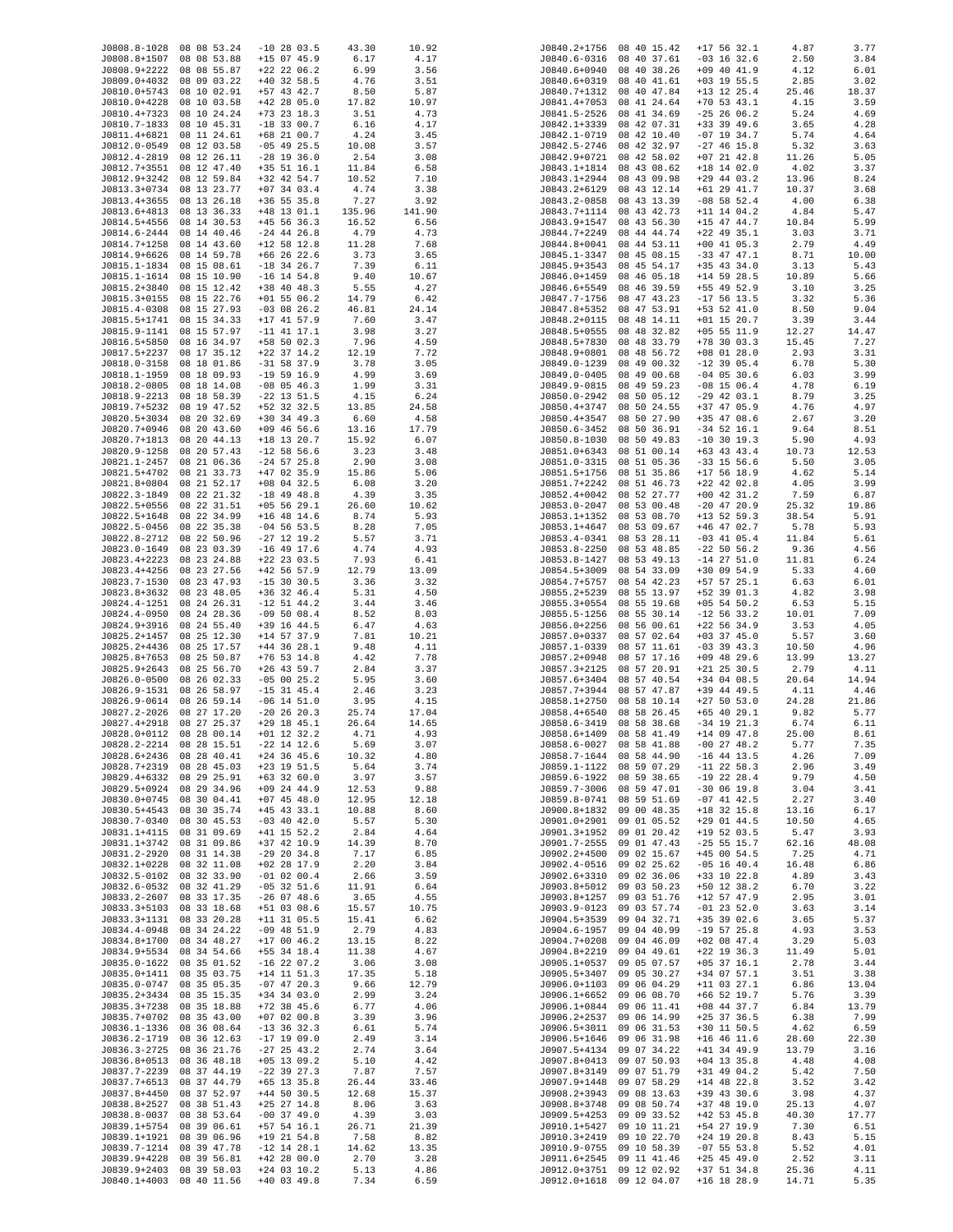| J0808.8-1028 08 08 53.24 |                            | $-10$ 28 03.5                  | 43.30          | 10.92        |              | J0840.2+1756 08 40 15.42   | $+17$ 56 32.1                  | 4.87          | 3.77         |
|--------------------------|----------------------------|--------------------------------|----------------|--------------|--------------|----------------------------|--------------------------------|---------------|--------------|
| J0808.8+1507             | 08 08 53.88                | $+15$ 07 45.9                  | 6.17           | 4.17         |              | J0840.6-0316 08 40 37.61   | $-03$ 16 32.6                  | 2.50          | 3.84         |
| J0808.9+2222 08 08 55.87 |                            | $+22$ 22 06.2                  | 6.99           | 3.56         | J0840.6+0940 | 08 40 38.26                | $+09$ 40 41.9                  | 4.12          | 6.01         |
| J0809.0+4032             | 08 09 03.22                | $+40$ 32 58.5                  | 4.76           | 3.51         | J0840.6+0319 | 08 40 41.61                | $+03$ 19 55.5                  | 2.85          | 3.02         |
| J0810.0+5743             | 08 10 02.91                | $+57$ 43 42.7                  | 8.50           | 5.87         | J0840.7+1312 | 08 40 47.84                | $+13$ 12 25.4                  | 25.46         | 18.37        |
| J0810.0+4228             | 08 10 03.58                | $+42$ 28 05.0                  | 17.82          | 10.97        | J0841.4+7053 | 08 41 24.64                | $+70$ 53 43.1                  | 4.15          | 3.59         |
| J0810.4+7323             | 08 10 24.24                | $+73$ 23 18.3                  | 3.51           | 4.73         | J0841.5-2526 | 08 41 34.69                | $-25$ 26 06.2                  | 5.24          | 4.69         |
| J0810.7-1833             | 08 10 45.31                | $-18$ 33 00.7                  | 6.16           | 4.17         | J0842.1+3339 | 08 42 07.31                | $+33$ 39 49.6                  | 3.65          | 4.28         |
| J0811.4+6821             | 08 11 24.61                | +68 21 00.7                    | 4.24           | 3.45         | J0842.1-0719 | 08 42 10.40                | $-07$ 19 34.7                  | 5.74          | 4.64         |
| J0812.0-0549             | 08 12 03.58                | $-05$ 49 25.5                  | 10.08          | 3.57         | J0842.5-2746 | 08 42 32.97                | $-27$ 46 15.8                  | 5.32          | 3.63         |
| J0812.4-2819 08 12 26.11 |                            | $-28$ 19 36.0                  | 2.54           | 3.08         | J0842.9+0721 | 08 42 58.02                | $+07$ 21 42.8                  | 11.26         | 5.05         |
| J0812.7+3551 08 12 47.40 |                            | $+35$ 51 16.1                  | 11.84          | 6.58         | J0843.1+1814 | 08 43 08.62                | $+18$ 14 02.0                  | 4.02          | 3.37         |
| J0812.9+3242 08 12 59.84 |                            | +32 42 54.7                    | 10.52          | 7.10         | J0843.1+2944 | 08 43 09.98                | $+29$ 44 03.2                  | 13.96         | 8.24         |
| J0813.3+0734 08 13 23.77 |                            | $+07$ 34 03.4                  | 4.74           | 3.38         | J0843.2+6129 | 08 43 12.14                | $+61$ 29 $41.7$                | 10.37         | 3.68         |
| J0813.4+3655 08 13 26.18 |                            | $+36$ 55 35.8                  | 7.27           | 3.92         | J0843.2-0858 | 08 43 13.39                | $-08$ 58 52.4                  | 4.00          | 6.38         |
| J0813.6+4813 08 13 36.33 |                            | $+48$ 13 01.1                  | 135.96         | 141.90       | J0843.7+1114 | 08 43 42.73                | $+11$ 14 04.2                  | 4.84          | 5.47         |
|                          |                            |                                |                |              |              |                            |                                |               |              |
| J0814.5+4556 08 14 30.53 |                            | $+45$ 56 36.3<br>$-24$ 44 26.8 | 16.52          | 6.56         | J0843.9+1547 | 08 43 56.30                | $+15$ 47 44.7<br>$+22$ 49 35.1 | 10.84         | 5.99         |
| J0814.6-2444 08 14 40.46 |                            | $+12$ 58 12.8                  | 4.79<br>11.28  | 4.73         | J0844.7+2249 | 08 44 44.74                | $+00$ 41 05.3                  | 3.03          | 3.71         |
| J0814.7+1258 08 14 43.60 |                            |                                |                | 7.68         | J0844.8+0041 | 08 44 53.11<br>08 45 08.15 |                                | 2.79          | 4.49         |
| J0814.9+6626 08 14 59.78 |                            | $+66$ 26 22.6                  | 3.73           | 3.65         | J0845.1-3347 |                            | $-33$ 47 47.1                  | 8.71          | 10.00        |
| J0815.1-1834 08 15 08.61 |                            | $-18$ 34 26.7                  | 7.39           | 6.11         | J0845.9+3543 | 08 45 54.17                | $+35$ 43 34.0                  | 3.13          | 5.43         |
| J0815.1-1614 08 15 10.90 |                            | $-16$ 14 54.8                  | 9.40           | 10.67        | J0846.0+1459 | 08 46 05.18                | $+14$ 59 28.5                  | 10.89         | 5.66         |
| J0815.2+3840 08 15 12.42 |                            | $+38$ 40 48.3                  | 5.55           | 4.27         | J0846.6+5549 | 08 46 39.59                | +55 49 52.9                    | 3.10          | 3.25         |
| J0815.3+0155 08 15 22.76 |                            | $+01$ 55 06.2                  | 14.79          | 6.42         | J0847.7-1756 | 08 47 43.23                | $-17$ 56 13.5                  | 3.32          | 5.36         |
| J0815.4-0308 08 15 27.93 |                            | $-03$ 08 26.2                  | 46.81          | 24.14        | J0847.8+5352 | 08 47 53.91                | +53 52 41.0                    | 8.50          | 9.04         |
| J0815.5+1741 08 15 34.33 |                            | $+17$ 41 57.9                  | 7.60           | 3.47         | J0848.2+0115 | 08 48 14.11                | $+01$ 15 20.7                  | 3.39          | 3.44         |
| J0815.9-1141             | 08 15 57.97                | $-11$ 41 17.1                  | 3.98           | 3.27         | J0848.5+0555 | 08 48 32.82                | $+05$ 55 11.9                  | 12.27         | 14.47        |
| J0816.5+5850             | 08 16 34.97                | +58 50 02.3                    | 7.96           | 4.59         | J0848.5+7830 | 08 48 33.79                | $+78$ 30 03.3                  | 15.45         | 7.27         |
| J0817.5+2237             | 08 17 35.12                | $+22$ 37 14.2                  | 12.19          | 7.72         | J0848.9+0801 | 08 48 56.72                | $+08$ 01 28.0                  | 2.93          | 3.31         |
| J0818.0-3158             | 08 18 01.86                | $-31$ 58 37.9                  | 3.78           | 3.05         | J0849.0-1239 | 08 49 00.32                | $-12$ 39 05.4                  | 6.78          | 5.30         |
| J0818.1-1959             | 08 18 09.93                | $-19$ 59 16.9                  | 4.99           | 3.69         | J0849.0-0405 | 08 49 00.68                | $-04$ 05 30.6                  | 6.03          | 3.99         |
| J0818.2-0805             | 08 18 14.08                | $-08$ 05 46.3                  | 1.99           | 3.31         | J0849.9-0815 | 08 49 59.23                | $-08$ 15 06.4                  | 4.78          | 6.19         |
| J0818.9-2213 08 18 58.39 |                            | $-22$ 13 51.5                  | 4.15           | 6.24         | J0850.0-2942 | 08 50 05.12                | $-29$ 42 03.1                  | 8.79          | 3.25         |
| J0819.7+5232 08 19 47.52 |                            | +52 32 32.5                    | 13.85          | 24.58        | J0850.4+3747 | 08 50 24.55                | +37 47 05.9                    | 4.76          | 4.97         |
| J0820.5+3034 08 20 32.69 |                            | $+30$ 34 49.3                  | 6.60           | 4.58         | J0850.4+3547 | 08 50 27.90                | $+35$ 47 08.6                  | 2.67          | 3.20         |
| J0820.7+0946 08 20 43.60 |                            | $+09$ 46 56.6                  | 13.16          | 17.79        | J0850.6-3452 | 08 50 36.91                | $-34$ 52 16.1                  | 9.64          | 8.51         |
| J0820.7+1813 08 20 44.13 |                            | $+18$ 13 20.7                  | 15.92          | 6.07         | J0850.8-1030 | 08 50 49.83                | $-10$ 30 19.3                  | 5.90          | 4.93         |
| J0820.9-1258 08 20 57.43 |                            | $-12$ 58 56.6                  | 3.23           | 3.48         | J0851.0+6343 | 08 51 00.14                | $+63$ 43 43.4                  | 10.73         | 12.53        |
| J0821.1-2457             | 08 21 06.36                | $-24$ 57 25.8                  | 2.90           | 3.08         | J0851.0-3315 | 08 51 05.36                | $-33$ 15 56.6                  | 5.50          | 3.05         |
| J0821.5+4702             | 08 21 33.73                | $+47$ 02 35.9                  | 15.86          | 5.06         | J0851.5+1756 | 08 51 35.86                | $+17$ 56 18.9                  | 4.62          | 5.14         |
|                          | 08 21 52.17                |                                |                |              |              | 08 51 46.73                |                                |               |              |
| J0821.8+0804             |                            | $+08$ 04 32.5                  | 6.08           | 3.20         | J0851.7+2242 |                            | $+22$ 42 02.8                  | 4.05          | 3.99         |
| J0822.3-1849             | 08 22 21.32                | $-18$ 49 48.8                  | 4.39           | 3.35         | J0852.4+0042 | 08 52 27.77                | $+00$ 42 31.2                  | 7.59          | 6.87         |
| J0822.5+0556 08 22 31.51 |                            | $+05$ 56 29.1                  | 26.60          | 10.62        | J0853.0-2047 | 08 53 00.48                | $-20$ 47 20.9                  | 25.32         | 19.86        |
| J0822.5+1648             | 08 22 34.99                | $+16$ 48 14.6                  | 8.74           | 5.93         | J0853.1+1352 | 08 53 08.70                | $+13$ 52 59.3                  | 38.54         | 5.91         |
| J0822.5-0456             | 08 22 35.38                | $-04$ 56 53.5                  | 8.28           | 7.05         | J0853.1+4647 | 08 53 09.67                | $+46$ 47 02.7                  | 5.78          | 5.93         |
| J0822.8-2712 08 22 50.96 |                            | $-27$ 12 19.2                  | 5.57           | 3.71         | J0853.4-0341 | 08 53 28.11                | $-03$ 41 05.4                  | 11.84         | 5.61         |
| J0823.0-1649 08 23 03.39 |                            | $-16$ 49 17.6                  | 4.74           | 4.93         | J0853.8-2250 | 08 53 48.85                | $-22$ 50 56.2                  | 9.36          | 4.56         |
| J0823.4+2223 08 23 24.88 |                            | $+22$ 23 03.5                  | 7.93           | 6.41         | J0853.8-1427 | 08 53 49.13                | $-14$ 27 51.0                  | 11.81         | 6.24         |
| J0823.4+4256 08 23 27.56 |                            | $+42$ 56 57.9                  | 12.79          | 13.09        | J0854.5+3009 | 08 54 33.09                | +30 09 54.9                    | 5.33          | 4.60         |
| J0823.7-1530             | 08 23 47.93                | $-15$ 30 30.5                  | 3.36           | 3.32         | J0854.7+5757 | 08 54 42.23                | $+57$ 57 25.1                  | 6.63          | 6.01         |
| J0823.8+3632 08 23 48.05 |                            | $+36$ 32 46.4                  | 5.31           | 4.50         | J0855.2+5239 | 08 55 13.97                | +52 39 01.3                    | 4.82          | 3.98         |
| J0824.4-1251             | 08 24 26.31                | $-12$ 51 44.2                  | 3.44           | 3.46         | J0855.3+0554 | 08 55 19.68                | $+05$ 54 50.2                  | 6.53          | 5.15         |
| J0824.4-0950             | 08 24 28.36                | $-095008.4$                    | 8.52           | 8.03         | J0855.5-1256 | 08 55 30.14                | $-12$ 56 33.2                  | 10.01         | 7.09         |
| J0824.9+3916             | 08 24 55.40                | +39 16 44.5                    | 6.47           | 4.63         | J0856.0+2256 | 08 56 00.61                | $+22$ 56 34.9                  | 3.53          | 4.05         |
| J0825.2+1457             | 08 25 12.30                | $+14$ 57 37.9                  | 7.81           | 10.21        | J0857.0+0337 | 08 57 02.64                | $+03$ 37 45.0                  | 5.57          | 3.60         |
| J0825.2+4436             | 08 25 17.57                | $+44$ 36 28.1                  | 9.48           | 4.11         | J0857.1-0339 | 08 57 11.61                | $-03$ 39 43.3                  | 10.50         | 4.96         |
| J0825.8+7653             | 08 25 50.87                | $+76$ 53 14.8                  | 4.42           | 7.78         | J0857.2+0948 | 08 57 17.16                | $+09$ 48 29.6                  | 13.99         | 13.27        |
| J0825.9+2643 08 25 56.70 |                            | $+26$ 43 59.7                  | 2.84           | 3.37         | J0857.3+2125 | 08 57 20.91                | $+21$ 25 30.5                  | 2.79          | 4.11         |
| J0826.0-0500 08 26 02.33 |                            | $-05$ 00 25.2                  | 5.95           | 3.60         | J0857.6+3404 | 08 57 40.54                | $+34$ 04 08.5                  | 20.64         | 14.94        |
| J0826.9-1531             | 08 26 58.97                | $-15$ 31 45.4                  | 2.46           | 3.23         | J0857.7+3944 | 08 57 47.87                | +39 44 49.5                    | 4.11          | 4.46         |
| J0826.9-0614 08 26 59.14 |                            | $-06$ 14 51.0                  | 3.95           | 4.15         | J0858.1+2750 | 08 58 10.14                | $+27$ 50 53.0                  | 24.28         | 21.86        |
| J0827.2-2026 08 27 17.20 |                            | $-20$ 26 20.3                  | 25.74          | 17.04        | J0858.4+6540 | 08 58 26.45                | $+65$ 40 29.1                  | 9.82          | 5.77         |
| J0827.4+2918 08 27 25.37 |                            | $+29$ 18 45.1                  | 26.64          | 14.65        | J0858.6-3419 | 08 58 38.68                | $-34$ 19 21.3                  | 6.74          | 6.11         |
| J0828.0+0112 08 28 00.14 |                            | $+01$ 12 32.2                  | 4.71           | 4.93         |              | J0858.6+1409 08 58 41.49   | $+14$ 09 47.8                  | 25.00         | 8.61         |
| J0828.2-2214 08 28 15.51 |                            | $-22$ 14 12.6                  | 5.69           | 3.07         |              | J0858.6-0027 08 58 41.88   | $-00$ 27 48.2                  | 5.77          | 7.35         |
| J0828.6+2436             | 08 28 40.41                | $+24$ 36 45.6                  | 10.32          | 4.80         | J0858.7-1644 | 08 58 44.90                | $-16$ 44 13.5                  | 4.26          | 7.09         |
| J0828.7+2319             | 08 28 45.03                | $+23$ 19 51.5                  | 5.64           | 3.74         | J0859.1-1122 | 08 59 07.29                | $-11$ 22 58.3                  | 2.96          | 3.49         |
| J0829.4+6332             | 08 29 25.91                | $+63$ 32 60.0                  | 3.97           | 3.57         | J0859.6-1922 | 08 59 38.65                | $-19$ 22 28.4                  | 9.79          | 4.50         |
| J0829.5+0924             | 08 29 34.96                | $+09$ 24 44.9                  | 12.53          | 9.88         | J0859.7-3006 | 08 59 47.01                | $-30$ 06 19.8                  | 3.04          | 3.41         |
| J0830.0+0745             | 08 30 04.41                | $+07$ 45 48.0                  |                | 12.18        | J0859.8-0741 | 08 59 51.69                | $-07$ 41 42.5                  |               |              |
| J0830.5+4543             | 08 30 35.74                | $+45$ 43 33.1                  | 12.95<br>10.88 | 8.60         | J0900.8+1832 | 09 00 48.35                | $+18$ 32 15.8                  | 2.27<br>13.16 | 3.40<br>6.17 |
| J0830.7-0340             | 08 30 45.53                | $-03$ 40 42.0                  | 5.57           | 5.30         | J0901.0+2901 | 09 01 05.52                | $+29$ 01 44.5                  | 10.50         | 4.65         |
| J0831.1+4115             | 08 31 09.69                | $+41$ 15 52.2                  |                | 4.64         | J0901.3+1952 | 09 01 20.42                | $+19$ 52 03.5                  | 5.47          | 3.93         |
| J0831.1+3742             | 08 31 09.86                | $+37$ 42 10.9                  | 2.84<br>14.39  | 8.70         | J0901.7-2555 | 09 01 47.43                | $-25$ 55 15.7                  | 62.16         | 48.08        |
| J0831.2-2920             | 08 31 14.38                | $-29$ 20 34.8                  | 7.17           | 6.85         | J0902.2+4500 | 09 02 15.67                | $+45$ 00 54.5                  | 7.25          | 4.71         |
| J0832.1+0228             | 08 32 11.08                | $+02$ 28 17.9                  | 2.20           |              | J0902.4-0516 | 09 02 25.62                | $-05$ 16 40.4                  | 16.48         | 6.86         |
| J0832.5-0102             | 08 32 33.90                | $-01$ 02 00.4                  |                | 3.84<br>3.59 | J0902.6+3310 | 09 02 36.06                | +33 10 22.8                    | 4.89          |              |
| J0832.6-0532             | 08 32 41.29                | $-05$ 32 51.6                  | 2.66<br>11.91  | 6.64         | J0903.8+5012 | 09 03 50.23                | $+50$ 12 38.2                  | 6.70          | 3.43<br>3.22 |
|                          |                            |                                |                |              |              |                            |                                |               |              |
| J0833.2-2607             | 08 33 17.35<br>08 33 18.68 | $-26$ 07 48.6                  | 3.65           | 4.55         | J0903.8+1257 | 09 03 51.76                | $+12$ 57 47.9                  | 2.95          | 3.01         |
| J0833.3+5103             |                            | $+51$ 03 08.6                  | 15.57          | 10.75        | J0903.9-0123 | 09 03 57.74                | $-01$ 23 52.0                  | 3.63          | 3.14         |
| J0833.3+1131             | 08 33 20.28                | $+11$ 31 05.5                  | 15.41          | 6.62         | J0904.5+3539 | 09 04 32.71                | +35 39 02.6                    | 3.65          | 5.37         |
| J0834.4-0948             | 08 34 24.22                | $-09$ 48 51.9                  | 2.79           | 4.83         | J0904.6-1957 | 09 04 40.99                | $-19$ 57 25.8                  | 4.93          | 3.53         |
| J0834.8+1700             | 08 34 48.27                | $+170046.2$                    | 13.15          | 8.22         | J0904.7+0208 | 09 04 46.09                | $+02$ 08 47.4                  | 3.29          | 5.03         |
| J0834.9+5534             | 08 34 54.66                | +55 34 18.4                    | 11.38          | 4.67         | J0904.8+2219 | 09 04 49.61                | $+22$ 19 36.3                  | 11.49         | 5.01         |
| J0835.0-1622             | 08 35 01.52                | $-16$ 22 07.2                  | 3.06           | 3.08         | J0905.1+0537 | 09 05 07.57                | $+05$ 37 16.1                  | 2.78          | 3.44         |
| J0835.0+1411             | 08 35 03.75                | $+14$ 11 51.3                  | 17.35          | 5.18         | J0905.5+3407 | 09 05 30.27                | +34 07 57.1                    | 3.51          | 3.38         |
| J0835.0-0747             | 08 35 05.35                | $-07$ 47 20.3                  | 9.66           | 12.79        | J0906.0+1103 | 09 06 04.29                | $+11$ 03 27.1                  | 6.86          | 13.04        |
| J0835.2+3434             | 08 35 15.35                | $+34$ 34 03.0                  | 2.99           | 3.24         | J0906.1+6652 | 09 06 08.70                | $+66$ 52 19.7                  | 5.76          | 3.39         |
| J0835.3+7238             | 08 35 18.88                | $+72$ 38 45.6                  | 6.77           | 4.06         | J0906.1+0844 | 09 06 11.41                | $+08$ 44 37.7                  | 6.84          | 13.79        |
| J0835.7+0702             | 08 35 43.00                | $+07$ 02 00.8                  | 3.39           | 3.96         | J0906.2+2537 | 09 06 14.99                | $+25$ 37 36.5                  | 6.38          | 7.99         |
| J0836.1-1336             | 08 36 08.64                | $-13$ 36 32.3                  | 6.61           | 5.74         | J0906.5+3011 | 09 06 31.53                | $+30$ 11 50.5                  | 4.62          | 6.59         |
| J0836.2-1719             | 08 36 12.63                | $-17$ 19 09.0                  | 2.49           | 3.14         | J0906.5+1646 | 09 06 31.98                | $+16$ 46 11.6                  | 28.60         | 22.30        |
| J0836.3-2725             | 08 36 21.76                | $-27$ 25 43.2                  | 2.74           | 3.64         | J0907.5+4134 | 09 07 34.22                | $+41$ 34 49.9                  | 13.79         | 3.16         |
| J0836.8+0513             | 08 36 48.18                | $+05$ 13 09.2                  | 5.10           | 4.42         | J0907.8+0413 | 09 07 50.93                | $+04$ 13 35.8                  | 4.48          | 4.08         |
| J0837.7-2239             | 08 37 44.19                | $-22$ 39 27.3                  | 7.87           | 7.57         | J0907.8+3149 | 09 07 51.79                | $+31$ 49 04.2                  | 5.42          | 7.50         |
| J0837.7+6513             | 08 37 44.79                | $+65$ 13 35.8                  | 26.44          | 33.46        | J0907.9+1448 | 09 07 58.29                | $+14$ 48 22.8                  | 3.52          | 3.42         |
| J0837.8+4450             | 08 37 52.97                | $+44$ 50 30.5                  | 12.68          | 15.37        | J0908.2+3943 | 09 08 13.63                | +39 43 30.6                    | 3.98          | 4.37         |
| J0838.8+2527             | 08 38 51.43                | $+25$ 27 14.8                  | 8.06           | 3.63         | J0908.8+3748 | 09 08 50.74                | $+37$ 48 19.0                  | 25.13         | 4.07         |
| J0838.8-0037             | 08 38 53.64                | $-00$ 37 49.0                  | 4.39           | 3.03         | J0909.5+4253 | 09 09 33.52                | $+42$ 53 45.8                  | 40.30         | 17.77        |
| J0839.1+5754             | 08 39 06.61                | $+57$ 54 16.1                  | 26.71          | 21.39        | J0910.1+5427 | 09 10 11.21                | +54 27 19.9                    | 7.30          | 6.51         |
| J0839.1+1921             | 08 39 06.96                | $+19$ 21 54.8                  | 7.58           | 8.82         | J0910.3+2419 | 09 10 22.70                | $+24$ 19 20.8                  | 8.43          | 5.15         |
| J0839.7-1214             | 08 39 47.78                | $-12$ 14 28.1                  | 14.62          | 13.35        | J0910.9-0755 | 09 10 58.39                | $-07$ 55 53.8                  | 5.52          | 4.01         |
| J0839.9+4228             | 08 39 56.81                | $+42$ 28 00.0                  | 2.70           | 3.28         | J0911.6+2545 | 09 11 41.46                | $+25$ 45 49.0                  | 2.52          | 3.11         |
| J0839.9+2403             | 08 39 58.03                | $+24$ 03 10.2                  | 5.13           | 4.86         | J0912.0+3751 | 09 12 02.92                | $+37$ 51 34.8                  | 25.36         | 4.11         |
| J0840.1+4003 08 40 11.56 |                            | $+40$ 03 49.8                  | 7.34           | 6.59         |              | J0912.0+1618 09 12 04.07   | $+16$ 18 28.9                  | 14.71         | 5.35         |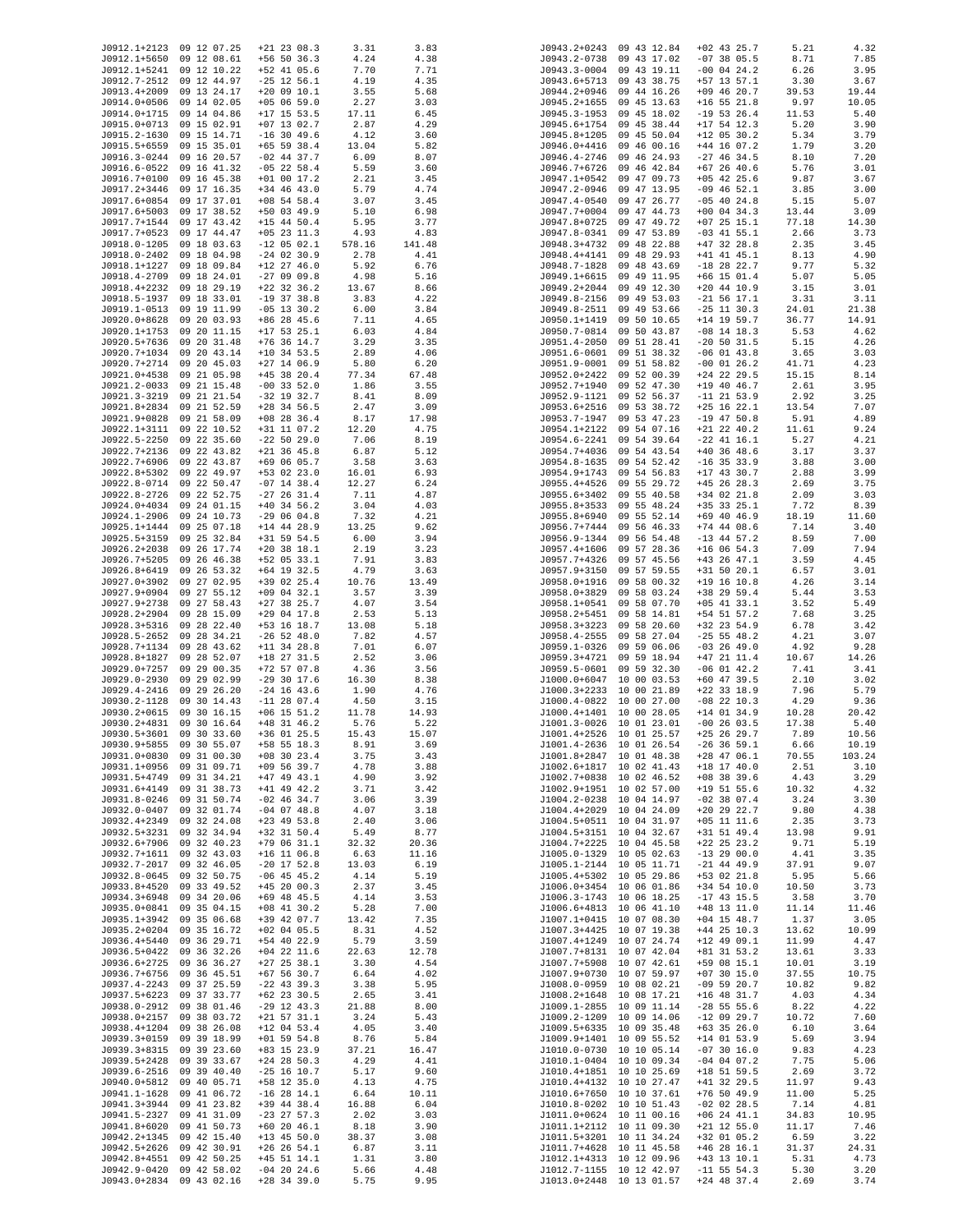| J0912.1+2123                             | 09 12 07.25                | $+21$ 23 08.3                  | 3.31          | 3.83          | J0943.2+0243                                         | 09 43 12.84                | $+02$ 43 25.7                    | 5.21           | 4.32          |
|------------------------------------------|----------------------------|--------------------------------|---------------|---------------|------------------------------------------------------|----------------------------|----------------------------------|----------------|---------------|
| J0912.1+5650                             | 09 12 08.61                | $+56$ 50 36.3                  | 4.24          | 4.38          | J0943.2-0738                                         | 09 43 17.02                | $-07$ 38 05.5                    | 8.71           | 7.85          |
| J0912.1+5241                             | 09 12 10.22                | +52 41 05.6                    | 7.70          | 7.71          | J0943.3-0004                                         | 09 43 19.11                | $-00$ 04 24.2                    | 6.26           | 3.95          |
| J0912.7-2512                             | 09 12 44.97                | $-25$ 12 56.1                  | 4.19          | 4.35          | J0943.6+5713                                         | 09 43 38.75                | $+57$ 13 57.1                    | 3.30           | 3.67          |
| J0913.4+2009                             | 09 13 24.17                | $+20$ 09 10.1                  | 3.55          | 5.68          | J0944.2+0946                                         | 09 44 16.26                | $+09$ 46 20.7                    | 39.53          | 19.44         |
| J0914.0+0506<br>J0914.0+1715             | 09 14 02.05<br>09 14 04.86 | $+05$ 06 59.0<br>$+17$ 15 53.5 | 2.27<br>17.11 | 3.03<br>6.45  | J0945.2+1655<br>J0945.3-1953                         | 09 45 13.63<br>09 45 18.02 | $+16$ 55 21.8<br>$-19$ 53 26.4   | 9.97<br>11.53  | 10.05<br>5.40 |
| J0915.0+0713                             | 09 15 02.91                | $+07$ 13 02.7                  | 2.87          | 4.29          | J0945.6+1754                                         | 09 45 38.44                | $+17$ 54 12.3                    | 5.20           | 3.90          |
| J0915.2-1630                             | 09 15 14.71                | $-16$ 30 49.6                  | 4.12          | 3.60          | J0945.8+1205                                         | 09 45 50.04                | $+12$ 05 30.2                    | 5.34           | 3.79          |
| J0915.5+6559                             | 09 15 35.01                | $+65$ 59 38.4                  | 13.04         | 5.82          | J0946.0+4416                                         | 09 46 00.16                | $+44$ 16 07.2                    | 1.79           | 3.20          |
| J0916.3-0244                             | 09 16 20.57                | $-02$ 44 37.7                  | 6.09          | 8.07          | J0946.4-2746                                         | 09 46 24.93                | $-27$ 46 34.5                    | 8.10           | 7.20          |
| J0916.6-0522                             | 09 16 41.32                | $-05$ 22 58.4                  | 5.59          | 3.60          | J0946.7+6726                                         | 09 46 42.84                | $+67$ 26 40.6                    | 5.76           | 3.01          |
| J0916.7+0100                             | 09 16 45.38                | $+01$ 00 17.2                  | 2.21          | 3.45          | J0947.1+0542                                         | 09 47 09.73                | $+05$ 42 25.6                    | 9.87           | 3.67          |
| J0917.2+3446                             | 09 17 16.35<br>09 17 37.01 | $+34$ 46 43.0                  | 5.79          | 4.74          | J0947.2-0946<br>J0947.4-0540                         | 09 47 13.95                | $-09$ 46 52.1                    | 3.85           | 3.00          |
| J0917.6+0854<br>J0917.6+5003             | 09 17 38.52                | $+08$ 54 58.4<br>+50 03 49.9   | 3.07<br>5.10  | 3.45<br>6.98  | J0947.7+0004                                         | 09 47 26.77<br>09 47 44.73 | $-05$ 40 24.8<br>$+00$ 04 34.3   | 5.15<br>13.44  | 5.07<br>3.09  |
| J0917.7+1544                             | 09 17 43.42                | $+15$ 44 50.4                  | 5.95          | 3.77          | J0947.8+0725                                         | 09 47 49.72                | $+07$ 25 15.1                    | 77.18          | 14.30         |
| J0917.7+0523                             | 09 17 44.47                | $+05$ 23 11.3                  | 4.93          | 4.83          | J0947.8-0341                                         | 09 47 53.89                | $-03$ 41 55.1                    | 2.66           | 3.73          |
| J0918.0-1205                             | 09 18 03.63                | $-12$ 05 02.1                  | 578.16        | 141.48        | J0948.3+4732                                         | 09 48 22.88                | $+47$ 32 28.8                    | 2.35           | 3.45          |
| J0918.0-2402                             | 09 18 04.98                | $-24$ 02 30.9                  | 2.78          | 4.41          | J0948.4+4141                                         | 09 48 29.93                | $+41$ 41 45.1                    | 8.13           | 4.90          |
| J0918.1+1227                             | 09 18 09.84                | $+12$ 27 46.0                  | 5.92          | 6.76          | J0948.7-1828                                         | 09 48 43.69                | $-18$ 28 22.7                    | 9.77           | 5.32          |
| J0918.4-2709                             | 09 18 24.01                | $-270909.8$                    | 4.98          | 5.16          | J0949.1+6615                                         | 09 49 11.95                | $+66$ 15 01.4                    | 5.07           | 5.05          |
| J0918.4+2232<br>J0918.5-1937             | 09 18 29.19<br>09 18 33.01 | $+22$ 32 36.2<br>$-19$ 37 38.8 | 13.67<br>3.83 | 8.66<br>4.22  | J0949.2+2044<br>J0949.8-2156                         | 09 49 12.30<br>09 49 53.03 | $+20$ 44 10.9<br>$-21$ 56 17.1   | 3.15<br>3.31   | 3.01          |
| J0919.1-0513                             | 09 19 11.99                | $-05$ 13 30.2                  | 6.00          | 3.84          | J0949.8-2511                                         | 09 49 53.66                | $-25$ 11 30.3                    | 24.01          | 3.11<br>21.38 |
| J0920.0+8628                             | 09 20 03.93                | +86 28 45.6                    | 7.11          | 4.65          | J0950.1+1419                                         | 09 50 10.65                | $+14$ 19 59.7                    | 36.77          | 14.91         |
| J0920.1+1753                             | 09 20 11.15                | $+17$ 53 25.1                  | 6.03          | 4.84          | J0950.7-0814                                         | 09 50 43.87                | $-08$ 14 18.3                    | 5.53           | 4.62          |
| J0920.5+7636                             | 09 20 31.48                | $+76$ 36 14.7                  | 3.29          | 3.35          | J0951.4-2050                                         | 09 51 28.41                | $-20$ 50 31.5                    | 5.15           | 4.26          |
| J0920.7+1034                             | 09 20 43.14                | $+10$ 34 53.5                  | 2.89          | 4.06          | J0951.6-0601                                         | 09 51 38.32                | $-06$ 01 43.8                    | 3.65           | 3.03          |
| J0920.7+2714                             | 09 20 45.03                | $+27$ 14 06.9                  | 5.80          | 6.20          | J0951.9-0001                                         | 09 51 58.82                | $-00$ 01 26.2                    | 41.71          | 4.23          |
| J0921.0+4538                             | 09 21 05.98                | $+45$ 38 20.4                  | 77.34         | 67.48         | J0952.0+2422                                         | 09 52 00.39                | $+24$ 22 29.5                    | 15.15          | 8.14          |
| J0921.2-0033<br>J0921.3-3219             | 09 21 15.48<br>09 21 21.54 | $-00$ 33 52.0<br>$-32$ 19 32.7 | 1.86<br>8.41  | 3.55<br>8.09  | J0952.7+1940<br>J0952.9-1121                         | 09 52 47.30<br>09 52 56.37 | $+19$ 40 46.7<br>$-11$ 21 53.9   | 2.61<br>2.92   | 3.95<br>3.25  |
| J0921.8+2834                             | 09 21 52.59                | $+28$ 34 56.5                  | 2.47          | 3.09          | J0953.6+2516                                         | 09 53 38.72                | $+25$ 16 22.1                    | 13.54          | 7.07          |
| J0921.9+0828                             | 09 21 58.09                | $+08$ 28 36.4                  | 8.17          | 17.98         | J0953.7-1947                                         | 09 53 47.23                | $-19$ 47 50.8                    | 5.91           | 4.89          |
| J0922.1+3111                             | 09 22 10.52                | +31 11 07.2                    | 12.20         | 4.75          | J0954.1+2122                                         | 09 54 07.16                | $+21$ 22 40.2                    | 11.61          | 9.24          |
| J0922.5-2250                             | 09 22 35.60                | $-22$ 50 29.0                  | 7.06          | 8.19          | J0954.6-2241                                         | 09 54 39.64                | $-22$ 41 16.1                    | 5.27           | 4.21          |
| J0922.7+2136                             | 09 22 43.82                | $+21$ 36 45.8                  | 6.87          | 5.12          | J0954.7+4036                                         | 09 54 43.54                | $+40$ 36 48.6                    | 3.17           | 3.37          |
| J0922.7+6906                             | 09 22 43.87                | +69 06 05.7                    | 3.58          | 3.63          | J0954.8-1635                                         | 09 54 52.42                | $-16$ 35 33.9                    | 3.88           | 3.00          |
| J0922.8+5302                             | 09 22 49.97                | +53 02 23.0                    | 16.01         | 6.93          | J0954.9+1743                                         | 09 54 56.83                | $+17$ 43 30.7                    | 2.88           | 3.99          |
| J0922.8-0714<br>J0922.8-2726             | 09 22 50.47<br>09 22 52.75 | $-07$ 14 38.4<br>$-27$ 26 31.4 | 12.27<br>7.11 | 6.24<br>4.87  | J0955.4+4526<br>J0955.6+3402                         | 09 55 29.72<br>09 55 40.58 | $+45$ 26 28.3<br>$+34$ 02 21.8   | 2.69<br>2.09   | 3.75<br>3.03  |
| J0924.0+4034                             | 09 24 01.15                | $+40$ 34 56.2                  | 3.04          | 4.03          | J0955.8+3533                                         | 09 55 48.24                | $+35$ 33 25.1                    | 7.72           | 8.39          |
| J0924.1-2906                             | 09 24 10.73                | $-290604.8$                    | 7.32          | 4.21          | J0955.8+6940                                         | 09 55 52.14                | $+69$ 40 46.9                    | 18.19          | 11.60         |
| J0925.1+1444                             | 09 25 07.18                | $+14$ 44 28.9                  | 13.25         | 9.62          | J0956.7+7444                                         | 09 56 46.33                | $+74$ 44 08.6                    | 7.14           | 3.40          |
| J0925.5+3159                             | 09 25 32.84                | $+31$ 59 54.5                  | 6.00          | 3.94          | J0956.9-1344                                         | 09 56 54.48                | $-13$ 44 57.2                    | 8.59           | 7.00          |
| J0926.2+2038<br>J0926.7+5205             | 09 26 17.74<br>09 26 46.38 | $+20$ 38 18.1<br>+52 05 33.1   | 2.19<br>7.91  | 3.23<br>3.83  | J0957.4+1606<br>J0957.7+4326                         | 09 57 28.36<br>09 57 45.56 | $+16$ 06 54.3<br>$+43$ 26 $47.1$ | 7.09<br>3.59   | 7.94<br>4.45  |
| J0926.8+6419                             | 09 26 53.32                | $+64$ 19 32.5                  | 4.79          | 3.63          | J0957.9+3150                                         | 09 57 59.55                | $+31$ 50 20.1                    | 6.57           | 3.01          |
| J0927.0+3902                             | 09 27 02.95                | +39 02 25.4                    | 10.76         | 13.49         | J0958.0+1916                                         | 09 58 00.32                | $+19$ 16 10.8                    | 4.26           | 3.14          |
| J0927.9+0904                             | 09 27 55.12                | $+09$ 04 32.1                  | 3.57          | 3.39          | J0958.0+3829                                         | 09 58 03.24                | +38 29 59.4                      | 5.44           | 3.53          |
| J0927.9+2738                             | 09 27 58.43                | $+27$ 38 25.7                  | 4.07          | 3.54          | J0958.1+0541                                         | 09 58 07.70                | $+05$ 41 33.1                    | 3.52           | 5.49          |
| J0928.2+2904<br>J0928.3+5316             | 09 28 15.09                | $+29$ 04 17.8                  | 2.53          | 5.13          | J0958.2+5451                                         | 09 58 14.81                | +54 51 57.2                      | 7.68           | 3.25<br>3.42  |
| J0928.5-2652                             | 09 28 22.40<br>09 28 34.21 | +53 16 18.7<br>$-26$ 52 48.0   | 13.08<br>7.82 | 5.18<br>4.57  | J0958.3+3223<br>J0958.4-2555                         | 09 58 20.60<br>09 58 27.04 | +32 23 54.9<br>$-25$ 55 48.2     | 6.78<br>4.21   | 3.07          |
| J0928.7+1134                             | 09 28 43.62                | $+11$ 34 28.8                  | 7.01          | 6.07          | J0959.1-0326                                         | 09 59 06.06                | $-03$ 26 49.0                    | 4.92           | 9.28          |
| J0928.8+1827                             | 09 28 52.07                | +18 27 31.5                    | 2.52          | 3.06          | J0959.3+4721                                         | 09 59 18.94                | $+47$ 21 11.4                    | 10.67          | 14.26         |
| J0929.0+7257                             | 09 29 00.35                | $+72$ 57 07.8                  | 4.36          | 3.56          | J0959.5-0601                                         | 09 59 32.30                | $-06$ 01 42.2                    | 7.41           | 3.41          |
| J0929.0-2930                             | 09 29 02.99                | $-29$ 30 17.6                  | 16.30         | 8.38          | J1000.0+6047                                         | 10 00 03.53                | $+60$ 47 39.5                    | 2.10           | 3.02          |
| J0929.4-2416                             | 09 29 26.20                | $-24$ 16 43.6                  | 1.90          | 4.76          | J1000.3+2233                                         | 10 00 21.89                | $+22$ 33 18.9                    | 7.96           | 5.79          |
| J0930.2-1128<br>J0930.2+0615             | 09 30 14.43<br>09 30 16.15 | $-11$ 28 07.4<br>$+06$ 15 51.2 | 4.50<br>11.78 | 3.15<br>14.93 | J1000.4-0822 10 00 27.00<br>J1000.4+1401 10 00 28.05 |                            | $-08$ 22 10.3<br>$+14$ 01 34.9   | 4.29<br>10.28  | 9.36<br>20.42 |
| J0930.2+4831                             | 09 30 16.64                | $+48$ 31 46.2                  | 5.76          | 5.22          | J1001.3-0026 10 01 23.01                             |                            | $-00$ 26 03.5                    | 17.38          | 5.40          |
| J0930.5+3601                             | 09 30 33.60                | +36 01 25.5                    | 15.43         | 15.07         | J1001.4+2526 10 01 25.57                             |                            | $+25$ 26 29.7                    | 7.89           | 10.56         |
| J0930.9+5855 09 30 55.07                 |                            | $+58$ 55 18.3                  | 8.91          | 3.69          | J1001.4-2636 10 01 26.54                             |                            | $-26$ 36 59.1                    | 6.66           | 10.19         |
| J0931.0+0830                             | 09 31 00.30                | $+08$ 30 23.4                  | 3.75          | 3.43          | J1001.8+2847 10 01 48.38                             |                            | $+28$ 47 06.1                    | 70.55          | 103.24        |
| J0931.1+0956                             | 09 31 09.71                | $+09$ 56 39.7                  | 4.78          | 3.88          | J1002.6+1817 10 02 41.43                             |                            | $+18$ 17 40.0                    | 2.51           | 3.10          |
| J0931.5+4749<br>J0931.6+4149             | 09 31 34.21<br>09 31 38.73 | $+47$ 49 43.1<br>$+41$ 49 42.2 | 4.90<br>3.71  | 3.92<br>3.42  | J1002.7+0838 10 02 46.52<br>J1002.9+1951 10 02 57.00 |                            | $+08$ 38 39.6<br>$+19$ 51 55.6   | 4.43<br>10.32  | 3.29<br>4.32  |
| J0931.8-0246                             | 09 31 50.74                | $-02$ 46 34.7                  | 3.06          | 3.39          | J1004.2-0238 10 04 14.97                             |                            | $-02$ 38 07.4                    | 3.24           | 3.30          |
| J0932.0-0407                             | 09 32 01.74                | $-04$ 07 48.8                  | 4.07          | 3.18          | J1004.4+2029 10 04 24.09                             |                            | $+20$ 29 22.7                    | 9.80           | 4.38          |
| J0932.4+2349                             | 09 32 24.08                | $+23$ 49 53.8                  | 2.40          | 3.06          | J1004.5+0511 10 04 31.97                             |                            | $+05$ 11 11.6                    | 2.35           | 3.73          |
| J0932.5+3231                             | 09 32 34.94                | $+32$ 31 50.4                  | 5.49          | 8.77          | J1004.5+3151 10 04 32.67                             |                            | $+31$ 51 49.4                    | 13.98          | 9.91          |
| J0932.6+7906                             | 09 32 40.23                | $+79$ 06 31.1                  | 32.32         | 20.36         | J1004.7+2225 10 04 45.58                             |                            | $+22$ 25 23.2                    | 9.71           | 5.19          |
| J0932.7+1611<br>J0932.7-2017             | 09 32 43.03<br>09 32 46.05 | $+16$ 11 06.8<br>$-20$ 17 52.8 | 6.63<br>13.03 | 11.16<br>6.19 | J1005.0-1329 10 05 02.63<br>J1005.1-2144 10 05 11.71 |                            | $-13$ 29 00.0<br>$-21$ 44 49.9   | 4.41<br>37.91  | 3.35<br>9.07  |
| J0932.8-0645                             | 09 32 50.75                | $-06$ 45 45.2                  | 4.14          | 5.19          | J1005.4+5302 10 05 29.86                             |                            | +53 02 21.8                      | 5.95           | 5.66          |
| J0933.8+4520                             | 09 33 49.52                | $+45$ 20 00.3                  | 2.37          | 3.45          | J1006.0+3454 10 06 01.86                             |                            | $+34$ 54 10.0                    | 10.50          | 3.73          |
| J0934.3+6948                             | 09 34 20.06                | $+69$ 48 45.5                  | 4.14          | 3.53          | J1006.3-1743 10 06 18.25                             |                            | $-17$ 43 15.5                    | 3.58           | 3.70          |
| J0935.0+0841                             | 09 35 04.15                | $+08$ 41 30.2                  | 5.28          | 7.00          | J1006.6+4813 10 06 41.10                             |                            | $+48$ 13 11.0                    | 11.14          | 11.46         |
| J0935.1+3942                             | 09 35 06.68                | +39 42 07.7                    | 13.42         | 7.35          | J1007.1+0415 10 07 08.30                             |                            | $+04$ 15 48.7                    | 1.37           | 3.05          |
| J0935.2+0204<br>J0936.4+5440             | 09 35 16.72<br>09 36 29.71 | $+02$ 04 05.5<br>+54 40 22.9   | 8.31<br>5.79  | 4.52<br>3.59  | J1007.3+4425 10 07 19.38<br>J1007.4+1249 10 07 24.74 |                            | $+44$ 25 10.3<br>$+12$ 49 09.1   | 13.62<br>11.99 | 10.99<br>4.47 |
| J0936.5+0422                             | 09 36 32.26                | $+04$ 22 11.6                  | 22.63         | 12.78         | J1007.7+8131 10 07 42.04                             |                            | $+81$ 31 53.2                    | 13.61          | 3.33          |
| J0936.6+2725                             | 09 36 36.27                | $+27$ 25 38.1                  | 3.30          | 4.54          | J1007.7+5908 10 07 42.61                             |                            | +59 08 15.1                      | 10.01          | 3.19          |
| J0936.7+6756                             | 09 36 45.51                | $+67$ 56 30.7                  | 6.64          | 4.02          | J1007.9+0730 10 07 59.97                             |                            | $+07$ 30 15.0                    | 37.55          | 10.75         |
| J0937.4-2243                             | 09 37 25.59                | $-22$ 43 39.3                  | 3.38          | 5.95          | J1008.0-0959 10 08 02.21                             |                            | $-09$ 59 20.7                    | 10.82          | 9.82          |
| J0937.5+6223                             | 09 37 33.77                | $+62$ 23 30.5                  | 2.65          | 3.41          | J1008.2+1648 10 08 17.21                             |                            | $+16$ 48 31.7                    | 4.03           | 4.34          |
| J0938.0-2912 09 38 01.46<br>J0938.0+2157 | 09 38 03.72                | $-29$ 12 43.3                  | 21.88         | 8.00<br>5.43  | J1009.1-2855 10 09 11.14<br>J1009.2-1209 10 09 14.06 |                            | $-28$ 55 55.6                    | 8.22<br>10.72  | 4.22<br>7.60  |
| J0938.4+1204                             | 09 38 26.08                | $+21$ 57 31.1<br>$+12$ 04 53.4 | 3.24<br>4.05  | 3.40          | J1009.5+6335 10 09 35.48                             |                            | $-12$ 09 29.7<br>$+63$ 35 26.0   | 6.10           | 3.64          |
| J0939.3+0159                             | 09 39 18.99                | $+01$ 59 54.8                  | 8.76          | 5.84          | J1009.9+1401 10 09 55.52                             |                            | $+14$ 01 53.9                    | 5.69           | 3.94          |
| J0939.3+8315                             | 09 39 23.60                | +83 15 23.9                    | 37.21         | 16.47         | J1010.0-0730 10 10 05.14                             |                            | $-07$ 30 16.0                    | 9.83           | 4.23          |
| J0939.5+2428                             | 09 39 33.67                | $+24$ 28 50.3                  | 4.29          | 4.41          | J1010.1-0404 10 10 09.34                             |                            | $-04$ 04 07.2                    | 7.75           | 5.06          |
| J0939.6-2516 09 39 40.40                 |                            | $-25$ 16 10.7                  | 5.17          | 9.60          | J1010.4+1851 10 10 25.69                             |                            | $+18$ 51 59.5                    | 2.69           | 3.72          |
| J0940.0+5812<br>J0941.1-1628             | 09 40 05.71<br>09 41 06.72 | +58 12 35.0<br>$-16$ 28 14.1   | 4.13<br>6.64  | 4.75<br>10.11 | J1010.4+4132 10 10 27.47<br>J1010.6+7650 10 10 37.61 |                            | $+41$ 32 29.5<br>$+76$ 50 49.9   | 11.97<br>11.00 | 9.43<br>5.25  |
| J0941.3+3944 09 41 23.82                 |                            | +39 44 38.4                    | 16.88         | 6.04          | J1010.8-0202 10 10 51.43                             |                            | $-02$ 02 28.5                    | 7.14           | 4.81          |
| J0941.5-2327                             | 09 41 31.09                | $-23$ 27 57.3                  | 2.02          | 3.03          | J1011.0+0624 10 11 00.16                             |                            | $+06$ 24 41.1                    | 34.83          | 10.95         |
| J0941.8+6020                             | 09 41 50.73                | $+60$ 20 46.1                  | 8.18          | 3.90          | J1011.1+2112 10 11 09.30                             |                            | $+21$ 12 55.0                    | 11.17          | 7.46          |
| J0942.2+1345                             | 09 42 15.40                | $+13$ 45 50.0                  | 38.37         | 3.08          | J1011.5+3201 10 11 34.24                             |                            | +32 01 05.2                      | 6.59           | 3.22          |
| J0942.5+2626<br>J0942.8+4551             | 09 42 30.91<br>09 42 50.25 | $+26$ 26 54.1<br>$+45$ 51 14.1 | 6.87<br>1.31  | 3.11<br>3.80  | J1011.7+4628 10 11 45.58<br>J1012.1+4313 10 12 09.96 |                            | $+46$ 28 16.1<br>+43 13 10.1     | 31.37<br>5.31  | 24.31<br>4.73 |
| J0942.9-0420                             | 09 42 58.02                | $-04$ 20 24.6                  | 5.66          | 4.48          | J1012.7-1155 10 12 42.97                             |                            | $-11$ 55 54.3                    | 5.30           | 3.20          |
| J0943.0+2834 09 43 02.16                 |                            | +28 34 39.0                    | 5.75          | 9.95          | J1013.0+2448 10 13 01.57                             |                            | $+24$ 48 37.4                    | 2.69           | 3.74          |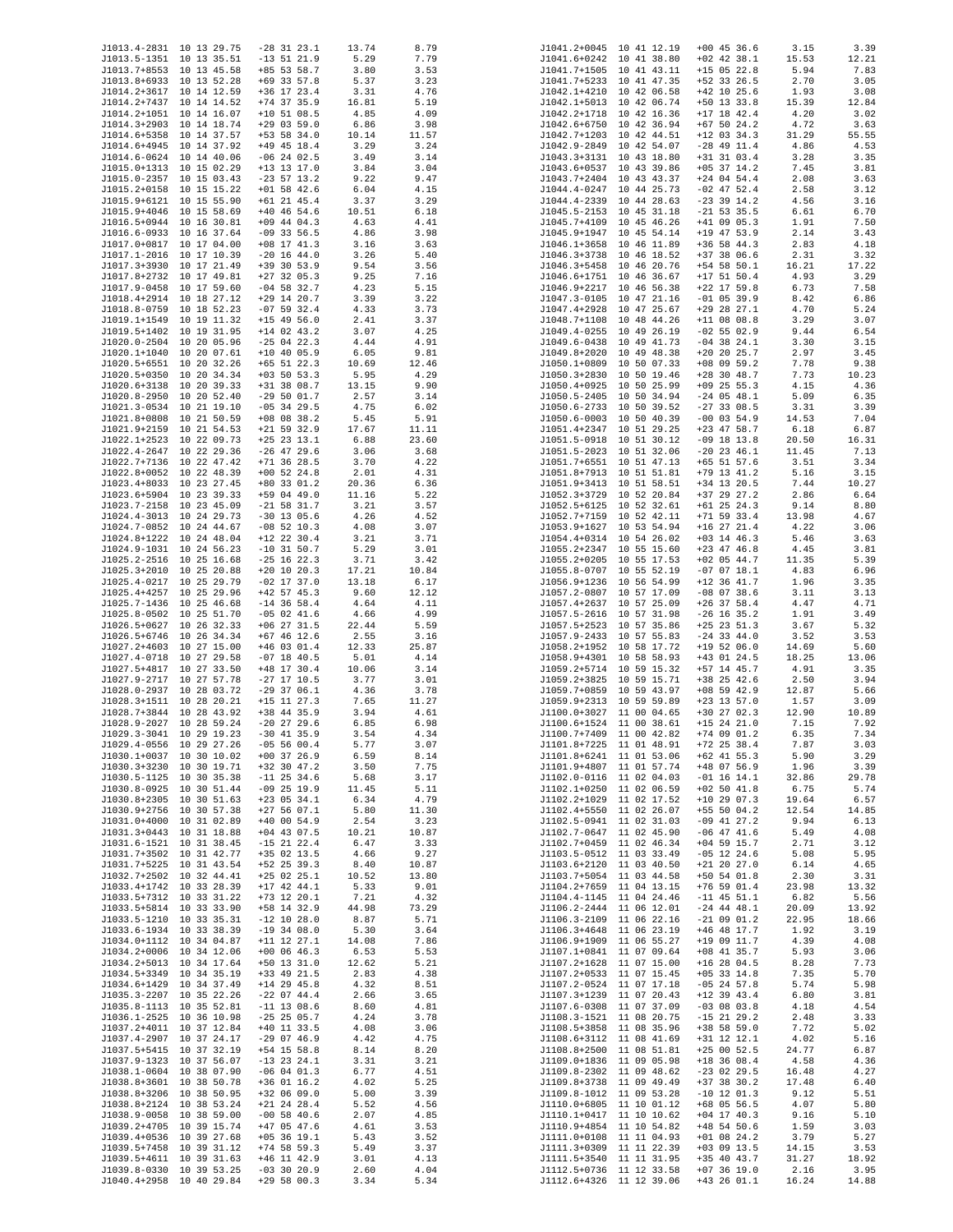| J1013.4-2831 10 13 29.75 |             | $-28$ 31 23.1 | 13.74 | 8.79  |              | J1041.2+0045 10 41 12.19 | $+00$ 45 36.6 | 3.15  | 3.39  |
|--------------------------|-------------|---------------|-------|-------|--------------|--------------------------|---------------|-------|-------|
| J1013.5-1351 10 13 35.51 |             | $-13$ 51 21.9 | 5.29  | 7.79  |              | J1041.6+0242 10 41 38.80 | $+02$ 42 38.1 | 15.53 | 12.21 |
| J1013.7+8553 10 13 45.58 |             | +85 53 58.7   | 3.80  | 3.53  |              | J1041.7+1505 10 41 43.11 | $+15$ 05 22.8 | 5.94  | 7.83  |
| J1013.8+6933 10 13 52.28 |             | $+69$ 33 57.8 | 5.37  | 3.23  |              | J1041.7+5233 10 41 47.35 | +52 33 26.5   | 2.70  | 3.05  |
| J1014.2+3617 10 14 12.59 |             | $+36$ 17 23.4 | 3.31  | 4.76  |              | J1042.1+4210 10 42 06.58 | $+42$ 10 25.6 | 1.93  | 3.08  |
| J1014.2+7437 10 14 14.52 |             | $+74$ 37 35.9 | 16.81 | 5.19  |              | J1042.1+5013 10 42 06.74 | +50 13 33.8   | 15.39 | 12.84 |
|                          |             |               |       |       |              |                          |               |       |       |
| J1014.2+1051 10 14 16.07 |             | $+10$ 51 08.5 | 4.85  | 4.09  |              | J1042.2+1718 10 42 16.36 | $+17$ 18 42.4 | 4.20  | 3.02  |
| J1014.3+2903 10 14 18.74 |             | $+29$ 03 59.0 | 6.86  | 3.98  |              | J1042.6+6750 10 42 36.94 | $+67$ 50 24.2 | 4.72  | 3.63  |
| J1014.6+5358 10 14 37.57 |             | $+53$ 58 34.0 | 10.14 | 11.57 |              | J1042.7+1203 10 42 44.51 | $+12$ 03 34.3 | 31.29 | 55.55 |
| J1014.6+4945 10 14 37.92 |             | $+49$ 45 18.4 | 3.29  | 3.24  |              | J1042.9-2849 10 42 54.07 | $-28$ 49 11.4 | 4.86  | 4.53  |
| J1014.6-0624 10 14 40.06 |             | $-06$ 24 02.5 | 3.49  | 3.14  |              | J1043.3+3131 10 43 18.80 | $+31$ 31 03.4 | 3.28  | 3.35  |
|                          |             |               |       |       |              |                          |               |       |       |
| J1015.0+1313 10 15 02.29 |             | +13 13 17.0   | 3.84  | 3.04  |              | J1043.6+0537 10 43 39.86 | $+05$ 37 14.2 | 7.45  | 3.81  |
| J1015.0-2357 10 15 03.43 |             | $-23$ 57 13.2 | 9.22  | 9.47  |              | J1043.7+2404 10 43 43.37 | $+24$ 04 54.4 | 2.08  | 3.63  |
| J1015.2+0158 10 15 15.22 |             | $+01$ 58 42.6 | 6.04  | 4.15  |              | J1044.4-0247 10 44 25.73 | $-02$ 47 52.4 | 2.58  | 3.12  |
| J1015.9+6121 10 15 55.90 |             | $+61$ 21 45.4 | 3.37  | 3.29  |              | J1044.4-2339 10 44 28.63 | $-23$ 39 14.2 | 4.56  | 3.16  |
|                          |             |               | 10.51 |       |              |                          |               |       |       |
| J1015.9+4046 10 15 58.69 |             | $+40$ 46 54.6 |       | 6.18  |              | J1045.5-2153 10 45 31.18 | $-21$ 53 35.5 | 6.61  | 6.70  |
| J1016.5+0944 10 16 30.81 |             | $+09$ 44 04.3 | 4.63  | 4.41  |              | J1045.7+4109 10 45 46.26 | $+41$ 09 05.3 | 1.91  | 7.50  |
| J1016.6-0933 10 16 37.64 |             | $-09$ 33 56.5 | 4.86  | 3.98  |              | J1045.9+1947 10 45 54.14 | +19 47 53.9   | 2.14  | 3.43  |
| J1017.0+0817 10 17 04.00 |             | $+08$ 17 41.3 | 3.16  | 3.63  |              | J1046.1+3658 10 46 11.89 | $+36$ 58 44.3 | 2.83  | 4.18  |
| J1017.1-2016 10 17 10.39 |             | $-20$ 16 44.0 | 3.26  | 5.40  |              | J1046.3+3738 10 46 18.52 | $+37$ 38 06.6 | 2.31  | 3.32  |
|                          |             |               |       |       |              |                          |               |       |       |
| J1017.3+3930 10 17 21.49 |             | $+39$ 30 53.9 | 9.54  | 3.56  |              | J1046.3+5458 10 46 20.76 | $+54$ 58 50.1 | 16.21 | 17.22 |
| J1017.8+2732 10 17 49.81 |             | $+27$ 32 05.3 | 9.25  | 7.16  |              | J1046.6+1751 10 46 36.67 | $+17$ 51 50.4 | 4.93  | 3.29  |
| J1017.9-0458 10 17 59.60 |             | $-04$ 58 32.7 | 4.23  | 5.15  |              | J1046.9+2217 10 46 56.38 | $+22$ 17 59.8 | 6.73  | 7.58  |
| J1018.4+2914 10 18 27.12 |             | +29 14 20.7   | 3.39  | 3.22  |              | J1047.3-0105 10 47 21.16 | $-01$ 05 39.9 | 8.42  | 6.86  |
| J1018.8-0759 10 18 52.23 |             | $-07$ 59 32.4 | 4.33  | 3.73  | J1047.4+2928 | 10 47 25.67              | +29 28 27.1   | 4.70  | 5.24  |
|                          |             |               |       |       |              |                          |               |       |       |
| J1019.1+1549 10 19 11.32 |             | $+15$ 49 56.0 | 2.41  | 3.37  |              | J1048.7+1108 10 48 44.26 | $+11$ 08 08.8 | 3.29  | 3.07  |
| J1019.5+1402 10 19 31.95 |             | $+14$ 02 43.2 | 3.07  | 4.25  |              | J1049.4-0255 10 49 26.19 | $-02$ 55 02.9 | 9.44  | 6.54  |
| J1020.0-2504 10 20 05.96 |             | $-25$ 04 22.3 | 4.44  | 4.91  |              | J1049.6-0438 10 49 41.73 | $-04$ 38 24.1 | 3.30  | 3.15  |
| J1020.1+1040 10 20 07.61 |             | $+10$ 40 05.9 | 6.05  | 9.81  | J1049.8+2020 | 10 49 48.38              | $+20$ 20 25.7 | 2.97  | 3.45  |
|                          |             |               |       |       |              |                          |               |       |       |
| J1020.5+6551 10 20 32.26 |             | $+65$ 51 22.3 | 10.69 | 12.46 | J1050.1+0809 | 10 50 07.33              | $+08$ 09 59.2 | 7.78  | 9.38  |
| J1020.5+0350 10 20 34.34 |             | $+03$ 50 53.3 | 5.95  | 4.29  | J1050.3+2830 | 10 50 19.46              | $+28$ 30 48.7 | 7.73  | 10.23 |
| J1020.6+3138 10 20 39.33 |             | +31 38 08.7   | 13.15 | 9.90  |              | J1050.4+0925 10 50 25.99 | $+09$ 25 55.3 | 4.15  | 4.36  |
| J1020.8-2950 10 20 52.40 |             | $-295001.7$   | 2.57  | 3.14  |              | J1050.5-2405 10 50 34.94 | $-24$ 05 48.1 | 5.09  | 6.35  |
| J1021.3-0534 10 21 19.10 |             | $-05$ 34 29.5 | 4.75  | 6.02  |              | J1050.6-2733 10 50 39.52 | $-27$ 33 08.5 | 3.31  | 3.39  |
|                          |             |               |       |       |              |                          |               |       |       |
| J1021.8+0808 10 21 50.59 |             | $+08$ 08 38.2 | 5.45  | 5.91  |              | J1050.6-0003 10 50 40.39 | $-00$ 03 54.9 | 14.53 | 7.04  |
| J1021.9+2159 10 21 54.53 |             | $+21$ 59 32.9 | 17.67 | 11.11 | J1051.4+2347 | 10 51 29.25              | $+23$ 47 58.7 | 6.18  | 6.87  |
| J1022.1+2523 10 22 09.73 |             | $+25$ 23 13.1 | 6.88  | 23.60 |              | J1051.5-0918 10 51 30.12 | $-09$ 18 13.8 | 20.50 | 16.31 |
| J1022.4-2647 10 22 29.36 |             | $-26$ 47 29.6 | 3.06  | 3.68  |              | J1051.5-2023 10 51 32.06 | $-20$ 23 46.1 | 11.45 | 7.13  |
| J1022.7+7136 10 22 47.42 |             | $+71$ 36 28.5 | 3.70  | 4.22  |              | J1051.7+6551 10 51 47.13 | $+65$ 51 57.6 | 3.51  | 3.34  |
| J1022.8+0052 10 22 48.39 |             |               |       |       |              | J1051.8+7913 10 51 51.81 |               |       |       |
|                          |             | $+00$ 52 24.8 | 2.01  | 4.31  |              |                          | $+79$ 13 41.2 | 5.16  | 3.15  |
| J1023.4+8033 10 23 27.45 |             | +80 33 01.2   | 20.36 | 6.36  |              | J1051.9+3413 10 51 58.51 | +34 13 20.5   | 7.44  | 10.27 |
| J1023.6+5904 10 23 39.33 |             | +59 04 49.0   | 11.16 | 5.22  | J1052.3+3729 | 10 52 20.84              | +37 29 27.2   | 2.86  | 6.64  |
| J1023.7-2158 10 23 45.09 |             | $-21$ 58 31.7 | 3.21  | 3.57  |              | J1052.5+6125 10 52 32.61 | $+61$ 25 24.3 | 9.14  | 8.80  |
| J1024.4-3013 10 24 29.73 |             | $-30$ 13 05.6 | 4.26  | 4.52  |              | J1052.7+7159 10 52 42.11 | $+71$ 59 33.4 | 13.98 | 4.67  |
|                          |             |               |       |       |              |                          |               |       |       |
| J1024.7-0852 10 24 44.67 |             | $-08$ 52 10.3 | 4.08  | 3.07  |              | J1053.9+1627 10 53 54.94 | $+16$ 27 21.4 | 4.22  | 3.06  |
| J1024.8+1222 10 24 48.04 |             | $+12$ 22 30.4 | 3.21  | 3.71  |              | J1054.4+0314 10 54 26.02 | $+03$ 14 46.3 | 5.46  | 3.63  |
| J1024.9-1031 10 24 56.23 |             | $-10$ 31 50.7 | 5.29  | 3.01  |              | J1055.2+2347 10 55 15.60 | $+23$ 47 46.8 | 4.45  | 3.81  |
| J1025.2-2516 10 25 16.68 |             | $-25$ 16 22.3 | 3.71  | 3.42  |              | J1055.2+0205 10 55 17.53 | $+02$ 05 44.7 | 11.35 | 5.39  |
| J1025.3+2010 10 25 20.88 |             | $+20$ 10 20.3 | 17.21 | 10.84 |              | J1055.8-0707 10 55 52.19 | $-07$ 07 18.1 | 4.83  | 6.96  |
|                          |             |               |       |       |              |                          |               |       |       |
| J1025.4-0217 10 25 29.79 |             | $-02$ 17 37.0 | 13.18 | 6.17  |              | J1056.9+1236 10 56 54.99 | $+12$ 36 41.7 | 1.96  | 3.35  |
| J1025.4+4257 10 25 29.96 |             | $+42$ 57 45.3 | 9.60  | 12.12 |              | J1057.2-0807 10 57 17.09 | $-08$ 07 38.6 | 3.11  | 3.13  |
| J1025.7-1436 10 25 46.68 |             | $-14$ 36 58.4 | 4.64  | 4.11  |              | J1057.4+2637 10 57 25.09 | $+26$ 37 58.4 | 4.47  | 4.71  |
| J1025.8-0502 10 25 51.70 |             | $-05$ 02 41.6 | 4.66  | 4.99  |              | J1057.5-2616 10 57 31.98 | $-26$ 16 35.2 | 1.91  | 3.49  |
| J1026.5+0627 10 26 32.33 |             | $+06$ 27 31.5 | 22.44 | 5.59  | J1057.5+2523 | 10 57 35.86              | $+25$ 23 51.3 | 3.67  | 5.32  |
| J1026.5+6746 10 26 34.34 |             |               |       |       |              |                          | $-24$ 33 44.0 |       |       |
|                          |             | $+67$ 46 12.6 | 2.55  | 3.16  |              | J1057.9-2433 10 57 55.83 |               | 3.52  | 3.53  |
| J1027.2+4603 10 27 15.00 |             | $+46$ 03 01.4 | 12.33 | 25.87 |              | J1058.2+1952 10 58 17.72 | $+19$ 52 06.0 | 14.69 | 5.60  |
| J1027.4-0718 10 27 29.58 |             | $-07$ 18 40.5 | 5.01  | 4.14  |              | J1058.9+4301 10 58 58.93 | $+43$ 01 24.5 | 18.25 | 13.06 |
| J1027.5+4817 10 27 33.50 |             | +48 17 30.4   | 10.06 | 3.14  |              | J1059.2+5714 10 59 15.32 | +57 14 45.7   | 4.91  | 3.35  |
| J1027.9-2717 10 27 57.78 |             | $-27$ 17 10.5 | 3.77  | 3.01  | J1059.2+3825 | 10 59 15.71              | +38 25 42.6   | 2.50  | 3.94  |
|                          |             |               |       |       |              |                          |               |       |       |
| J1028.0-2937 10 28 03.72 |             | $-29$ 37 06.1 | 4.36  | 3.78  | J1059.7+0859 | 10 59 43.97              | $+08$ 59 42.9 | 12.87 | 5.66  |
| J1028.3+1511 10 28 20.21 |             | $+15$ 11 27.3 | 7.65  | 11.27 | J1059.9+2313 | 10 59 59.89              | $+23$ 13 57.0 | 1.57  | 3.09  |
| J1028.7+3844 10 28 43.92 |             | $+38$ 44 35.9 | 3.94  | 4.61  |              | J1100.0+3027 11 00 04.65 | $+30$ 27 02.3 | 12.90 | 10.89 |
| J1028.9-2027 10 28 59.24 |             | $-20$ 27 29.6 | 6.85  | 6.98  |              | J1100.6+1524 11 00 38.61 | $+15$ 24 21.0 | 7.15  | 7.92  |
| J1029.3-3041 10 29 19.23 |             |               | 3.54  | 4.34  |              | J1100.7+7409 11 00 42.82 | $+74$ 09 01.2 | 6.35  | 7.34  |
|                          |             | $-30$ 41 35.9 |       |       |              |                          |               |       |       |
| J1029.4-0556 10 29 27.26 |             | $-055600.4$   | 5.77  | 3.07  |              | J1101.8+7225 11 01 48.91 | $+72$ 25 38.4 | 7.87  | 3.03  |
| J1030.1+0037 10 30 10.02 |             | $+00$ 37 26.9 | 6.59  | 8.14  | J1101.8+6241 | 11 01 53.06              | $+62$ 41 55.3 | 5.90  | 3.29  |
| J1030.3+3230 10 30 19.71 |             | $+32$ 30 47.2 | 3.50  | 7.75  | J1101.9+4807 | 11 01 57.74              | +48 07 56.9   | 1.96  | 3.39  |
| J1030.5-1125             | 10 30 35.38 | $-11$ 25 34.6 | 5.68  | 3.17  |              | J1102.0-0116 11 02 04.03 | $-01$ 16 14.1 | 32.86 | 29.78 |
| J1030.8-0925             | 10 30 51.44 | $-09$ 25 19.9 | 11.45 | 5.11  |              | J1102.1+0250 11 02 06.59 | $+02$ 50 41.8 | 6.75  | 5.74  |
|                          |             |               |       |       |              |                          |               |       |       |
| J1030.8+2305 10 30 51.63 |             | $+23$ 05 34.1 | 6.34  | 4.79  |              | J1102.2+1029 11 02 17.52 | $+10$ 29 07.3 | 19.64 | 6.57  |
| J1030.9+2756 10 30 57.38 |             | $+27$ 56 07.1 | 5.80  | 11.30 |              | J1102.4+5550 11 02 26.07 | +55 50 04.2   | 12.54 | 14.85 |
| J1031.0+4000 10 31 02.89 |             | $+40$ 00 54.9 | 2.54  | 3.23  | J1102.5-0941 | 11 02 31.03              | $-09$ 41 27.2 | 9.94  | 6.13  |
| J1031.3+0443 10 31 18.88 |             | $+04$ 43 07.5 | 10.21 | 10.87 | J1102.7-0647 | 11 02 45.90              | $-06$ 47 41.6 | 5.49  | 4.08  |
| J1031.6-1521 10 31 38.45 |             | $-15$ 21 22.4 | 6.47  | 3.33  |              | J1102.7+0459 11 02 46.34 | $+04$ 59 15.7 | 2.71  | 3.12  |
| J1031.7+3502 10 31 42.77 |             | $+35$ 02 13.5 | 4.66  | 9.27  |              | J1103.5-0512 11 03 33.49 | $-05$ 12 24.6 | 5.08  | 5.95  |
|                          |             |               |       |       |              |                          |               |       |       |
| J1031.7+5225 10 31 43.54 |             | +52 25 39.3   | 8.40  | 10.87 |              | J1103.6+2120 11 03 40.50 | $+21$ 20 27.0 | 6.14  | 4.65  |
| J1032.7+2502 10 32 44.41 |             | $+25$ 02 25.1 | 10.52 | 13.80 |              | J1103.7+5054 11 03 44.58 | $+50$ 54 01.8 | 2.30  | 3.31  |
| J1033.4+1742 10 33 28.39 |             | $+17$ 42 44.1 | 5.33  | 9.01  |              | J1104.2+7659 11 04 13.15 | $+76$ 59 01.4 | 23.98 | 13.32 |
| J1033.5+7312 10 33 31.22 |             | $+73$ 12 20.1 | 7.21  | 4.32  |              | J1104.4-1145 11 04 24.46 | $-11$ 45 51.1 | 6.82  | 5.56  |
| J1033.5+5814 10 33 33.90 |             | +58 14 32.9   | 44.98 | 73.29 |              | J1106.2-2444 11 06 12.01 | $-24$ 44 48.1 | 20.09 | 13.92 |
|                          |             |               |       |       |              |                          |               |       |       |
| J1033.5-1210 10 33 35.31 |             | $-12$ 10 28.0 | 8.87  | 5.71  |              | J1106.3-2109 11 06 22.16 | $-21$ 09 01.2 | 22.95 | 18.66 |
| J1033.6-1934 10 33 38.39 |             | $-19$ 34 08.0 | 5.30  | 3.64  |              | J1106.3+4648 11 06 23.19 | +46 48 17.7   | 1.92  | 3.19  |
| J1034.0+1112 10 34 04.87 |             | $+11$ 12 27.1 | 14.08 | 7.86  |              | J1106.9+1909 11 06 55.27 | +19 09 11.7   | 4.39  | 4.08  |
| J1034.2+0006 10 34 12.06 |             | $+00$ 06 46.3 | 6.53  | 5.53  |              | J1107.1+0841 11 07 09.64 | $+08$ 41 35.7 | 5.93  | 3.06  |
| J1034.2+5013 10 34 17.64 |             | $+50$ 13 31.0 | 12.62 | 5.21  |              | J1107.2+1628 11 07 15.00 | $+16$ 28 04.5 | 8.28  | 7.73  |
|                          |             |               |       |       |              |                          |               |       |       |
| J1034.5+3349 10 34 35.19 |             | +33 49 21.5   | 2.83  | 4.38  |              | J1107.2+0533 11 07 15.45 | $+05$ 33 14.8 | 7.35  | 5.70  |
| J1034.6+1429 10 34 37.49 |             | $+14$ 29 45.8 | 4.32  | 8.51  |              | J1107.2-0524 11 07 17.18 | $-05$ 24 57.8 | 5.74  | 5.98  |
| J1035.3-2207 10 35 22.26 |             | $-22$ 07 44.4 | 2.66  | 3.65  |              | J1107.3+1239 11 07 20.43 | $+12$ 39 43.4 | 6.80  | 3.81  |
| J1035.8-1113 10 35 52.81 |             | $-11$ 13 08.6 | 8.60  | 4.81  |              | J1107.6-0308 11 07 37.09 | $-03$ 08 03.8 | 4.18  | 4.54  |
| J1036.1-2525 10 36 10.98 |             | $-25$ 25 05.7 | 4.24  | 3.78  |              | J1108.3-1521 11 08 20.75 | $-15$ 21 29.2 | 2.48  | 3.33  |
|                          |             |               |       |       |              |                          |               |       |       |
| J1037.2+4011 10 37 12.84 |             | $+40$ 11 33.5 | 4.08  | 3.06  |              | J1108.5+3858 11 08 35.96 | +38 58 59.0   | 7.72  | 5.02  |
| J1037.4-2907 10 37 24.17 |             | $-290746.9$   | 4.42  | 4.75  |              | J1108.6+3112 11 08 41.69 | $+31$ 12 12.1 | 4.02  | 5.16  |
| J1037.5+5415 10 37 32.19 |             | $+54$ 15 58.8 | 8.14  | 8.20  |              | J1108.8+2500 11 08 51.81 | $+25$ 00 52.5 | 24.77 | 6.87  |
| J1037.9-1323 10 37 56.07 |             | $-13$ 23 24.1 | 3.31  | 3.21  |              | J1109.0+1836 11 09 05.98 | $+18$ 36 08.4 | 4.58  | 4.36  |
|                          |             |               |       |       |              | J1109.8-2302 11 09 48.62 |               |       |       |
| J1038.1-0604 10 38 07.90 |             | $-06$ 04 01.3 | 6.77  | 4.51  |              |                          | $-23$ 02 29.5 | 16.48 | 4.27  |
| J1038.8+3601 10 38 50.78 |             | $+36$ 01 16.2 | 4.02  | 5.25  |              | J1109.8+3738 11 09 49.49 | $+37$ 38 30.2 | 17.48 | 6.40  |
| J1038.8+3206 10 38 50.95 |             | $+32$ 06 09.0 | 5.00  | 3.39  |              | J1109.8-1012 11 09 53.28 | $-10$ 12 01.3 | 9.12  | 5.51  |
| J1038.8+2124 10 38 53.24 |             | $+21$ 24 28.4 | 5.52  | 4.56  |              | J1110.0+6805 11 10 01.12 | +68 05 56.5   | 4.07  | 5.80  |
| J1038.9-0058 10 38 59.00 |             | $-00$ 58 40.6 | 2.07  | 4.85  |              | J1110.1+0417 11 10 10.62 | $+04$ 17 40.3 | 9.16  | 5.10  |
|                          |             |               |       |       |              |                          |               |       |       |
| J1039.2+4705 10 39 15.74 |             | $+47$ 05 47.6 | 4.61  | 3.53  |              | J1110.9+4854 11 10 54.82 | $+48$ 54 50.6 | 1.59  | 3.03  |
| J1039.4+0536 10 39 27.68 |             | $+05$ 36 19.1 | 5.43  | 3.52  |              | J1111.0+0108 11 11 04.93 | $+01$ 08 24.2 | 3.79  | 5.27  |
| J1039.5+7458 10 39 31.12 |             | $+74$ 58 59.3 | 5.49  | 3.37  |              | J1111.3+0309 11 11 22.39 | $+03$ 09 13.5 | 14.15 | 3.53  |
| J1039.5+4611 10 39 31.63 |             | $+46$ 11 42.9 | 3.01  | 4.13  |              | J1111.5+3540 11 11 31.95 | +35 40 43.7   | 31.27 | 18.92 |
| J1039.8-0330 10 39 53.25 |             | $-03$ 30 20.9 | 2.60  | 4.04  |              | J1112.5+0736 11 12 33.58 | $+07$ 36 19.0 | 2.16  | 3.95  |
|                          |             |               |       |       |              |                          |               |       |       |
| J1040.4+2958 10 40 29.84 |             | $+29$ 58 00.3 | 3.34  | 5.34  |              | J1112.6+4326 11 12 39.06 | $+43$ 26 01.1 | 16.24 | 14.88 |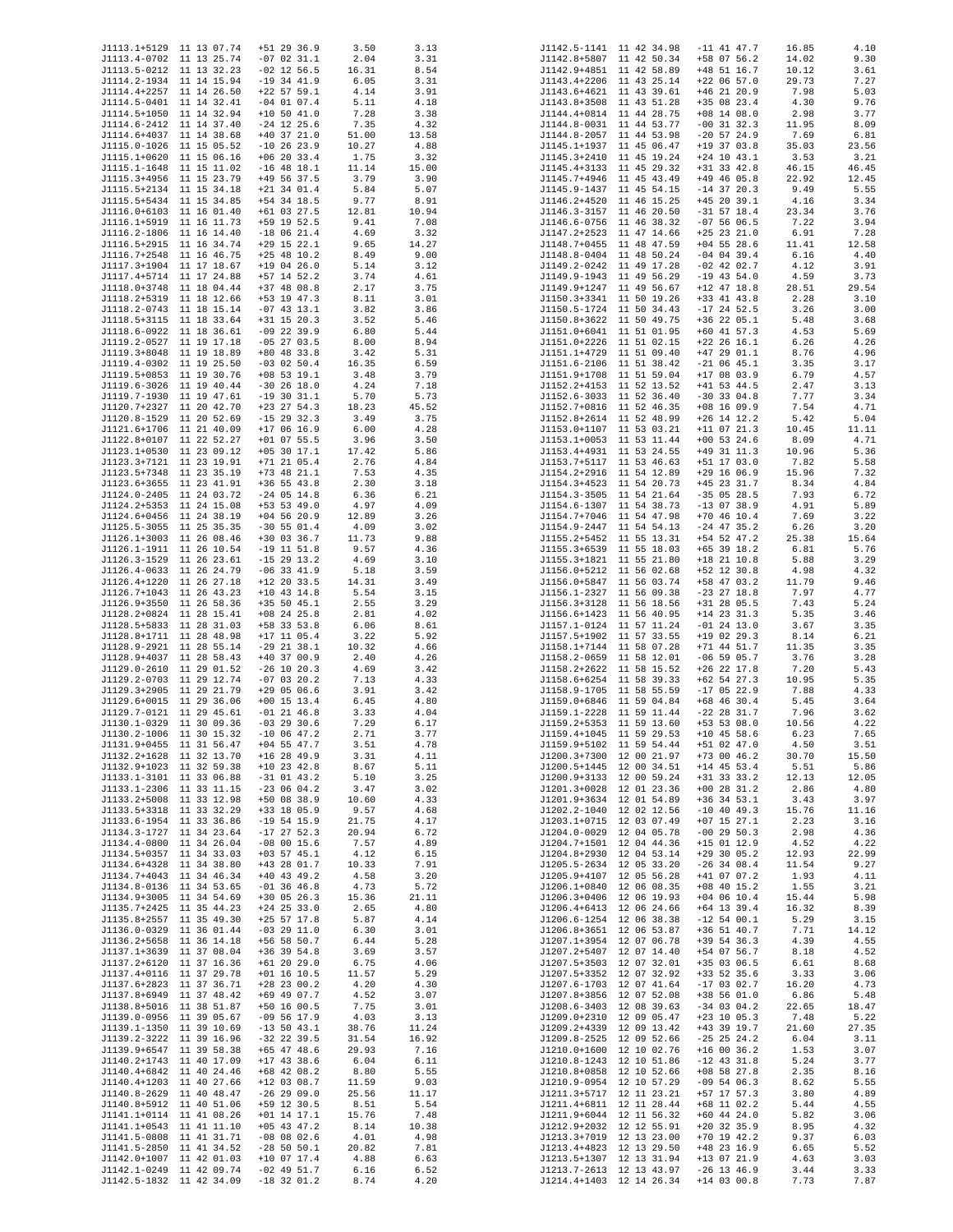| J1113.1+5129 11 13 07.74 | $+51$ 29 36.9 | 3.50  | 3.13  |  | J1142.5-1141 11 42 34.98 | $-11$ 41 47.7 | 16.85 | 4.10  |
|--------------------------|---------------|-------|-------|--|--------------------------|---------------|-------|-------|
| J1113.4-0702 11 13 25.74 | $-07$ 02 31.1 | 2.04  | 3.31  |  | J1142.8+5807 11 42 50.34 | +58 07 56.2   | 14.02 | 9.30  |
| J1113.5-0212 11 13 32.23 | $-02$ 12 56.5 | 16.31 | 8.54  |  | J1142.9+4851 11 42 58.89 | $+48$ 51 16.7 | 10.12 | 3.61  |
| J1114.2-1934 11 14 15.94 | $-19$ 34 41.9 | 6.05  | 3.31  |  | J1143.4+2206 11 43 25.14 | $+22$ 06 57.0 | 29.73 | 7.27  |
| J1114.4+2257 11 14 26.50 | $+22$ 57 59.1 | 4.14  | 3.91  |  | J1143.6+4621 11 43 39.61 | $+46$ 21 20.9 | 7.98  | 5.03  |
| J1114.5-0401 11 14 32.41 | $-04$ 01 07.4 | 5.11  | 4.18  |  | J1143.8+3508 11 43 51.28 | +35 08 23.4   | 4.30  | 9.76  |
| J1114.5+1050 11 14 32.94 | $+10$ 50 41.0 | 7.28  |       |  | J1144.4+0814 11 44 28.75 | $+08$ 14 08.0 | 2.98  | 3.77  |
|                          |               |       | 3.38  |  |                          |               |       |       |
| J1114.6-2412 11 14 37.40 | $-24$ 12 25.6 | 7.35  | 4.32  |  | J1144.8-0031 11 44 53.77 | $-00$ 31 32.3 | 11.95 | 8.09  |
| J1114.6+4037 11 14 38.68 | $+40$ 37 21.0 | 51.00 | 13.58 |  | J1144.8-2057 11 44 53.98 | $-20$ 57 24.9 | 7.69  | 6.81  |
| J1115.0-1026 11 15 05.52 | $-10$ 26 23.9 | 10.27 | 4.88  |  | J1145.1+1937 11 45 06.47 | $+19$ 37 03.8 | 35.03 | 23.56 |
| J1115.1+0620 11 15 06.16 | $+06$ 20 33.4 | 1.75  | 3.32  |  | J1145.3+2410 11 45 19.24 | $+24$ 10 43.1 | 3.53  | 3.21  |
| J1115.1-1648 11 15 11.02 | $-16$ 48 18.1 | 11.14 | 15.00 |  | J1145.4+3133 11 45 29.32 | $+31$ 33 42.8 | 46.15 | 46.45 |
| J1115.3+4956 11 15 23.79 | $+49$ 56 37.5 | 3.79  | 3.90  |  | J1145.7+4946 11 45 43.49 | $+49$ 46 05.8 | 22.92 | 12.45 |
| J1115.5+2134 11 15 34.18 | $+21$ 34 01.4 | 5.84  | 5.07  |  | J1145.9-1437 11 45 54.15 | $-14$ 37 20.3 | 9.49  | 5.55  |
| J1115.5+5434 11 15 34.85 | $+54$ 34 18.5 | 9.77  | 8.91  |  | J1146.2+4520 11 46 15.25 | $+45$ 20 39.1 | 4.16  | 3.34  |
| J1116.0+6103 11 16 01.40 | $+61$ 03 27.5 | 12.81 | 10.94 |  | J1146.3-3157 11 46 20.50 | $-31$ 57 18.4 | 23.34 | 3.76  |
| J1116.1+5919 11 16 11.73 | +59 19 52.5   | 9.41  | 7.08  |  | J1146.6-0756 11 46 38.32 | $-075606.5$   | 7.22  | 3.94  |
| J1116.2-1806 11 16 14.40 | $-18$ 06 21.4 | 4.69  | 3.32  |  | J1147.2+2523 11 47 14.66 | $+25$ 23 21.0 | 6.91  | 7.28  |
|                          |               |       |       |  |                          |               |       |       |
| J1116.5+2915 11 16 34.74 | $+29$ 15 22.1 | 9.65  | 14.27 |  | J1148.7+0455 11 48 47.59 | $+04$ 55 28.6 | 11.41 | 12.58 |
| J1116.7+2548 11 16 46.75 | $+25$ 48 10.2 | 8.49  | 9.00  |  | J1148.8-0404 11 48 50.24 | $-04$ 04 39.4 | 6.16  | 4.40  |
| J1117.3+1904 11 17 18.67 | $+19$ 04 26.0 | 5.14  | 3.12  |  | J1149.2-0242 11 49 17.28 | $-02$ 42 02.7 | 4.12  | 3.91  |
| J1117.4+5714 11 17 24.88 | $+57$ 14 52.2 | 3.74  | 4.61  |  | J1149.9-1943 11 49 56.29 | $-19$ 43 54.0 | 4.59  | 3.73  |
| J1118.0+3748 11 18 04.44 | $+37$ 48 08.8 | 2.17  | 3.75  |  | J1149.9+1247 11 49 56.67 | $+12$ 47 18.8 | 28.51 | 29.54 |
| J1118.2+5319 11 18 12.66 | +53 19 47.3   | 8.11  | 3.01  |  | J1150.3+3341 11 50 19.26 | $+33$ 41 43.8 | 2.28  | 3.10  |
| J1118.2-0743 11 18 15.14 | $-07$ 43 13.1 | 3.82  | 3.86  |  | J1150.5-1724 11 50 34.43 | $-17$ 24 52.5 | 3.26  | 3.00  |
| J1118.5+3115 11 18 33.64 | $+31$ 15 20.3 | 3.52  | 5.46  |  | J1150.8+3622 11 50 49.75 | $+36$ 22 05.1 | 5.48  | 3.68  |
| J1118.6-0922 11 18 36.61 | $-09$ 22 39.9 | 6.80  | 5.44  |  | J1151.0+6041 11 51 01.95 | $+60$ 41 57.3 | 4.53  | 5.69  |
| J1119.2-0527 11 19 17.18 | $-05$ 27 03.5 | 8.00  | 8.94  |  | J1151.0+2226 11 51 02.15 | $+22$ 26 16.1 | 6.26  | 4.26  |
| J1119.3+8048 11 19 18.89 | $+80$ 48 33.8 | 3.42  | 5.31  |  | J1151.1+4729 11 51 09.40 | $+47$ 29 01.1 | 8.76  | 4.96  |
| J1119.4-0302 11 19 25.50 | $-03$ 02 50.4 | 16.35 | 6.59  |  | J1151.6-2106 11 51 38.42 | $-21$ 06 45.1 | 3.35  | 3.17  |
| J1119.5+0853 11 19 30.76 |               |       |       |  |                          | $+17$ 08 03.9 |       |       |
|                          | $+08$ 53 19.1 | 3.48  | 3.79  |  | J1151.9+1708 11 51 59.04 |               | 6.79  | 4.57  |
| J1119.6-3026 11 19 40.44 | $-30$ 26 18.0 | 4.24  | 7.18  |  | J1152.2+4153 11 52 13.52 | $+41$ 53 44.5 | 2.47  | 3.13  |
| J1119.7-1930 11 19 47.61 | $-19$ 30 31.1 | 5.70  | 5.73  |  | J1152.6-3033 11 52 36.40 | $-30$ 33 04.8 | 7.77  | 3.34  |
| J1120.7+2327 11 20 42.70 | $+23$ 27 54.3 | 18.23 | 45.52 |  | J1152.7+0816 11 52 46.35 | $+08$ 16 09.9 | 7.54  | 4.71  |
| J1120.8-1529 11 20 52.69 | $-15$ 29 32.3 | 3.49  | 3.75  |  | J1152.8+2614 11 52 48.99 | $+26$ 14 12.2 | 5.42  | 5.04  |
| J1121.6+1706 11 21 40.09 | $+17$ 06 16.9 | 6.00  | 4.28  |  | J1153.0+1107 11 53 03.21 | $+11$ 07 21.3 | 10.45 | 11.11 |
| J1122.8+0107 11 22 52.27 | $+01$ 07 55.5 | 3.96  | 3.50  |  | J1153.1+0053 11 53 11.44 | $+00$ 53 24.6 | 8.09  | 4.71  |
| J1123.1+0530 11 23 09.12 | $+05$ 30 17.1 | 17.42 | 5.86  |  | J1153.4+4931 11 53 24.55 | $+49$ 31 11.3 | 10.96 | 5.36  |
| J1123.3+7121 11 23 19.91 | $+71$ 21 05.4 | 2.76  | 4.84  |  | J1153.7+5117 11 53 46.63 | +51 17 03.0   | 7.82  | 5.58  |
| J1123.5+7348 11 23 35.19 | $+73$ 48 21.1 | 7.53  | 4.35  |  | J1154.2+2916 11 54 12.89 | $+29$ 16 06.9 | 15.96 | 7.32  |
| J1123.6+3655 11 23 41.91 | $+36$ 55 43.8 | 2.30  | 3.18  |  | J1154.3+4523 11 54 20.73 | $+45$ 23 31.7 | 8.34  | 4.84  |
| J1124.0-2405 11 24 03.72 | $-24$ 05 14.8 | 6.36  | 6.21  |  | J1154.3-3505 11 54 21.64 | $-35$ 05 28.5 | 7.93  | 6.72  |
| J1124.2+5353 11 24 15.08 | $+53$ 53 49.0 | 4.97  | 4.09  |  | J1154.6-1307 11 54 38.73 | $-13$ 07 38.9 | 4.91  | 5.89  |
| J1124.6+0456 11 24 38.19 | $+04$ 56 20.9 | 12.89 | 3.26  |  | J1154.7+7046 11 54 47.98 | $+70$ 46 10.4 | 7.69  | 3.22  |
| J1125.5-3055 11 25 35.35 | $-30$ 55 01.4 | 4.09  | 3.02  |  | J1154.9-2447 11 54 54.13 | $-24$ 47 35.2 | 6.26  | 3.20  |
| J1126.1+3003 11 26 08.46 | +30 03 36.7   | 11.73 | 9.88  |  | J1155.2+5452 11 55 13.31 | +54 52 47.2   | 25.38 | 15.64 |
| J1126.1-1911 11 26 10.54 | $-19$ 11 51.8 | 9.57  | 4.36  |  | J1155.3+6539 11 55 18.03 | $+65$ 39 18.2 | 6.81  | 5.76  |
| J1126.3-1529 11 26 23.61 | $-15$ 29 13.2 | 4.69  | 3.10  |  | J1155.3+1821 11 55 21.80 | $+18$ 21 10.8 | 5.88  | 3.29  |
|                          |               |       |       |  |                          |               |       |       |
| J1126.4-0633 11 26 24.79 | $-06$ 33 41.9 | 5.18  | 3.59  |  | J1156.0+5212 11 56 02.68 | $+52$ 12 30.8 | 4.98  | 4.32  |
| J1126.4+1220 11 26 27.18 | $+12$ 20 33.5 | 14.31 | 3.49  |  | J1156.0+5847 11 56 03.74 | +58 47 03.2   | 11.79 | 9.46  |
| J1126.7+1043 11 26 43.23 | $+10$ 43 14.8 | 5.54  | 3.15  |  | J1156.1-2327 11 56 09.38 | $-23$ 27 18.8 | 7.97  | 4.77  |
| J1126.9+3550 11 26 58.36 | $+35$ 50 45.1 | 2.55  | 3.29  |  | J1156.3+3128 11 56 18.56 | +31 28 05.5   | 7.43  | 5.24  |
| J1128.2+0824 11 28 15.41 | $+08$ 24 25.8 | 2.81  | 4.02  |  | J1156.6+1423 11 56 40.95 | $+14$ 23 31.3 | 5.35  | 3.46  |
| J1128.5+5833 11 28 31.03 | +58 33 53.8   | 6.06  | 8.61  |  | J1157.1-0124 11 57 11.24 | $-01$ 24 13.0 | 3.67  | 3.35  |
| J1128.8+1711 11 28 48.98 | $+17$ 11 05.4 | 3.22  | 5.92  |  | J1157.5+1902 11 57 33.55 | $+19$ 02 29.3 | 8.14  | 6.21  |
| J1128.9-2921 11 28 55.14 | $-29$ 21 38.1 | 10.32 | 4.66  |  | J1158.1+7144 11 58 07.28 | $+71$ 44 51.7 | 11.35 | 3.35  |
| J1128.9+4037 11 28 58.43 | $+40$ 37 00.9 | 2.40  | 4.26  |  | J1158.2-0659 11 58 12.01 | $-06$ 59 05.7 | 3.76  | 3.28  |
| J1129.0-2610 11 29 01.52 | $-26$ 10 20.3 | 4.69  | 3.42  |  | J1158.2+2622 11 58 15.52 | $+26$ 22 17.8 | 7.20  | 5.43  |
| J1129.2-0703 11 29 12.74 | $-07$ 03 20.2 | 7.13  | 4.33  |  | J1158.6+6254 11 58 39.33 | $+62$ 54 27.3 | 10.95 | 5.35  |
| J1129.3+2905 11 29 21.79 | $+29$ 05 06.6 | 3.91  | 3.42  |  | J1158.9-1705 11 58 55.59 | $-17$ 05 22.9 | 7.88  | 4.33  |
| J1129.6+0015 11 29 36.06 | $+00$ 15 13.4 | 6.45  | 4.80  |  | J1159.0+6846 11 59 04.84 | $+68$ 46 30.4 | 5.45  | 3.64  |
| J1129.7-0121 11 29 45.61 | $-01$ 21 46.8 | 3.33  | 4.04  |  | J1159.1-2228 11 59 11.44 | $-22$ 28 31.7 | 7.96  | 3.62  |
| J1130.1-0329 11 30 09.36 | $-03$ 29 30.6 | 7.29  | 6.17  |  | J1159.2+5353 11 59 13.60 | $+53$ 53 08.0 | 10.56 | 4.22  |
| J1130.2-1006 11 30 15.32 | $-10$ 06 47.2 | 2.71  | 3.77  |  | J1159.4+1045 11 59 29.53 | $+10$ 45 58.6 | 6.23  | 7.65  |
| J1131.9+0455 11 31 56.47 | $+04$ 55 47.7 | 3.51  | 4.78  |  | J1159.9+5102 11 59 54.44 | +51 02 47.0   | 4.50  | 3.51  |
| J1132.2+1628 11 32 13.70 | $+16$ 28 49.9 | 3.31  | 4.11  |  | J1200.3+7300 12 00 21.97 | $+73$ 00 46.2 | 30.70 | 15.50 |
| J1132.9+1023 11 32 59.38 | $+10$ 23 42.8 | 8.67  | 5.11  |  | J1200.5+1445 12 00 34.51 | $+14$ 45 53.4 | 5.51  | 5.86  |
| J1133.1-3101 11 33 06.88 | $-31$ 01 43.2 | 5.10  | 3.25  |  | J1200.9+3133 12 00 59.24 | $+31$ 33 33.2 | 12.13 | 12.05 |
| J1133.1-2306 11 33 11.15 | $-230604.2$   |       |       |  | J1201.3+0028 12 01 23.36 | $+00$ 28 31.2 |       |       |
|                          |               | 3.47  | 3.02  |  |                          |               | 2.86  | 4.80  |
| J1133.2+5008 11 33 12.98 | $+50$ 08 38.9 | 10.60 | 4.33  |  | J1201.9+3634 12 01 54.89 | $+36$ 34 53.1 | 3.43  | 3.97  |
| J1133.5+3318 11 33 32.29 | +33 18 05.9   | 9.57  | 4.68  |  | J1202.2-1040 12 02 12.56 | $-10$ 40 49.3 | 15.76 | 11.16 |
| J1133.6-1954 11 33 36.86 | $-19$ 54 15.9 | 21.75 | 4.17  |  | J1203.1+0715 12 03 07.49 | $+07$ 15 27.1 | 2.23  | 3.16  |
| J1134.3-1727 11 34 23.64 | $-17$ 27 52.3 | 20.94 | 6.72  |  | J1204.0-0029 12 04 05.78 | $-00$ 29 50.3 | 2.98  | 4.36  |
| J1134.4-0800 11 34 26.04 | $-08$ 00 15.6 | 7.57  | 4.89  |  | J1204.7+1501 12 04 44.36 | $+15$ 01 12.9 | 4.52  | 4.22  |
| J1134.5+0357 11 34 33.03 | $+03$ 57 45.1 | 4.12  | 6.15  |  | J1204.8+2930 12 04 53.14 | $+29$ 30 05.2 | 12.93 | 22.99 |
| J1134.6+4328 11 34 38.80 | +43 28 01.7   | 10.33 | 7.91  |  | J1205.5-2634 12 05 33.20 | $-26$ 34 08.4 | 11.54 | 9.27  |
| J1134.7+4043 11 34 46.34 | $+40$ 43 49.2 | 4.58  | 3.20  |  | J1205.9+4107 12 05 56.28 | $+41$ 07 07.2 | 1.93  | 4.11  |
| J1134.8-0136 11 34 53.65 | $-01$ 36 46.8 | 4.73  | 5.72  |  | J1206.1+0840 12 06 08.35 | $+08$ 40 15.2 | 1.55  | 3.21  |
| J1134.9+3005 11 34 54.69 | $+30$ 05 26.3 | 15.36 | 21.11 |  | J1206.3+0406 12 06 19.93 | $+04$ 06 10.4 | 15.44 | 5.98  |
| J1135.7+2425 11 35 44.23 | $+24$ 25 33.0 | 2.65  | 4.80  |  | J1206.4+6413 12 06 24.66 | $+64$ 13 39.4 | 16.32 | 8.39  |
| J1135.8+2557 11 35 49.30 | $+25$ 57 17.8 | 5.87  | 4.14  |  | J1206.6-1254 12 06 38.38 | $-12$ 54 00.1 | 5.29  | 3.15  |
| J1136.0-0329 11 36 01.44 | $-03$ 29 11.0 | 6.30  | 3.01  |  | J1206.8+3651 12 06 53.87 | $+36$ 51 40.7 | 7.71  | 14.12 |
| J1136.2+5658 11 36 14.18 | $+56$ 58 50.7 | 6.44  | 5.28  |  | J1207.1+3954 12 07 06.78 | $+39$ 54 36.3 | 4.39  | 4.55  |
| J1137.1+3639 11 37 08.04 | $+36$ 39 54.8 | 3.69  | 3.57  |  | J1207.2+5407 12 07 14.40 | +54 07 56.7   | 8.18  | 4.52  |
| J1137.2+6120 11 37 16.36 | $+61$ 20 29.0 | 6.75  | 4.06  |  | J1207.5+3503 12 07 32.01 | +35 03 06.5   | 6.61  | 8.68  |
| J1137.4+0116 11 37 29.78 | $+01$ 16 10.5 | 11.57 | 5.29  |  | J1207.5+3352 12 07 32.92 | $+33$ 52 35.6 | 3.33  | 3.06  |
| J1137.6+2823 11 37 36.71 | $+28$ 23 00.2 | 4.20  | 4.30  |  | J1207.6-1703 12 07 41.64 | $-17$ 03 02.7 | 16.20 | 4.73  |
| J1137.8+6949 11 37 48.42 | +69 49 07.7   | 4.52  | 3.07  |  | J1207.8+3856 12 07 52.08 | $+38$ 56 01.0 | 6.86  | 5.48  |
| J1138.8+5016 11 38 51.87 | $+50$ 16 00.5 | 7.75  | 3.01  |  | J1208.6-3403 12 08 39.63 | $-34$ 03 04.2 | 22.65 | 18.47 |
| J1139.0-0956 11 39 05.67 | $-09$ 56 17.9 | 4.03  | 3.13  |  | J1209.0+2310 12 09 05.47 | $+23$ 10 05.3 | 7.48  | 5.22  |
| J1139.1-1350 11 39 10.69 | $-13$ 50 43.1 | 38.76 | 11.24 |  | J1209.2+4339 12 09 13.42 | $+43$ 39 19.7 | 21.60 | 27.35 |
| J1139.2-3222 11 39 16.96 | $-32$ 22 39.5 | 31.54 | 16.92 |  | J1209.8-2525 12 09 52.66 | $-25$ 25 24.2 | 6.04  | 3.11  |
| J1139.9+6547 11 39 58.38 | $+65$ 47 48.6 | 29.93 | 7.16  |  | J1210.0+1600 12 10 02.76 | $+16$ 00 36.2 | 1.53  | 3.07  |
| J1140.2+1743 11 40 17.09 | $+17$ 43 38.6 | 6.04  | 6.11  |  | J1210.8-1243 12 10 51.86 | $-12$ 43 31.8 | 5.24  |       |
|                          |               |       |       |  |                          |               |       | 3.77  |
| J1140.4+6842 11 40 24.46 | $+68$ 42 08.2 | 8.80  | 5.55  |  | J1210.8+0858 12 10 52.66 | $+08$ 58 27.8 | 2.35  | 8.16  |
| J1140.4+1203 11 40 27.66 | $+12$ 03 08.7 | 11.59 | 9.03  |  | J1210.9-0954 12 10 57.29 | $-09$ 54 06.3 | 8.62  | 5.55  |
| J1140.8-2629 11 40 48.47 | $-26$ 29 09.0 | 25.56 | 11.17 |  | J1211.3+5717 12 11 23.21 | +57 17 57.3   | 3.80  | 4.89  |
| J1140.8+5912 11 40 51.06 | +59 12 30.5   | 8.51  | 5.54  |  | J1211.4+6811 12 11 28.44 | $+68$ 11 02.2 | 5.44  | 4.55  |
| J1141.1+0114 11 41 08.26 | $+01$ 14 17.1 | 15.76 | 7.48  |  | J1211.9+6044 12 11 56.32 | $+60$ 44 24.0 | 5.82  | 3.06  |
| J1141.1+0543 11 41 11.10 | $+05$ 43 47.2 | 8.14  | 10.38 |  | J1212.9+2032 12 12 55.91 | $+20$ 32 35.9 | 8.95  | 4.32  |
| J1141.5-0808 11 41 31.71 | $-08$ 08 02.6 | 4.01  | 4.98  |  | J1213.3+7019 12 13 23.00 | $+70$ 19 42.2 | 9.37  | 6.03  |
| J1141.5-2850 11 41 34.52 | $-28$ 50 50.1 | 20.82 | 7.81  |  | J1213.4+4823 12 13 29.50 | +48 23 16.9   | 6.65  | 5.52  |
| J1142.0+1007 11 42 01.03 | $+10$ 07 17.4 | 4.88  | 6.63  |  | J1213.5+1307 12 13 31.94 | $+13$ 07 21.9 | 4.63  | 3.03  |
| J1142.1-0249 11 42 09.74 | $-02$ 49 51.7 | 6.16  | 6.52  |  | J1213.7-2613 12 13 43.97 | $-26$ 13 46.9 | 3.44  | 3.33  |
| J1142.5-1832 11 42 34.09 | $-18$ 32 01.2 | 8.74  | 4.20  |  | J1214.4+1403 12 14 26.34 | $+14$ 03 00.8 | 7.73  | 7.87  |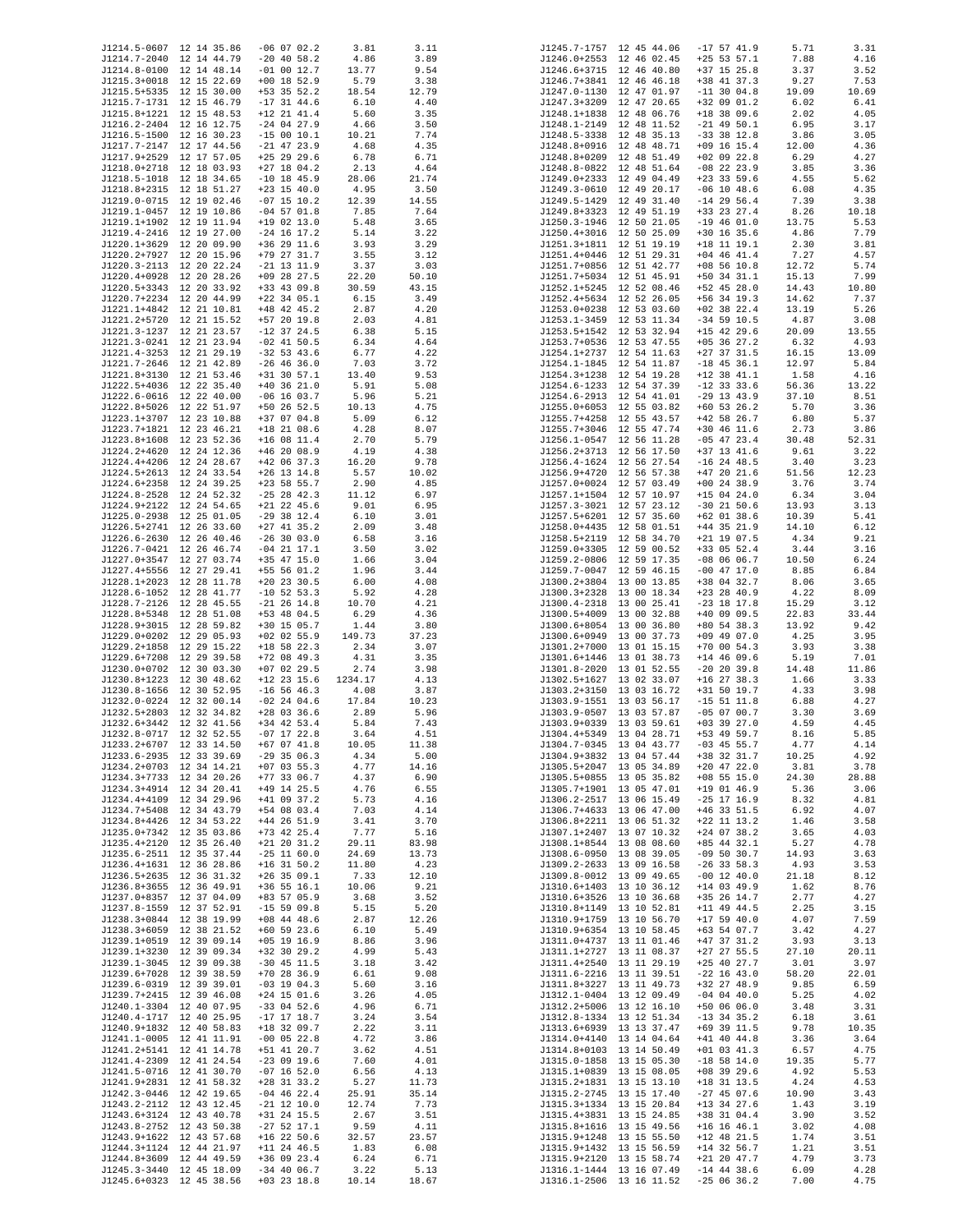| J1214.5-0607 12 14 35.86                             | $-06$ 07 02.2                  | 3.81          | 3.11          |  | J1245.7-1757 12 45 44.06                             | $-17$ 57 41.9                  | 5.71           | 3.31          |
|------------------------------------------------------|--------------------------------|---------------|---------------|--|------------------------------------------------------|--------------------------------|----------------|---------------|
| J1214.7-2040 12 14 44.79                             | $-20$ 40 58.2                  | 4.86          | 3.89          |  | J1246.0+2553 12 46 02.45                             | $+25$ 53 57.1                  | 7.88           | 4.16          |
| J1214.8-0100 12 14 48.14                             | $-01$ 00 12.7                  | 13.77         | 9.54          |  | J1246.6+3715 12 46 40.80                             | $+37$ 15 25.8                  | 3.37           | 3.52          |
| J1215.3+0018 12 15 22.69                             | $+00$ 18 52.9                  | 5.79          | 3.38          |  | J1246.7+3841 12 46 46.18                             | +38 41 37.3                    | 9.27           | 7.53          |
| J1215.5+5335 12 15 30.00<br>J1215.7-1731 12 15 46.79 | $+53$ 35 52.2<br>$-17$ 31 44.6 | 18.54<br>6.10 | 12.79<br>4.40 |  | J1247.0-1130 12 47 01.97<br>J1247.3+3209 12 47 20.65 | $-11$ 30 04.8<br>+32 09 01.2   | 19.09<br>6.02  | 10.69<br>6.41 |
| J1215.8+1221 12 15 48.53                             | $+12$ 21 41.4                  | 5.60          | 3.35          |  | J1248.1+1838 12 48 06.76                             | $+18$ 38 09.6                  | 2.02           | 4.05          |
| J1216.2-2404 12 16 12.75                             | $-24$ 04 27.9                  | 4.66          | 3.50          |  | J1248.1-2149 12 48 11.52                             | $-21$ 49 50.1                  | 6.95           | 3.17          |
| J1216.5-1500 12 16 30.23                             | $-15$ 00 10.1                  | 10.21         | 7.74          |  | J1248.5-3338 12 48 35.13                             | $-33$ 38 12.8                  | 3.86           | 3.05          |
| J1217.7-2147 12 17 44.56                             | $-21$ 47 23.9                  | 4.68          | 4.35          |  | J1248.8+0916 12 48 48.71                             | $+09$ 16 15.4                  | 12.00          | 4.36          |
| J1217.9+2529 12 17 57.05                             | $+25$ 29 29.6                  | 6.78          | 6.71          |  | J1248.8+0209 12 48 51.49                             | $+02$ 09 22.8                  | 6.29           | 4.27          |
| J1218.0+2718 12 18 03.93                             | $+27$ 18 04.2                  | 2.13          | 4.64          |  | J1248.8-0822 12 48 51.64                             | $-08$ 22 23.9                  | 3.85           | 3.36          |
| J1218.5-1018 12 18 34.65                             | $-10$ 18 45.9                  | 28.06         | 21.74         |  | J1249.0+2333 12 49 04.49                             | $+23$ 33 59.6                  | 4.55           | 5.62          |
| J1218.8+2315 12 18 51.27                             | $+23$ 15 40.0                  | 4.95          | 3.50          |  | J1249.3-0610 12 49 20.17                             | $-06$ 10 48.6<br>$-14$ 29 56.4 | 6.08           | 4.35          |
| J1219.0-0715 12 19 02.46<br>J1219.1-0457 12 19 10.86 | $-07$ 15 10.2<br>$-04$ 57 01.8 | 12.39<br>7.85 | 14.55<br>7.64 |  | J1249.5-1429 12 49 31.40<br>J1249.8+3323 12 49 51.19 | +33 23 27.4                    | 7.39<br>8.26   | 3.38<br>10.18 |
| J1219.1+1902 12 19 11.94                             | $+19$ 02 13.0                  | 5.48          | 3.65          |  | J1250.3-1946 12 50 21.05                             | $-19$ 46 01.0                  | 13.75          | 5.53          |
| J1219.4-2416 12 19 27.00                             | $-24$ 16 17.2                  | 5.14          | 3.22          |  | J1250.4+3016 12 50 25.09                             | $+30$ 16 35.6                  | 4.86           | 7.79          |
| J1220.1+3629 12 20 09.90                             | $+36$ 29 11.6                  | 3.93          | 3.29          |  | J1251.3+1811 12 51 19.19                             | $+18$ 11 19.1                  | 2.30           | 3.81          |
| J1220.2+7927 12 20 15.96                             | +79 27 31.7                    | 3.55          | 3.12          |  | J1251.4+0446 12 51 29.31                             | $+04$ 46 41.4                  | 7.27           | 4.57          |
| J1220.3-2113 12 20 22.24                             | $-21$ 13 11.9                  | 3.37          | 3.03          |  | J1251.7+0856 12 51 42.77                             | $+08$ 56 10.8                  | 12.72          | 5.74          |
| J1220.4+0928 12 20 28.26                             | $+09$ 28 27.5                  | 22.20         | 50.10         |  | J1251.7+5034 12 51 45.91                             | $+50$ 34 31.1                  | 15.13          | 7.99          |
| J1220.5+3343 12 20 33.92                             | +33 43 09.8                    | 30.59         | 43.15         |  | J1252.1+5245 12 52 08.46                             | +52 45 28.0                    | 14.43          | 10.80         |
| J1220.7+2234 12 20 44.99<br>J1221.1+4842 12 21 10.81 | $+22$ 34 05.1<br>$+48$ 42 45.2 | 6.15<br>2.87  | 3.49          |  | J1252.4+5634 12 52 26.05<br>J1253.0+0238 12 53 03.60 | $+56$ 34 19.3<br>$+02$ 38 22.4 | 14.62<br>13.19 | 7.37<br>5.26  |
| J1221.2+5720 12 21 15.52                             | $+57$ 20 19.8                  | 2.03          | 4.20<br>4.81  |  | J1253.1-3459 12 53 11.34                             | $-34$ 59 10.5                  | 4.87           | 3.08          |
| J1221.3-1237 12 21 23.57                             | $-12$ 37 24.5                  | 6.38          | 5.15          |  | J1253.5+1542 12 53 32.94                             | $+15$ 42 29.6                  | 20.09          | 13.55         |
| J1221.3-0241 12 21 23.94                             | $-02$ 41 50.5                  | 6.34          | 4.64          |  | J1253.7+0536 12 53 47.55                             | $+05$ 36 27.2                  | 6.32           | 4.93          |
| J1221.4-3253 12 21 29.19                             | $-32$ 53 43.6                  | 6.77          | 4.22          |  | J1254.1+2737 12 54 11.63                             | $+27$ 37 31.5                  | 16.15          | 13.09         |
| J1221.7-2646 12 21 42.89                             | $-26$ 46 36.0                  | 7.03          | 3.72          |  | J1254.1-1845 12 54 11.87                             | $-18$ 45 36.1                  | 12.97          | 5.84          |
| J1221.8+3130 12 21 53.46                             | $+31$ 30 57.1                  | 13.40         | 9.53          |  | J1254.3+1238 12 54 19.28                             | $+12$ 38 41.1                  | 1.58           | 4.16          |
| J1222.5+4036 12 22 35.40                             | $+40$ 36 21.0                  | 5.91          | 5.08          |  | J1254.6-1233 12 54 37.39                             | $-12$ 33 33.6                  | 56.36          | 13.22         |
| J1222.6-0616 12 22 40.00                             | $-06$ 16 03.7                  | 5.96          | 5.21          |  | J1254.6-2913 12 54 41.01                             | $-29$ 13 43.9                  | 37.10          | 8.51          |
| J1222.8+5026 12 22 51.97<br>J1223.1+3707 12 23 10.88 | +50 26 52.5<br>$+37$ 07 04.8   | 10.13<br>5.09 | 4.75          |  | J1255.0+6053 12 55 03.82<br>J1255.7+4258 12 55 43.57 | $+60$ 53 26.2<br>$+42$ 58 26.7 | 5.70           | 3.36          |
| J1223.7+1821 12 23 46.21                             | $+18$ 21 08.6                  | 4.28          | 6.12<br>8.07  |  | J1255.7+3046 12 55 47.74                             | $+30$ 46 11.6                  | 6.80<br>2.73   | 5.37<br>3.86  |
| J1223.8+1608 12 23 52.36                             | $+16$ 08 11.4                  | 2.70          | 5.79          |  | J1256.1-0547 12 56 11.28                             | $-05$ 47 23.4                  | 30.48          | 52.31         |
| J1224.2+4620 12 24 12.36                             | $+46$ 20 08.9                  | 4.19          | 4.38          |  | J1256.2+3713 12 56 17.50                             | $+37$ 13 41.6                  | 9.61           | 3.22          |
| J1224.4+4206 12 24 28.67                             | $+42$ 06 37.3                  | 16.20         | 9.78          |  | J1256.4-1624 12 56 27.54                             | $-16$ 24 48.5                  | 3.40           | 3.23          |
| J1224.5+2613 12 24 33.54                             | $+26$ 13 14.8                  | 5.57          | 10.02         |  | J1256.9+4720 12 56 57.38                             | $+47$ 20 21.6                  | 51.56          | 12.23         |
| J1224.6+2358 12 24 39.25                             | $+23$ 58 55.7                  | 2.90          | 4.85          |  | J1257.0+0024 12 57 03.49                             | $+00$ 24 38.9                  | 3.76           | 3.74          |
| J1224.8-2528 12 24 52.32                             | $-25$ 28 42.3                  | 11.12         | 6.97          |  | J1257.1+1504 12 57 10.97                             | $+15$ 04 24.0                  | 6.34           | 3.04          |
| J1224.9+2122 12 24 54.65                             | $+21$ 22 45.6                  | 9.01          | 6.95          |  | J1257.3-3021 12 57 23.12                             | $-30$ 21 50.6                  | 13.93          | 3.13          |
| J1225.0-2938 12 25 01.05                             | $-29$ 38 12.4                  | 6.10          | 3.01          |  | J1257.5+6201 12 57 35.60                             | $+62$ 01 38.6                  | 10.39          | 5.41          |
| J1226.5+2741 12 26 33.60<br>J1226.6-2630 12 26 40.46 | $+27$ 41 35.2<br>$-26$ 30 03.0 | 2.09<br>6.58  | 3.48<br>3.16  |  | J1258.0+4435 12 58 01.51<br>J1258.5+2119 12 58 34.70 | $+44$ 35 21.9<br>$+21$ 19 07.5 | 14.10<br>4.34  | 6.12<br>9.21  |
| J1226.7-0421 12 26 46.74                             | $-04$ 21 17.1                  | 3.50          | 3.02          |  | J1259.0+3305 12 59 00.52                             | +33 05 52.4                    | 3.44           | 3.16          |
| J1227.0+3547 12 27 03.74                             | $+35$ 47 15.0                  | 1.66          | 3.04          |  | J1259.2-0806 12 59 17.35                             | $-08$ 06 06.7                  | 10.50          | 6.24          |
| J1227.4+5556 12 27 29.41                             | +55 56 01.2                    | 1.96          | 3.44          |  | J1259.7-0047 12 59 46.15                             | $-00$ 47 17.0                  | 8.85           | 6.84          |
| J1228.1+2023 12 28 11.78                             | $+20$ 23 30.5                  | 6.00          | 4.08          |  | J1300.2+3804 13 00 13.85                             | +38 04 32.7                    | 8.06           | 3.65          |
| J1228.6-1052 12 28 41.77                             | $-10$ 52 53.3                  | 5.92          | 4.28          |  | J1300.3+2328 13 00 18.34                             | $+23$ 28 40.9                  | 4.22           | 8.09          |
| J1228.7-2126 12 28 45.55                             | $-21$ 26 14.8                  | 10.70         | 4.21          |  | J1300.4-2318 13 00 25.41                             | $-23$ 18 17.8                  | 15.29          | 3.12          |
| J1228.8+5348 12 28 51.08<br>J1228.9+3015 12 28 59.82 | +53 48 04.5<br>+30 15 05.7     | 6.29<br>1.44  | 4.36<br>3.80  |  | J1300.5+4009 13 00 32.88<br>J1300.6+8054 13 00 36.80 | $+40$ 09 09.5<br>$+80$ 54 38.3 | 22.83<br>13.92 | 33.44<br>9.42 |
| J1229.0+0202 12 29 05.93                             | $+02$ 02 55.9                  | 149.73        | 37.23         |  | J1300.6+0949 13 00 37.73                             | $+09$ 49 07.0                  | 4.25           | 3.95          |
| J1229.2+1858 12 29 15.22                             | $+18$ 58 22.3                  | 2.34          | 3.07          |  | J1301.2+7000 13 01 15.15                             | $+70$ 00 54.3                  | 3.93           | 3.38          |
| J1229.6+7208 12 29 39.58                             | $+72$ 08 49.3                  | 4.31          | 3.35          |  | J1301.6+1446 13 01 38.73                             | $+14$ 46 09.6                  | 5.19           | 7.01          |
| J1230.0+0702 12 30 03.30                             | $+07$ 02 29.5                  | 2.74          | 3.98          |  | J1301.8-2020 13 01 52.55                             | $-20$ 20 39.8                  | 14.48          | 11.86         |
| J1230.8+1223 12 30 48.62                             | $+12$ 23 15.6                  | 1234.17       | 4.13          |  | J1302.5+1627 13 02 33.07                             | $+16$ 27 38.3                  | 1.66           | 3.33          |
| J1230.8-1656 12 30 52.95                             | $-16$ 56 46.3                  | 4.08          | 3.87          |  | J1303.2+3150 13 03 16.72                             | +31 50 19.7                    | 4.33           | 3.98          |
| J1232.0-0224 12 32 00.14                             | $-02$ 24 04.6<br>$+28$ 03 36.6 | 17.84         | 10.23         |  | J1303.9-1551 13 03 56.17                             | $-15$ 51 11.8                  | 6.88           | 4.27          |
| J1232.5+2803 12 32 34.82<br>J1232.6+3442 12 32 41.56 | $+34$ 42 53.4                  | 2.89<br>5.84  | 5.96<br>7.43  |  | J1303.9-0507 13 03 57.87<br>J1303.9+0339 13 03 59.61 | $-05$ 07 00.7<br>$+03$ 39 27.0 | 3.30<br>4.59   | 3.69<br>4.45  |
| J1232.8-0717 12 32 52.55                             | $-07$ 17 22.8                  | 3.64          | 4.51          |  | J1304.4+5349 13 04 28.71                             | +53 49 59.7                    | 8.16           | 5.85          |
| J1233.2+6707 12 33 14.50                             | $+67$ 07 41.8                  | 10.05         | 11.38         |  | J1304.7-0345 13 04 43.77                             | $-03$ 45 55.7                  | 4.77           | 4.14          |
| J1233.6-2935 12 33 39.69                             | $-29$ 35 06.3                  | 4.34          | 5.00          |  | J1304.9+3832 13 04 57.44                             | +38 32 31.7                    | 10.25          | 4.92          |
| J1234.2+0703 12 34 14.21                             | $+07$ 03 55.3                  | 4.77          | 14.16         |  | J1305.5+2047 13 05 34.89                             | $+20$ 47 22.0                  | 3.81           | 3.78          |
| J1234.3+7733 12 34 20.26                             | $+77$ 33 06.7                  | 4.37          | 6.90          |  | J1305.5+0855 13 05 35.82                             | $+08$ 55 15.0                  | 24.30          | 28.88         |
| J1234.3+4914 12 34 20.41                             | $+49$ 14 25.5                  | 4.76          | 6.55          |  | J1305.7+1901 13 05 47.01                             | $+19$ 01 46.9                  | 5.36           | 3.06          |
| J1234.4+4109 12 34 29.96<br>J1234.7+5408 12 34 43.79 | $+41$ 09 37.2<br>$+54$ 08 03.4 | 5.73<br>7.03  | 4.16<br>4.14  |  | J1306.2-2517 13 06 15.49<br>J1306.7+4633 13 06 47.00 | $-25$ 17 16.9<br>$+46$ 33 51.5 | 8.32<br>6.92   | 4.81<br>4.07  |
| J1234.8+4426 12 34 53.22                             | $+44$ 26 51.9                  | 3.41          | 3.70          |  | J1306.8+2211 13 06 51.32                             | $+22$ 11 13.2                  | 1.46           | 3.58          |
| J1235.0+7342 12 35 03.86                             | $+73$ 42 25.4                  | 7.77          | 5.16          |  | J1307.1+2407 13 07 10.32                             | $+24$ 07 38.2                  | 3.65           | 4.03          |
| J1235.4+2120 12 35 26.40                             | $+21$ 20 31.2                  | 29.11         | 83.98         |  | J1308.1+8544 13 08 08.60                             | $+85$ 44 32.1                  | 5.27           | 4.78          |
| J1235.6-2511 12 35 37.44                             | $-25$ 11 60.0                  | 24.69         | 13.73         |  | J1308.6-0950 13 08 39.05                             | $-09$ 50 30.7                  | 14.93          | 3.63          |
| J1236.4+1631 12 36 28.86                             | $+16$ 31 50.2                  | 11.80         | 4.23          |  | J1309.2-2633 13 09 16.58                             | $-26$ 33 58.3                  | 4.93           | 3.53          |
| J1236.5+2635 12 36 31.32                             | $+26$ 35 09.1                  | 7.33          | 12.10         |  | J1309.8-0012 13 09 49.65                             | $-00$ 12 40.0                  | 21.18          | 8.12          |
| J1236.8+3655 12 36 49.91<br>J1237.0+8357 12 37 04.09 | $+36$ 55 16.1<br>+83 57 05.9   | 10.06<br>3.68 | 9.21<br>3.52  |  | J1310.6+1403 13 10 36.12<br>J1310.6+3526 13 10 36.68 | $+14$ 03 49.9<br>+35 26 14.7   | 1.62<br>2.77   | 8.76<br>4.27  |
| J1237.8-1559 12 37 52.91                             | $-15$ 59 09.8                  | 5.15          | 5.20          |  | J1310.8+1149 13 10 52.81                             | $+11$ 49 44.5                  | 2.25           | 3.15          |
| J1238.3+0844 12 38 19.99                             | $+08$ 44 48.6                  | 2.87          | 12.26         |  | J1310.9+1759 13 10 56.70                             | $+17$ 59 40.0                  | 4.07           | 7.59          |
| J1238.3+6059 12 38 21.52                             | $+60$ 59 23.6                  | 6.10          | 5.49          |  | J1310.9+6354 13 10 58.45                             | $+63$ 54 07.7                  | 3.42           | 4.27          |
| J1239.1+0519 12 39 09.14                             | $+05$ 19 16.9                  | 8.86          | 3.96          |  | J1311.0+4737 13 11 01.46                             | $+47$ 37 31.2                  | 3.93           | 3.13          |
| J1239.1+3230 12 39 09.34                             | $+32$ 30 29.2                  | 4.99          | 5.43          |  | J1311.1+2727 13 11 08.37                             | $+27$ 27 55.5                  | 27.10          | 20.11         |
| J1239.1-3045 12 39 09.38                             | $-30$ 45 11.5                  | 3.18          | 3.42          |  | J1311.4+2540 13 11 29.19                             | $+25$ 40 27.7                  | 3.01           | 3.97          |
| J1239.6+7028 12 39 38.59<br>J1239.6-0319 12 39 39.01 | $+70$ 28 36.9                  | 6.61          | 9.08          |  | J1311.6-2216 13 11 39.51<br>J1311.8+3227 13 11 49.73 | $-22$ 16 43.0                  | 58.20          | 22.01         |
| J1239.7+2415 12 39 46.08                             | $-03$ 19 04.3<br>$+24$ 15 01.6 | 5.60<br>3.26  | 3.16<br>4.05  |  | J1312.1-0404 13 12 09.49                             | $+32$ 27 48.9<br>$-04$ 04 40.0 | 9.85<br>5.25   | 6.59<br>4.02  |
| J1240.1-3304 12 40 07.95                             | $-33$ 04 52.6                  | 4.96          | 6.71          |  | J1312.2+5006 13 12 16.10                             | $+50$ 06 06.0                  | 3.48           | 3.31          |
| J1240.4-1717 12 40 25.95                             | $-17$ 17 18.7                  | 3.24          | 3.54          |  | J1312.8-1334 13 12 51.34                             | $-13$ 34 35.2                  | 6.18           | 3.61          |
| J1240.9+1832 12 40 58.83                             | $+18$ 32 09.7                  | 2.22          | 3.11          |  | J1313.6+6939 13 13 37.47                             | $+69$ 39 11.5                  | 9.78           | 10.35         |
| J1241.1-0005 12 41 11.91                             | $-00$ 05 22.8                  | 4.72          | 3.86          |  | J1314.0+4140 13 14 04.64                             | $+41$ 40 44.8                  | 3.36           | 3.64          |
| J1241.2+5141 12 41 14.78                             | +51 41 20.7                    | 3.62          | 4.51          |  | J1314.8+0103 13 14 50.49                             | $+01$ 03 41.3                  | 6.57           | 4.75          |
| J1241.4-2309 12 41 24.54                             | $-230919.6$                    | 7.60          | 4.01          |  | J1315.0-1858 13 15 05.30                             | $-18$ 58 14.0                  | 19.35          | 5.77          |
| J1241.5-0716 12 41 30.70<br>J1241.9+2831 12 41 58.32 | $-07$ 16 52.0<br>$+28$ 31 33.2 | 6.56<br>5.27  | 4.13<br>11.73 |  | J1315.1+0839 13 15 08.05<br>J1315.2+1831 13 15 13.10 | $+08$ 39 29.6<br>$+18$ 31 13.5 | 4.92<br>4.24   | 5.53<br>4.53  |
| J1242.3-0446 12 42 19.65                             | $-04$ 46 22.4                  | 25.91         | 35.14         |  | J1315.2-2745 13 15 17.40                             | $-27$ 45 07.6                  | 10.90          | 3.43          |
| J1243.2-2112 12 43 12.45                             | $-21$ 12 10.0                  | 12.74         | 7.73          |  | J1315.3+1334 13 15 20.84                             | +13 34 27.6                    | 1.43           | 3.19          |
| J1243.6+3124 12 43 40.78                             | $+31$ 24 15.5                  | 2.67          | 3.51          |  | J1315.4+3831 13 15 24.85                             | +38 31 04.4                    | 3.90           | 3.52          |
| J1243.8-2752 12 43 50.38                             | $-27$ 52 17.1                  | 9.59          | 4.11          |  | J1315.8+1616 13 15 49.56                             | $+16$ 16 46.1                  | 3.02           | 4.08          |
| J1243.9+1622 12 43 57.68                             | $+16$ 22 50.6                  | 32.57         | 23.57         |  | J1315.9+1248 13 15 55.50                             | $+12$ 48 21.5                  | 1.74           | 3.51          |
| J1244.3+1124 12 44 21.97                             | $+11$ 24 46.5                  | 1.83          | 6.08          |  | J1315.9+1432 13 15 56.59                             | $+14$ 32 56.7                  | 1.21           | 3.51          |
| J1244.8+3609 12 44 49.59<br>J1245.3-3440 12 45 18.09 | +36 09 23.4<br>$-34$ 40 06.7   | 6.24<br>3.22  | 6.71<br>5.13  |  | J1315.9+2120 13 15 58.74<br>J1316.1-1444 13 16 07.49 | $+21$ 20 47.7<br>$-14$ 44 38.6 | 4.79<br>6.09   | 3.73<br>4.28  |
| J1245.6+0323 12 45 38.56                             | $+03$ 23 18.8                  | 10.14         | 18.67         |  | J1316.1-2506 13 16 11.52                             | $-25$ 06 36.2                  | 7.00           | 4.75          |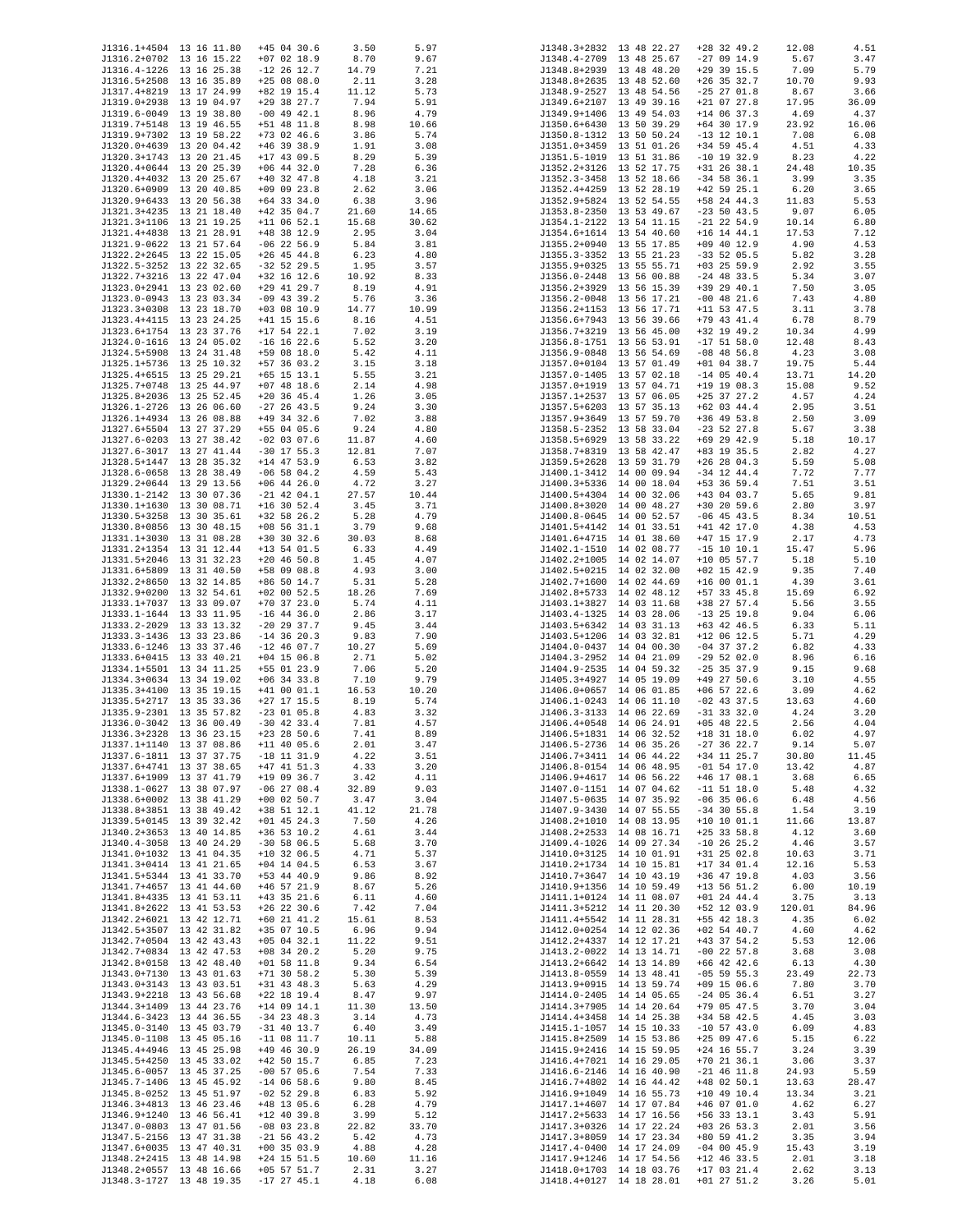|                          |                          |               |       |       |              | J1348.3+2832 13 48 22.27 |               |        |       |
|--------------------------|--------------------------|---------------|-------|-------|--------------|--------------------------|---------------|--------|-------|
| J1316.1+4504 13 16 11.80 |                          | $+45$ 04 30.6 | 3.50  | 5.97  |              |                          | $+28$ 32 49.2 | 12.08  | 4.51  |
| J1316.2+0702 13 16 15.22 |                          | $+07$ 02 18.9 | 8.70  | 9.67  |              | J1348.4-2709 13 48 25.67 | $-270914.9$   | 5.67   | 3.47  |
| J1316.4-1226 13 16 25.38 |                          | $-12$ 26 12.7 | 14.79 | 7.21  |              | J1348.8+2939 13 48 48.20 | $+29$ 39 15.5 | 7.09   | 5.79  |
| J1316.5+2508 13 16 35.89 |                          | $+250808.0$   | 2.11  | 3.28  |              | J1348.8+2635 13 48 52.60 | $+26$ 35 32.7 | 10.70  | 9.93  |
| J1317.4+8219 13 17 24.99 |                          | +82 19 15.4   | 11.12 | 5.73  |              | J1348.9-2527 13 48 54.56 | $-25$ 27 01.8 | 8.67   | 3.66  |
| J1319.0+2938 13 19 04.97 |                          | $+29$ 38 27.7 | 7.94  | 5.91  |              | J1349.6+2107 13 49 39.16 | $+21$ 07 27.8 | 17.95  | 36.09 |
|                          |                          |               |       |       |              |                          |               |        |       |
| J1319.6-0049 13 19 38.80 |                          | $-00$ 49 42.1 | 8.96  | 4.79  |              | J1349.9+1406 13 49 54.03 | $+14$ 06 37.3 | 4.69   | 4.37  |
| J1319.7+5148 13 19 46.55 |                          | $+51$ 48 11.8 | 8.98  | 10.66 |              | J1350.6+6430 13 50 39.29 | $+64$ 30 17.9 | 23.92  | 16.06 |
| J1319.9+7302 13 19 58.22 |                          | $+73$ 02 46.6 | 3.86  | 5.74  |              | J1350.8-1312 13 50 50.24 | $-13$ 12 10.1 | 7.08   | 6.08  |
| J1320.0+4639 13 20 04.42 |                          | $+46$ 39 38.9 | 1.91  | 3.08  |              | J1351.0+3459 13 51 01.26 | +34 59 45.4   | 4.51   | 4.33  |
|                          |                          |               |       |       |              |                          |               |        |       |
| J1320.3+1743 13 20 21.45 |                          | $+17$ 43 09.5 | 8.29  | 5.39  |              | J1351.5-1019 13 51 31.86 | $-10$ 19 32.9 | 8.23   | 4.22  |
| J1320.4+0644 13 20 25.39 |                          | $+06$ 44 32.0 | 7.28  | 6.36  |              | J1352.2+3126 13 52 17.75 | $+31$ 26 38.1 | 24.48  | 10.35 |
| J1320.4+4032 13 20 25.67 |                          | $+40$ 32 47.8 | 4.18  | 3.21  |              | J1352.3-3458 13 52 18.66 | $-34$ 58 36.1 | 3.99   | 3.35  |
| J1320.6+0909 13 20 40.85 |                          | $+09$ 09 23.8 | 2.62  | 3.06  | J1352.4+4259 | 13 52 28.19              | $+42$ 59 25.1 | 6.20   | 3.65  |
| J1320.9+6433 13 20 56.38 |                          | $+64$ 33 34.0 |       |       |              |                          | $+58$ 24 44.3 |        | 5.53  |
|                          |                          |               | 6.38  | 3.96  |              | J1352.9+5824 13 52 54.55 |               | 11.83  |       |
| J1321.3+4235 13 21 18.40 |                          | $+42$ 35 04.7 | 21.60 | 14.65 |              | J1353.8-2350 13 53 49.67 | $-23$ 50 43.5 | 9.07   | 6.05  |
| J1321.3+1106 13 21 19.25 |                          | $+11$ 06 52.1 | 15.68 | 30.62 |              | J1354.1-2122 13 54 11.15 | $-21$ 22 54.9 | 10.14  | 6.80  |
| J1321.4+4838 13 21 28.91 |                          | +48 38 12.9   | 2.95  | 3.04  |              | J1354.6+1614 13 54 40.60 | $+16$ 14 44.1 | 17.53  | 7.12  |
| J1321.9-0622 13 21 57.64 |                          | $-06$ 22 56.9 | 5.84  | 3.81  |              | J1355.2+0940 13 55 17.85 | $+09$ 40 12.9 | 4.90   | 4.53  |
|                          |                          |               |       |       |              |                          |               |        |       |
| J1322.2+2645 13 22 15.05 |                          | $+26$ 45 44.8 | 6.23  | 4.80  |              | J1355.3-3352 13 55 21.23 | $-33$ 52 05.5 | 5.82   | 3.28  |
| J1322.5-3252 13 22 32.65 |                          | $-32$ 52 29.5 | 1.95  | 3.57  |              | J1355.9+0325 13 55 55.71 | $+03$ 25 59.9 | 2.92   | 3.55  |
| J1322.7+3216 13 22 47.04 |                          | $+32$ 16 12.6 | 10.92 | 8.33  |              | J1356.0-2448 13 56 00.88 | $-24$ 48 33.5 | 5.34   | 3.07  |
| J1323.0+2941 13 23 02.60 |                          | $+29$ 41 29.7 | 8.19  | 4.91  |              | J1356.2+3929 13 56 15.39 | +39 29 40.1   | 7.50   | 3.05  |
|                          |                          |               |       |       |              |                          |               |        |       |
| J1323.0-0943 13 23 03.34 |                          | $-09$ 43 39.2 | 5.76  | 3.36  |              | J1356.2-0048 13 56 17.21 | $-00$ 48 21.6 | 7.43   | 4.80  |
| J1323.3+0308 13 23 18.70 |                          | $+03$ 08 10.9 | 14.77 | 10.99 |              | J1356.2+1153 13 56 17.71 | $+11$ 53 47.5 | 3.11   | 3.78  |
| J1323.4+4115 13 23 24.25 |                          | $+41$ 15 15.6 | 8.16  | 4.51  |              | J1356.6+7943 13 56 39.66 | $+79$ 43 41.4 | 6.78   | 8.79  |
| J1323.6+1754 13 23 37.76 |                          | $+17$ 54 22.1 | 7.02  | 3.19  |              | J1356.7+3219 13 56 45.00 | $+32$ 19 49.2 | 10.34  | 4.99  |
|                          |                          |               |       |       |              |                          |               |        |       |
| J1324.0-1616 13 24 05.02 |                          | $-16$ 16 22.6 | 5.52  | 3.20  |              | J1356.8-1751 13 56 53.91 | $-17$ 51 58.0 | 12.48  | 8.43  |
| J1324.5+5908 13 24 31.48 |                          | $+59$ 08 18.0 | 5.42  | 4.11  |              | J1356.9-0848 13 56 54.69 | $-08$ 48 56.8 | 4.23   | 3.08  |
| J1325.1+5736 13 25 10.32 |                          | $+57$ 36 03.2 | 3.15  | 3.18  |              | J1357.0+0104 13 57 01.49 | $+01$ 04 38.7 | 19.75  | 5.44  |
| J1325.4+6515 13 25 29.21 |                          | $+65$ 15 13.1 | 5.55  | 3.21  |              | J1357.0-1405 13 57 02.18 | $-14$ 05 40.4 | 13.71  | 14.20 |
| J1325.7+0748 13 25 44.97 |                          | $+07$ 48 18.6 |       | 4.98  |              | J1357.0+1919 13 57 04.71 | $+19$ 19 08.3 | 15.08  | 9.52  |
|                          |                          |               | 2.14  |       |              |                          |               |        |       |
| J1325.8+2036 13 25 52.45 |                          | $+20$ 36 45.4 | 1.26  | 3.05  |              | J1357.1+2537 13 57 06.05 | $+25$ 37 27.2 | 4.57   | 4.24  |
| J1326.1-2726 13 26 06.60 |                          | $-27$ 26 43.5 | 9.24  | 3.30  |              | J1357.5+6203 13 57 35.13 | $+62$ 03 44.4 | 2.95   | 3.51  |
| J1326.1+4934 13 26 08.88 |                          | +49 34 32.6   | 7.02  | 3.88  |              | J1357.9+3649 13 57 59.70 | $+36$ 49 53.8 | 2.50   | 3.09  |
| J1327.6+5504 13 27 37.29 |                          | $+55$ 04 05.6 | 9.24  | 4.80  |              | J1358.5-2352 13 58 33.04 | $-23$ 52 27.8 | 5.67   | 3.38  |
|                          |                          | $-02$ 03 07.6 |       |       |              |                          |               |        |       |
| J1327.6-0203 13 27 38.42 |                          |               | 11.87 | 4.60  |              | J1358.5+6929 13 58 33.22 | +69 29 42.9   | 5.18   | 10.17 |
| J1327.6-3017 13 27 41.44 |                          | $-30$ 17 55.3 | 12.81 | 7.07  |              | J1358.7+8319 13 58 42.47 | +83 19 35.5   | 2.82   | 4.27  |
| J1328.5+1447 13 28 35.32 |                          | $+14$ 47 53.9 | 6.53  | 3.82  |              | J1359.5+2628 13 59 31.79 | $+26$ 28 04.3 | 5.59   | 5.08  |
| J1328.6-0658 13 28 38.49 |                          | $-06$ 58 04.2 | 4.59  | 5.43  |              | J1400.1-3412 14 00 09.94 | $-34$ 12 44.4 | 7.72   | 7.77  |
| J1329.2+0644 13 29 13.56 |                          | $+06$ 44 26.0 |       |       |              | J1400.3+5336 14 00 18.04 | +53 36 59.4   |        | 3.51  |
|                          |                          |               | 4.72  | 3.27  |              |                          |               | 7.51   |       |
| J1330.1-2142 13 30 07.36 |                          | $-21$ 42 04.1 | 27.57 | 10.44 |              | J1400.5+4304 14 00 32.06 | $+43$ 04 03.7 | 5.65   | 9.81  |
| J1330.1+1630 13 30 08.71 |                          | $+16$ 30 52.4 | 3.45  | 3.71  |              | J1400.8+3020 14 00 48.27 | $+30$ 20 59.6 | 2.80   | 3.97  |
| J1330.5+3258 13 30 35.61 |                          | $+32$ 58 26.2 | 5.28  | 4.79  |              | J1400.8-0645 14 00 52.57 | $-06$ 45 43.5 | 8.34   | 10.51 |
| J1330.8+0856 13 30 48.15 |                          | $+08$ 56 31.1 | 3.79  | 9.68  |              | J1401.5+4142 14 01 33.51 | $+41$ 42 17.0 | 4.38   | 4.53  |
|                          |                          |               |       |       |              |                          |               |        |       |
| J1331.1+3030 13 31 08.28 |                          | $+30$ 30 32.6 | 30.03 | 8.68  |              | J1401.6+4715 14 01 38.60 | $+47$ 15 17.9 | 2.17   | 4.73  |
| J1331.2+1354 13 31 12.44 |                          | $+13$ 54 01.5 | 6.33  | 4.49  |              | J1402.1-1510 14 02 08.77 | $-15$ 10 10.1 | 15.47  | 5.96  |
| J1331.5+2046 13 31 32.23 |                          | $+20$ 46 50.8 | 1.45  | 4.07  |              | J1402.2+1005 14 02 14.07 | $+10$ 05 57.7 | 5.18   | 5.10  |
| J1331.6+5809 13 31 40.50 |                          | +58 09 08.8   | 4.93  | 3.00  |              | J1402.5+0215 14 02 32.00 | $+02$ 15 42.9 | 9.35   | 7.40  |
| J1332.2+8650 13 32 14.85 |                          | $+86$ 50 14.7 | 5.31  | 5.28  | J1402.7+1600 | 14 02 44.69              | $+160001.1$   | 4.39   | 3.61  |
|                          |                          |               |       |       |              |                          |               |        |       |
| J1332.9+0200 13 32 54.61 |                          | $+02$ 00 52.5 | 18.26 | 7.69  |              | J1402.8+5733 14 02 48.12 | $+57$ 33 45.8 | 15.69  | 6.92  |
| J1333.1+7037 13 33 09.07 |                          | $+70$ 37 23.0 | 5.74  | 4.11  |              | J1403.1+3827 14 03 11.68 | +38 27 57.4   | 5.56   | 3.55  |
| J1333.1-1644 13 33 11.95 |                          | $-16$ 44 36.0 | 2.86  | 3.17  |              | J1403.4-1325 14 03 28.06 | $-13$ 25 19.8 | 9.04   | 6.06  |
| J1333.2-2029 13 33 13.32 |                          | $-20$ 29 37.7 | 9.45  | 3.44  |              | J1403.5+6342 14 03 31.13 | +63 42 46.5   | 6.33   | 5.11  |
| J1333.3-1436 13 33 23.86 |                          |               |       |       |              |                          |               |        | 4.29  |
|                          |                          | $-14$ 36 20.3 | 9.83  | 7.90  |              | J1403.5+1206 14 03 32.81 | $+12$ 06 12.5 | 5.71   |       |
| J1333.6-1246 13 33 37.46 |                          | $-12$ 46 07.7 | 10.27 | 5.69  |              | J1404.0-0437 14 04 00.30 | $-04$ 37 37.2 | 6.82   | 4.33  |
| J1333.6+0415 13 33 40.21 |                          | $+04$ 15 06.8 | 2.71  | 5.02  |              | J1404.3-2952 14 04 21.09 | $-29$ 52 02.0 | 8.96   | 6.16  |
| J1334.1+5501 13 34 11.25 |                          | +55 01 23.9   | 7.06  | 5.20  |              | J1404.9-2535 14 04 59.32 | $-25$ 35 37.9 | 9.15   | 9.68  |
| J1334.3+0634 13 34 19.02 |                          | $+06$ 34 33.8 | 7.10  | 9.79  |              | J1405.3+4927 14 05 19.09 | $+49$ 27 50.6 | 3.10   | 4.55  |
| J1335.3+4100 13 35 19.15 |                          |               |       |       |              |                          |               |        |       |
|                          |                          | $+41$ 00 01.1 | 16.53 | 10.20 |              | J1406.0+0657 14 06 01.85 | $+06$ 57 22.6 | 3.09   | 4.62  |
| J1335.5+2717 13 35 33.36 |                          | $+27$ 17 15.5 | 8.19  | 5.74  |              | J1406.1-0243 14 06 11.10 | $-02$ 43 37.5 | 13.63  | 4.60  |
| J1335.9-2301 13 35 57.82 |                          | $-23$ 01 05.8 | 4.83  | 3.32  |              | J1406.3-3133 14 06 22.69 | $-31$ 33 32.0 | 4.24   | 3.20  |
| J1336.0-3042 13 36 00.49 |                          | $-30$ 42 33.4 | 7.81  | 4.57  |              | J1406.4+0548 14 06 24.91 | $+05$ 48 22.5 | 2.56   | 4.04  |
|                          |                          | $+23$ 28 50.6 | 7.41  | 8.89  |              |                          | $+18$ 31 18.0 | 6.02   | 4.97  |
| J1336.3+2328 13 36 23.15 |                          |               |       |       |              | J1406.5+1831 14 06 32.52 |               |        |       |
| J1337.1+1140 13 37 08.86 |                          | $+11$ 40 05.6 | 2.01  | 3.47  |              | J1406.5-2736 14 06 35.26 | $-27$ 36 22.7 | 9.14   | 5.07  |
| J1337.6-1811 13 37 37.75 |                          | $-18$ 11 31.9 | 4.22  | 3.51  |              | J1406.7+3411 14 06 44.22 | $+34$ 11 25.7 | 30.80  | 11.45 |
| J1337.6+4741 13 37 38.65 |                          | $+47$ 41 51.3 | 4.33  | 3.20  |              | J1406.8-0154 14 06 48.95 | $-01$ 54 17.0 | 13.42  | 4.87  |
| J1337.6+1909 13 37 41.79 |                          | $+19$ 09 36.7 | 3.42  | 4.11  |              | J1406.9+4617 14 06 56.22 | $+46$ 17 08.1 | 3.68   | 6.65  |
| J1338.1-0627 13 38 07.97 |                          | $-06$ 27 08.4 | 32.89 | 9.03  |              | J1407.0-1151 14 07 04.62 | $-11$ 51 18.0 | 5.48   | 4.32  |
|                          |                          |               |       |       |              |                          |               |        |       |
| J1338.6+0002 13 38 41.29 |                          | $+00$ 02 50.7 | 3.47  | 3.04  |              | J1407.5-0635 14 07 35.92 | $-06$ 35 06.6 | 6.48   | 4.56  |
| J1338.8+3851 13 38 49.42 |                          | $+38$ 51 12.1 | 41.12 | 21.78 |              | J1407.9-3430 14 07 55.55 | $-34$ 30 55.8 | 1.54   | 3.19  |
| J1339.5+0145 13 39 32.42 |                          | $+01$ 45 24.3 | 7.50  | 4.26  |              | J1408.2+1010 14 08 13.95 | $+10$ 10 01.1 | 11.66  | 13.87 |
| J1340.2+3653 13 40 14.85 |                          | $+36$ 53 10.2 | 4.61  | 3.44  |              | J1408.2+2533 14 08 16.71 | $+25$ 33 58.8 | 4.12   | 3.60  |
| J1340.4-3058 13 40 24.29 |                          |               |       |       |              | J1409.4-1026 14 09 27.34 | $-10$ 26 25.2 |        |       |
|                          |                          | $-30$ 58 06.5 | 5.68  | 3.70  |              |                          |               | 4.46   | 3.57  |
| J1341.0+1032 13 41 04.35 |                          | $+10$ 32 06.5 | 4.71  | 5.37  |              | J1410.0+3125 14 10 01.91 | $+31$ 25 02.8 | 10.63  | 3.71  |
| J1341.3+0414 13 41 21.65 |                          | $+04$ 14 04.5 | 6.53  | 3.67  |              | J1410.2+1734 14 10 15.81 | $+17$ 34 01.4 | 12.16  | 5.53  |
| J1341.5+5344 13 41 33.70 |                          | +53 44 40.9   | 9.86  | 8.92  |              | J1410.7+3647 14 10 43.19 | $+36$ 47 19.8 | 4.03   | 3.56  |
| J1341.7+4657 13 41 44.60 |                          | $+46$ 57 21.9 | 8.67  | 5.26  |              | J1410.9+1356 14 10 59.49 | $+13$ 56 51.2 | 6.00   | 10.19 |
|                          |                          |               |       |       |              |                          |               |        |       |
| J1341.8+4335 13 41 53.11 |                          | $+43$ 35 21.6 | 6.11  | 4.60  |              | J1411.1+0124 14 11 08.07 | $+01$ 24 44.4 | 3.75   | 3.13  |
| J1341.8+2622 13 41 53.53 |                          | $+26$ 22 30.6 | 7.42  | 7.04  |              | J1411.3+5212 14 11 20.30 | $+52$ 12 03.9 | 120.01 | 84.96 |
| J1342.2+6021 13 42 12.71 |                          | $+60$ 21 41.2 | 15.61 | 8.53  |              | J1411.4+5542 14 11 28.31 | $+55$ 42 18.3 | 4.35   | 6.02  |
| J1342.5+3507 13 42 31.82 |                          | +35 07 10.5   | 6.96  | 9.94  |              | J1412.0+0254 14 12 02.36 | $+02$ 54 40.7 | 4.60   | 4.62  |
|                          |                          |               |       |       |              |                          |               |        |       |
| J1342.7+0504 13 42 43.43 |                          | $+05$ 04 32.1 | 11.22 | 9.51  |              | J1412.2+4337 14 12 17.21 | $+43$ 37 54.2 | 5.53   | 12.06 |
| J1342.7+0834 13 42 47.53 |                          | $+08$ 34 20.2 | 5.20  | 9.75  |              | J1413.2-0022 14 13 14.71 | $-00$ 22 57.8 | 3.68   | 3.08  |
| J1342.8+0158 13 42 48.40 |                          | $+01$ 58 11.8 | 9.34  | 6.54  |              | J1413.2+6642 14 13 14.89 | $+66$ 42 42.6 | 6.13   | 4.30  |
| J1343.0+7130 13 43 01.63 |                          | $+71$ 30 58.2 | 5.30  | 5.39  |              | J1413.8-0559 14 13 48.41 | $-05$ 59 55.3 | 23.49  | 22.73 |
| J1343.0+3143 13 43 03.51 |                          | $+31$ 43 48.3 | 5.63  | 4.29  |              | J1413.9+0915 14 13 59.74 | $+09$ 15 06.6 | 7.80   | 3.70  |
|                          |                          |               |       |       |              |                          |               |        |       |
| J1343.9+2218 13 43 56.68 |                          | $+22$ 18 19.4 | 8.47  | 9.97  |              | J1414.0-2405 14 14 05.65 | $-24$ 05 36.4 | 6.51   | 3.27  |
| J1344.3+1409 13 44 23.76 |                          | $+14$ 09 14.1 | 11.30 | 13.50 |              | J1414.3+7905 14 14 20.64 | +79 05 47.5   | 3.70   | 3.04  |
| J1344.6-3423 13 44 36.55 |                          | $-34$ 23 48.3 | 3.14  | 4.73  |              | J1414.4+3458 14 14 25.38 | $+34$ 58 42.5 | 4.45   | 3.03  |
| J1345.0-3140 13 45 03.79 |                          | $-31$ 40 13.7 | 6.40  | 3.49  |              | J1415.1-1057 14 15 10.33 | $-10$ 57 43.0 | 6.09   | 4.83  |
| J1345.0-1108 13 45 05.16 |                          | $-11$ 08 11.7 |       | 5.88  |              | J1415.8+2509 14 15 53.86 | $+25$ 09 47.6 | 5.15   | 6.22  |
|                          |                          |               | 10.11 |       |              |                          |               |        |       |
| J1345.4+4946 13 45 25.98 |                          | $+49$ 46 30.9 | 26.19 | 34.09 |              | J1415.9+2416 14 15 59.95 | $+24$ 16 55.7 | 3.24   | 3.39  |
| J1345.5+4250 13 45 33.02 |                          | $+42$ 50 15.7 | 6.85  | 7.23  |              | J1416.4+7021 14 16 29.05 | $+70$ 21 36.1 | 3.06   | 3.37  |
| J1345.6-0057 13 45 37.25 |                          | $-00$ 57 05.6 | 7.54  | 7.33  |              | J1416.6-2146 14 16 40.90 | $-21$ 46 11.8 | 24.93  | 5.59  |
| J1345.7-1406 13 45 45.92 |                          | $-14$ 06 58.6 | 9.80  | 8.45  |              | J1416.7+4802 14 16 44.42 | $+48$ 02 50.1 | 13.63  | 28.47 |
| J1345.8-0252 13 45 51.97 |                          | $-02$ 52 29.8 | 6.83  | 5.92  |              | J1416.9+1049 14 16 55.73 | $+10$ 49 10.4 | 13.34  | 3.21  |
|                          |                          |               |       |       |              |                          |               |        |       |
| J1346.3+4813 13 46 23.46 |                          | $+48$ 13 05.6 | 6.28  | 4.79  |              | J1417.1+4607 14 17 07.84 | $+46$ 07 01.0 | 4.62   | 6.27  |
| J1346.9+1240 13 46 56.41 |                          | $+12$ 40 39.8 | 3.99  | 5.12  |              | J1417.2+5633 14 17 16.56 | $+56$ 33 13.1 | 3.43   | 5.91  |
| J1347.0-0803 13 47 01.56 |                          | $-08$ 03 23.8 | 22.82 | 33.70 |              | J1417.3+0326 14 17 22.24 | $+03$ 26 53.3 | 2.01   | 3.56  |
| J1347.5-2156 13 47 31.38 |                          | $-21$ 56 43.2 | 5.42  | 4.73  |              | J1417.3+8059 14 17 23.34 | $+80$ 59 41.2 | 3.35   | 3.94  |
|                          |                          |               |       |       |              |                          |               |        |       |
| J1347.6+0035 13 47 40.31 |                          | $+00$ 35 03.9 | 4.88  | 4.28  |              | J1417.4-0400 14 17 24.09 | $-04$ 00 45.9 | 15.43  | 3.19  |
| J1348.2+2415 13 48 14.98 |                          | $+24$ 15 51.5 | 10.60 | 11.16 |              | J1417.9+1246 14 17 54.56 | $+12$ 46 33.5 | 2.01   | 3.18  |
| J1348.2+0557 13 48 16.66 |                          | $+05$ 57 51.7 | 2.31  | 3.27  |              | J1418.0+1703 14 18 03.76 | $+17$ 03 21.4 | 2.62   | 3.13  |
|                          | J1348.3-1727 13 48 19.35 | $-17$ 27 45.1 | 4.18  | 6.08  |              | J1418.4+0127 14 18 28.01 | $+01$ 27 51.2 | 3.26   | 5.01  |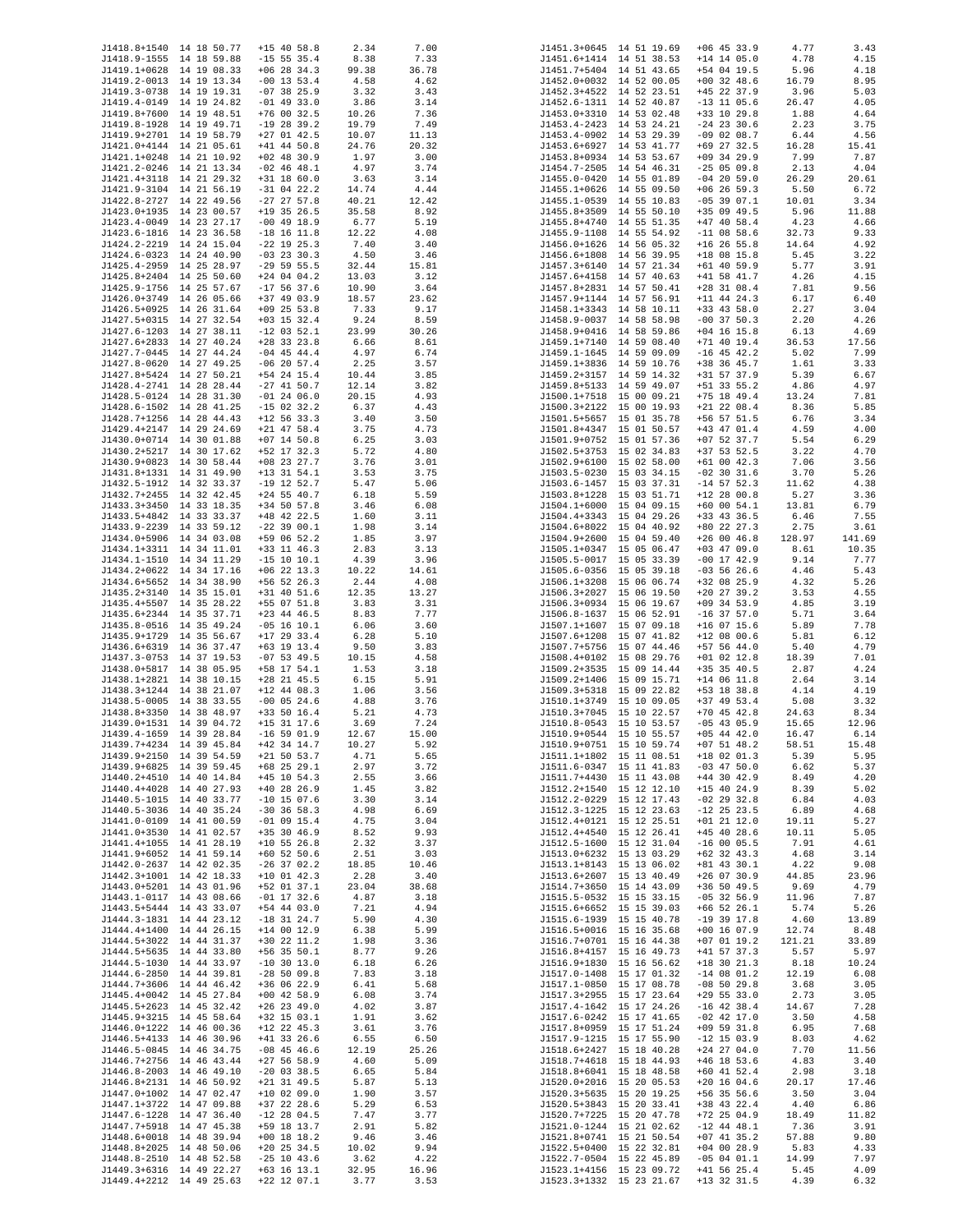| J1418.8+1540 14 18 50.77                             |                          | $+15$ 40 58.8                  | 2.34           | 7.00          |              | J1451.3+0645 14 51 19.69                             | $+06$ 45 33.9                  | 4.77           | 3.43            |
|------------------------------------------------------|--------------------------|--------------------------------|----------------|---------------|--------------|------------------------------------------------------|--------------------------------|----------------|-----------------|
| J1418.9-1555 14 18 59.88                             |                          | $-15$ 55 35.4                  | 8.38           | 7.33          |              | J1451.6+1414 14 51 38.53                             | $+14$ 14 05.0                  | 4.78           | 4.15            |
| J1419.1+0628 14 19 08.33                             |                          | $+06$ 28 34.3                  | 99.38          | 36.78         |              | J1451.7+5404 14 51 43.65                             | +54 04 19.5                    | 5.96           | 4.18            |
| J1419.2-0013 14 19 13.34<br>J1419.3-0738 14 19 19.31 |                          | $-00$ 13 53.4<br>$-07$ 38 25.9 | 4.58<br>3.32   | 4.62<br>3.43  |              | J1452.0+0032 14 52 00.05<br>J1452.3+4522 14 52 23.51 | $+00$ 32 48.6<br>$+45$ 22 37.9 | 16.79<br>3.96  | 8.95<br>5.03    |
| J1419.4-0149 14 19 24.82                             |                          | $-01$ 49 33.0                  | 3.86           | 3.14          |              | J1452.6-1311 14 52 40.87                             | $-13$ 11 05.6                  | 26.47          | 4.05            |
| J1419.8+7600 14 19 48.51                             |                          | $+76$ 00 32.5                  | 10.26          | 7.36          |              | J1453.0+3310 14 53 02.48                             | +33 10 29.8                    | 1.88           | 4.64            |
| J1419.8-1928 14 19 49.71                             |                          | $-19$ 28 39.2                  | 19.79          | 7.49          |              | J1453.4-2423 14 53 24.21                             | $-24$ 23 30.6                  | 2.23           | 3.75            |
| J1419.9+2701 14 19 58.79                             |                          | $+27$ 01 42.5                  | 10.07          | 11.13         |              | J1453.4-0902 14 53 29.39                             | $-09$ 02 08.7                  | 6.44           | 4.56            |
| J1421.0+4144 14 21 05.61<br>J1421.1+0248 14 21 10.92 |                          | $+41$ 44 50.8<br>$+02$ 48 30.9 | 24.76<br>1.97  | 20.32<br>3.00 |              | J1453.6+6927 14 53 41.77<br>J1453.8+0934 14 53 53.67 | +69 27 32.5<br>$+09$ 34 29.9   | 16.28<br>7.99  | 15.41<br>7.87   |
| J1421.2-0246 14 21 13.34                             |                          | $-02$ 46 48.1                  | 4.97           | 3.74          |              | J1454.7-2505 14 54 46.31                             | $-25$ 05 09.8                  | 2.13           | 4.04            |
| J1421.4+3118 14 21 29.32                             |                          | $+31$ 18 60.0                  | 3.63           | 3.14          |              | J1455.0-0420 14 55 01.89                             | $-04$ 20 59.0                  | 26.29          | 20.61           |
| J1421.9-3104 14 21 56.19                             |                          | $-31$ 04 22.2                  | 14.74          | 4.44          |              | J1455.1+0626 14 55 09.50                             | $+06$ 26 59.3                  | 5.50           | 6.72            |
| J1422.8-2727 14 22 49.56                             |                          | $-27$ 27 57.8                  | 40.21          | 12.42         |              | J1455.1-0539 14 55 10.83                             | $-05$ 39 07.1                  | 10.01          | 3.34            |
| J1423.0+1935 14 23 00.57<br>J1423.4-0049 14 23 27.17 |                          | $+19$ 35 26.5<br>$-00$ 49 18.9 | 35.58<br>6.77  | 8.92<br>5.19  |              | J1455.8+3509 14 55 50.10<br>J1455.8+4740 14 55 51.35 | +35 09 49.5<br>$+47$ 40 58.4   | 5.96<br>4.23   | 11.88<br>4.66   |
| J1423.6-1816 14 23 36.58                             |                          | $-18$ 16 11.8                  | 12.22          | 4.08          | J1455.9-1108 | 14 55 54.92                                          | $-11$ 08 58.6                  | 32.73          | 9.33            |
| J1424.2-2219 14 24 15.04                             |                          | $-22$ 19 25.3                  | 7.40           | 3.40          |              | J1456.0+1626 14 56 05.32                             | $+16$ 26 55.8                  | 14.64          | 4.92            |
| J1424.6-0323 14 24 40.90                             |                          | $-03$ 23 30.3                  | 4.50           | 3.46          |              | J1456.6+1808 14 56 39.95                             | $+18$ 08 15.8                  | 5.45           | 3.22            |
| J1425.4-2959 14 25 28.97                             |                          | $-29$ 59 55.5                  | 32.44          | 15.81         |              | J1457.3+6140 14 57 21.34                             | $+61$ 40 59.9                  | 5.77           | 3.91            |
| J1425.8+2404 14 25 50.60<br>J1425.9-1756 14 25 57.67 |                          | $+24$ 04 04.2<br>$-17$ 56 37.6 | 13.03<br>10.90 | 3.12<br>3.64  |              | J1457.6+4158 14 57 40.63<br>J1457.8+2831 14 57 50.41 | $+41$ 58 41.7<br>$+28$ 31 08.4 | 4.26<br>7.81   | 4.15<br>9.56    |
| J1426.0+3749 14 26 05.66                             |                          | +37 49 03.9                    | 18.57          | 23.62         |              | J1457.9+1144 14 57 56.91                             | $+11$ 44 24.3                  | 6.17           | 6.40            |
| J1426.5+0925 14 26 31.64                             |                          | $+09$ 25 53.8                  | 7.33           | 9.17          |              | J1458.1+3343 14 58 10.11                             | $+33$ 43 58.0                  | 2.27           | 3.04            |
| J1427.5+0315 14 27 32.54                             |                          | $+03$ 15 32.4                  | 9.24           | 8.59          |              | J1458.9-0037 14 58 58.98                             | $-00$ 37 50.3                  | 2.20           | 4.26            |
| J1427.6-1203 14 27 38.11                             |                          | $-12$ 03 52.1                  | 23.99          | 30.26         |              | J1458.9+0416 14 58 59.86                             | $+04$ 16 15.8                  | 6.13           | 4.69            |
| J1427.6+2833 14 27 40.24<br>J1427.7-0445 14 27 44.24 |                          | $+28$ 33 23.8<br>$-04$ 45 44.4 | 6.66<br>4.97   | 8.61<br>6.74  |              | J1459.1+7140 14 59 08.40<br>J1459.1-1645 14 59 09.09 | $+71$ 40 19.4<br>$-16$ 45 42.2 | 36.53<br>5.02  | 17.56<br>7.99   |
| J1427.8-0620 14 27 49.25                             |                          | $-06$ 20 57.4                  | 2.25           | 3.57          |              | J1459.1+3836 14 59 10.76                             | +38 36 45.7                    | 1.61           | 3.33            |
| J1427.8+5424 14 27 50.21                             |                          | $+54$ 24 15.4                  | 10.44          | 3.85          |              | J1459.2+3157 14 59 14.32                             | $+31$ 57 37.9                  | 5.39           | 6.67            |
| J1428.4-2741 14 28 28.44                             |                          | $-27$ 41 50.7                  | 12.14          | 3.82          |              | J1459.8+5133 14 59 49.07                             | +51 33 55.2                    | 4.86           | 4.97            |
| J1428.5-0124 14 28 31.30<br>J1428.6-1502 14 28 41.25 |                          | $-01$ 24 06.0                  | 20.15          | 4.93          |              | J1500.1+7518 15 00 09.21                             | +75 18 49.4                    | 13.24          | 7.81            |
| J1428.7+1256 14 28 44.43                             |                          | $-15$ 02 32.2<br>$+12$ 56 33.3 | 6.37<br>3.40   | 4.43<br>3.50  |              | J1500.3+2122 15 00 19.93<br>J1501.5+5657 15 01 35.78 | $+21$ 22 08.4<br>+56 57 51.5   | 8.36<br>6.76   | 5.85<br>3.34    |
| J1429.4+2147 14 29 24.69                             |                          | $+21$ 47 58.4                  | 3.75           | 4.73          |              | J1501.8+4347 15 01 50.57                             | +43 47 01.4                    | 4.59           | 4.00            |
| J1430.0+0714 14 30 01.88                             |                          | $+07$ 14 50.8                  | 6.25           | 3.03          |              | J1501.9+0752 15 01 57.36                             | $+07$ 52 37.7                  | 5.54           | 6.29            |
| J1430.2+5217 14 30 17.62                             |                          | +52 17 32.3                    | 5.72           | 4.80          |              | J1502.5+3753 15 02 34.83                             | $+37$ 53 52.5                  | 3.22           | 4.70            |
| J1430.9+0823 14 30 58.44<br>J1431.8+1331 14 31 49.90 |                          | $+08$ 23 27.7<br>$+13$ 31 54.1 | 3.76           | 3.01          |              | J1502.9+6100 15 02 58.00<br>J1503.5-0230 15 03 34.15 | $+61$ 00 42.3<br>$-02$ 30 31.6 | 7.06           | 3.56            |
| J1432.5-1912 14 32 33.37                             |                          | $-19$ 12 52.7                  | 3.53<br>5.47   | 3.75<br>5.06  |              | J1503.6-1457 15 03 37.31                             | $-14$ 57 52.3                  | 3.70<br>11.62  | 5.26<br>4.38    |
| J1432.7+2455 14 32 42.45                             |                          | $+24$ 55 40.7                  | 6.18           | 5.59          |              | J1503.8+1228 15 03 51.71                             | $+12$ 28 00.8                  | 5.27           | 3.36            |
| J1433.3+3450 14 33 18.35                             |                          | $+34$ 50 57.8                  | 3.46           | 6.08          |              | J1504.1+6000 15 04 09.15                             | $+60$ 00 54.1                  | 13.81          | 6.79            |
| J1433.5+4842 14 33 33.37                             |                          | $+48$ 42 22.5                  | 1.60           | 3.11          |              | J1504.4+3343 15 04 29.26                             | +33 43 36.5                    | 6.46           | 7.55            |
| J1433.9-2239 14 33 59.12                             |                          | $-22$ 39 00.1                  | 1.98           | 3.14          |              | J1504.6+8022 15 04 40.92                             | +80 22 27.3                    | 2.75           | 3.61            |
| J1434.0+5906 14 34 03.08<br>J1434.1+3311 14 34 11.01 |                          | +59 06 52.2<br>$+33$ 11 46.3   | 1.85<br>2.83   | 3.97<br>3.13  |              | J1504.9+2600 15 04 59.40<br>J1505.1+0347 15 05 06.47 | $+26$ 00 46.8<br>$+03$ 47 09.0 | 128.97<br>8.61 | 141.69<br>10.35 |
| J1434.1-1510 14 34 11.29                             |                          | $-15$ 10 10.1                  | 4.39           | 3.96          |              | J1505.5-0017 15 05 33.39                             | $-00$ 17 42.9                  | 9.14           | 7.77            |
| J1434.2+0622 14 34 17.16                             |                          | $+06$ 22 13.3                  | 10.22          | 14.61         |              | J1505.6-0356 15 05 39.18                             | $-03$ 56 26.6                  | 4.46           | 5.43            |
| J1434.6+5652 14 34 38.90                             |                          | $+56$ 52 26.3                  | 2.44           | 4.08          |              | J1506.1+3208 15 06 06.74                             | +32 08 25.9                    | 4.32           | 5.26            |
| J1435.2+3140 14 35 15.01<br>J1435.4+5507 14 35 28.22 |                          | $+31$ 40 51.6<br>+55 07 51.8   | 12.35<br>3.83  | 13.27<br>3.31 |              | J1506.3+2027 15 06 19.50<br>J1506.3+0934 15 06 19.67 | $+20$ 27 39.2<br>$+09$ 34 53.9 | 3.53<br>4.85   | 4.55<br>3.19    |
| J1435.6+2344 14 35 37.71                             |                          | $+23$ 44 46.5                  | 8.83           | 7.77          |              | J1506.8-1637 15 06 52.91                             | $-16$ 37 57.0                  | 5.71           | 3.64            |
| J1435.8-0516 14 35 49.24                             |                          | $-05$ 16 10.1                  | 6.06           | 3.60          |              | J1507.1+1607 15 07 09.18                             | $+16$ 07 15.6                  | 5.89           | 7.78            |
| J1435.9+1729 14 35 56.67                             |                          | $+17$ 29 33.4                  | 6.28           | 5.10          |              | J1507.6+1208 15 07 41.82                             | $+12$ 08 00.6                  | 5.81           | 6.12            |
| J1436.6+6319 14 36 37.47                             |                          | $+63$ 19 13.4                  | 9.50           | 3.83          |              | J1507.7+5756 15 07 44.46                             | $+57$ 56 44.0                  | 5.40           | 4.79            |
| J1437.3-0753 14 37 19.53<br>J1438.0+5817 14 38 05.95 |                          | $-07$ 53 49.5<br>+58 17 54.1   | 10.15<br>1.53  | 4.58<br>3.18  |              | J1508.4+0102 15 08 29.76<br>J1509.2+3535 15 09 14.44 | $+01$ 02 12.8<br>$+35$ 35 40.5 | 18.39<br>2.87  | 7.01<br>4.24    |
| J1438.1+2821 14 38 10.15                             |                          | $+28$ 21 45.5                  | 6.15           | 5.91          |              | J1509.2+1406 15 09 15.71                             | $+14$ 06 11.8                  | 2.64           | 3.14            |
| J1438.3+1244 14 38 21.07                             |                          | $+12$ 44 08.3                  | 1.06           | 3.56          | J1509.3+5318 | 15 09 22.82                                          | +53 18 38.8                    | 4.14           | 4.19            |
| J1438.5-0005 14 38 33.55                             |                          | $-00$ 05 24.6                  | 4.88           | 3.76          |              | J1510.1+3749 15 10 09.05                             | $+37$ 49 53.4                  | 5.08           | 3.32            |
| J1438.8+3350 14 38 48.97                             |                          | $+33$ 50 16.4                  | 5.21           | 4.73          |              | J1510.3+7045 15 10 22.57                             | $+70$ 45 42.8                  | 24.63          | 8.34            |
| J1439.0+1531 14 39 04.72<br>J1439.4-1659 14 39 28.84 |                          | $+15$ 31 17.6<br>$-16$ 59 01.9 | 3.69<br>12.67  | 7.24<br>15.00 |              | J1510.8-0543 15 10 53.57<br>J1510.9+0544 15 10 55.57 | $-05$ 43 05.9<br>$+05$ 44 42.0 | 15.65<br>16.47 | 12.96<br>6.14   |
| J1439.7+4234 14 39 45.84                             |                          | $+42$ 34 14.7                  | 10.27          | 5.92          |              | J1510.9+0751 15 10 59.74                             | $+07$ 51 48.2                  | 58.51          | 15.48           |
| J1439.9+2150 14 39 54.59                             |                          | $+21$ 50 53.7                  | 4.71           | 5.65          |              | J1511.1+1802 15 11 08.51                             | $+18$ 02 01.3                  | 5.39           | 5.95            |
| J1439.9+6825 14 39 59.45                             |                          | $+68$ 25 29.1                  | 2.97           | 3.72          |              | J1511.6-0347 15 11 41.83                             | $-03$ 47 50.0                  | 6.62           | 5.37            |
| J1440.2+4510 14 40 14.84<br>J1440.4+4028 14 40 27.93 |                          | $+45$ 10 54.3<br>$+40$ 28 26.9 | 2.55<br>1.45   | 3.66<br>3.82  |              | J1511.7+4430 15 11 43.08<br>J1512.2+1540 15 12 12.10 | $+44$ 30 42.9<br>$+15$ 40 24.9 | 8.49<br>8.39   | 4.20<br>5.02    |
| J1440.5-1015 14 40 33.77                             |                          | $-10$ 15 07.6                  | 3.30           | 3.14          |              | J1512.2-0229 15 12 17.43                             | $-02$ 29 32.8                  | 6.84           | 4.03            |
| J1440.5-3036 14 40 35.24                             |                          | $-30$ 36 58.3                  | 4.98           | 6.69          |              | J1512.3-1225 15 12 23.63                             | $-12$ 25 23.5                  | 6.89           | 4.68            |
| J1441.0-0109 14 41 00.59                             |                          | $-01$ 09 15.4                  | 4.75           | 3.04          |              | J1512.4+0121 15 12 25.51                             | $+01$ 21 12.0                  | 19.11          | 5.27            |
| J1441.0+3530 14 41 02.57<br>J1441.4+1055 14 41 28.19 |                          | $+35$ 30 46.9<br>$+10$ 55 26.8 | 8.52           | 9.93<br>3.37  |              | J1512.4+4540 15 12 26.41<br>J1512.5-1600 15 12 31.04 | $+45$ 40 28.6<br>$-16$ 00 05.5 | 10.11<br>7.91  | 5.05<br>4.61    |
| J1441.9+6052 14 41 59.14                             |                          | $+60$ 52 50.6                  | 2.32<br>2.51   | 3.03          |              | J1513.0+6232 15 13 03.29                             | $+62$ 32 43.3                  | 4.68           | 3.14            |
| J1442.0-2637 14 42 02.35                             |                          | $-26$ 37 02.2                  | 18.85          | 10.46         |              | J1513.1+8143 15 13 06.02                             | $+81$ 43 30.1                  | 4.22           | 9.08            |
| J1442.3+1001 14 42 18.33                             |                          | $+10$ 01 42.3                  | 2.28           | 3.40          |              | J1513.6+2607 15 13 40.49                             | $+26$ 07 30.9                  | 44.85          | 23.96           |
| J1443.0+5201 14 43 01.96                             |                          | +52 01 37.1                    | 23.04          | 38.68         |              | J1514.7+3650 15 14 43.09                             | $+36$ 50 49.5                  | 9.69           | 4.79            |
| J1443.1-0117 14 43 08.66<br>J1443.5+5444 14 43 33.07 |                          | $-01$ 17 32.6<br>$+54$ 44 03.0 | 4.87<br>7.21   | 3.18<br>4.94  |              | J1515.5-0532 15 15 33.15<br>J1515.6+6652 15 15 39.03 | $-05$ 32 56.9<br>$+66$ 52 26.1 | 11.96<br>5.74  | 7.87<br>5.26    |
| J1444.3-1831 14 44 23.12                             |                          | $-18$ 31 24.7                  | 5.90           | 4.30          |              | J1515.6-1939 15 15 40.78                             | $-19$ 39 17.8                  | 4.60           | 13.89           |
| J1444.4+1400 14 44 26.15                             |                          | $+14$ 00 12.9                  | 6.38           | 5.99          |              | J1516.5+0016 15 16 35.68                             | $+00$ 16 07.9                  | 12.74          | 8.48            |
| J1444.5+3022 14 44 31.37                             |                          | $+30$ 22 11.2                  | 1.98           | 3.36          |              | J1516.7+0701 15 16 44.38                             | $+07$ 01 19.2                  | 121.21         | 33.89           |
| J1444.5+5635 14 44 33.80<br>J1444.5-1030 14 44 33.97 |                          | $+56$ 35 50.1<br>$-10$ 30 13.0 | 8.77           | 9.26          |              | J1516.8+4157 15 16 49.73<br>J1516.9+1830 15 16 56.62 | $+41$ 57 37.3<br>$+18$ 30 21.3 | 5.57           | 5.97<br>10.24   |
| J1444.6-2850 14 44 39.81                             |                          | $-28$ 50 09.8                  | 6.18<br>7.83   | 6.26<br>3.18  |              | J1517.0-1408 15 17 01.32                             | $-14$ 08 01.2                  | 8.18<br>12.19  | 6.08            |
| J1444.7+3606 14 44 46.42                             |                          | $+36$ 06 22.9                  | 6.41           | 5.68          |              | J1517.1-0850 15 17 08.78                             | $-08$ 50 29.8                  | 3.68           | 3.05            |
| J1445.4+0042 14 45 27.84                             |                          | $+00$ 42 58.9                  | 6.08           | 3.74          |              | J1517.3+2955 15 17 23.64                             | $+29$ 55 33.0                  | 2.73           | 3.05            |
| J1445.5+2623 14 45 32.42                             |                          | $+26$ 23 49.0                  | 4.02           | 3.87          |              | J1517.4-1642 15 17 24.26                             | $-16$ 42 38.4                  | 14.67          | 7.28            |
| J1445.9+3215 14 45 58.64<br>J1446.0+1222 14 46 00.36 |                          | $+32$ 15 03.1<br>$+12$ 22 45.3 | 1.91<br>3.61   | 3.62<br>3.76  |              | J1517.6-0242 15 17 41.65<br>J1517.8+0959 15 17 51.24 | $-02$ 42 17.0<br>$+09$ 59 31.8 | 3.50<br>6.95   | 4.58<br>7.68    |
| J1446.5+4133 14 46 30.96                             |                          | $+41$ 33 26.6                  | 6.55           | 6.50          |              | J1517.9-1215 15 17 55.90                             | $-12$ 15 03.9                  | 8.03           | 4.62            |
| J1446.5-0845 14 46 34.75                             |                          | $-08$ 45 46.6                  | 12.19          | 25.26         |              | J1518.6+2427 15 18 40.28                             | $+24$ 27 04.0                  | 7.70           | 11.56           |
| J1446.7+2756 14 46 43.44                             |                          | $+27$ 56 58.9                  | 4.60           | 5.09          |              | J1518.7+4618 15 18 44.93                             | $+46$ 18 53.6                  | 4.83           | 3.40            |
| J1446.8-2003 14 46 49.10                             |                          | $-20$ 03 38.5                  | 6.65           | 5.84          |              | J1518.8+6041 15 18 48.58                             | $+60$ 41 52.4                  | 2.98           | 3.18            |
| J1446.8+2131 14 46 50.92<br>J1447.0+1002 14 47 02.47 |                          | $+21$ 31 49.5<br>$+10$ 02 09.0 | 5.87<br>1.90   | 5.13<br>3.57  |              | J1520.0+2016 15 20 05.53<br>J1520.3+5635 15 20 19.25 | $+20$ 16 04.6<br>$+56$ 35 56.6 | 20.17<br>3.50  | 17.46<br>3.04   |
| J1447.1+3722 14 47 09.88                             |                          | $+37$ 22 28.6                  | 5.29           | 6.53          |              | J1520.5+3843 15 20 33.41                             | $+38$ 43 22.4                  | 4.40           | 6.86            |
| J1447.6-1228 14 47 36.40                             |                          | $-12$ 28 04.5                  | 7.47           | 3.77          |              | J1520.7+7225 15 20 47.78                             | $+72$ 25 04.9                  | 18.49          | 11.82           |
| J1447.7+5918 14 47 45.38                             |                          | +59 18 13.7                    | 2.91           | 5.82          |              | J1521.0-1244 15 21 02.62                             | $-12$ 44 48.1                  | 7.36           | 3.91            |
| J1448.6+0018 14 48 39.94<br>J1448.8+2025 14 48 50.06 |                          | $+00$ 18 18.2<br>$+20$ 25 34.5 | 9.46<br>10.02  | 3.46<br>9.94  |              | J1521.8+0741 15 21 50.54<br>J1522.5+0400 15 22 32.81 | $+07$ 41 35.2<br>$+04$ 00 28.9 | 57.88<br>5.83  | 9.80<br>4.33    |
| J1448.8-2510 14 48 52.58                             |                          | $-25$ 10 43.6                  | 3.62           | 4.22          |              | J1522.7-0504 15 22 45.89                             | $-05$ 04 01.1                  | 14.99          | 7.97            |
| J1449.3+6316 14 49 22.27                             |                          | $+63$ 16 13.1                  | 32.95          | 16.96         |              | J1523.1+4156 15 23 09.72                             | $+41$ 56 25.4                  | 5.45           | 4.09            |
|                                                      | J1449.4+2212 14 49 25.63 | +22 12 07.1                    | 3.77           | 3.53          |              | J1523.3+1332 15 23 21.67 +13 32 31.5                 |                                | 4.39           | 6.32            |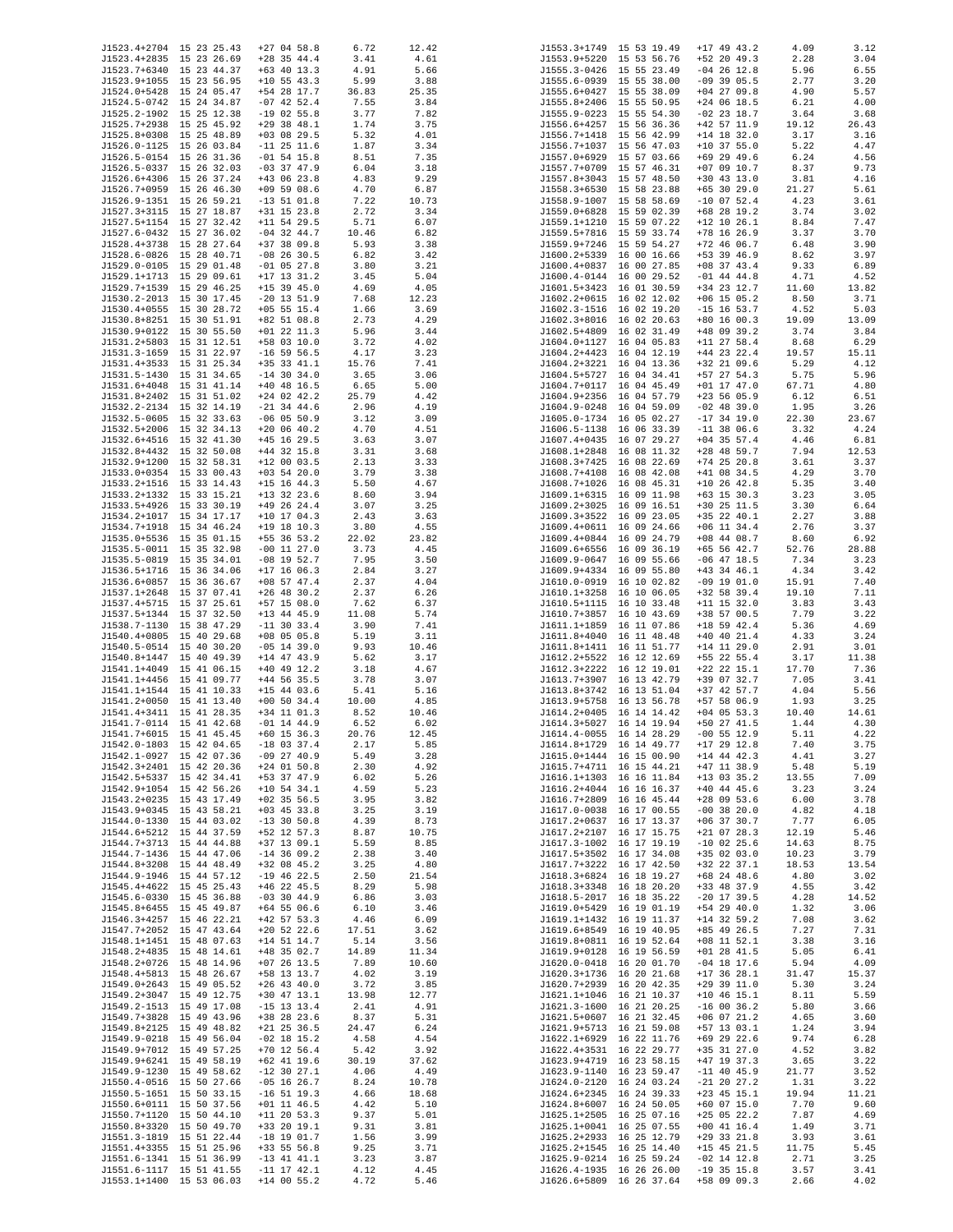| J1523.4+2704 15 23 25.43 | $+27$ 04 58.8   | 6.72  | 12.42 |              | J1553.3+1749 15 53 19.49 | $+17$ 49 43.2 | 4.09  | 3.12  |
|--------------------------|-----------------|-------|-------|--------------|--------------------------|---------------|-------|-------|
|                          |                 |       |       |              |                          |               |       |       |
| J1523.4+2835 15 23 26.69 | $+28$ 35 44.4   | 3.41  | 4.61  |              | J1553.9+5220 15 53 56.76 | $+52$ 20 49.3 | 2.28  | 3.04  |
| J1523.7+6340 15 23 44.37 | $+63$ 40 13.3   | 4.91  | 5.66  |              | J1555.3-0426 15 55 23.49 | $-04$ 26 12.8 | 5.96  | 6.55  |
| J1523.9+1055 15 23 56.95 | $+10$ 55 43.3   | 5.99  | 3.88  |              | J1555.6-0939 15 55 38.00 | $-09$ 39 05.5 | 2.77  | 3.20  |
| J1524.0+5428 15 24 05.47 | +54 28 17.7     | 36.83 | 25.35 |              | J1555.6+0427 15 55 38.09 | $+04$ 27 09.8 | 4.90  | 5.57  |
| J1524.5-0742 15 24 34.87 | $-07$ 42 52.4   | 7.55  | 3.84  |              | J1555.8+2406 15 55 50.95 | $+24$ 06 18.5 | 6.21  | 4.00  |
|                          |                 |       |       |              |                          |               |       |       |
| J1525.2-1902 15 25 12.38 | $-19$ 02 55.8   | 3.77  | 7.82  |              | J1555.9-0223 15 55 54.30 | $-02$ 23 18.7 | 3.64  | 3.68  |
| J1525.7+2938 15 25 45.92 | $+29$ 38 48.1   | 1.74  | 3.75  |              | J1556.6+4257 15 56 36.36 | $+42$ 57 11.9 | 19.12 | 26.43 |
| J1525.8+0308 15 25 48.89 | $+03$ 08 29.5   | 5.32  | 4.01  |              | J1556.7+1418 15 56 42.99 | $+14$ 18 32.0 | 3.17  | 3.16  |
| J1526.0-1125 15 26 03.84 | $-11$ 25 11.6   | 1.87  | 3.34  |              | J1556.7+1037 15 56 47.03 | $+10$ 37 55.0 | 5.22  | 4.47  |
| J1526.5-0154 15 26 31.36 | $-01$ 54 15.8   | 8.51  | 7.35  |              | J1557.0+6929 15 57 03.66 | $+69$ 29 49.6 | 6.24  | 4.56  |
|                          |                 |       |       |              |                          |               |       |       |
| J1526.5-0337 15 26 32.03 | $-03$ 37 47.9   | 6.04  | 3.18  |              | J1557.7+0709 15 57 46.31 | $+07$ 09 10.7 | 8.37  | 9.73  |
| J1526.6+4306 15 26 37.24 | $+43$ 06 23.8   | 4.83  | 9.29  |              | J1557.8+3043 15 57 48.50 | $+30$ 43 13.0 | 3.81  | 4.16  |
| J1526.7+0959 15 26 46.30 | $+09$ 59 08.6   | 4.70  | 6.87  |              | J1558.3+6530 15 58 23.88 | $+65$ 30 29.0 | 21.27 | 5.61  |
| J1526.9-1351 15 26 59.21 | $-13$ 51 01.8   | 7.22  | 10.73 |              | J1558.9-1007 15 58 58.69 | $-10$ 07 52.4 | 4.23  | 3.61  |
| J1527.3+3115 15 27 18.87 | $+31$ 15 23.8   | 2.72  | 3.34  |              | J1559.0+6828 15 59 02.39 | $+68$ 28 19.2 | 3.74  | 3.02  |
|                          |                 |       |       |              | J1559.1+1210 15 59 07.22 |               |       |       |
| J1527.5+1154 15 27 32.42 | $+11$ 54 29.5   | 5.71  | 6.07  |              |                          | $+12$ 10 26.1 | 8.84  | 7.47  |
| J1527.6-0432 15 27 36.02 | $-04$ 32 44.7   | 10.46 | 6.82  |              | J1559.5+7816 15 59 33.74 | +78 16 26.9   | 3.37  | 3.70  |
| J1528.4+3738 15 28 27.64 | $+37$ 38 09.8   | 5.93  | 3.38  |              | J1559.9+7246 15 59 54.27 | $+72$ 46 06.7 | 6.48  | 3.90  |
| J1528.6-0826 15 28 40.71 | $-08$ 26 30.5   | 6.82  | 3.42  |              | J1600.2+5339 16 00 16.66 | +53 39 46.9   | 8.62  | 3.97  |
| J1529.0-0105 15 29 01.48 | $-01$ 05 27.8   | 3.80  | 3.21  |              | J1600.4+0837 16 00 27.85 | $+08$ 37 43.4 | 9.33  | 6.89  |
| J1529.1+1713 15 29 09.61 |                 |       |       |              |                          | $-01$ 44 44.8 |       |       |
|                          | $+17$ 13 31.2   | 3.45  | 5.04  |              | J1600.4-0144 16 00 29.52 |               | 4.71  | 4.52  |
| J1529.7+1539 15 29 46.25 | $+15$ 39 45.0   | 4.69  | 4.05  |              | J1601.5+3423 16 01 30.59 | +34 23 12.7   | 11.60 | 13.82 |
| J1530.2-2013 15 30 17.45 | $-20$ 13 51.9   | 7.68  | 12.23 |              | J1602.2+0615 16 02 12.02 | $+06$ 15 05.2 | 8.50  | 3.71  |
| J1530.4+0555 15 30 28.72 | $+05$ 55 15.4   | 1.66  | 3.69  |              | J1602.3-1516 16 02 19.20 | $-15$ 16 53.7 | 4.52  | 5.03  |
| J1530.8+8251 15 30 51.91 | $+82$ 51 08.8   | 2.73  | 4.29  |              | J1602.3+8016 16 02 20.63 | $+80$ 16 00.3 | 19.09 | 13.09 |
| J1530.9+0122 15 30 55.50 | $+01$ 22 11.3   | 5.96  | 3.44  |              | J1602.5+4809 16 02 31.49 | $+48$ 09 39.2 | 3.74  | 3.84  |
|                          |                 |       |       |              |                          |               |       |       |
| J1531.2+5803 15 31 12.51 | +58 03 10.0     | 3.72  | 4.02  |              | J1604.0+1127 16 04 05.83 | $+11$ 27 58.4 | 8.68  | 6.29  |
| J1531.3-1659 15 31 22.97 | $-16$ 59 56.5   | 4.17  | 3.23  |              | J1604.2+4423 16 04 12.19 | $+44$ 23 22.4 | 19.57 | 15.11 |
| J1531.4+3533 15 31 25.34 | $+35$ 33 41.1   | 15.76 | 7.41  |              | J1604.2+3221 16 04 13.36 | +32 21 09.6   | 5.29  | 4.12  |
| J1531.5-1430 15 31 34.65 | $-14$ 30 34.0   | 3.65  | 3.06  |              | J1604.5+5727 16 04 34.41 | $+57$ 27 54.3 | 5.75  | 5.96  |
| J1531.6+4048 15 31 41.14 | $+40$ 48 16.5   | 6.65  | 5.00  |              | J1604.7+0117 16 04 45.49 | $+01$ 17 47.0 | 67.71 | 4.80  |
|                          |                 |       |       |              |                          |               |       |       |
| J1531.8+2402 15 31 51.02 | $+24$ 02 42.2   | 25.79 | 4.42  |              | J1604.9+2356 16 04 57.79 | $+23$ 56 05.9 | 6.12  | 6.51  |
| J1532.2-2134 15 32 14.19 | $-21$ 34 44.6   | 2.96  | 4.19  |              | J1604.9-0248 16 04 59.09 | $-02$ 48 39.0 | 1.95  | 3.26  |
| J1532.5-0605 15 32 33.63 | $-06$ 05 50.9   | 3.12  | 3.09  |              | J1605.0-1734 16 05 02.27 | $-17$ 34 19.0 | 22.30 | 23.67 |
| J1532.5+2006 15 32 34.13 | $+20$ 06 40.2   | 4.70  | 4.51  |              | J1606.5-1138 16 06 33.39 | $-11$ 38 06.6 | 3.32  | 4.24  |
| J1532.6+4516 15 32 41.30 | $+45$ 16 29.5   |       | 3.07  |              | J1607.4+0435 16 07 29.27 | $+04$ 35 57.4 | 4.46  | 6.81  |
|                          |                 | 3.63  |       |              |                          |               |       |       |
| J1532.8+4432 15 32 50.08 | $+44$ 32 15.8   | 3.31  | 3.68  |              | J1608.1+2848 16 08 11.32 | $+28$ 48 59.7 | 7.94  | 12.53 |
| J1532.9+1200 15 32 58.31 | $+12$ 00 03.5   | 2.13  | 3.33  |              | J1608.3+7425 16 08 22.69 | $+74$ 25 20.8 | 3.61  | 3.37  |
| J1533.0+0354 15 33 00.43 | $+03$ 54 20.0   | 3.79  | 3.38  |              | J1608.7+4108 16 08 42.08 | $+41$ 08 34.5 | 4.29  | 3.70  |
| J1533.2+1516 15 33 14.43 | $+15$ 16 44.3   | 5.50  | 4.67  |              | J1608.7+1026 16 08 45.31 | $+10$ 26 42.8 | 5.35  | 3.40  |
| J1533.2+1332 15 33 15.21 | $+13$ 32 23.6   | 8.60  | 3.94  |              | J1609.1+6315 16 09 11.98 | $+63$ 15 30.3 | 3.23  | 3.05  |
|                          |                 |       |       |              |                          |               |       |       |
| J1533.5+4926 15 33 30.19 | $+49$ 26 24.4   | 3.07  | 3.25  |              | J1609.2+3025 16 09 16.51 | $+30$ 25 11.5 | 3.30  | 6.64  |
| J1534.2+1017 15 34 17.17 | $+10$ 17 04.3   | 2.43  | 3.63  |              | J1609.3+3522 16 09 23.05 | +35 22 40.1   | 2.27  | 3.88  |
| J1534.7+1918 15 34 46.24 | $+19$ 18 10.3   | 3.80  | 4.55  |              | J1609.4+0611 16 09 24.66 | $+06$ 11 34.4 | 2.76  | 3.37  |
| J1535.0+5536 15 35 01.15 | $+55$ 36 53.2   | 22.02 | 23.82 |              | J1609.4+0844 16 09 24.79 | $+08$ 44 08.7 | 8.60  | 6.92  |
| J1535.5-0011 15 35 32.98 | $-00$ 11 27.0   | 3.73  | 4.45  |              | J1609.6+6556 16 09 36.19 | $+65$ 56 42.7 | 52.76 | 28.88 |
|                          |                 |       |       |              |                          |               |       |       |
| J1535.5-0819 15 35 34.01 | $-08$ 19 52.7   | 7.95  | 3.50  | J1609.9-0647 | 16 09 55.66              | $-06$ 47 18.5 | 7.34  | 3.23  |
| J1536.5+1716 15 36 34.06 | $+17$ 16 06.3   | 2.84  | 3.27  |              | J1609.9+4334 16 09 55.80 | $+43$ 34 46.1 | 4.34  | 3.42  |
| J1536.6+0857 15 36 36.67 | $+08$ 57 47.4   | 2.37  | 4.04  |              | J1610.0-0919 16 10 02.82 | $-09$ 19 01.0 | 15.91 | 7.40  |
| J1537.1+2648 15 37 07.41 | $+26$ 48 30.2   | 2.37  | 6.26  |              | J1610.1+3258 16 10 06.05 | $+32$ 58 39.4 | 19.10 | 7.11  |
| J1537.4+5715 15 37 25.61 | $+57$ 15 08.0   | 7.62  | 6.37  |              | J1610.5+1115 16 10 33.48 | $+11$ 15 32.0 | 3.83  | 3.43  |
|                          |                 |       |       |              |                          |               |       |       |
| J1537.5+1344 15 37 32.50 | $+13$ 44 45.9   | 11.08 | 5.74  |              | J1610.7+3857 16 10 43.69 | +38 57 00.5   | 7.79  | 3.22  |
| J1538.7-1130 15 38 47.29 | $-11$ 30 33.4   | 3.90  | 7.41  | J1611.1+1859 | 16 11 07.86              | $+18$ 59 42.4 | 5.36  | 4.69  |
| J1540.4+0805 15 40 29.68 | $+08$ 05 05.8   | 5.19  | 3.11  |              | J1611.8+4040 16 11 48.48 | $+40$ 40 21.4 | 4.33  | 3.24  |
| J1540.5-0514 15 40 30.20 | $-05$ 14 39.0   | 9.93  | 10.46 |              | J1611.8+1411 16 11 51.77 | $+14$ 11 29.0 | 2.91  | 3.01  |
| J1540.8+1447 15 40 49.39 | $+14$ 47 43.9   | 5.62  | 3.17  |              | J1612.2+5522 16 12 12.69 | +55 22 55.4   | 3.17  | 11.38 |
|                          |                 |       |       |              |                          |               |       |       |
| J1541.1+4049 15 41 06.15 | $+40$ 49 12.2   | 3.18  | 4.67  |              | J1612.3+2222 16 12 19.01 | $+22$ 22 15.1 | 17.70 | 7.36  |
| J1541.1+4456 15 41 09.77 | $+44$ 56 35.5   | 3.78  | 3.07  |              | J1613.7+3907 16 13 42.79 | +39 07 32.7   | 7.05  | 3.41  |
| J1541.1+1544 15 41 10.33 | $+15$ 44 03.6   | 5.41  | 5.16  |              | J1613.8+3742 16 13 51.04 | +37 42 57.7   | 4.04  | 5.56  |
| J1541.2+0050 15 41 13.40 | $+00$ 50 34.4   | 10.00 | 4.85  | J1613.9+5758 | 16 13 56.78              | +57 58 06.9   | 1.93  | 3.25  |
| J1541.4+3411 15 41 28.35 | $+34$ 11 01.3   | 8.52  | 10.46 |              | J1614.2+0405 16 14 14.42 | $+04$ 05 53.3 | 10.40 | 14.61 |
|                          |                 |       |       |              | J1614.3+5027 16 14 19.94 |               |       |       |
| J1541.7-0114 15 41 42.68 | $-01$ 14 44.9   | 6.52  | 6.02  |              |                          | +50 27 41.5   | 1.44  | 4.30  |
| J1541.7+6015 15 41 45.45 | $+60$ 15 36.3   | 20.76 | 12.45 |              | J1614.4-0055 16 14 28.29 | $-00$ 55 12.9 | 5.11  | 4.22  |
| J1542.0-1803 15 42 04.65 | $-18$ 03 37.4   | 2.17  | 5.85  |              | J1614.8+1729 16 14 49.77 | $+17$ 29 12.8 | 7.40  | 3.75  |
| J1542.1-0927 15 42 07.36 | $-09$ 27 40.9   | 5.49  | 3.28  |              | J1615.0+1444 16 15 00.90 | $+14$ 44 42.3 | 4.41  | 3.27  |
| J1542.3+2401 15 42 20.36 | $+24$ 01 50.8   | 2.30  | 4.92  |              | J1615.7+4711 16 15 44.21 | $+47$ 11 38.9 | 5.48  | 5.19  |
|                          | +53 37 47.9     |       |       |              | J1616.1+1303 16 16 11.84 | $+13$ 03 35.2 |       | 7.09  |
| J1542.5+5337 15 42 34.41 |                 | 6.02  | 5.26  |              |                          |               | 13.55 |       |
| J1542.9+1054 15 42 56.26 | $+10$ 54 34.1   | 4.59  | 5.23  |              | J1616.2+4044 16 16 16.37 | $+40$ 44 45.6 | 3.23  | 3.24  |
| J1543.2+0235 15 43 17.49 | $+02$ 35 56.5   | 3.95  | 3.82  |              | J1616.7+2809 16 16 45.44 | $+28$ 09 53.6 | 6.00  | 3.78  |
| J1543.9+0345 15 43 58.21 | $+03$ 45 33.8   | 3.25  | 3.19  |              | J1617.0-0038 16 17 00.55 | $-00$ 38 20.0 | 4.82  | 4.18  |
| J1544.0-1330 15 44 03.02 | $-13$ 30 50.8   | 4.39  | 8.73  |              | J1617.2+0637 16 17 13.37 | $+06$ 37 30.7 | 7.77  | 6.05  |
| J1544.6+5212 15 44 37.59 | $+52$ 12 57.3   | 8.87  | 10.75 |              | J1617.2+2107 16 17 15.75 | $+21$ 07 28.3 | 12.19 | 5.46  |
| J1544.7+3713 15 44 44.88 | $+37$ 13 09.1   | 5.59  | 8.85  |              | J1617.3-1002 16 17 19.19 | $-10$ 02 25.6 | 14.63 | 8.75  |
|                          |                 |       |       |              |                          |               |       |       |
| J1544.7-1436 15 44 47.06 | $-14$ 36 09.2   | 2.38  | 3.40  |              | J1617.5+3502 16 17 34.08 | $+35$ 02 03.0 | 10.23 | 3.79  |
| J1544.8+3208 15 44 48.49 | $+32$ 08 45.2   | 3.25  | 4.80  |              | J1617.7+3222 16 17 42.50 | +32 22 37.1   | 18.53 | 13.54 |
| J1544.9-1946 15 44 57.12 | $-19$ 46 22.5   | 2.50  | 21.54 |              | J1618.3+6824 16 18 19.27 | $+68$ 24 48.6 | 4.80  | 3.02  |
| J1545.4+4622 15 45 25.43 | $+46$ 22 45.5   | 8.29  | 5.98  |              | J1618.3+3348 16 18 20.20 | +33 48 37.9   | 4.55  | 3.42  |
| J1545.6-0330 15 45 36.88 | $-03$ 30 44.9   | 6.86  | 3.03  |              | J1618.5-2017 16 18 35.22 | $-20$ 17 39.5 | 4.28  | 14.52 |
|                          |                 |       |       |              |                          |               |       |       |
| J1545.8+6455 15 45 49.87 | $+64$ 55 06.6   | 6.10  | 3.46  |              | J1619.0+5429 16 19 01.19 | $+54$ 29 40.0 | 1.32  | 3.06  |
| J1546.3+4257 15 46 22.21 | $+42$ 57 53.3   | 4.46  | 6.09  |              | J1619.1+1432 16 19 11.37 | $+14$ 32 59.2 | 7.08  | 3.62  |
| J1547.7+2052 15 47 43.64 | $+20$ 52 22.6   | 17.51 | 3.62  |              | J1619.6+8549 16 19 40.95 | +85 49 26.5   | 7.27  | 7.31  |
| J1548.1+1451 15 48 07.63 | $+14$ 51 14.7   | 5.14  | 3.56  |              | J1619.8+0811 16 19 52.64 | $+08$ 11 52.1 | 3.38  | 3.16  |
|                          |                 |       |       |              |                          |               |       |       |
| J1548.2+4835 15 48 14.61 | $+48$ 35 02.7   | 14.89 | 11.34 |              | J1619.9+0128 16 19 56.59 | $+01$ 28 41.5 | 5.05  | 6.41  |
| J1548.2+0726 15 48 14.96 | $+07$ 26 13.5   | 7.89  | 10.60 |              | J1620.0-0418 16 20 01.70 | $-04$ 18 17.6 | 5.94  | 4.09  |
| J1548.4+5813 15 48 26.67 | +58 13 13.7     | 4.02  | 3.19  |              | J1620.3+1736 16 20 21.68 | $+17$ 36 28.1 | 31.47 | 15.37 |
| J1549.0+2643 15 49 05.52 | $+26$ 43 40.0   | 3.72  | 3.85  |              | J1620.7+2939 16 20 42.35 | $+29$ 39 11.0 | 5.30  | 3.24  |
| J1549.2+3047 15 49 12.75 | $+30$ 47 13.1   | 13.98 | 12.77 |              | J1621.1+1046 16 21 10.37 | $+10$ 46 15.1 | 8.11  | 5.59  |
|                          |                 |       |       |              |                          |               |       |       |
| J1549.2-1513 15 49 17.08 | $-15$ 13 13.4   | 2.41  | 4.91  |              | J1621.3-1600 16 21 20.25 | $-16$ 00 36.2 | 5.80  | 3.66  |
| J1549.7+3828 15 49 43.96 | +38 28 23.6     | 8.37  | 5.31  |              | J1621.5+0607 16 21 32.45 | $+06$ 07 21.2 | 4.65  | 3.60  |
| J1549.8+2125 15 49 48.82 | $+21$ 25 36.5   | 24.47 | 6.24  |              | J1621.9+5713 16 21 59.08 | +57 13 03.1   | 1.24  | 3.94  |
| J1549.9-0218 15 49 56.04 | $-02$ 18 15.2   | 4.58  | 4.54  |              | J1622.1+6929 16 22 11.76 | $+69$ 29 22.6 | 9.74  | 6.28  |
| J1549.9+7012 15 49 57.25 | $+70$ 12 56.4   | 5.42  | 3.92  |              | J1622.4+3531 16 22 29.77 | +35 31 27.0   | 4.52  | 3.82  |
|                          |                 |       |       |              |                          |               |       |       |
| J1549.9+6241 15 49 58.19 | $+62$ 41 19.6   | 30.19 | 37.62 |              | J1623.9+4719 16 23 58.15 | $+47$ 19 37.3 | 3.65  | 3.22  |
| J1549.9-1230 15 49 58.62 | $-12$ 30 27.1   | 4.06  | 4.49  |              | J1623.9-1140 16 23 59.47 | $-11$ 40 45.9 | 21.77 | 3.52  |
| J1550.4-0516 15 50 27.66 | $-05$ 16 26.7   | 8.24  | 10.78 |              | J1624.0-2120 16 24 03.24 | $-21$ 20 27.2 | 1.31  | 3.22  |
| J1550.5-1651 15 50 33.15 | $-16$ 51 19.3   | 4.66  | 18.68 |              | J1624.6+2345 16 24 39.33 | $+23$ 45 15.1 | 19.94 | 11.21 |
| J1550.6+0111 15 50 37.56 | $+01$ 11 46.5   | 4.42  | 5.10  |              | J1624.8+6007 16 24 50.05 | $+60$ 07 15.0 | 7.70  | 9.60  |
|                          |                 |       |       |              |                          |               |       |       |
| J1550.7+1120 15 50 44.10 | $+11$ 20 53.3   | 9.37  | 5.01  |              | J1625.1+2505 16 25 07.16 | $+25$ 05 22.2 | 7.87  | 4.69  |
| J1550.8+3320 15 50 49.70 | +33 20 19.1     | 9.31  | 3.81  |              | J1625.1+0041 16 25 07.55 | $+00$ 41 16.4 | 1.49  | 3.71  |
| J1551.3-1819 15 51 22.44 | $-18$ 19 01.7   | 1.56  | 3.99  |              | J1625.2+2933 16 25 12.79 | $+29$ 33 21.8 | 3.93  | 3.61  |
| J1551.4+3355 15 51 25.96 | $+33$ 55 56.8   | 9.25  | 3.71  |              | J1625.2+1545 16 25 14.40 | $+15$ 45 21.5 | 11.75 | 5.45  |
| J1551.6-1341 15 51 36.99 | $-13$ 41 41.1   | 3.23  | 3.87  |              | J1625.9-0214 16 25 59.24 | $-02$ 14 12.8 | 2.71  | 3.25  |
| J1551.6-1117 15 51 41.55 | $-11$ 17 $42.1$ | 4.12  | 4.45  |              | J1626.4-1935 16 26 26.00 | $-19$ 35 15.8 | 3.57  | 3.41  |
|                          |                 |       |       |              |                          |               |       |       |
| J1553.1+1400 15 53 06.03 | $+14$ 00 55.2   | 4.72  | 5.46  |              | J1626.6+5809 16 26 37.64 | +58 09 09.3   | 2.66  | 4.02  |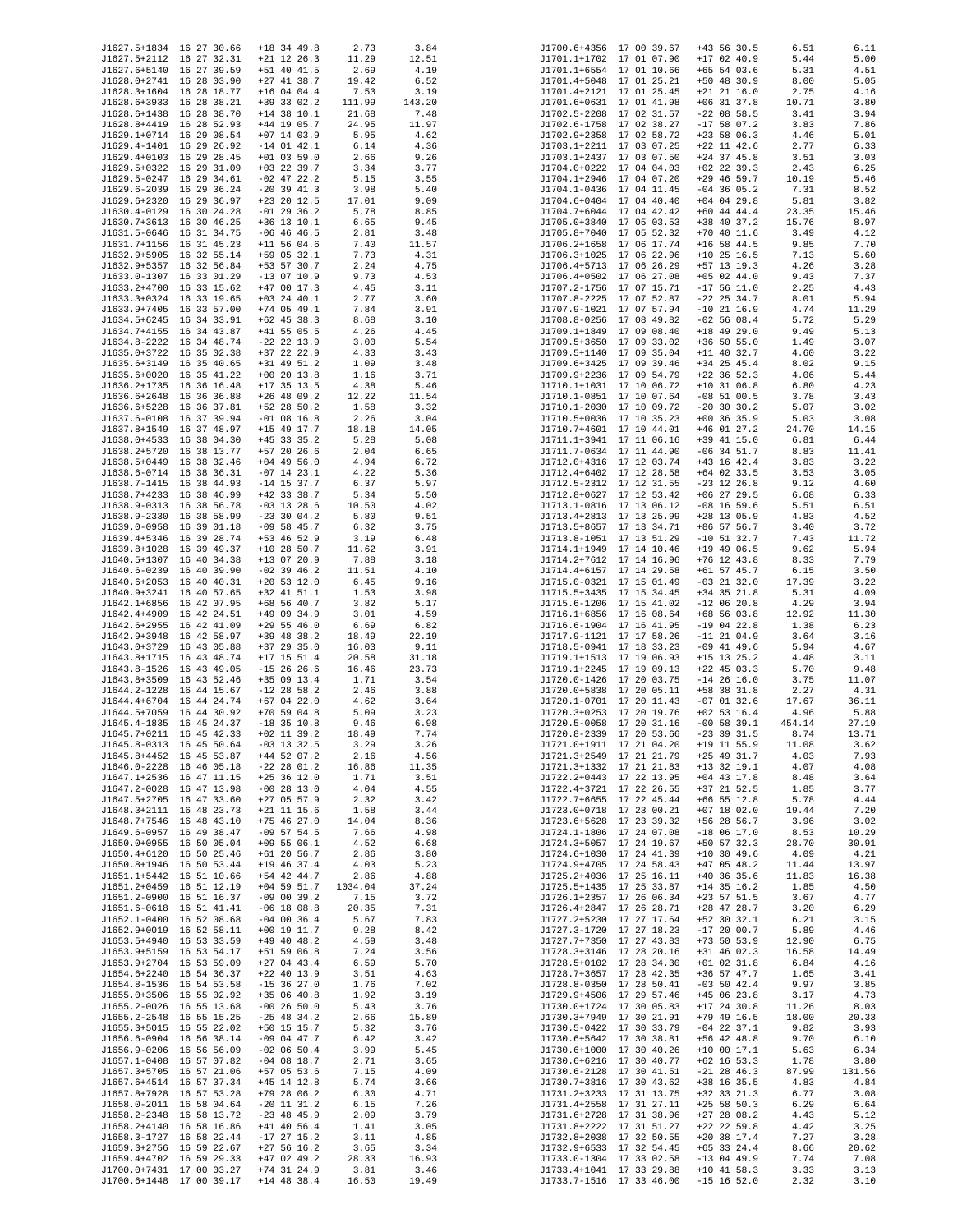| J1627.5+1834 16 27 30.66                             | $+18$ 34 49.8                  | 2.73          | 3.84          | J1700.6+4356 17 00 39.67                             |                          | $+43$ 56 30.5                  | 6.51           | 6.11                |
|------------------------------------------------------|--------------------------------|---------------|---------------|------------------------------------------------------|--------------------------|--------------------------------|----------------|---------------------|
| J1627.5+2112 16 27 32.31                             | $+21$ 12 26.3                  | 11.29         | 12.51         | J1701.1+1702 17 01 07.90                             |                          | $+17$ 02 40.9                  | 5.44           | 5.00                |
| J1627.6+5140 16 27 39.59                             | +51 40 41.5                    | 2.69          | 4.19          | J1701.1+6554 17 01 10.66                             |                          | $+65$ 54 03.6                  | 5.31           | 4.51                |
| J1628.0+2741 16 28 03.90<br>J1628.3+1604 16 28 18.77 | $+27$ 41 38.7<br>$+16$ 04 04.4 | 19.42<br>7.53 | 6.52<br>3.19  | J1701.4+5048 17 01 25.21<br>J1701.4+2121 17 01 25.45 |                          | +50 48 30.9<br>$+21$ 21 16.0   | 8.00<br>2.75   | 5.05<br>4.16        |
| J1628.6+3933 16 28 38.21                             | +39 33 02.2                    | 111.99        | 143.20        | J1701.6+0631 17 01 41.98                             |                          | $+06$ 31 37.8                  | 10.71          | 3.80                |
| J1628.6+1438 16 28 38.70                             | $+14$ 38 10.1                  | 21.68         | 7.48          | J1702.5-2208 17 02 31.57                             |                          | $-22$ 08 58.5                  | 3.41           | 3.94                |
| J1628.8+4419 16 28 52.93                             | +44 19 05.7                    | 24.95         | 11.97         | J1702.6-1758 17 02 38.27                             |                          | $-17$ 58 07.2                  | 3.83           | 7.86                |
| J1629.1+0714 16 29 08.54                             | $+07$ 14 03.9                  | 5.95          | 4.62          | J1702.9+2358 17 02 58.72                             |                          | $+23$ 58 06.3                  | 4.46           | 5.01                |
| J1629.4-1401 16 29 26.92<br>J1629.4+0103 16 29 28.45 | $-14$ 01 42.1<br>$+01$ 03 59.0 | 6.14<br>2.66  | 4.36<br>9.26  | J1703.1+2211 17 03 07.25<br>J1703.1+2437 17 03 07.50 |                          | $+22$ 11 42.6<br>$+24$ 37 45.8 | 2.77<br>3.51   | 6.33<br>3.03        |
| J1629.5+0322 16 29 31.09                             | $+03$ 22 39.7                  | 3.34          | 3.77          | J1704.0+0222 17 04 04.03                             |                          | $+02$ 22 39.3                  | 2.43           | 6.25                |
| J1629.5-0247 16 29 34.61                             | $-02$ 47 22.2                  | 5.15          | 3.55          | J1704.1+2946 17 04 07.20                             |                          | $+29$ 46 59.7                  | 10.19          | 5.46                |
| J1629.6-2039 16 29 36.24                             | $-20$ 39 41.3                  | 3.98          | 5.40          | J1704.1-0436 17 04 11.45                             |                          | $-04$ 36 05.2                  | 7.31           | 8.52                |
| J1629.6+2320 16 29 36.97                             | $+23$ 20 12.5                  | 17.01         | 9.09          | J1704.6+0404 17 04 40.40                             |                          | $+04$ 04 29.8                  | 5.81           | 3.82                |
| J1630.4-0129 16 30 24.28<br>J1630.7+3613 16 30 46.25 | $-01$ 29 36.2<br>$+36$ 13 10.1 | 5.78<br>6.65  | 8.85<br>9.45  | J1704.7+6044 17 04 42.42<br>J1705.0+3840 17 05 03.53 |                          | $+60$ 44 44.4<br>+38 40 37.2   | 23.35<br>15.76 | 15.46<br>8.97       |
| J1631.5-0646 16 31 34.75                             | $-06$ 46 46.5                  | 2.81          | 3.48          | J1705.8+7040 17 05 52.32                             |                          | $+70$ 40 11.6                  | 3.49           | 4.12                |
| J1631.7+1156 16 31 45.23                             | $+11$ 56 04.6                  | 7.40          | 11.57         | J1706.2+1658 17 06 17.74                             |                          | $+16$ 58 44.5                  | 9.85           | 7.70                |
| J1632.9+5905 16 32 55.14                             | +59 05 32.1                    | 7.73          | 4.31          | J1706.3+1025 17 06 22.96                             |                          | $+10$ 25 16.5                  | 7.13           | 5.60                |
| J1632.9+5357 16 32 56.84                             | +53 57 30.7                    | 2.24          | 4.75          | J1706.4+5713 17 06 26.29                             |                          | +57 13 19.3                    | 4.26           | 3.28                |
| J1633.0-1307 16 33 01.29<br>J1633.2+4700 16 33 15.62 | $-13$ 07 10.9<br>$+47$ 00 17.3 | 9.73<br>4.45  | 4.53<br>3.11  | J1706.4+0502 17 06 27.08<br>J1707.2-1756 17 07 15.71 |                          | $+05$ 02 44.0<br>$-17$ 56 11.0 | 9.43<br>2.25   | 7.37<br>4.43        |
| J1633.3+0324 16 33 19.65                             | $+03$ 24 40.1                  | 2.77          | 3.60          | J1707.8-2225 17 07 52.87                             |                          | $-22$ 25 34.7                  | 8.01           | 5.94                |
| J1633.9+7405 16 33 57.00                             | $+74$ 05 49.1                  | 7.84          | 3.91          | J1707.9-1021 17 07 57.94                             |                          | $-10$ 21 16.9                  | 4.74           | 11.29               |
| J1634.5+6245 16 34 33.91                             | $+62$ 45 38.3                  | 8.68          | 3.10          | J1708.8-0256 17 08 49.82                             |                          | $-02$ 56 08.4                  | 5.72           | 5.29                |
| J1634.7+4155 16 34 43.87                             | $+41$ 55 05.5                  | 4.26          | 4.45          | J1709.1+1849 17 09 08.40                             |                          | $+18$ 49 29.0                  | 9.49           | 5.13                |
| J1634.8-2222 16 34 48.74<br>J1635.0+3722 16 35 02.38 | $-22$ 22 13.9<br>$+37$ 22 22.9 | 3.00<br>4.33  | 5.54<br>3.43  | J1709.5+3650 17 09 33.02<br>J1709.5+1140 17 09 35.04 |                          | $+36$ 50 55.0<br>$+11$ 40 32.7 | 1.49<br>4.60   | 3.07<br>3.22        |
| J1635.6+3149 16 35 40.65                             | $+31$ 49 51.2                  | 1.09          | 3.48          | J1709.6+3425 17 09 39.46                             |                          | $+34$ 25 45.4                  | 8.02           | 9.15                |
| J1635.6+0020 16 35 41.22                             | $+00$ 20 13.8                  | 1.16          | 3.71          | J1709.9+2236 17 09 54.79                             |                          | $+22$ 36 52.3                  | 4.06           | 5.44                |
| J1636.2+1735 16 36 16.48                             | $+17$ 35 13.5                  | 4.38          | 5.46          | J1710.1+1031 17 10 06.72                             |                          | $+10$ 31 06.8                  | 6.80           | 4.23                |
| J1636.6+2648 16 36 36.88                             | $+26$ 48 09.2                  | 12.22         | 11.54         | J1710.1-0851 17 10 07.64                             |                          | $-08$ 51 00.5                  | 3.78           | 3.43                |
| J1636.6+5228 16 36 37.81<br>J1637.6-0108 16 37 39.94 | $+52$ 28 50.2<br>$-01$ 08 16.8 | 1.58<br>2.26  | 3.32<br>3.04  | J1710.1-2030 17 10 09.72<br>J1710.5+0036 17 10 35.23 |                          | $-20$ 30 30.2<br>$+00$ 36 35.9 | 5.07<br>5.03   | 3.02<br>3.08        |
| J1637.8+1549 16 37 48.97                             | +15 49 17.7                    | 18.18         | 14.05         | J1710.7+4601 17 10 44.01                             |                          | $+46$ 01 27.2                  | 24.70          | 14.15               |
| J1638.0+4533 16 38 04.30                             | $+45$ 33 35.2                  | 5.28          | 5.08          | J1711.1+3941 17 11 06.16                             |                          | +39 41 15.0                    | 6.81           | 6.44                |
| J1638.2+5720 16 38 13.77                             | $+57$ 20 26.6                  | 2.04          | 6.65          | J1711.7-0634 17 11 44.90                             |                          | $-06$ 34 51.7                  | 8.83           | 11.41               |
| J1638.5+0449 16 38 32.46                             | $+04$ 49 56.0<br>$-07$ 14 23.1 | 4.94          | 6.72          | J1712.0+4316 17 12 03.74                             |                          | $+43$ 16 42.4                  | 3.83           | 3.22                |
| J1638.6-0714 16 38 36.31<br>J1638.7-1415 16 38 44.93 | $-14$ 15 37.7                  | 4.22<br>6.37  | 5.36<br>5.97  | J1712.4+6402 17 12 28.58<br>J1712.5-2312 17 12 31.55 |                          | $+64$ 02 33.5<br>$-23$ 12 26.8 | 3.53<br>9.12   | 3.05<br>4.60        |
| J1638.7+4233 16 38 46.99                             | $+42$ 33 38.7                  | 5.34          | 5.50          | J1712.8+0627 17 12 53.42                             |                          | $+06$ 27 29.5                  | 6.68           | 6.33                |
| J1638.9-0313 16 38 56.78                             | $-03$ 13 28.6                  | 10.50         | 4.02          | J1713.1-0816 17 13 06.12                             |                          | $-08$ 16 59.6                  | 5.51           | 6.51                |
| J1638.9-2330 16 38 58.99                             | $-23$ 30 04.2                  | 5.80          | 9.51          | J1713.4+2813 17 13 25.99                             |                          | $+28$ 13 05.9                  | 4.83           | 4.52                |
| J1639.0-0958 16 39 01.18                             | $-09$ 58 45.7                  | 6.32          | 3.75          | J1713.5+8657 17 13 34.71                             |                          | +86 57 56.7                    | 3.40           | 3.72                |
| J1639.4+5346 16 39 28.74<br>J1639.8+1028 16 39 49.37 | +53 46 52.9<br>$+10$ 28 50.7   | 3.19<br>11.62 | 6.48<br>3.91  | J1713.8-1051 17 13 51.29<br>J1714.1+1949 17 14 10.46 |                          | $-10$ 51 32.7<br>$+19$ 49 06.5 | 7.43<br>9.62   | 11.72<br>5.94       |
| J1640.5+1307 16 40 34.38                             | +13 07 20.9                    | 7.88          | 3.18          | J1714.2+7612 17 14 16.96                             |                          | $+76$ 12 43.8                  | 8.33           | 7.79                |
| J1640.6-0239 16 40 39.90                             | $-02$ 39 46.2                  | 11.51         | 4.10          | J1714.4+6157 17 14 29.58                             |                          | $+61$ 57 45.7                  | 6.15           | 3.50                |
| J1640.6+2053 16 40 40.31                             | $+20$ 53 12.0                  | 6.45          | 9.16          | J1715.0-0321 17 15 01.49                             |                          | $-03$ 21 32.0                  | 17.39          | 3.22                |
| J1640.9+3241 16 40 57.65                             | $+32$ 41 51.1                  | 1.53          | 3.98          | J1715.5+3435 17 15 34.45                             |                          | +34 35 21.8                    | 5.31           | 4.09                |
| J1642.1+6856 16 42 07.95<br>J1642.4+4909 16 42 24.51 | $+68$ 56 40.7<br>+49 09 34.9   | 3.82<br>3.01  | 5.17<br>4.59  | J1715.6-1206 17 15 41.02<br>J1716.1+6856 17 16 08.64 |                          | $-12$ 06 20.8<br>$+68$ 56 03.8 | 4.29<br>12.92  | 3.94<br>11.30       |
| J1642.6+2955 16 42 41.09                             | $+29$ 55 46.0                  | 6.69          | 6.82          | J1716.6-1904 17 16 41.95                             |                          | $-19$ 04 22.8                  | 1.38           | 6.23                |
| J1642.9+3948 16 42 58.97                             | +39 48 38.2                    | 18.49         | 22.19         | J1717.9-1121 17 17 58.26                             |                          | $-11$ 21 04.9                  | 3.64           | 3.16                |
| J1643.0+3729 16 43 05.88                             | $+37$ 29 35.0                  | 16.03         | 9.11          | J1718.5-0941 17 18 33.23                             |                          | $-09$ 41 49.6                  | 5.94           | 4.67                |
| J1643.8+1715 16 43 48.74                             | $+17$ 15 51.4<br>$-15$ 26 26.6 | 20.58         | 31.18         | J1719.1+1513 17 19 06.93                             |                          | $+15$ 13 25.2                  | 4.48           | 3.11                |
| J1643.8-1526 16 43 49.05<br>J1643.8+3509 16 43 52.46 | +35 09 13.4                    | 16.46<br>1.71 | 23.73<br>3.54 | J1719.1+2245 17 19 09.13<br>J1720.0-1426 17 20 03.75 |                          | $+22$ 45 03.3<br>$-14$ 26 16.0 | 5.70<br>3.75   | 9.48<br>11.07       |
| J1644.2-1228 16 44 15.67                             | $-12$ 28 58.2                  | 2.46          | 3.88          | J1720.0+5838 17 20 05.11                             |                          | +58 38 31.8                    | 2.27           | 4.31                |
| J1644.4+6704 16 44 24.74                             | $+67$ 04 22.0                  | 4.62          | 3.64          | J1720.1-0701 17 20 11.43                             |                          | $-07$ 01 32.6                  | 17.67          | 36.11               |
| J1644.5+7059 16 44 30.92                             | $+70$ 59 04.8                  | 5.09          | 3.23          | J1720.3+0253 17 20 19.76                             |                          | $+02$ 53 16.4                  | 4.96           | 5.88                |
| J1645.4-1835 16 45 24.37                             | $-18$ 35 10.8                  | 9.46          | 6.98          | J1720.5-0058 17 20 31.16                             |                          | $-00$ 58 39.1                  | 454.14         | 27.19               |
| J1645.7+0211 16 45 42.33<br>J1645.8-0313 16 45 50.64 | $+02$ 11 39.2<br>$-03$ 13 32.5 | 18.49<br>3.29 | 7.74<br>3.26  | J1720.8-2339 17 20 53.66<br>J1721.0+1911 17 21 04.20 |                          | $-23$ 39 31.5<br>$+19$ 11 55.9 | 8.74<br>11.08  | 13.71<br>3.62       |
| J1645.8+4452 16 45 53.87                             | $+44$ 52 07.2                  | 2.16          | 4.56          | J1721.3+2549 17 21 21.79                             |                          | +25 49 31.7                    | 4.03           | 7.93                |
| J1646.0-2228 16 46 05.18                             | $-22$ 28 01.2                  | 16.86         | 11.35         | J1721.3+1332 17 21 21.83                             |                          | $+13$ 32 19.1                  | 4.07           | 4.08                |
| J1647.1+2536 16 47 11.15                             | $+25$ 36 12.0                  | 1.71          | 3.51          | J1722.2+0443 17 22 13.95                             |                          | $+04$ 43 17.8                  | 8.48           | 3.64                |
| J1647.2-0028 16 47 13.98<br>J1647.5+2705 16 47 33.60 | $-00$ 28 13.0<br>$+27$ 05 57.9 | 4.04<br>2.32  | 4.55<br>3.42  | J1722.4+3721 17 22 26.55<br>J1722.7+6655 17 22 45.44 |                          | $+37$ 21 52.5<br>$+66$ 55 12.8 | 1.85<br>5.78   | 3.77<br>$4\,. \,44$ |
| J1648.3+2111 16 48 23.73                             | $+21$ 11 15.6                  | 1.58          | 3.44          | J1723.0+0718 17 23 00.21                             |                          | $+07$ 18 02.0                  | 19.44          | 7.20                |
| J1648.7+7546 16 48 43.10                             | $+75$ 46 27.0                  | 14.04         | 8.36          | J1723.6+5628 17 23 39.32                             |                          | +56 28 56.7                    | 3.96           | 3.02                |
| J1649.6-0957 16 49 38.47                             | $-09$ 57 54.5                  | 7.66          | 4.98          | J1724.1-1806 17 24 07.08                             |                          | $-18$ 06 17.0                  | 8.53           | 10.29               |
| J1650.0+0955 16 50 05.04<br>J1650.4+6120 16 50 25.46 | $+09$ 55 06.1<br>$+61$ 20 56.7 | 4.52<br>2.86  | 6.68<br>3.80  | J1724.3+5057 17 24 19.67<br>J1724.6+1030 17 24 41.39 |                          | $+50$ 57 32.3<br>$+10$ 30 49.6 | 28.70<br>4.09  | 30.91<br>4.21       |
| J1650.8+1946 16 50 53.44                             | $+19$ 46 37.4                  | 4.03          | 5.23          | J1724.9+4705 17 24 58.43                             |                          | $+47$ 05 48.2                  | 11.44          | 13.97               |
| J1651.1+5442 16 51 10.66                             | +54 42 44.7                    | 2.86          | 4.88          | J1725.2+4036 17 25 16.11                             |                          | $+40$ 36 35.6                  | 11.83          | 16.38               |
| J1651.2+0459 16 51 12.19                             | $+04$ 59 51.7                  | 1034.04       | 37.24         | J1725.5+1435 17 25 33.87                             |                          | $+14$ 35 16.2                  | 1.85           | 4.50                |
| J1651.2-0900 16 51 16.37<br>J1651.6-0618 16 51 41.41 | $-09$ 00 39.2<br>$-06$ 18 08.8 | 7.15<br>20.35 | 3.72<br>7.31  | J1726.1+2357 17 26 06.34<br>J1726.4+2847 17 26 28.71 |                          | $+23$ 57 51.5<br>$+28$ 47 28.7 | 3.67<br>3.20   | 4.77<br>6.29        |
| J1652.1-0400 16 52 08.68                             | $-04$ 00 36.4                  | 5.67          | 7.83          | J1727.2+5230 17 27 17.64                             |                          | +52 30 32.1                    | 6.21           | 3.15                |
| J1652.9+0019 16 52 58.11                             | $+00$ 19 11.7                  | 9.28          | 8.42          | J1727.3-1720 17 27 18.23                             |                          | $-172000.7$                    | 5.89           | 4.46                |
| J1653.5+4940 16 53 33.59                             | $+49$ 40 48.2                  | 4.59          | 3.48          | J1727.7+7350 17 27 43.83                             |                          | $+73$ 50 53.9                  | 12.90          | 6.75                |
| J1653.9+5159 16 53 54.17                             | +51 59 06.8                    | 7.24          | 3.56          | J1728.3+3146 17 28 20.16                             |                          | $+31$ 46 02.3                  | 16.58          | 14.49               |
| J1653.9+2704 16 53 59.09<br>J1654.6+2240 16 54 36.37 | $+27$ 04 43.4<br>$+22$ 40 13.9 | 6.59<br>3.51  | 5.70<br>4.63  | J1728.5+0102 17 28 34.30<br>J1728.7+3657 17 28 42.35 |                          | $+01$ 02 31.8<br>+36 57 47.7   | 6.84<br>1.65   | 4.16<br>3.41        |
| J1654.8-1536 16 54 53.58                             | $-15$ 36 27.0                  | 1.76          | 7.02          | J1728.8-0350 17 28 50.41                             |                          | $-03$ 50 42.4                  | 9.97           | 3.85                |
| J1655.0+3506 16 55 02.92                             | $+35$ 06 40.8                  | 1.92          | 3.19          | J1729.9+4506 17 29 57.46                             |                          | $+45$ 06 23.8                  | 3.17           | 4.73                |
| J1655.2-0026 16 55 13.68                             | $-00$ 26 50.0                  | 5.43          | 3.76          | J1730.0+1724 17 30 05.83                             |                          | $+17$ 24 30.8                  | 11.26          | 8.03                |
| J1655.2-2548 16 55 15.25                             | $-25$ 48 34.2                  | 2.66          | 15.89         | J1730.3+7949 17 30 21.91                             |                          | +79 49 16.5                    | 18.00          | 20.33               |
| J1655.3+5015 16 55 22.02<br>J1656.6-0904 16 56 38.14 | +50 15 15.7<br>$-09$ 04 47.7   | 5.32<br>6.42  | 3.76<br>3.42  | J1730.5-0422 17 30 33.79<br>J1730.6+5642 17 30 38.81 |                          | $-04$ 22 37.1<br>$+56$ 42 48.8 | 9.82<br>9.70   | 3.93<br>6.10        |
| J1656.9-0206 16 56 56.09                             | $-02$ 06 50.4                  | 3.99          | 5.45          | J1730.6+1000 17 30 40.26                             |                          | $+10$ 00 17.1                  | 5.63           | 6.34                |
| J1657.1-0408 16 57 07.82                             | $-04$ 08 18.7                  | 2.71          | 3.65          | J1730.6+6216 17 30 40.77                             |                          | $+62$ 16 53.3                  | 1.78           | 3.80                |
| J1657.3+5705 16 57 21.06                             | +57 05 53.6                    | 7.15          | 4.09          | J1730.6-2128 17 30 41.51                             |                          | $-21$ 28 46.3                  | 87.99          | 131.56              |
| J1657.6+4514 16 57 37.34<br>J1657.8+7928 16 57 53.28 | +45 14 12.8<br>$+79$ 28 06.2   | 5.74<br>6.30  | 3.66<br>4.71  | J1730.7+3816 17 30 43.62<br>J1731.2+3233 17 31 13.75 |                          | +38 16 35.5<br>$+32$ 33 21.3   | 4.83<br>6.77   | 4.84<br>3.08        |
| J1658.0-2011 16 58 04.64                             | $-20$ 11 31.2                  | 6.15          | 7.26          | J1731.4+2558 17 31 27.11                             |                          | $+25$ 58 50.3                  | 6.29           | 6.64                |
| J1658.2-2348 16 58 13.72                             | $-23$ 48 45.9                  | 2.09          | 3.79          | J1731.6+2728 17 31 38.96                             |                          | $+27$ 28 08.2                  | 4.43           | 5.12                |
| J1658.2+4140 16 58 16.86                             | $+41$ 40 56.4                  | 1.41          | 3.05          | J1731.8+2222 17 31 51.27                             |                          | $+22$ 22 59.8                  | 4.42           | 3.25                |
| J1658.3-1727 16 58 22.44                             | $-17$ 27 15.2                  | 3.11          | 4.85          | J1732.8+2038 17 32 50.55                             |                          | $+20$ 38 17.4                  | 7.27           | 3.28                |
| J1659.3+2756 16 59 22.67<br>J1659.4+4702 16 59 29.33 | $+27$ 56 16.2<br>$+47$ 02 49.2 | 3.65<br>28.33 | 3.34<br>16.93 | J1732.9+6533 17 32 54.45<br>J1733.0-1304 17 33 02.58 |                          | $+65$ 33 24.4<br>$-13$ 04 49.9 | 8.66<br>7.74   | 20.62<br>7.08       |
| J1700.0+7431 17 00 03.27                             | $+74$ 31 24.9                  | 3.81          | 3.46          | J1733.4+1041 17 33 29.88                             |                          | $+10$ 41 58.3                  | 3.33           | 3.13                |
| J1700.6+1448 17 00 39.17                             | $+14$ 48 38.4                  | 16.50         | 19.49         |                                                      | J1733.7-1516 17 33 46.00 | $-15$ 16 52.0                  | 2.32           | 3.10                |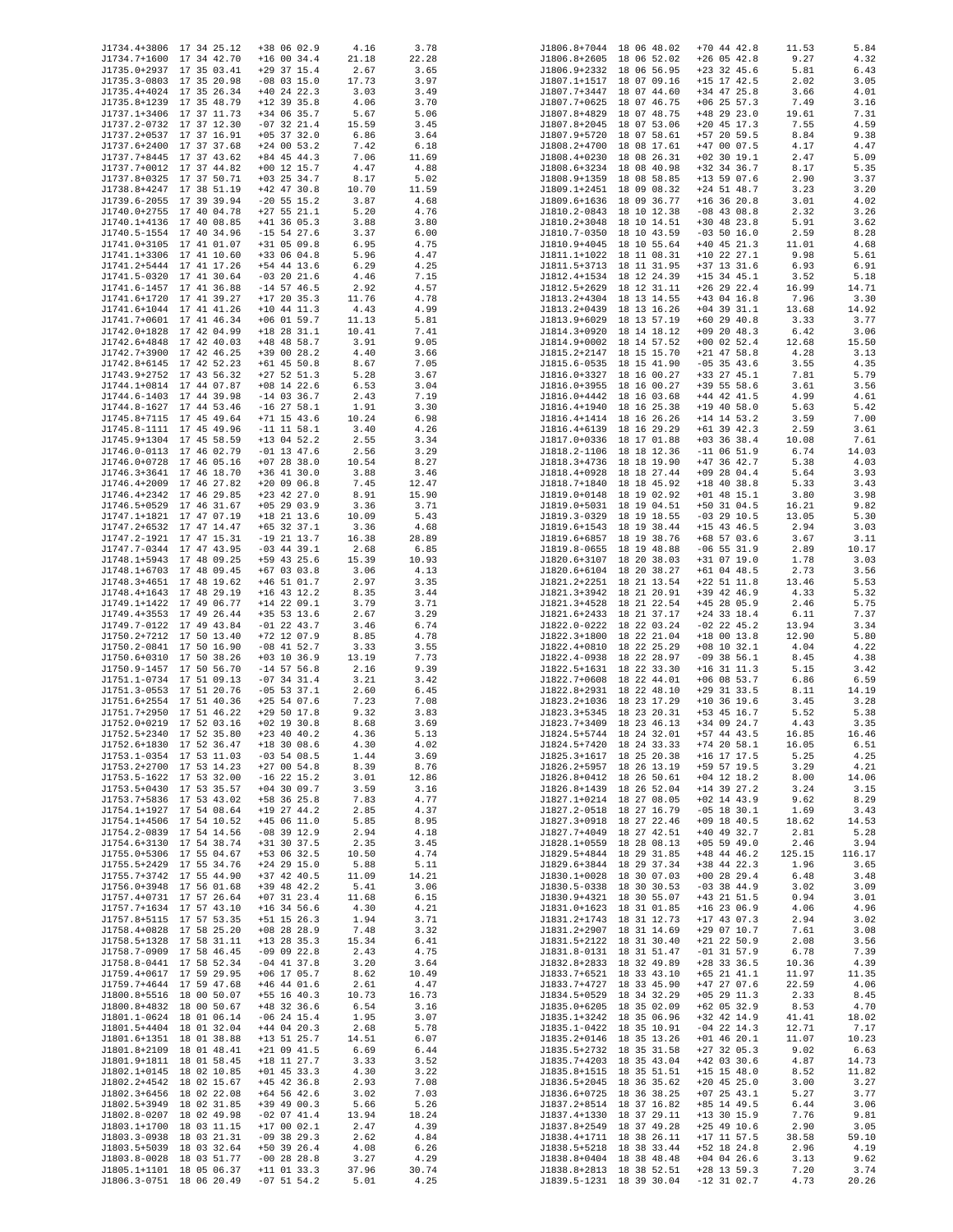| J1734.4+3806 17 34 25.12                             |                          | +38 06 02.9                    | 4.16  | 3.78  |              | J1806.8+7044 18 06 48.02                             | $+70$ 44 42.8                  | 11.53        | 5.84         |
|------------------------------------------------------|--------------------------|--------------------------------|-------|-------|--------------|------------------------------------------------------|--------------------------------|--------------|--------------|
| J1734.7+1600 17 34 42.70                             |                          | $+16$ 00 34.4                  | 21.18 | 22.28 |              | J1806.8+2605 18 06 52.02                             | $+26$ 05 42.8                  | 9.27         | 4.32         |
| J1735.0+2937 17 35 03.41                             |                          | $+29$ 37 15.4                  | 2.67  | 3.65  |              | J1806.9+2332 18 06 56.95                             | $+23$ 32 45.6                  | 5.81         | 6.43         |
| J1735.3-0803 17 35 20.98                             |                          | $-08$ 03 15.0                  | 17.73 | 3.97  |              | J1807.1+1517 18 07 09.16                             | $+15$ 17 42.5                  | 2.02         | 3.05         |
| J1735.4+4024 17 35 26.34                             |                          | $+40$ 24 22.3                  | 3.03  | 3.49  |              | J1807.7+3447 18 07 44.60                             | $+34$ 47 25.8                  | 3.66         | 4.01         |
| J1735.8+1239 17 35 48.79                             |                          | $+12$ 39 35.8                  | 4.06  | 3.70  | J1807.7+0625 | 18 07 46.75                                          | $+06$ 25 57.3                  | 7.49         | 3.16         |
| J1737.1+3406 17 37 11.73                             |                          | +34 06 35.7                    |       |       | J1807.8+4829 | 18 07 48.75                                          |                                |              |              |
|                                                      |                          |                                | 5.67  | 5.06  |              | J1807.8+2045 18 07 53.06                             | $+48$ 29 23.0                  | 19.61        | 7.31         |
| J1737.2-0732 17 37 12.30                             |                          | $-07$ 32 21.4                  | 15.59 | 3.45  |              |                                                      | $+20$ 45 17.3                  | 7.55         | 4.59         |
| J1737.2+0537 17 37 16.91                             |                          | $+05$ 37 32.0                  | 6.86  | 3.64  |              | J1807.9+5720 18 07 58.61                             | +57 20 59.5                    | 8.84         | 9.38         |
| J1737.6+2400 17 37 37.68                             |                          | $+24$ 00 53.2                  | 7.42  | 6.18  |              | J1808.2+4700 18 08 17.61                             | $+47$ 00 07.5                  | 4.17         | 4.47         |
| J1737.7+8445 17 37 43.62                             |                          | $+84$ 45 44.3                  | 7.06  | 11.69 |              | J1808.4+0230 18 08 26.31                             | $+02$ 30 19.1                  | 2.47         | 5.09         |
| J1737.7+0012 17 37 44.82                             |                          | $+00$ 12 15.7                  | 4.47  | 4.88  |              | J1808.6+3234 18 08 40.98                             | $+32$ 34 36.7                  | 8.17         | 5.35         |
| J1737.8+0325 17 37 50.71                             |                          | $+03$ 25 34.7                  | 8.17  | 5.02  |              | J1808.9+1359 18 08 58.85                             | $+13$ 59 07.6                  | 2.90         | 3.37         |
| J1738.8+4247 17 38 51.19                             |                          | $+42$ 47 30.8                  | 10.70 | 11.59 |              | J1809.1+2451 18 09 08.32                             | $+24$ 51 48.7                  | 3.23         | 3.20         |
| J1739.6-2055 17 39 39.94                             |                          | $-20$ 55 15.2                  | 3.87  | 4.68  |              | J1809.6+1636 18 09 36.77                             | $+16$ 36 20.8                  | 3.01         | 4.02         |
| J1740.0+2755 17 40 04.78                             |                          | $+27$ 55 21.1                  | 5.20  | 4.76  |              | J1810.2-0843 18 10 12.38                             | $-08$ 43 08.8                  | 2.32         | 3.26         |
| J1740.1+4136 17 40 08.85                             |                          | $+41$ 36 05.3                  | 3.88  | 3.80  |              | J1810.2+3048 18 10 14.51                             | $+30$ 48 23.8                  | 5.91         | 3.62         |
| J1740.5-1554 17 40 34.96                             |                          | $-15$ 54 27.6                  | 3.37  | 6.00  |              | J1810.7-0350 18 10 43.59                             | $-03$ 50 16.0                  | 2.59         | 8.28         |
| J1741.0+3105 17 41 01.07                             |                          | $+31$ 05 09.8                  | 6.95  | 4.75  |              | J1810.9+4045 18 10 55.64                             | $+40$ 45 21.3                  | 11.01        | 4.68         |
| J1741.1+3306 17 41 10.60                             |                          | $+33$ 06 04.8                  | 5.96  | 4.47  |              | J1811.1+1022 18 11 08.31                             | $+10$ 22 27.1                  | 9.98         | 5.61         |
| J1741.2+5444 17 41 17.26                             |                          | $+54$ 44 13.6                  | 6.29  | 4.25  |              | J1811.5+3713 18 11 31.95                             | $+37$ 13 31.6                  | 6.93         | 6.91         |
| J1741.5-0320 17 41 30.64                             |                          | $-03$ 20 21.6                  | 4.46  | 7.15  |              | J1812.4+1534 18 12 24.39                             | $+15$ 34 45.1                  | 3.52         | 5.18         |
| J1741.6-1457 17 41 36.88                             |                          | $-14$ 57 46.5                  | 2.92  | 4.57  |              | J1812.5+2629 18 12 31.11                             | $+26$ 29 22.4                  | 16.99        | 14.71        |
| J1741.6+1720 17 41 39.27                             |                          | $+17$ 20 35.3                  | 11.76 | 4.78  |              | J1813.2+4304 18 13 14.55                             | $+43$ 04 16.8                  | 7.96         | 3.30         |
| J1741.6+1044 17 41 41.26                             |                          | $+10$ 44 11.3                  | 4.43  | 4.99  |              | J1813.2+0439 18 13 16.26                             | $+04$ 39 31.1                  | 13.68        | 14.92        |
| J1741.7+0601 17 41 46.34                             |                          | $+06$ 01 59.7                  | 11.13 | 5.81  |              | J1813.9+6029 18 13 57.19                             | $+60$ 29 40.8                  | 3.33         | 3.77         |
| J1742.0+1828 17 42 04.99                             |                          | $+18$ 28 31.1                  | 10.41 | 7.41  |              | J1814.3+0920 18 14 18.12                             | $+09$ 20 48.3                  | 6.42         | 3.06         |
| J1742.6+4848 17 42 40.03                             |                          | $+48$ 48 58.7                  | 3.91  | 9.05  |              | J1814.9+0002 18 14 57.52                             | $+00$ 02 52.4                  | 12.68        | 15.50        |
| J1742.7+3900 17 42 46.25                             |                          | $+39$ 00 28.2                  | 4.40  | 3.66  |              | J1815.2+2147 18 15 15.70                             | $+21$ 47 58.8                  | 4.28         | 3.13         |
| J1742.8+6145 17 42 52.23                             |                          | $+61$ 45 50.8                  | 8.67  | 7.05  |              | J1815.6-0535 18 15 41.90                             | $-05$ 35 43.6                  | 3.55         | 4.35         |
| J1743.9+2752 17 43 56.32                             |                          | $+27$ 52 51.3                  | 5.28  | 3.67  |              | J1816.0+3327 18 16 00.27                             | +33 27 45.1                    | 7.81         | 5.79         |
| J1744.1+0814 17 44 07.87                             |                          | $+08$ 14 22.6                  | 6.53  | 3.04  |              | J1816.0+3955 18 16 00.27                             | $+39$ 55 58.6                  | 3.61         | 3.56         |
| J1744.6-1403 17 44 39.98                             |                          | $-14$ 03 36.7                  | 2.43  | 7.19  |              | J1816.0+4442 18 16 03.68                             | $+44$ 42 41.5                  | 4.99         | 4.61         |
| J1744.8-1627 17 44 53.46                             |                          | $-16$ 27 58.1                  |       | 3.30  |              | J1816.4+1940 18 16 25.38                             | $+19$ 40 58.0                  | 5.63         | 5.42         |
| J1745.8+7115 17 45 49.64                             |                          |                                | 1.91  |       |              | J1816.4+1414 18 16 26.26                             |                                |              |              |
| J1745.8-1111 17 45 49.96                             |                          | $+71$ 15 43.6<br>$-11$ 11 58.1 | 10.24 | 6.98  |              | J1816.4+6139 18 16 29.29                             | $+14$ 14 53.2<br>$+61$ 39 42.3 | 3.59<br>2.59 | 7.00<br>3.61 |
|                                                      |                          |                                | 3.40  | 4.26  |              |                                                      |                                |              |              |
| J1745.9+1304 17 45 58.59                             |                          | $+13$ 04 52.2                  | 2.55  | 3.34  |              | J1817.0+0336 18 17 01.88                             | $+03$ 36 38.4                  | 10.08        | 7.61         |
| J1746.0-0113 17 46 02.79                             |                          | $-01$ 13 47.6                  | 2.56  | 3.29  |              | J1818.2-1106 18 18 12.36                             | $-11$ 06 51.9                  | 6.74         | 14.03        |
| J1746.0+0728 17 46 05.16                             |                          | $+07$ 28 38.0                  | 10.54 | 8.27  |              | J1818.3+4736 18 18 19.90                             | $+47$ 36 42.7                  | 5.38         | 4.03         |
| J1746.3+3641 17 46 18.70                             |                          | $+36$ 41 30.0                  | 3.88  | 3.46  |              | J1818.4+0928 18 18 27.44                             | $+09$ 28 04.4                  | 5.64         | 3.93         |
| J1746.4+2009 17 46 27.82                             |                          | $+20$ 09 06.8                  | 7.45  | 12.47 |              | J1818.7+1840 18 18 45.92                             | $+18$ 40 38.8                  | 5.33         | 3.43         |
| J1746.4+2342 17 46 29.85                             |                          | $+23$ 42 27.0                  | 8.91  | 15.90 |              | J1819.0+0148 18 19 02.92                             | $+01$ 48 15.1                  | 3.80         | 3.98         |
| J1746.5+0529 17 46 31.67                             |                          | $+05$ 29 03.9                  | 3.36  | 3.71  |              | J1819.0+5031 18 19 04.51                             | $+50$ 31 04.5                  | 16.21        | 9.82         |
| J1747.1+1821 17 47 07.19                             |                          | $+18$ 21 13.6                  | 10.09 | 5.43  |              | J1819.3-0329 18 19 18.55                             | $-03$ 29 10.5                  | 13.05        | 5.30         |
| J1747.2+6532 17 47 14.47                             |                          | $+65$ 32 37.1                  | 3.36  | 4.68  |              | J1819.6+1543 18 19 38.44                             | $+15$ 43 46.5                  | 2.94         | 3.03         |
| J1747.2-1921 17 47 15.31                             |                          | $-19$ 21 13.7                  | 16.38 | 28.89 |              | J1819.6+6857 18 19 38.76                             | $+68$ 57 03.6                  | 3.67         | 3.11         |
| J1747.7-0344 17 47 43.95                             |                          | $-03$ 44 39.1                  | 2.68  | 6.85  |              | J1819.8-0655 18 19 48.88                             | $-06$ 55 31.9                  | 2.89         | 10.17        |
| J1748.1+5943 17 48 09.25                             |                          | +59 43 25.6                    | 15.39 | 10.93 |              | J1820.6+3107 18 20 38.03                             | +31 07 19.0                    | 1.78         | 3.03         |
| J1748.1+6703 17 48 09.45                             |                          | $+67$ 03 03.8                  | 3.06  | 4.13  |              | J1820.6+6104 18 20 38.27                             | $+61$ 04 48.5                  | 2.73         | 3.56         |
| J1748.3+4651 17 48 19.62                             |                          | $+46$ 51 01.7                  | 2.97  | 3.35  |              | J1821.2+2251 18 21 13.54                             | $+22$ 51 11.8                  | 13.46        | 5.53         |
| J1748.4+1643 17 48 29.19                             |                          | $+16$ 43 12.2                  | 8.35  | 3.44  |              | J1821.3+3942 18 21 20.91                             | +39 42 46.9                    | 4.33         | 5.32         |
| J1749.1+1422 17 49 06.77                             |                          | $+14$ 22 09.1                  | 3.79  | 3.71  |              | J1821.3+4528 18 21 22.54                             | $+45$ 28 05.9                  | 2.46         | 5.75         |
| J1749.4+3553 17 49 26.44                             |                          | $+35$ 53 13.6                  | 2.67  | 3.29  |              | J1821.6+2433 18 21 37.17                             | $+24$ 33 18.4                  | 6.11         | 7.37         |
| J1749.7-0122 17 49 43.84                             |                          | $-01$ 22 43.7                  | 3.46  | 6.74  |              | J1822.0-0222 18 22 03.24                             | $-02$ 22 45.2                  | 13.94        | 3.34         |
| J1750.2+7212 17 50 13.40                             |                          | $+72$ 12 07.9                  | 8.85  | 4.78  |              | J1822.3+1800 18 22 21.04                             | $+18$ 00 13.8                  | 12.90        | 5.80         |
| J1750.2-0841 17 50 16.90                             |                          | $-08$ 41 52.7                  | 3.33  | 3.55  |              | J1822.4+0810 18 22 25.29                             | $+08$ 10 32.1                  | 4.04         | 4.22         |
| J1750.6+0310 17 50 38.26                             |                          | $+03$ 10 36.9                  | 13.19 | 7.73  |              | J1822.4-0938 18 22 28.97                             | $-09$ 38 56.1                  | 8.45         | 4.38         |
| J1750.9-1457 17 50 56.70                             |                          | $-14$ 57 56.8                  | 2.16  | 9.39  |              | J1822.5+1631 18 22 33.30                             | $+16$ 31 11.3                  | 5.15         | 3.42         |
| J1751.1-0734 17 51 09.13                             |                          | $-07$ 34 31.4                  | 3.21  | 3.42  |              | J1822.7+0608 18 22 44.01                             | $+06$ 08 53.7                  | 6.86         | 6.59         |
| J1751.3-0553 17 51 20.76                             |                          | $-05$ 53 37.1                  | 2.60  | 6.45  | J1822.8+2931 | 18 22 48.10                                          | $+29$ 31 33.5                  | 8.11         | 14.19        |
| J1751.6+2554 17 51 40.36                             |                          | $+25$ 54 07.6                  | 7.23  | 7.08  |              | J1823.2+1036 18 23 17.29                             | $+10$ 36 19.6                  | 3.45         | 3.28         |
| J1751.7+2950 17 51 46.22                             |                          | $+295017.8$                    | 9.32  | 3.83  |              | J1823.3+5345 18 23 20.31                             | +53 45 16.7                    | 5.52         | 5.38         |
| J1752.0+0219 17 52 03.16                             |                          | $+02$ 19 30.8                  | 8.68  | 3.69  |              | J1823.7+3409 18 23 46.13                             | +34 09 24.7                    | 4.43         | 3.35         |
| J1752.5+2340 17 52 35.80                             |                          | $+23$ 40 40.2                  | 4.36  | 5.13  |              | J1824.5+5744 18 24 32.01                             | $+57$ 44 43.5                  | 16.85        |              |
|                                                      |                          |                                |       |       |              |                                                      | $+74$ 20 58.1                  |              | 16.46        |
| J1752.6+1830 17 52 36.47<br>J1753.1-0354 17 53 11.03 |                          | $+18$ 30 08.6                  | 4.30  | 4.02  |              | J1824.5+7420 18 24 33.33                             |                                | 16.05        | 6.51<br>4.25 |
| J1753.2+2700 17 53 14.23                             |                          | $-03$ 54 08.5                  | 1.44  | 3.69  |              | J1825.3+1617 18 25 20.38                             | $+16$ 17 17.5                  | 5.25         |              |
|                                                      |                          | $+270054.8$                    | 8.39  | 8.76  |              | J1826.2+5957 18 26 13.19                             | +59 57 19.5                    | 3.29         | 4.21         |
| J1753.5-1622 17 53 32.00                             |                          | $-16$ 22 15.2                  | 3.01  | 12.86 |              | J1826.8+0412 18 26 50.61                             | $+04$ 12 18.2                  | 8.00         | 14.06        |
| J1753.5+0430 17 53 35.57                             |                          | $+04$ 30 09.7                  | 3.59  | 3.16  |              | J1826.8+1439 18 26 52.04                             | $+14$ 39 27.2                  | 3.24         | 3.15         |
| J1753.7+5836 17 53 43.02                             |                          | $+58$ 36 25.8                  | 7.83  | 4.77  |              | J1827.1+0214 18 27 08.05                             | $+02$ 14 43.9                  | 9.62         | 8.29         |
| J1754.1+1927 17 54 08.64                             |                          | $+19$ 27 44.2                  | 2.85  | 4.37  |              | J1827.2-0518 18 27 16.79                             | $-05$ 18 30.1                  | 1.69         | 3.43         |
| J1754.1+4506 17 54 10.52<br>J1754.2-0839 17 54 14.56 |                          | $+45$ 06 11.0<br>$-08$ 39 12.9 | 5.85  | 8.95  |              | J1827.3+0918 18 27 22.46                             | $+09$ 18 40.5                  | 18.62        | 14.53        |
|                                                      |                          |                                | 2.94  | 4.18  |              | J1827.7+4049 18 27 42.51                             | $+40$ 49 32.7                  | 2.81         | 5.28         |
| J1754.6+3130 17 54 38.74<br>J1755.0+5306 17 55 04.67 |                          | $+31$ 30 37.5                  | 2.35  | 3.45  |              | J1828.1+0559 18 28 08.13<br>J1829.5+4844 18 29 31.85 | $+05$ 59 49.0<br>$+48$ 44 46.2 | 2.46         | 3.94         |
| J1755.5+2429 17 55 34.76                             |                          | +53 06 32.5                    | 10.50 | 4.74  |              |                                                      |                                | 125.15       | 116.17       |
|                                                      |                          | $+24$ 29 15.0                  | 5.88  | 5.11  |              | J1829.6+3844 18 29 37.34                             | +38 44 22.3                    | 1.96         | 3.65         |
| J1755.7+3742 17 55 44.90                             |                          | $+37$ 42 40.5                  | 11.09 | 14.21 |              | J1830.1+0028 18 30 07.03<br>J1830.5-0338 18 30 30.53 | $+00$ 28 29.4                  | 6.48         | 3.48         |
| J1756.0+3948 17 56 01.68                             |                          | +39 48 42.2                    | 5.41  | 3.06  |              |                                                      | $-03$ 38 44.9                  | 3.02         | 3.09         |
| J1757.4+0731 17 57 26.64                             |                          | $+07$ 31 23.4                  | 11.68 | 6.15  |              | J1830.9+4321 18 30 55.07                             | $+43$ 21 51.5                  | 0.94         | 3.01         |
| J1757.7+1634 17 57 43.10                             |                          | $+16$ 34 56.6                  | 4.30  | 4.21  |              | J1831.0+1623 18 31 01.85                             | $+16$ 23 06.9                  | 4.06         | 4.96         |
| J1757.8+5115 17 57 53.35                             |                          | $+51$ 15 26.3                  | 1.94  | 3.71  |              | J1831.2+1743 18 31 12.73                             | $+17$ 43 07.3                  | 2.94         | 3.02         |
| J1758.4+0828 17 58 25.20                             |                          | $+08$ 28 28.9                  | 7.48  | 3.32  |              | J1831.2+2907 18 31 14.69                             | $+29$ 07 10.7                  | 7.61         | 3.08         |
| J1758.5+1328 17 58 31.11                             |                          | $+13$ 28 35.3                  | 15.34 | 6.41  |              | J1831.5+2122 18 31 30.40                             | $+21$ 22 50.9                  | 2.08         | 3.56         |
| J1758.7-0909 17 58 46.45                             |                          | $-09$ 09 22.8                  | 2.43  | 4.75  |              | J1831.8-0131 18 31 51.47                             | $-01$ 31 57.9                  | 6.78         | 7.39         |
| J1758.8-0441 17 58 52.34                             |                          | $-04$ 41 37.8                  | 3.20  | 3.64  |              | J1832.8+2833 18 32 49.89                             | $+28$ 33 36.5                  | 10.36        | 4.39         |
| J1759.4+0617 17 59 29.95                             |                          | $+06$ 17 05.7                  | 8.62  | 10.49 |              | J1833.7+6521 18 33 43.10                             | $+65$ 21 41.1                  | 11.97        | 11.35        |
| J1759.7+4644 17 59 47.68                             |                          | $+46$ 44 01.6                  | 2.61  | 4.47  | J1833.7+4727 | 18 33 45.90                                          | $+47$ 27 07.6                  | 22.59        | 4.06         |
| J1800.8+5516 18 00 50.07                             |                          | $+55$ 16 40.3                  | 10.73 | 16.73 |              | J1834.5+0529 18 34 32.29                             | $+05$ 29 11.3                  | 2.33         | 8.45         |
| J1800.8+4832 18 00 50.67                             |                          | $+48$ 32 36.6                  | 6.54  | 3.16  |              | J1835.0+6205 18 35 02.09                             | $+62$ 05 32.9                  | 8.53         | 4.70         |
| J1801.1-0624 18 01 06.14                             |                          | $-06$ 24 15.4                  | 1.95  | 3.07  |              | J1835.1+3242 18 35 06.96                             | +32 42 14.9                    | 41.41        | 18.02        |
| J1801.5+4404 18 01 32.04                             |                          | $+44$ 04 20.3                  | 2.68  | 5.78  |              | J1835.1-0422 18 35 10.91                             | $-04$ 22 14.3                  | 12.71        | 7.17         |
| J1801.6+1351 18 01 38.88                             |                          | $+13$ 51 25.7                  | 14.51 | 6.07  |              | J1835.2+0146 18 35 13.26                             | $+01$ 46 20.1                  | 11.07        | 10.23        |
| J1801.8+2109 18 01 48.41                             |                          | $+21$ 09 41.5                  | 6.69  | 6.44  |              | J1835.5+2732 18 35 31.58                             | $+27$ 32 05.3                  | 9.02         | 6.63         |
| J1801.9+1811 18 01 58.45                             |                          | $+18$ 11 27.7                  | 3.33  | 3.52  |              | J1835.7+4203 18 35 43.04                             | $+42$ 03 30.6                  | 4.87         | 14.73        |
| J1802.1+0145 18 02 10.85                             |                          | $+01$ 45 33.3                  | 4.30  | 3.22  |              | J1835.8+1515 18 35 51.51                             | $+15$ 15 48.0                  | 8.52         | 11.82        |
| J1802.2+4542 18 02 15.67                             |                          | $+45$ 42 36.8                  | 2.93  | 7.08  |              | J1836.5+2045 18 36 35.62                             | $+20$ 45 25.0                  | 3.00         | 3.27         |
| J1802.3+6456 18 02 22.08                             |                          | $+64$ 56 42.6                  | 3.02  | 7.03  |              | J1836.6+0725 18 36 38.25                             | $+07$ 25 43.1                  | 5.27         | 3.77         |
| J1802.5+3949 18 02 31.85                             |                          | $+39$ 49 00.3                  | 5.66  | 5.26  |              | J1837.2+8514 18 37 16.82                             | $+85$ 14 49.5                  | 6.44         | 3.06         |
| J1802.8-0207 18 02 49.98                             |                          | $-02$ 07 41.4                  | 13.94 | 18.24 |              | J1837.4+1330 18 37 29.11                             | $+13$ 30 15.9                  | 7.76         | 9.81         |
| J1803.1+1700 18 03 11.15                             |                          | $+170002.1$                    | 2.47  | 4.39  |              | J1837.8+2549 18 37 49.28                             | $+25$ 49 10.6                  | 2.90         | 3.05         |
| J1803.3-0938 18 03 21.31                             |                          | $-09$ 38 29.3                  | 2.62  | 4.84  |              | J1838.4+1711 18 38 26.11                             | $+17$ 11 57.5                  | 38.58        | 59.10        |
| J1803.5+5039 18 03 32.64                             |                          | $+50$ 39 26.4                  | 4.08  | 6.26  |              | J1838.5+5218 18 38 33.44                             | +52 18 24.8                    | 2.96         | 4.19         |
| J1803.8-0028 18 03 51.77                             |                          | $-00$ 28 28.8                  | 3.27  | 4.29  |              | J1838.8+0404 18 38 48.48                             | $+04$ 04 26.6                  | 3.13         | 9.62         |
| J1805.1+1101 18 05 06.37                             |                          | $+11$ 01 33.3                  | 37.96 | 30.74 |              | J1838.8+2813 18 38 52.51                             | $+28$ 13 59.3                  | 7.20         | 3.74         |
|                                                      | J1806.3-0751 18 06 20.49 | $-07$ 51 54.2                  | 5.01  | 4.25  |              | J1839.5-1231 18 39 30.04                             | $-12$ 31 02.7                  | 4.73         | 20.26        |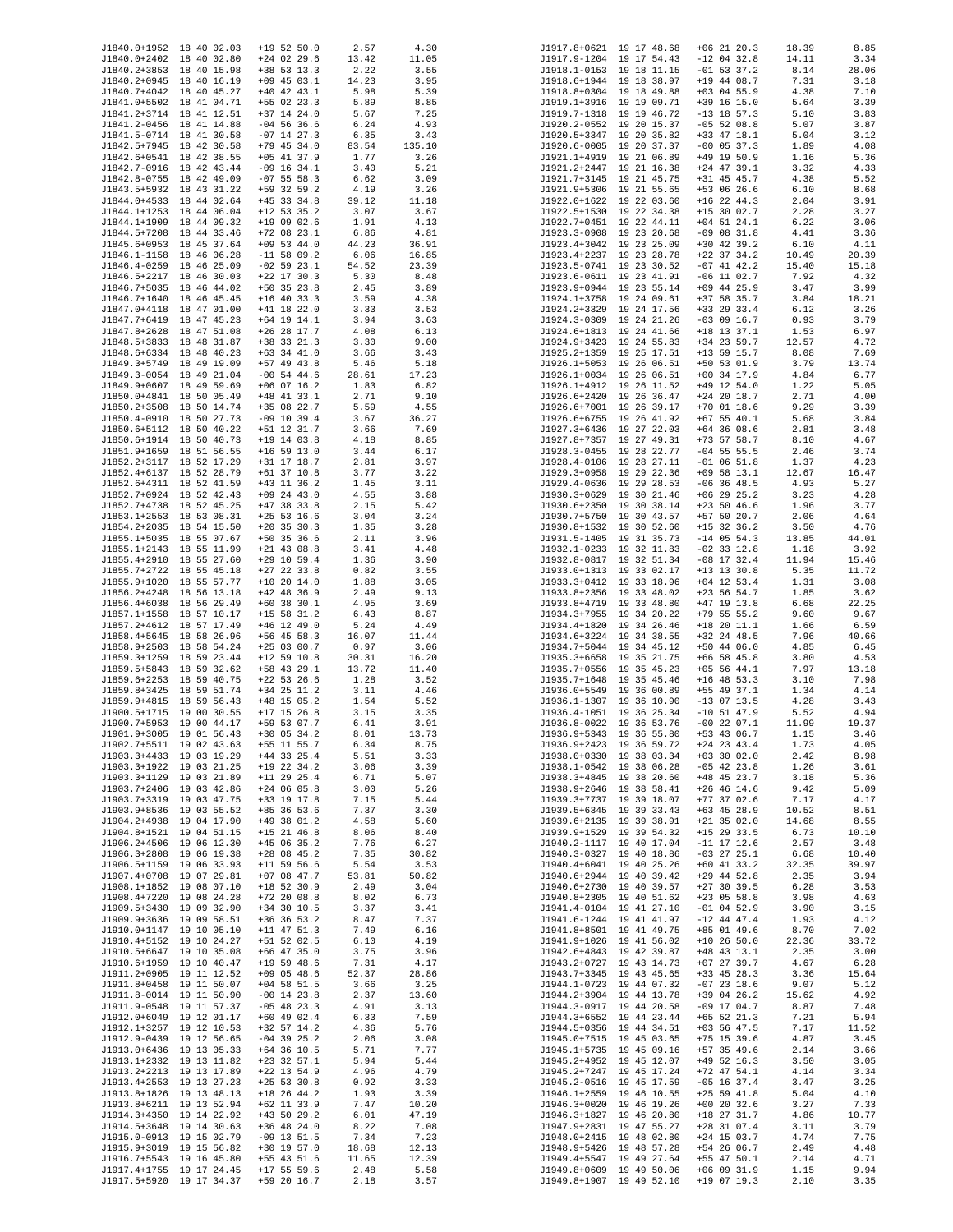| J1840.0+1952 18 40 02.03                             |                          | $+19$ 52 50.0                  | 2.57  | 4.30   |              | J1917.8+0621 19 17 48.68                             | $+06$ 21 20.3                  | 18.39 | 8.85  |
|------------------------------------------------------|--------------------------|--------------------------------|-------|--------|--------------|------------------------------------------------------|--------------------------------|-------|-------|
| J1840.0+2402 18 40 02.80                             |                          | $+24$ 02 29.6                  | 13.42 | 11.05  |              | J1917.9-1204 19 17 54.43                             | $-12$ 04 32.8                  | 14.11 | 3.34  |
| J1840.2+3853 18 40 15.98                             |                          | $+38$ 53 13.3                  | 2.22  | 3.55   |              | J1918.1-0153 19 18 11.15                             | $-01$ 53 37.2                  | 8.14  | 28.06 |
| J1840.2+0945 18 40 16.19                             |                          | $+09$ 45 03.1                  | 14.23 | 3.95   |              | J1918.6+1944 19 18 38.97                             | +19 44 08.7                    | 7.31  | 3.18  |
| J1840.7+4042 18 40 45.27                             |                          | $+40$ 42 43.1                  | 5.98  | 5.39   |              | J1918.8+0304 19 18 49.88                             | $+03$ 04 55.9                  | 4.38  | 7.10  |
| J1841.0+5502 18 41 04.71                             |                          | $+55$ 02 23.3                  | 5.89  | 8.85   |              | J1919.1+3916 19 19 09.71                             | +39 16 15.0                    | 5.64  | 3.39  |
| J1841.2+3714 18 41 12.51                             |                          | $+37$ 14 24.0                  | 5.67  | 7.25   |              | J1919.7-1318 19 19 46.72                             | $-13$ 18 57.3                  | 5.10  | 3.83  |
|                                                      |                          |                                |       |        |              |                                                      |                                |       |       |
| J1841.2-0456 18 41 14.88<br>J1841.5-0714 18 41 30.58 |                          | $-04$ 56 36.6<br>$-07$ 14 27.3 | 6.24  | 4.93   |              | J1920.2-0552 19 20 15.37                             | $-05$ 52 08.8<br>$+33$ 47 18.1 | 5.07  | 3.87  |
|                                                      |                          |                                | 6.35  | 3.43   |              | J1920.5+3347 19 20 35.82                             |                                | 5.04  | 3.12  |
| J1842.5+7945 18 42 30.58                             |                          | $+79$ 45 34.0                  | 83.54 | 135.10 |              | J1920.6-0005 19 20 37.37                             | $-00$ 05 37.3                  | 1.89  | 4.08  |
| J1842.6+0541 18 42 38.55                             |                          | $+05$ 41 37.9                  | 1.77  | 3.26   |              | J1921.1+4919 19 21 06.89                             | $+49$ 19 50.9                  | 1.16  | 5.36  |
| J1842.7-0916 18 42 43.44                             |                          | $-09$ 16 34.1                  | 3.40  | 5.21   |              | J1921.2+2447 19 21 16.38                             | $+24$ 47 39.1                  | 3.32  | 4.33  |
| J1842.8-0755 18 42 49.09                             |                          | $-07$ 55 58.3                  | 6.62  | 3.09   |              | J1921.7+3145 19 21 45.75                             | $+31$ 45 45.7                  | 4.38  | 5.52  |
| J1843.5+5932 18 43 31.22                             |                          | +59 32 59.2                    | 4.19  | 3.26   |              | J1921.9+5306 19 21 55.65                             | +53 06 26.6                    | 6.10  | 8.68  |
| J1844.0+4533 18 44 02.64                             |                          | $+45$ 33 34.8                  | 39.12 | 11.18  |              | J1922.0+1622 19 22 03.60                             | $+16$ 22 44.3                  | 2.04  | 3.91  |
| J1844.1+1253 18 44 06.04                             |                          | $+12$ 53 35.2                  | 3.07  | 3.67   |              | J1922.5+1530 19 22 34.38                             | $+15$ 30 02.7                  | 2.28  | 3.27  |
| J1844.1+1909 18 44 09.32                             |                          | $+190902.6$                    | 1.91  | 4.13   |              | J1922.7+0451 19 22 44.11                             | $+04$ 51 24.1                  | 6.22  | 3.06  |
| J1844.5+7208 18 44 33.46                             |                          | $+72$ 08 23.1                  | 6.86  | 4.81   |              | J1923.3-0908 19 23 20.68                             | $-09$ 08 31.8                  | 4.41  | 3.36  |
| J1845.6+0953 18 45 37.64                             |                          | $+09$ 53 44.0                  | 44.23 | 36.91  |              | J1923.4+3042 19 23 25.09                             | $+30$ 42 39.2                  | 6.10  | 4.11  |
| J1846.1-1158 18 46 06.28                             |                          | $-11$ 58 09.2                  | 6.06  | 16.85  |              | J1923.4+2237 19 23 28.78                             | $+22$ 37 34.2                  | 10.49 | 20.39 |
| J1846.4-0259 18 46 25.09                             |                          | $-02$ 59 23.1                  | 54.52 | 23.39  |              | J1923.5-0741 19 23 30.52                             | $-07$ 41 42.2                  | 15.40 | 15.18 |
| J1846.5+2217 18 46 30.03                             |                          | $+22$ 17 30.3                  | 5.30  | 8.48   |              | J1923.6-0611 19 23 41.91                             | $-06$ 11 02.7                  | 7.92  | 4.32  |
| J1846.7+5035 18 46 44.02                             |                          | $+50$ 35 23.8                  | 2.45  | 3.89   |              | J1923.9+0944 19 23 55.14                             | $+09$ 44 25.9                  | 3.47  | 3.99  |
| J1846.7+1640 18 46 45.45                             |                          | $+16$ 40 33.3                  | 3.59  | 4.38   |              | J1924.1+3758 19 24 09.61                             | +37 58 35.7                    | 3.84  | 18.21 |
| J1847.0+4118 18 47 01.00                             |                          | $+41$ 18 22.0                  | 3.33  | 3.53   |              | J1924.2+3329 19 24 17.56                             | $+33$ 29 33.4                  | 6.12  | 3.26  |
| J1847.7+6419 18 47 45.23                             |                          | $+64$ 19 14.1                  | 3.94  | 3.63   |              | J1924.3-0309 19 24 21.26                             | $-03$ 09 16.7                  | 0.93  | 3.79  |
| J1847.8+2628 18 47 51.08                             |                          | $+26$ 28 17.7                  |       |        |              | J1924.6+1813 19 24 41.66                             |                                |       | 6.97  |
|                                                      |                          |                                | 4.08  | 6.13   |              |                                                      | $+18$ 13 37.1                  | 1.53  |       |
| J1848.5+3833 18 48 31.87<br>J1848.6+6334 18 48 40.23 |                          | +38 33 21.3                    | 3.30  | 9.00   |              | J1924.9+3423 19 24 55.83<br>J1925.2+1359 19 25 17.51 | +34 23 59.7                    | 12.57 | 4.72  |
|                                                      |                          | $+63$ 34 41.0                  | 3.66  | 3.43   |              |                                                      | $+13$ 59 15.7                  | 8.08  | 7.69  |
| J1849.3+5749 18 49 19.09                             |                          | $+57$ 49 43.8                  | 5.46  | 5.18   |              | J1926.1+5053 19 26 06.51                             | +50 53 01.9                    | 3.79  | 13.74 |
| J1849.3-0054 18 49 21.04                             |                          | $-00$ 54 44.6                  | 28.61 | 17.23  |              | J1926.1+0034 19 26 06.51                             | $+00$ 34 17.9                  | 4.84  | 6.77  |
| J1849.9+0607 18 49 59.69                             |                          | $+06$ 07 16.2                  | 1.83  | 6.82   |              | J1926.1+4912 19 26 11.52                             | $+49$ 12 54.0                  | 1.22  | 5.05  |
| J1850.0+4841 18 50 05.49                             |                          | $+48$ 41 33.1                  | 2.71  | 9.10   |              | J1926.6+2420 19 26 36.47                             | $+24$ 20 18.7                  | 2.71  | 4.00  |
| J1850.2+3508 18 50 14.74                             |                          | +35 08 22.7                    | 5.59  | 4.55   |              | J1926.6+7001 19 26 39.17                             | $+70$ 01 18.6                  | 9.29  | 3.39  |
| J1850.4-0910 18 50 27.73                             |                          | $-09$ 10 39.4                  | 3.67  | 36.27  |              | J1926.6+6755 19 26 41.92                             | $+67$ 55 40.1                  | 5.68  | 3.84  |
| J1850.6+5112 18 50 40.22                             |                          | +51 12 31.7                    | 3.66  | 7.69   |              | J1927.3+6436 19 27 22.03                             | $+64$ 36 08.6                  | 2.81  | 3.48  |
| J1850.6+1914 18 50 40.73                             |                          | $+19$ 14 03.8                  | 4.18  | 8.85   |              | J1927.8+7357 19 27 49.31                             | $+73$ 57 58.7                  | 8.10  | 4.67  |
| J1851.9+1659 18 51 56.55                             |                          | $+16$ 59 13.0                  | 3.44  | 6.17   |              | J1928.3-0455 19 28 22.77                             | $-04$ 55 55.5                  | 2.46  | 3.74  |
| J1852.2+3117 18 52 17.29                             |                          | +31 17 18.7                    | 2.81  | 3.97   |              | J1928.4-0106 19 28 27.11                             | $-01$ 06 51.8                  | 1.37  | 4.23  |
| J1852.4+6137 18 52 28.79                             |                          | $+61$ 37 10.8                  | 3.77  | 3.22   |              | J1929.3+0958 19 29 22.36                             | $+09$ 58 13.1                  | 12.67 | 16.47 |
| J1852.6+4311 18 52 41.59                             |                          | $+43$ 11 36.2                  | 1.45  | 3.11   |              | J1929.4-0636 19 29 28.53                             | $-06$ 36 48.5                  | 4.93  | 5.27  |
| J1852.7+0924 18 52 42.43                             |                          | $+09$ 24 43.0                  | 4.55  | 3.88   |              | J1930.3+0629 19 30 21.46                             | $+06$ 29 25.2                  | 3.23  | 4.28  |
| J1852.7+4738 18 52 45.25                             |                          | $+47$ 38 33.8                  | 2.15  | 5.42   |              | J1930.6+2350 19 30 38.14                             | $+23$ 50 46.6                  | 1.96  | 3.77  |
| J1853.1+2553 18 53 08.31                             |                          | $+25$ 53 16.6                  | 3.04  | 3.24   |              | J1930.7+5750 19 30 43.57                             | +57 50 20.7                    | 2.06  | 4.64  |
| J1854.2+2035 18 54 15.50                             |                          | $+20$ 35 30.3                  | 1.35  | 3.28   |              | J1930.8+1532 19 30 52.60                             | $+15$ 32 36.2                  | 3.50  | 4.76  |
| J1855.1+5035 18 55 07.67                             |                          | $+50$ 35 36.6                  | 2.11  | 3.96   |              | J1931.5-1405 19 31 35.73                             | $-14$ 05 54.3                  | 13.85 | 44.01 |
| J1855.1+2143 18 55 11.99                             |                          | $+21$ 43 08.8                  | 3.41  | 4.48   |              | J1932.1-0233 19 32 11.83                             | $-02$ 33 12.8                  | 1.18  | 3.92  |
| J1855.4+2910 18 55 27.60                             |                          | $+29$ 10 59.4                  | 1.36  | 3.90   |              | J1932.8-0817 19 32 51.34                             | $-08$ 17 32.4                  | 11.94 | 15.46 |
| J1855.7+2722 18 55 45.18                             |                          | $+27$ 22 33.8                  | 0.82  |        |              | J1933.0+1313 19 33 02.17                             | $+13$ 13 30.8                  | 5.35  | 11.72 |
|                                                      |                          |                                |       | 3.55   |              |                                                      |                                |       |       |
| J1855.9+1020 18 55 57.77                             |                          | $+10$ 20 14.0                  | 1.88  | 3.05   |              | J1933.3+0412 19 33 18.96                             | $+04$ 12 53.4                  | 1.31  | 3.08  |
| J1856.2+4248 18 56 13.18                             |                          | $+42$ 48 36.9                  | 2.49  | 9.13   |              | J1933.8+2356 19 33 48.02                             | $+23$ 56 54.7                  | 1.85  | 3.62  |
| J1856.4+6038 18 56 29.49                             |                          | $+60$ 38 30.1                  | 4.95  | 3.69   |              | J1933.8+4719 19 33 48.80                             | $+47$ 19 13.8                  | 6.68  | 22.25 |
| J1857.1+1558 18 57 10.17                             |                          | $+15$ 58 31.2                  | 6.43  | 8.87   |              | J1934.3+7955 19 34 20.22                             | $+79$ 55 55.2                  | 9.60  | 9.67  |
| J1857.2+4612 18 57 17.49                             |                          | $+46$ 12 49.0                  | 5.24  | 4.49   |              | J1934.4+1820 19 34 26.46                             | $+18$ 20 11.1                  | 1.66  | 6.59  |
| J1858.4+5645 18 58 26.96                             |                          | $+56$ 45 58.3                  | 16.07 | 11.44  |              | J1934.6+3224 19 34 38.55                             | $+32$ 24 48.5                  | 7.96  | 40.66 |
| J1858.9+2503 18 58 54.24                             |                          | $+25$ 03 00.7                  | 0.97  | 3.06   |              | J1934.7+5044 19 34 45.12                             | $+50$ 44 06.0                  | 4.85  | 6.45  |
| J1859.3+1259 18 59 23.44                             |                          | $+12$ 59 10.8                  | 30.31 | 16.20  |              | J1935.3+6658 19 35 21.75                             | $+66$ 58 45.8                  | 3.80  | 4.53  |
| J1859.5+5843 18 59 32.62                             |                          | +58 43 29.1                    | 13.72 | 11.40  |              | J1935.7+0556 19 35 45.23                             | $+05$ 56 44.1                  | 7.97  | 13.18 |
| J1859.6+2253 18 59 40.75                             |                          | $+22$ 53 26.6                  | 1.28  | 3.52   |              | J1935.7+1648 19 35 45.46                             | $+16$ 48 53.3                  | 3.10  | 7.98  |
| J1859.8+3425 18 59 51.74                             |                          | $+34$ 25 11.2                  | 3.11  | 4.46   | J1936.0+5549 | 19 36 00.89                                          | +55 49 37.1                    | 1.34  | 4.14  |
| J1859.9+4815 18 59 56.43                             |                          | $+48$ 15 05.2                  | 1.54  | 5.52   |              | J1936.1-1307 19 36 10.90                             | $-13$ 07 13.5                  | 4.28  | 3.43  |
| J1900.5+1715 19 00 30.55                             |                          | $+17$ 15 26.8                  | 3.15  | 3.35   |              | J1936.4-1051 19 36 25.34                             | $-10$ 51 47.9                  | 5.52  | 4.94  |
| J1900.7+5953 19 00 44.17                             |                          | +59 53 07.7                    | 6.41  | 3.91   |              | J1936.8-0022 19 36 53.76                             | $-00$ 22 07.1                  | 11.99 | 19.37 |
| J1901.9+3005 19 01 56.43                             |                          | $+30$ 05 34.2                  | 8.01  | 13.73  |              | J1936.9+5343 19 36 55.80                             | +53 43 06.7                    | 1.15  | 3.46  |
| J1902.7+5511 19 02 43.63                             |                          | +55 11 55.7                    | 6.34  | 8.75   |              | J1936.9+2423 19 36 59.72                             | $+24$ 23 43.4                  | 1.73  | 4.05  |
| J1903.3+4433 19 03 19.29                             |                          | $+44$ 33 25.4                  | 5.51  | 3.33   |              | J1938.0+0330 19 38 03.34                             | $+03$ 30 02.0                  | 2.42  | 8.98  |
| J1903.3+1922 19 03 21.25                             |                          | $+19$ 22 34.2                  | 3.06  | 3.39   |              | J1938.1-0542 19 38 06.28                             | $-05$ 42 23.8                  | 1.26  | 3.61  |
| J1903.3+1129 19 03 21.89                             |                          | $+11$ 29 25.4                  | 6.71  | 5.07   | J1938.3+4845 | 19 38 20.60                                          | $+48$ 45 23.7                  | 3.18  | 5.36  |
| J1903.7+2406 19 03 42.86                             |                          | $+24$ 06 05.8                  | 3.00  | 5.26   |              | J1938.9+2646 19 38 58.41                             | $+26$ 46 14.6                  | 9.42  | 5.09  |
| J1903.7+3319 19 03 47.75                             |                          | +33 19 17.8                    | 7.15  | 5.44   |              | J1939.3+7737 19 39 18.07                             | $+77$ 37 02.6                  | 7.17  | 4.17  |
| J1903.9+8536 19 03 55.52                             |                          | +85 36 53.6                    | 7.37  | 3.30   |              | J1939.5+6345 19 39 33.43                             | $+63$ 45 28.9                  | 10.52 | 8.51  |
| J1904.2+4938 19 04 17.90                             |                          | +49 38 01.2                    | 4.58  | 5.60   |              | J1939.6+2135 19 39 38.91                             | $+21$ 35 02.0                  | 14.68 | 8.55  |
| J1904.8+1521 19 04 51.15                             |                          | $+15$ 21 46.8                  | 8.06  | 8.40   |              | J1939.9+1529 19 39 54.32                             | $+15$ 29 33.5                  | 6.73  | 10.10 |
| J1906.2+4506 19 06 12.30                             |                          | $+45$ 06 35.2                  | 7.76  | 6.27   |              | J1940.2-1117 19 40 17.04                             | $-11$ 17 12.6                  | 2.57  | 3.48  |
| J1906.3+2808 19 06 19.38                             |                          | $+28$ 08 45.2                  | 7.35  | 30.82  |              | J1940.3-0327 19 40 18.86                             | $-03$ 27 25.1                  | 6.68  | 10.40 |
| J1906.5+1159 19 06 33.93                             |                          | $+11$ 59 56.6                  | 5.54  | 3.53   |              | J1940.4+6041 19 40 25.26                             | $+60$ 41 33.2                  | 32.35 | 39.97 |
| J1907.4+0708 19 07 29.81                             |                          | $+07$ 08 47.7                  | 53.81 | 50.82  |              | J1940.6+2944 19 40 39.42                             | $+29$ 44 52.8                  | 2.35  | 3.94  |
| J1908.1+1852 19 08 07.10                             |                          | $+18$ 52 30.9                  | 2.49  | 3.04   |              | J1940.6+2730 19 40 39.57                             | $+27$ 30 39.5                  | 6.28  | 3.53  |
| J1908.4+7220 19 08 24.28                             |                          | $+72$ 20 08.8                  | 8.02  | 6.73   |              | J1940.8+2305 19 40 51.62                             | $+23$ 05 58.8                  | 3.98  | 4.63  |
| J1909.5+3430 19 09 32.90                             |                          | $+34$ 30 10.5                  | 3.37  | 3.41   |              | J1941.4-0104 19 41 27.10                             | $-01$ 04 52.9                  | 3.90  | 3.15  |
|                                                      |                          |                                |       |        |              | J1941.6-1244 19 41 41.97                             | $-12$ 44 47.4                  |       |       |
| J1909.9+3636 19 09 58.51                             |                          | $+36$ 36 53.2                  | 8.47  | 7.37   |              |                                                      | $+85$ 01 49.6                  | 1.93  | 4.12  |
| J1910.0+1147 19 10 05.10                             |                          | $+11$ 47 51.3                  | 7.49  | 6.16   |              | J1941.8+8501 19 41 49.75                             |                                | 8.70  | 7.02  |
| J1910.4+5152 19 10 24.27                             |                          | +51 52 02.5                    | 6.10  | 4.19   |              | J1941.9+1026 19 41 56.02                             | $+10$ 26 50.0                  | 22.36 | 33.72 |
| J1910.5+6647 19 10 35.08                             |                          | $+66$ 47 35.0                  | 3.75  | 3.96   |              | J1942.6+4843 19 42 39.87                             | $+48$ 43 13.1                  | 2.35  | 3.00  |
| J1910.6+1959 19 10 40.47                             |                          | $+19$ 59 48.6                  | 7.31  | 4.17   |              | J1943.2+0727 19 43 14.73                             | $+07$ 27 39.7                  | 4.67  | 6.28  |
| J1911.2+0905 19 11 12.52                             |                          | $+09$ 05 48.6                  | 52.37 | 28.86  |              | J1943.7+3345 19 43 45.65                             | $+33$ 45 28.3                  | 3.36  | 15.64 |
| J1911.8+0458 19 11 50.07                             |                          | $+04$ 58 51.5                  | 3.66  | 3.25   |              | J1944.1-0723 19 44 07.32                             | $-07$ 23 18.6                  | 9.07  | 5.12  |
| J1911.8-0014 19 11 50.90                             |                          | $-00$ 14 23.8                  | 2.37  | 13.60  |              | J1944.2+3904 19 44 13.78                             | +39 04 26.2                    | 15.62 | 4.92  |
| J1911.9-0548 19 11 57.37                             |                          | $-05$ 48 23.3                  | 4.91  | 3.13   |              | J1944.3-0917 19 44 20.58                             | $-09$ 17 04.7                  | 8.87  | 7.48  |
| J1912.0+6049 19 12 01.17                             |                          | $+60$ 49 02.4                  | 6.33  | 7.59   |              | J1944.3+6552 19 44 23.44                             | $+65$ 52 21.3                  | 7.21  | 5.94  |
| J1912.1+3257 19 12 10.53                             |                          | $+32$ 57 14.2                  | 4.36  | 5.76   |              | J1944.5+0356 19 44 34.51                             | $+03$ 56 47.5                  | 7.17  | 11.52 |
| J1912.9-0439 19 12 56.65                             |                          | $-04$ 39 25.2                  | 2.06  | 3.08   |              | J1945.0+7515 19 45 03.65                             | $+75$ 15 39.6                  | 4.87  | 3.45  |
| J1913.0+6436 19 13 05.33                             |                          | $+64$ 36 10.5                  | 5.71  | 7.77   |              | J1945.1+5735 19 45 09.16                             | $+57$ 35 49.6                  | 2.14  | 3.66  |
| J1913.1+2332 19 13 11.82                             |                          | $+23$ 32 57.1                  | 5.94  | 5.44   |              | J1945.2+4952 19 45 12.07                             | $+49$ 52 16.3                  | 3.50  | 3.05  |
| J1913.2+2213 19 13 17.89                             |                          | $+22$ 13 54.9                  | 4.96  | 4.79   |              | J1945.2+7247 19 45 17.24                             | $+72$ 47 54.1                  | 4.14  | 3.34  |
| J1913.4+2553 19 13 27.23                             |                          | $+25$ 53 30.8                  | 0.92  | 3.33   |              | J1945.2-0516 19 45 17.59                             | $-05$ 16 37.4                  | 3.47  | 3.25  |
| J1913.8+1826 19 13 48.13                             |                          | $+18$ 26 44.2                  | 1.93  | 3.39   |              | J1946.1+2559 19 46 10.55                             | $+25$ 59 41.8                  | 5.04  | 4.10  |
| J1913.8+6211 19 13 52.94                             |                          | $+62$ 11 33.9                  | 7.47  | 10.20  |              | J1946.3+0020 19 46 19.26                             | $+00$ 20 32.6                  | 3.27  | 7.33  |
| J1914.3+4350 19 14 22.92                             |                          | $+43$ 50 29.2                  | 6.01  | 47.19  |              | J1946.3+1827 19 46 20.80                             | $+18$ 27 31.7                  | 4.86  | 10.77 |
| J1914.5+3648 19 14 30.63                             |                          | $+36$ 48 24.0                  | 8.22  | 7.08   |              | J1947.9+2831 19 47 55.27                             | $+28$ 31 07.4                  | 3.11  | 3.79  |
| J1915.0-0913 19 15 02.79                             |                          | $-09$ 13 51.5                  | 7.34  | 7.23   |              | J1948.0+2415 19 48 02.80                             | $+24$ 15 03.7                  | 4.74  | 7.75  |
| J1915.9+3019 19 15 56.82                             |                          | $+30$ 19 57.0                  | 18.68 | 12.13  | J1948.9+5426 | 19 48 57.28                                          | +54 26 06.7                    | 2.49  | 4.48  |
| J1916.7+5543 19 16 45.80                             |                          | $+55$ 43 51.6                  | 11.65 | 12.39  |              | J1949.4+5547 19 49 27.64                             | +55 47 50.1                    | 2.14  | 4.71  |
| J1917.4+1755                                         | 19 17 24.45              | $+17$ 55 59.6                  | 2.48  | 5.58   | J1949.8+0609 | 19 49 50.06                                          | $+06$ 09 31.9                  | 1.15  | 9.94  |
|                                                      | J1917.5+5920 19 17 34.37 | +59 20 16.7                    | 2.18  | 3.57   |              | J1949.8+1907 19 49 52.10                             | +19 07 19.3                    | 2.10  | 3.35  |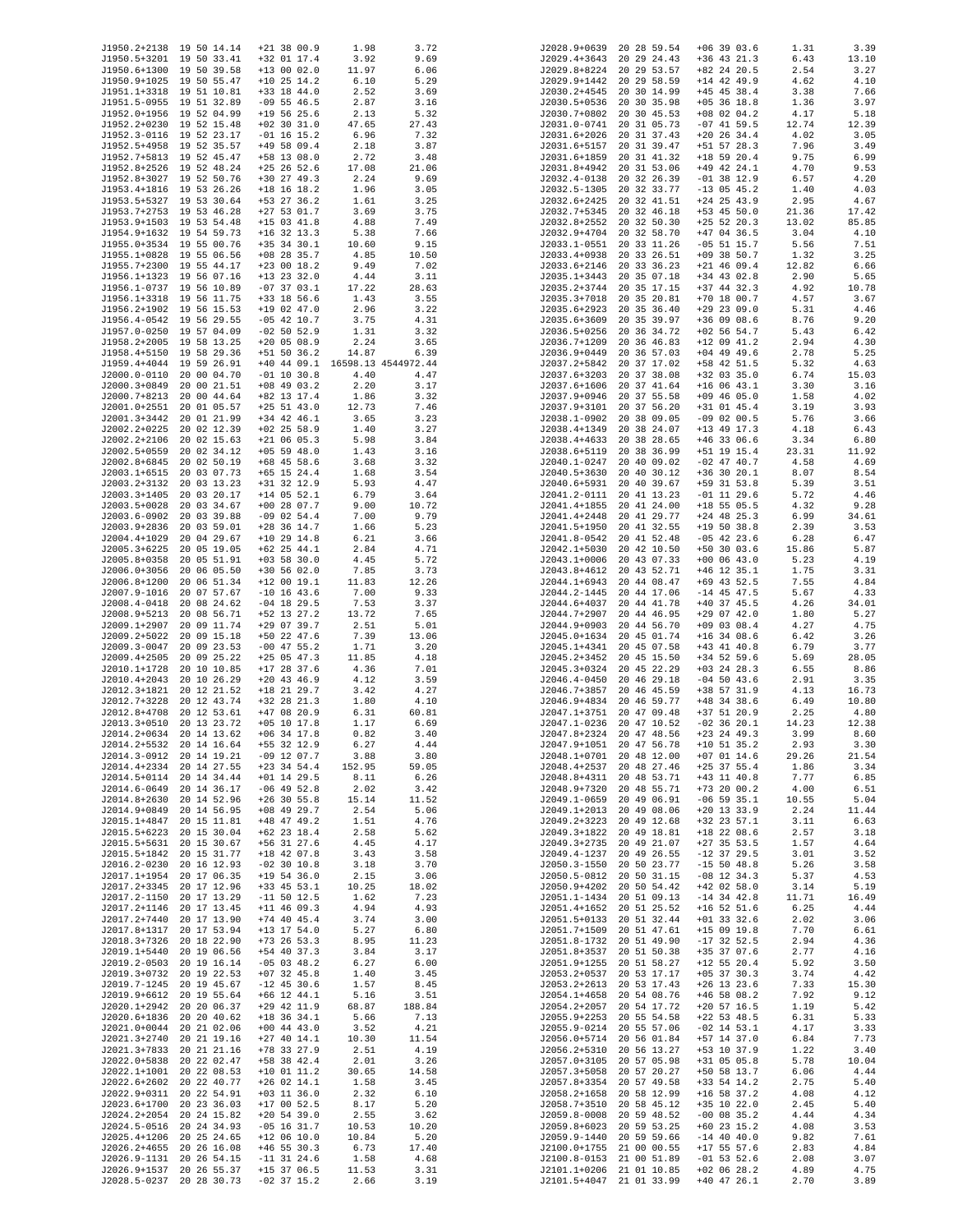| J1950.2+2138 19 50 14.14 |                          | $+21$ 38 00.9                   | 1.98   | 3.72   | J2028.9+0639 | 20 28 59.54              | $+06$ 39 03.6 | 1.31  | 3.39  |
|--------------------------|--------------------------|---------------------------------|--------|--------|--------------|--------------------------|---------------|-------|-------|
| J1950.5+3201 19 50 33.41 |                          | +32 01 17.4                     | 3.92   | 9.69   | J2029.4+3643 | 20 29 24.43              | $+36$ 43 21.3 | 6.43  | 13.10 |
| J1950.6+1300             | 19 50 39.58              | $+13$ 00 02.0                   | 11.97  | 6.06   | J2029.8+8224 | 20 29 53.57              | +82 24 20.5   | 2.54  | 3.27  |
| J1950.9+1025 19 50 55.47 |                          | $+10$ 25 14.2                   | 6.10   | 5.29   | J2029.9+1442 | 20 29 58.59              | $+14$ 42 49.9 | 4.62  | 4.10  |
| J1951.1+3318 19 51 10.81 |                          | $+33$ 18 44.0                   | 2.52   | 3.69   | J2030.2+4545 | 20 30 14.99              | $+45$ 45 38.4 | 3.38  | 7.66  |
| J1951.5-0955 19 51 32.89 |                          | $-09$ 55 46.5                   | 2.87   | 3.16   | J2030.5+0536 | 20 30 35.98              | $+05$ 36 18.8 | 1.36  | 3.97  |
| J1952.0+1956 19 52 04.99 |                          | $+19$ 56 25.6                   | 2.13   | 5.32   | J2030.7+0802 | 20 30 45.53              | $+08$ 02 04.2 | 4.17  | 5.18  |
| J1952.2+0230 19 52 15.48 |                          | $+02$ 30 31.0                   | 47.65  | 27.43  | J2031.0-0741 | 20 31 05.73              | $-07$ 41 59.5 | 12.74 | 12.39 |
| J1952.3-0116 19 52 23.17 |                          | $-01$ 16 15.2                   | 6.96   | 7.32   | J2031.6+2026 | 20 31 37.43              | $+20$ 26 34.4 | 4.02  | 3.05  |
| J1952.5+4958 19 52 35.57 |                          | $+49$ 58 09.4                   | 2.18   | 3.87   | J2031.6+5157 | 20 31 39.47              | $+51$ 57 28.3 | 7.96  | 3.49  |
| J1952.7+5813 19 52 45.47 |                          | +58 13 08.0                     | 2.72   | 3.48   | J2031.6+1859 | 20 31 41.32              | $+18$ 59 20.4 | 9.75  | 6.99  |
| J1952.8+2526 19 52 48.24 |                          | $+25$ 26 52.6                   | 17.08  | 21.06  | J2031.8+4942 | 20 31 53.06              | +49 42 24.1   | 4.70  | 9.53  |
|                          |                          |                                 |        |        |              |                          |               |       |       |
| J1952.8+3027 19 52 50.76 |                          | $+30$ 27 49.3                   | 2.24   | 9.69   | J2032.4-0138 | 20 32 26.39              | $-01$ 38 12.9 | 6.57  | 4.20  |
| J1953.4+1816 19 53 26.26 |                          | $+18$ 16 18.2                   | 1.96   | 3.05   | J2032.5-1305 | 20 32 33.77              | $-13$ 05 45.2 | 1.40  | 4.03  |
| J1953.5+5327 19 53 30.64 |                          | +53 27 36.2                     | 1.61   | 3.25   | J2032.6+2425 | 20 32 41.51              | $+24$ 25 43.9 | 2.95  | 4.67  |
| J1953.7+2753 19 53 46.28 |                          | $+27$ 53 01.7                   | 3.69   | 3.75   | J2032.7+5345 | 20 32 46.18              | $+53$ 45 50.0 | 21.36 | 17.42 |
| J1953.9+1503 19 53 54.48 |                          | $+15$ 03 41.8                   | 4.88   | 7.49   | J2032.8+2552 | 20 32 50.30              | $+25$ 52 20.3 | 13.02 | 85.85 |
| J1954.9+1632 19 54 59.73 |                          | $+16$ 32 13.3                   | 5.38   | 7.66   | J2032.9+4704 | 20 32 58.70              | $+47$ 04 36.5 | 3.04  | 4.10  |
| J1955.0+3534 19 55 00.76 |                          | $+35$ 34 30.1                   | 10.60  | 9.15   | J2033.1-0551 | 20 33 11.26              | $-05$ 51 15.7 | 5.56  | 7.51  |
| J1955.1+0828 19 55 06.56 |                          | $+08$ 28 35.7                   | 4.85   | 10.50  | J2033.4+0938 | 20 33 26.51              | $+09$ 38 50.7 | 1.32  | 3.25  |
| J1955.7+2300 19 55 44.17 |                          | $+23$ 00 18.2                   | 9.49   | 7.02   | J2033.6+2146 | 20 33 36.23              | $+21$ 46 09.4 | 12.82 | 6.66  |
| J1956.1+1323 19 56 07.16 |                          | $+13$ 23 32.0                   | 4.44   | 3.11   | J2035.1+3443 | 20 35 07.18              | $+34$ 43 02.8 | 2.90  | 5.65  |
| J1956.1-0737 19 56 10.89 |                          | $-07$ 37 03.1                   | 17.22  | 28.63  | J2035.2+3744 | 20 35 17.15              | $+37$ 44 32.3 | 4.92  | 10.78 |
| J1956.1+3318 19 56 11.75 |                          | +33 18 56.6                     | 1.43   | 3.55   | J2035.3+7018 | 20 35 20.81              | $+70$ 18 00.7 | 4.57  | 3.67  |
| J1956.2+1902 19 56 15.53 |                          | $+19$ 02 47.0                   | 2.96   | 3.22   | J2035.6+2923 | 20 35 36.40              | $+29$ 23 09.0 | 5.31  | 4.46  |
| J1956.4-0542 19 56 29.55 |                          | $-05$ 42 10.7                   | 3.75   | 4.31   | J2035.6+3609 | 20 35 39.97              | +36 09 08.6   | 8.76  | 9.20  |
| J1957.0-0250 19 57 04.09 |                          | $-02$ 50 52.9                   | 1.31   | 3.32   | J2036.5+0256 | 20 36 34.72              | $+02$ 56 54.7 | 5.43  | 6.42  |
| J1958.2+2005 19 58 13.25 |                          | $+20$ 05 08.9                   | 2.24   | 3.65   | J2036.7+1209 | 20 36 46.83              | $+12$ 09 41.2 | 2.94  | 4.30  |
| J1958.4+5150 19 58 29.36 |                          | $+51$ 50 36.2                   | 14.87  | 6.39   | J2036.9+0449 | 20 36 57.03              | $+04$ 49 49.6 | 2.78  | 5.25  |
| J1959.4+4044 19 59 26.91 |                          | +40 44 09.1 16598.13 4544972.44 |        |        | J2037.2+5842 | 20 37 17.02              | +58 42 51.5   | 5.32  | 4.63  |
| J2000.0-0110 20 00 04.70 |                          | $-01$ 10 30.8                   | 4.40   | 4.47   | J2037.6+3203 | 20 37 38.08              | $+32$ 03 35.0 | 6.74  | 15.03 |
| J2000.3+0849             | 20 00 21.51              | $+08$ 49 03.2                   | 2.20   | 3.17   | J2037.6+1606 | 20 37 41.64              | $+16$ 06 43.1 | 3.30  | 3.16  |
| J2000.7+8213             | 20 00 44.64              | +82 13 17.4                     | 1.86   | 3.32   | J2037.9+0946 | 20 37 55.58              | $+09$ 46 05.0 | 1.58  | 4.02  |
|                          |                          |                                 |        |        |              |                          |               |       |       |
| J2001.0+2551 20 01 05.57 |                          | $+25$ 51 43.0                   | 12.73  | 7.46   | J2037.9+3101 | 20 37 56.20              | +31 01 45.4   | 3.19  | 3.93  |
| J2001.3+3442             | 20 01 21.99              | $+34$ 42 46.1                   | 3.65   | 3.23   | J2038.1-0902 | 20 38 09.05              | $-09$ 02 00.5 | 5.76  | 3.66  |
| J2002.2+0225             | 20 02 12.39              | $+02$ 25 58.9                   | 1.40   | 3.27   | J2038.4+1349 | 20 38 24.07              | $+13$ 49 17.3 | 4.18  | 6.43  |
| J2002.2+2106 20 02 15.63 |                          | $+21$ 06 05.3                   | 5.98   | 3.84   | J2038.4+4633 | 20 38 28.65              | $+46$ 33 06.6 | 3.34  | 6.80  |
| J2002.5+0559             | 20 02 34.12              | $+05$ 59 48.0                   | 1.43   | 3.16   | J2038.6+5119 | 20 38 36.99              | +51 19 15.4   | 23.31 | 11.92 |
| J2002.8+6845             | 20 02 50.19              | $+68$ 45 58.6                   | 3.68   | 3.32   | J2040.1-0247 | 20 40 09.02              | $-02$ 47 40.7 | 4.58  | 4.69  |
| J2003.1+6515             | 20 03 07.73              | $+65$ 15 24.4                   | 1.68   | 3.54   | J2040.5+3630 | 20 40 30.12              | +36 30 20.1   | 8.07  | 8.54  |
| J2003.2+3132             | 20 03 13.23              | +31 32 12.9                     | 5.93   | 4.47   | J2040.6+5931 | 20 40 39.67              | +59 31 53.8   | 5.39  | 3.51  |
| J2003.3+1405             | 20 03 20.17              | $+14$ 05 52.1                   | 6.79   | 3.64   | J2041.2-0111 | 20 41 13.23              | $-01$ 11 29.6 | 5.72  | 4.46  |
| J2003.5+0028             | 20 03 34.67              | $+00$ 28 07.7                   | 9.00   | 10.72  | J2041.4+1855 | 20 41 24.00              | $+18$ 55 05.5 | 4.32  | 9.28  |
| J2003.6-0902             | 20 03 39.88              | $-09$ 02 54.4                   | 7.00   | 9.79   | J2041.4+2448 | 20 41 29.77              | $+24$ 48 25.3 | 6.99  | 34.61 |
| J2003.9+2836             | 20 03 59.01              | $+28$ 36 14.7                   | 1.66   | 5.23   | J2041.5+1950 | 20 41 32.55              | $+19$ 50 38.8 | 2.39  | 3.53  |
| J2004.4+1029             | 20 04 29.67              | $+10$ 29 14.8                   | 6.21   | 3.66   | J2041.8-0542 | 20 41 52.48              | $-05$ 42 23.6 | 6.28  | 6.47  |
| J2005.3+6225             | 20 05 19.05              | $+62$ 25 44.1                   | 2.84   | 4.71   | J2042.1+5030 | 20 42 10.50              | $+50$ 30 03.6 | 15.86 | 5.87  |
| J2005.8+0358             | 20 05 51.91              | $+03$ 58 30.0                   | 4.45   | 5.72   | J2043.1+0006 | 20 43 07.33              | $+00$ 06 43.0 | 5.23  | 4.19  |
| J2006.0+3056             | 20 06 05.50              | $+30$ 56 02.0                   | 7.85   | 3.73   | J2043.8+4612 | 20 43 52.71              | $+46$ 12 35.1 | 1.75  | 3.31  |
| J2006.8+1200             | 20 06 51.34              | $+12$ 00 19.1                   | 11.83  | 12.26  | J2044.1+6943 | 20 44 08.47              | +69 43 52.5   | 7.55  | 4.84  |
| J2007.9-1016             | 20 07 57.67              | $-10$ 16 43.6                   | 7.00   | 9.33   | J2044.2-1445 | 20 44 17.06              | $-14$ 45 47.5 | 5.67  | 4.33  |
| J2008.4-0418             | 20 08 24.62              | $-04$ 18 29.5                   | 7.53   | 3.37   | J2044.6+4037 | 20 44 41.78              | $+40$ 37 45.5 | 4.26  | 34.01 |
| J2008.9+5213             | 20 08 56.71              | +52 13 27.2                     | 13.72  | 7.65   | J2044.7+2907 | 20 44 46.95              | $+29$ 07 42.0 | 1.80  | 5.27  |
| J2009.1+2907             | 20 09 11.74              | $+29$ 07 39.7                   | 2.51   | 5.01   | J2044.9+0903 | 20 44 56.70              | $+09$ 03 08.4 | 4.27  | 4.75  |
| J2009.2+5022             |                          |                                 |        |        |              |                          |               |       |       |
|                          | 20 09 15.18              | $+50$ 22 47.6                   | 7.39   | 13.06  | J2045.0+1634 | 20 45 01.74              | $+16$ 34 08.6 | 6.42  | 3.26  |
| J2009.3-0047             | 20 09 23.53              | $-00$ 47 55.2                   | 1.71   | 3.20   | J2045.1+4341 | 20 45 07.58              | $+43$ 41 40.8 | 6.79  | 3.77  |
| J2009.4+2505             | 20 09 25.22              | $+25$ 05 47.3                   | 11.85  | 4.18   | J2045.2+3452 | 20 45 15.50              | $+34$ 52 59.6 | 5.69  | 28.05 |
| J2010.1+1728 20 10 10.85 |                          | $+17$ 28 37.6                   | 4.36   | 7.01   | J2045.3+0324 | 20 45 22.29              | $+03$ 24 28.3 | 6.55  | 8.86  |
| J2010.4+2043             | 20 10 26.29              | $+20$ 43 46.9                   | 4.12   | 3.59   | J2046.4-0450 | 20 46 29.18              | $-04$ 50 43.6 | 2.91  | 3.35  |
| J2012.3+1821             | 20 12 21.52              | $+18$ 21 29.7                   | 3.42   | 4.27   | J2046.7+3857 | 20 46 45.59              | +38 57 31.9   | 4.13  | 16.73 |
| J2012.7+3228 20 12 43.74 |                          | $+32$ 28 21.3                   | 1.80   | 4.10   | J2046.9+4834 | 20 46 59.77              | +48 34 38.6   | 6.49  | 10.80 |
| J2012.8+4708             | 20 12 53.61              | $+47$ 08 20.9                   | 6.31   | 60.81  | J2047.1+3751 | 20 47 09.48              | +37 51 20.9   | 2.25  | 4.80  |
| J2013.3+0510             | 20 13 23.72              | $+05$ 10 17.8                   | 1.17   | 6.69   | J2047.1-0236 | 20 47 10.52              | $-02$ 36 20.1 | 14.23 | 12.38 |
| J2014.2+0634 20 14 13.62 |                          | $+06$ 34 17.8                   | 0.82   | 3.40   |              | J2047.8+2324 20 47 48.56 | $+23$ 24 49.3 | 3.99  | 8.60  |
| J2014.2+5532 20 14 16.64 |                          | +55 32 12.9                     | 6.27   | 4.44   | J2047.9+1051 | 20 47 56.78              | $+10$ 51 35.2 | 2.93  | 3.30  |
| J2014.3-0912 20 14 19.21 |                          | $-09$ 12 07.7                   | 3.88   | 3.80   |              | J2048.1+0701 20 48 12.00 | $+07$ 01 14.6 | 29.26 | 21.54 |
| J2014.4+2334 20 14 27.55 |                          | $+23$ 34 54.4                   | 152.95 | 59.05  |              | J2048.4+2537 20 48 27.46 | $+25$ 37 55.4 | 1.86  | 3.34  |
| J2014.5+0114 20 14 34.44 |                          | $+01$ 14 29.5                   | 8.11   | 6.26   |              | J2048.8+4311 20 48 53.71 | $+43$ 11 40.8 | 7.77  | 6.85  |
| J2014.6-0649 20 14 36.17 |                          | $-06$ 49 52.8                   | 2.02   | 3.42   | J2048.9+7320 | 20 48 55.71              | $+73$ 20 00.2 | 4.00  | 6.51  |
| J2014.8+2630 20 14 52.96 |                          | $+26$ 30 55.8                   | 15.14  | 11.52  | J2049.1-0659 | 20 49 06.91              | $-06$ 59 35.1 | 10.55 | 5.04  |
| J2014.9+0849 20 14 56.95 |                          | $+08$ 49 29.7                   | 2.54   | 5.06   |              | J2049.1+2013 20 49 08.06 | $+20$ 13 33.9 | 2.24  | 11.44 |
| J2015.1+4847 20 15 11.81 |                          | $+48$ 47 49.2                   | 1.51   | 4.76   | J2049.2+3223 | 20 49 12.68              | +32 23 57.1   | 3.11  | 6.63  |
| J2015.5+6223 20 15 30.04 |                          | $+62$ 23 18.4                   | 2.58   | 5.62   | J2049.3+1822 | 20 49 18.81              | $+18$ 22 08.6 | 2.57  | 3.18  |
| J2015.5+5631 20 15 30.67 |                          | $+56$ 31 27.6                   | 4.45   | 4.17   |              | J2049.3+2735 20 49 21.07 | $+27$ 35 53.5 | 1.57  | 4.64  |
| J2015.5+1842 20 15 31.77 |                          | $+18$ 42 07.8                   | 3.43   | 3.58   | J2049.4-1237 | 20 49 26.55              | $-12$ 37 29.5 | 3.01  | 3.52  |
| J2016.2-0230 20 16 12.93 |                          | $-02$ 30 10.8                   | 3.18   | 3.70   |              | J2050.3-1550 20 50 23.77 | $-15$ 50 48.8 | 5.26  | 3.58  |
| J2017.1+1954 20 17 06.35 |                          | $+19$ 54 36.0                   | 2.15   | 3.06   |              | J2050.5-0812 20 50 31.15 | $-08$ 12 34.3 | 5.37  | 4.53  |
| J2017.2+3345 20 17 12.96 |                          | $+33$ 45 53.1                   | 10.25  | 18.02  | J2050.9+4202 | 20 50 54.42              | $+42$ 02 58.0 | 3.14  | 5.19  |
| J2017.2-1150 20 17 13.29 |                          | $-11$ 50 12.5                   | 1.62   | 7.23   |              | J2051.1-1434 20 51 09.13 | $-14$ 34 42.8 | 11.71 | 16.49 |
| J2017.2+1146 20 17 13.45 |                          | $+11$ 46 09.3                   | 4.94   | 4.93   |              | J2051.4+1652 20 51 25.52 | $+16$ 52 51.6 | 6.25  | 4.44  |
| J2017.2+7440 20 17 13.90 |                          | $+74$ 40 45.4                   | 3.74   | 3.00   | J2051.5+0133 | 20 51 32.44              | $+01$ 33 32.6 | 2.02  | 3.06  |
| J2017.8+1317 20 17 53.94 |                          | $+13$ 17 54.0                   | 5.27   | 6.80   |              | J2051.7+1509 20 51 47.61 | $+15$ 09 19.8 | 7.70  | 6.61  |
| J2018.3+7326 20 18 22.90 |                          | $+73$ 26 53.3                   | 8.95   | 11.23  |              | J2051.8-1732 20 51 49.90 | $-17$ 32 52.5 | 2.94  | 4.36  |
| J2019.1+5440 20 19 06.56 |                          | $+54$ 40 37.3                   | 3.84   | 3.17   | J2051.8+3537 | 20 51 50.38              | +35 37 07.6   | 2.77  | 4.16  |
|                          |                          |                                 |        |        |              |                          |               |       |       |
| J2019.2-0503 20 19 16.14 |                          | $-05$ 03 48.2                   | 6.27   | 6.00   | J2051.9+1255 | 20 51 58.27              | $+12$ 55 20.4 | 5.92  | 3.50  |
| J2019.3+0732 20 19 22.53 |                          | $+07$ 32 45.8                   | 1.40   | 3.45   |              | J2053.2+0537 20 53 17.17 | $+05$ 37 30.3 | 3.74  | 4.42  |
| J2019.7-1245 20 19 45.67 |                          | $-12$ 45 30.6                   | 1.57   | 8.45   | J2053.2+2613 | 20 53 17.43              | $+26$ 13 23.6 | 7.33  | 15.30 |
| J2019.9+6612 20 19 55.64 |                          | $+66$ 12 44.1                   | 5.16   | 3.51   | J2054.1+4658 | 20 54 08.76              | $+46$ 58 08.2 | 7.92  | 9.12  |
| J2020.1+2942 20 20 06.37 |                          | $+29$ 42 11.9                   | 68.87  | 188.84 |              | J2054.2+2057 20 54 17.72 | $+20$ 57 16.5 | 1.19  | 5.42  |
| J2020.6+1836 20 20 40.62 |                          | $+18$ 36 34.1                   | 5.66   | 7.13   | J2055.9+2253 | 20 55 54.58              | $+22$ 53 48.5 | 6.31  | 5.33  |
| J2021.0+0044 20 21 02.06 |                          | $+00$ 44 43.0                   | 3.52   | 4.21   |              | J2055.9-0214 20 55 57.06 | $-02$ 14 53.1 | 4.17  | 3.33  |
| J2021.3+2740 20 21 19.16 |                          | $+27$ 40 14.1                   | 10.30  | 11.54  |              | J2056.0+5714 20 56 01.84 | +57 14 37.0   | 6.84  | 7.73  |
| J2021.3+7833 20 21 21.16 |                          | $+78$ 33 27.9                   | 2.51   | 4.19   | J2056.2+5310 | 20 56 13.27              | +53 10 37.9   | 1.22  | 3.40  |
| J2022.0+5838 20 22 02.47 |                          | +58 38 42.4                     | 2.01   | 3.26   | J2057.0+3105 | 20 57 05.98              | $+31$ 05 05.8 | 5.78  | 10.04 |
| J2022.1+1001 20 22 08.53 |                          | $+10$ 01 11.2                   | 30.65  | 14.58  | J2057.3+5058 | 20 57 20.27              | +50 58 13.7   | 6.06  | 4.44  |
| J2022.6+2602 20 22 40.77 |                          | $+26$ 02 14.1                   | 1.58   | 3.45   | J2057.8+3354 | 20 57 49.58              | +33 54 14.2   | 2.75  | 5.40  |
| J2022.9+0311 20 22 54.91 |                          | $+03$ 11 36.0                   | 2.32   | 6.10   |              | J2058.2+1658 20 58 12.99 | $+16$ 58 37.2 | 4.08  | 4.12  |
| J2023.6+1700 20 23 36.03 |                          | $+17$ 00 52.5                   | 8.17   | 5.20   | J2058.7+3510 | 20 58 45.12              | +35 10 22.0   | 2.45  | 5.40  |
| J2024.2+2054 20 24 15.82 |                          | $+20$ 54 39.0                   | 2.55   | 3.62   | J2059.8-0008 | 20 59 48.52              | $-00$ 08 35.2 | 4.44  | 4.34  |
| J2024.5-0516 20 24 34.93 |                          | $-05$ 16 31.7                   | 10.53  | 10.20  | J2059.8+6023 | 20 59 53.25              | $+60$ 23 15.2 | 4.08  | 3.53  |
| J2025.4+1206 20 25 24.65 |                          | $+12$ 06 10.0                   | 10.84  | 5.20   |              | J2059.9-1440 20 59 59.66 | $-14$ 40 40.0 | 9.82  | 7.61  |
| J2026.2+4655 20 26 16.08 |                          | $+46$ 55 30.3                   | 6.73   | 17.40  |              | J2100.0+1755 21 00 00.55 | $+17$ 55 57.6 | 2.83  | 4.84  |
| J2026.9-1131 20 26 54.15 |                          | $-11$ 31 24.6                   | 1.58   | 4.68   |              | J2100.8-0153 21 00 51.89 | $-01$ 53 52.6 | 2.08  | 3.07  |
| J2026.9+1537 20 26 55.37 |                          | $+15$ 37 06.5                   | 11.53  | 3.31   |              | J2101.1+0206 21 01 10.85 | $+02$ 06 28.2 | 4.89  | 4.75  |
|                          | J2028.5-0237 20 28 30.73 | $-02$ 37 15.2                   | 2.66   | 3.19   |              | J2101.5+4047 21 01 33.99 | $+40$ 47 26.1 | 2.70  | 3.89  |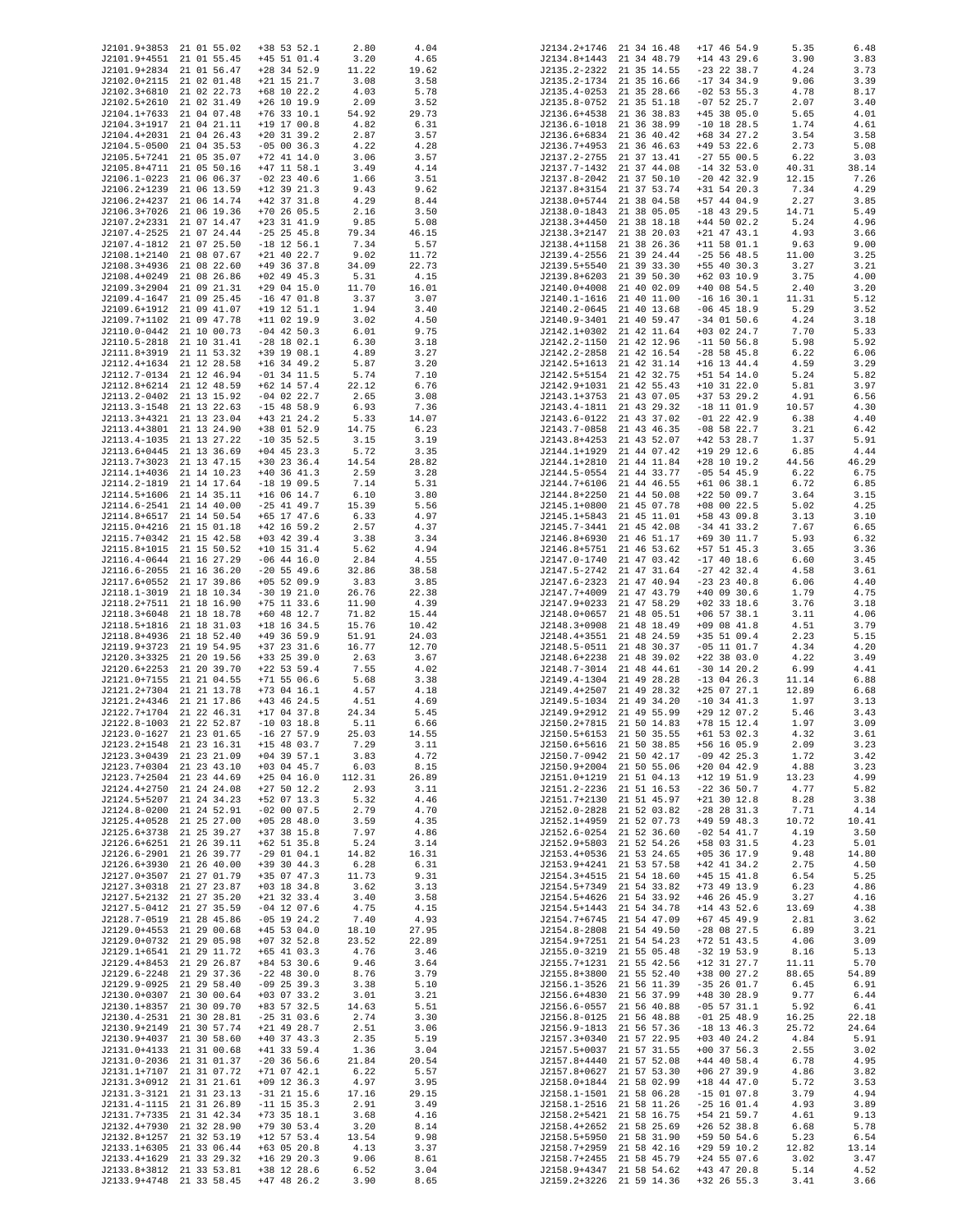| J2101.9+3853 21 01 55.02                             |             | $+38$ 53 52.1                  | 2.80          | 4.04          | J2134.2+1746 21 34 16.48     |                            | $+17$ 46 54.9                  | 5.35           | 6.48          |
|------------------------------------------------------|-------------|--------------------------------|---------------|---------------|------------------------------|----------------------------|--------------------------------|----------------|---------------|
| J2101.9+4551 21 01 55.45                             |             | $+45$ 51 01.4                  | 3.20          | 4.65          | J2134.8+1443 21 34 48.79     |                            | $+14$ 43 29.6                  | 3.90           | 3.83          |
| J2101.9+2834 21 01 56.47                             |             | $+28$ 34 52.9                  | 11.22         | 19.62         | J2135.2-2322 21 35 14.55     |                            | $-23$ 22 38.7                  | 4.24           | 3.73          |
| J2102.0+2115 21 02 01.48                             |             | $+21$ 15 21.7                  | 3.08          | 3.58          | J2135.2-1734 21 35 16.66     |                            | $-17$ 34 34.9                  | 9.06           | 3.39          |
| J2102.3+6810 21 02 22.73                             |             | $+68$ 10 22.2                  | 4.03          | 5.78          | J2135.4-0253 21 35 28.66     |                            | $-02$ 53 55.3                  | 4.78           | 8.17          |
| J2102.5+2610 21 02 31.49                             |             | $+26$ 10 19.9                  | 2.09          | 3.52          | J2135.8-0752                 | 21 35 51.18                | $-07$ 52 25.7                  | 2.07           | 3.40          |
| J2104.1+7633 21 04 07.48                             |             | $+76$ 33 10.1                  | 54.92         | 29.73         | J2136.6+4538                 | 21 36 38.83                | $+45$ 38 05.0                  | 5.65           | 4.01          |
| J2104.3+1917 21 04 21.11                             |             | $+19$ 17 00.8                  | 4.82          | 6.31          | J2136.6-1018                 | 21 36 38.99                | $-10$ 18 28.5                  | 1.74           | 4.61          |
| J2104.4+2031 21 04 26.43                             |             | $+20$ 31 39.2                  | 2.87          | 3.57          | J2136.6+6834                 | 21 36 40.42                | $+68$ 34 27.2                  | 3.54           | 3.58          |
| J2104.5-0500 21 04 35.53                             |             | $-05$ 00 36.3                  | 4.22          | 4.28          | J2136.7+4953                 | 21 36 46.63                | $+49$ 53 22.6                  | 2.73           | 5.08          |
|                                                      |             |                                |               |               | J2137.2-2755                 |                            | $-27$ 55 00.5                  |                | 3.03          |
| J2105.5+7241 21 05 35.07<br>J2105.8+4711 21 05 50.16 |             | $+72$ 41 14.0                  | 3.06          | 3.57          |                              | 21 37 13.41                |                                | 6.22           | 38.14         |
| J2106.1-0223                                         | 21 06 06.37 | $+47$ 11 58.1<br>$-02$ 23 40.6 | 3.49<br>1.66  | 4.14          | J2137.7-1432<br>J2137.8-2042 | 21 37 44.08<br>21 37 50.10 | $-14$ 32 53.0<br>$-20$ 42 32.9 | 40.31<br>12.15 | 7.26          |
| J2106.2+1239 21 06 13.59                             |             | $+12$ 39 21.3                  |               | 3.51          |                              |                            | $+31$ 54 20.3                  | 7.34           | 4.29          |
|                                                      |             |                                | 9.43          | 9.62          | J2137.8+3154                 | 21 37 53.74<br>21 38 04.58 |                                |                |               |
| J2106.2+4237 21 06 14.74<br>J2106.3+7026 21 06 19.36 |             | $+42$ 37 31.8<br>$+70$ 26 05.5 | 4.29          | 8.44          | J2138.0+5744                 |                            | $+57$ 44 04.9                  | 2.27           | 3.85          |
|                                                      |             |                                | 2.16          | 3.50          | J2138.0-1843 21 38 05.05     |                            | $-18$ 43 29.5                  | 14.71          | 5.49          |
| J2107.2+2331 21 07 14.47                             |             | $+23$ 31 41.9                  | 9.85          | 5.08          | J2138.3+4450                 | 21 38 18.18                | $+44$ 50 02.2                  | 5.24           | 4.96          |
| J2107.4-2525 21 07 24.44<br>J2107.4-1812 21 07 25.50 |             | $-25$ 25 45.8                  | 79.34         | 46.15         | J2138.3+2147                 | 21 38 20.03                | $+21$ 47 43.1                  | 4.93           | 3.66          |
|                                                      |             | $-18$ 12 56.1                  | 7.34          | 5.57          | J2138.4+1158                 | 21 38 26.36                | $+11$ 58 01.1                  | 9.63           | 9.00          |
| J2108.1+2140 21 08 07.67                             |             | $+21$ 40 22.7                  | 9.02          | 11.72         | J2139.4-2556                 | 21 39 24.44                | $-25$ 56 48.5                  | 11.00          | 3.25          |
| J2108.3+4936 21 08 22.60                             |             | +49 36 37.8                    | 34.09         | 22.73         | J2139.5+5540                 | 21 39 33.30                | $+55$ 40 30.3                  | 3.27           | 3.21          |
| J2108.4+0249                                         | 21 08 26.86 | $+02$ 49 45.3                  | 5.31          | 4.15          | J2139.8+6203                 | 21 39 50.30                | $+62$ 03 10.9                  | 3.75           | 4.00          |
| J2109.3+2904 21 09 21.31                             |             | $+29$ 04 15.0                  | 11.70         | 16.01         | J2140.0+4008                 | 21 40 02.09                | $+40$ 08 54.5                  | 2.40           | 3.20          |
| J2109.4-1647                                         | 21 09 25.45 | $-16$ 47 01.8                  | 3.37          | 3.07          | J2140.1-1616                 | 21 40 11.00                | $-16$ 16 30.1                  | 11.31          | 5.12          |
| J2109.6+1912 21 09 41.07                             |             | $+19$ 12 51.1                  | 1.94          | 3.40          | J2140.2-0645                 | 21 40 13.68                | $-06$ 45 18.9                  | 5.29           | 3.52          |
| J2109.7+1102 21 09 47.78                             |             | $+11$ 02 19.9                  | 3.02          | 4.50          | J2140.9-3401                 | 21 40 59.47                | $-34$ 01 50.6                  | 4.24           | 3.18          |
| J2110.0-0442 21 10 00.73                             |             | $-04$ 42 50.3                  | 6.01          | 9.75          | J2142.1+0302                 | 21 42 11.64                | $+03$ 02 24.7                  | 7.70           | 5.33          |
| J2110.5-2818 21 10 31.41                             |             | $-28$ 18 02.1                  | 6.30          | 3.18          | J2142.2-1150                 | 21 42 12.96                | $-11$ 50 56.8                  | 5.98           | 5.92          |
| J2111.8+3919 21 11 53.32                             |             | $+39$ 19 08.1                  | 4.89          | 3.27          | J2142.2-2858                 | 21 42 16.54                | $-28$ 58 45.8                  | 6.22           | 6.06          |
| J2112.4+1634 21 12 28.58                             |             | $+16$ 34 49.2                  | 5.87          | 3.20          | J2142.5+1613                 | 21 42 31.14                | $+16$ 13 44.4                  | 4.59           | 3.29          |
| J2112.7-0134 21 12 46.94                             |             | $-01$ 34 11.5                  | 5.74          | 7.10          | J2142.5+5154 21 42 32.75     |                            | $+51$ 54 14.0                  | 5.24           | 5.82          |
| J2112.8+6214 21 12 48.59                             |             | $+62$ 14 57.4                  | 22.12         | 6.76          | J2142.9+1031 21 42 55.43     |                            | $+10$ 31 22.0                  | 5.81           | 3.97          |
| J2113.2-0402 21 13 15.92                             |             | $-04$ 02 22.7                  | 2.65          | 3.08          | J2143.1+3753 21 43 07.05     |                            | $+37$ 53 29.2                  | 4.91           | 6.56          |
| J2113.3-1548 21 13 22.63                             |             | $-15$ 48 58.9                  | 6.93          | 7.36          | J2143.4-1811 21 43 29.32     |                            | $-18$ 11 01.9                  | 10.57          | 4.30          |
| J2113.3+4321 21 13 23.04                             |             | $+43$ 21 24.2                  | 5.33          | 14.07         | J2143.6-0122                 | 21 43 37.02                | $-01$ 22 42.9                  | 6.38           | 4.40          |
| J2113.4+3801 21 13 24.90                             |             | +38 01 52.9                    | 14.75         | 6.23          | J2143.7-0858                 | 21 43 46.35                | $-08$ 58 22.7                  | 3.21           | 6.42          |
| J2113.4-1035 21 13 27.22                             |             | $-10$ 35 52.5                  | 3.15          | 3.19          | J2143.8+4253                 | 21 43 52.07                | $+42$ 53 28.7                  | 1.37           | 5.91          |
| J2113.6+0445 21 13 36.69                             |             | $+04$ 45 23.3                  | 5.72          | 3.35          | J2144.1+1929                 | 21 44 07.42                | $+19$ 29 12.6                  | 6.85           | 4.44          |
| J2113.7+3023 21 13 47.15                             |             | $+30$ 23 36.4                  | 14.54         | 28.82         | J2144.1+2810                 | 21 44 11.84                | $+28$ 10 19.2                  | 44.56          | 46.29         |
| J2114.1+4036 21 14 10.23                             |             | $+40$ 36 41.3                  | 2.59          | 3.28          | J2144.5-0554                 | 21 44 33.77                | $-05$ 54 45.9                  | 6.22           | 6.75          |
| J2114.2-1819 21 14 17.64                             |             | $-18$ 19 09.5                  | 7.14          | 5.31          | J2144.7+6106                 | 21 44 46.55                | $+61$ 06 38.1                  | 6.72           | 6.85          |
| J2114.5+1606 21 14 35.11                             |             | $+16$ 06 14.7                  | 6.10          | 3.80          | J2144.8+2250                 | 21 44 50.08                | $+22$ 50 09.7                  | 3.64           | 3.15          |
| J2114.6-2541 21 14 40.00                             |             | $-25$ 41 49.7                  | 15.39         | 5.56          | J2145.1+0800                 | 21 45 07.78                | $+08$ 00 22.5                  | 5.02           | 4.25          |
| J2114.8+6517 21 14 50.54                             |             | $+65$ 17 47.6                  | 6.33          | 4.97          | J2145.1+5843                 | 21 45 11.01                | +58 43 09.8                    | 3.13           | 3.10          |
| J2115.0+4216 21 15 01.18                             |             | $+42$ 16 59.2                  | 2.57          | 4.37          | J2145.7-3441                 | 21 45 42.08                | $-34$ 41 33.2                  | 7.67           | 6.65          |
| J2115.7+0342 21 15 42.58                             |             | $+03$ 42 39.4                  | 3.38          | 3.34          | J2146.8+6930 21 46 51.17     |                            | $+69$ 30 11.7                  | 5.93           | 6.32          |
| J2115.8+1015 21 15 50.52                             |             | $+10$ 15 31.4                  | 5.62          | 4.94          | J2146.8+5751                 | 21 46 53.62                | $+57$ 51 45.3                  | 3.65           | 3.36          |
| J2116.4-0644 21 16 27.29                             |             | $-06$ 44 16.0                  | 2.84          | 4.55          | J2147.0-1740                 | 21 47 03.42                | $-17$ 40 18.6                  | 6.60           | 3.45          |
| J2116.6-2055 21 16 36.20                             |             | $-20$ 55 49.6                  | 32.86         | 38.58         | J2147.5-2742                 | 21 47 31.64                | $-27$ 42 32.4                  | 4.58           | 3.61          |
| J2117.6+0552 21 17 39.86                             |             | $+05$ 52 09.9                  | 3.83          | 3.85          | J2147.6-2323                 | 21 47 40.94                | $-23$ 23 40.8                  | 6.06           | 4.40          |
| J2118.1-3019 21 18 10.34                             |             | $-30$ 19 21.0                  | 26.76         | 22.38         | J2147.7+4009                 | 21 47 43.79                | $+40$ 09 30.6                  | 1.79           | 4.75          |
| J2118.2+7511 21 18 16.90                             |             | $+75$ 11 33.6                  | 11.90         | 4.39          | J2147.9+0233                 | 21 47 58.29                | $+02$ 33 18.6                  | 3.76           | 3.18          |
| J2118.3+6048 21 18 18.78                             |             | $+60$ 48 12.7                  | 71.82         | 15.44         | J2148.0+0657                 | 21 48 05.51                | $+06$ 57 38.1                  | 3.11           | 4.06          |
| J2118.5+1816 21 18 31.03                             |             | $+18$ 16 34.5                  | 15.76         | 10.42         | J2148.3+0908                 | 21 48 18.49                | $+09$ 08 41.8                  | 4.51           | 3.79          |
| J2118.8+4936 21 18 52.40                             |             | $+49$ 36 59.9                  | 51.91         | 24.03         | J2148.4+3551                 | 21 48 24.59                | $+35$ 51 09.4                  | 2.23           | 5.15          |
| J2119.9+3723 21 19 54.95                             |             | $+37$ 23 31.6                  | 16.77         | 12.70         | J2148.5-0511                 | 21 48 30.37                | $-05$ 11 01.7                  | 4.34           | 4.20          |
| J2120.3+3325 21 20 19.56                             |             | $+33$ 25 39.0                  | 2.63          | 3.67          | J2148.6+2238                 | 21 48 39.02                | $+22$ 38 03.0                  | 4.22           | 3.49          |
| J2120.6+2253 21 20 39.70                             |             | $+22$ 53 59.4                  | 7.55          | 4.02          | J2148.7-3014 21 48 44.61     |                            | $-30$ 14 20.2                  | 6.99           | 4.41          |
| J2121.0+7155 21 21 04.55                             |             | $+71$ 55 06.6                  | 5.68          | 3.38          | J2149.4-1304                 | 21 49 28.28                | $-13$ 04 26.3                  | 11.14          | 6.88          |
| J2121.2+7304 21 21 13.78                             |             | $+73$ 04 16.1                  | 4.57          | 4.18          | J2149.4+2507                 | 21 49 28.32                | $+25$ 07 27.1                  | 12.89          | 6.68          |
| J2121.2+4346 21 21 17.86                             |             | $+43$ 46 24.5                  | 4.51          | 4.69          | J2149.5-1034 21 49 34.20     |                            | $-10$ 34 41.3                  | 1.97           | 3.13          |
| J2122.7+1704 21 22 46.31                             |             | $+17$ 04 37.8                  | 24.34         | 5.45          | J2149.9+2912 21 49 55.99     |                            | $+29$ 12 07.2                  | 5.46           | 3.43          |
| J2122.8-1003 21 22 52.87                             |             | $-10$ 03 18.8                  | 5.11          | 6.66          | J2150.2+7815 21 50 14.83     |                            | $+78$ 15 12.4                  | 1.97           | 3.09          |
| J2123.0-1627 21 23 01.65                             |             | $-16$ 27 57.9                  | 25.03         | 14.55         | J2150.5+6153 21 50 35.55     |                            | +61 53 02.3                    | 4.32           | 3.61          |
| J2123.2+1548 21 23 16.31                             |             | $+15$ 48 03.7                  | 7.29          | 3.11          | J2150.6+5616 21 50 38.85     |                            | $+56$ 16 05.9                  | 2.09           | 3.23          |
| J2123.3+0439 21 23 21.09                             |             | $+04$ 39 57.1                  | 3.83          | 4.72          | J2150.7-0942 21 50 42.17     |                            | $-09$ 42 25.3                  | 1.72           | 3.42          |
| J2123.7+0304 21 23 43.10                             |             | $+03$ 04 45.7                  | 6.03          | 8.15          | J2150.9+2004                 | 21 50 55.06                | $+20$ 04 42.9                  | 4.88           | 3.23          |
| J2123.7+2504 21 23 44.69                             |             | $+25$ 04 16.0                  | 112.31        | 26.89         | J2151.0+1219                 | 21 51 04.13                | $+12$ 19 51.9                  | 13.23          | 4.99          |
| J2124.4+2750 21 24 24.08                             |             | $+27$ 50 12.2                  | 2.93          | 3.11          | J2151.2-2236                 | 21 51 16.53                | $-22$ 36 50.7                  | 4.77           | 5.82          |
| J2124.5+5207 21 24 34.23                             |             | +52 07 13.3                    | 5.32          | 4.46          | J2151.7+2130                 | 21 51 45.97                | $+21$ 30 12.8                  | 8.28           | 3.38          |
| J2124.8-0200 21 24 52.91                             |             | $-02$ 00 07.5                  | 2.79          | 4.70          | J2152.0-2828                 | 21 52 03.82                | $-28$ 28 31.3                  | 7.71           | 4.14          |
| J2125.4+0528 21 25 27.00                             |             | $+05$ 28 48.0                  | 3.59          | 4.35          | J2152.1+4959                 | 21 52 07.73                | $+49$ 59 48.3                  | 10.72          | 10.41         |
| J2125.6+3738 21 25 39.27                             |             | $+37$ 38 15.8                  | 7.97          | 4.86          | J2152.6-0254                 | 21 52 36.60                | $-02$ 54 41.7                  | 4.19           | 3.50          |
| J2126.6+6251 21 26 39.11<br>J2126.6-2901 21 26 39.77 |             | $+62$ 51 35.8<br>$-29$ 01 04.1 | 5.24          | 3.14          | J2152.9+5803                 | 21 52 54.26<br>21 53 24.65 | +58 03 31.5                    | 4.23           | 5.01          |
| J2126.6+3930 21 26 40.00                             |             | $+39$ 30 44.3                  | 14.82         | 16.31<br>6.31 | J2153.4+0536<br>J2153.9+4241 | 21 53 57.58                | $+05$ 36 17.9<br>$+42$ 41 34.2 | 9.48<br>2.75   | 14.80<br>4.50 |
| J2127.0+3507 21 27 01.79                             |             | +35 07 47.3                    | 6.28          | 9.31          | J2154.3+4515                 | 21 54 18.60                | $+45$ 15 $41.8$                | 6.54           | 5.25          |
| J2127.3+0318 21 27 23.87                             |             | $+03$ 18 34.8                  | 11.73<br>3.62 | 3.13          | J2154.5+7349                 | 21 54 33.82                | +73 49 13.9                    | 6.23           | 4.86          |
| J2127.5+2132 21 27 35.20                             |             | $+21$ 32 33.4                  | 3.40          | 3.58          | J2154.5+4626                 | 21 54 33.92                | $+46$ 26 45.9                  | 3.27           | 4.16          |
| J2127.5-0412 21 27 35.59                             |             | $-04$ 12 07.6                  | 4.75          | 4.15          | J2154.5+1443                 | 21 54 34.78                | $+14$ 43 52.6                  | 13.69          | 4.38          |
| J2128.7-0519 21 28 45.86                             |             | $-05$ 19 24.2                  | 7.40          | 4.93          | J2154.7+6745                 | 21 54 47.09                | $+67$ 45 49.9                  | 2.81           | 3.62          |
| J2129.0+4553 21 29 00.68                             |             | $+45$ 53 04.0                  | 18.10         | 27.95         | J2154.8-2808                 | 21 54 49.50                | $-28$ 08 27.5                  | 6.89           | 3.21          |
| J2129.0+0732 21 29 05.98                             |             | $+07$ 32 52.8                  | 23.52         | 22.89         | J2154.9+7251                 | 21 54 54.23                | $+72$ 51 43.5                  | 4.06           | 3.09          |
| J2129.1+6541 21 29 11.72                             |             | $+65$ 41 03.3                  | 4.76          | 3.46          | J2155.0-3219                 | 21 55 05.48                | $-32$ 19 53.9                  | 8.16           | 5.13          |
| J2129.4+8453 21 29 26.87                             |             | $+84$ 53 30.6                  | 9.46          | 3.64          | J2155.7+1231 21 55 42.56     |                            | $+12$ 31 27.7                  | 11.11          | 5.70          |
| J2129.6-2248 21 29 37.36                             |             | $-22$ 48 30.0                  | 8.76          | 3.79          | J2155.8+3800                 | 21 55 52.40                | +38 00 27.2                    | 88.65          | 54.89         |
| J2129.9-0925 21 29 58.40                             |             | $-09$ 25 39.3                  | 3.38          | 5.10          | J2156.1-3526                 | 21 56 11.39                | $-35$ 26 01.7                  | 6.45           | 6.91          |
| J2130.0+0307 21 30 00.64                             |             | $+03$ 07 33.2                  | 3.01          | 3.21          | J2156.6+4830                 | 21 56 37.99                | +48 30 28.9                    | 9.77           | 6.44          |
| J2130.1+8357 21 30 09.70                             |             | +83 57 32.5                    | 14.63         | 5.51          | J2156.6-0557                 | 21 56 40.88                | $-05$ 57 31.1                  | 5.92           | 6.41          |
| J2130.4-2531 21 30 28.81                             |             | $-25$ 31 03.6                  | 2.74          | 3.30          | J2156.8-0125                 | 21 56 48.88                | $-01$ 25 48.9                  | 16.25          | 22.18         |
| J2130.9+2149                                         | 21 30 57.74 | $+21$ 49 28.7                  | 2.51          | 3.06          | J2156.9-1813                 | 21 56 57.36                | $-18$ 13 46.3                  | 25.72          | 24.64         |
| J2130.9+4037 21 30 58.60                             |             | $+40$ 37 43.3                  | 2.35          | 5.19          | J2157.3+0340                 | 21 57 22.95                | $+03$ 40 24.2                  | 4.84           | 5.91          |
| J2131.0+4133 21 31 00.68                             |             | $+41$ 33 59.4                  | 1.36          | 3.04          | J2157.5+0037                 | 21 57 31.55                | $+00$ 37 56.3                  | 2.55           | 3.02          |
| J2131.0-2036 21 31 01.37                             |             | $-20$ 36 56.6                  | 21.84         | 20.54         | J2157.8+4440                 | 21 57 52.08                | $+44$ 40 58.4                  | 6.78           | 4.95          |
| J2131.1+7107 21 31 07.72                             |             | $+71$ 07 42.1                  | 6.22          | 5.57          | J2157.8+0627                 | 21 57 53.30                | $+06$ 27 39.9                  | 4.86           | 3.82          |
| J2131.3+0912 21 31 21.61                             |             | $+09$ 12 36.3                  | 4.97          | 3.95          | J2158.0+1844                 | 21 58 02.99                | $+18$ 44 47.0                  | 5.72           | 3.53          |
| J2131.3-3121 21 31 23.13                             |             | $-31$ 21 15.6                  | 17.16         | 29.15         | J2158.1-1501                 | 21 58 06.28                | $-15$ 01 07.8                  | 3.79           | 4.94          |
| J2131.4-1115 21 31 26.89                             |             | $-11$ 15 35.3                  | 2.91          | 3.49          | J2158.1-2516                 | 21 58 11.26                | $-25$ 16 01.4                  | 4.93           | 3.89          |
| J2131.7+7335 21 31 42.34                             |             | $+73$ 35 18.1                  | 3.68          | 4.16          | J2158.2+5421                 | 21 58 16.75                | +54 21 59.7                    | 4.61           | 9.13          |
| J2132.4+7930 21 32 28.90                             |             | $+79$ 30 53.4                  | 3.20          | 8.14          | J2158.4+2652                 | 21 58 25.69                | $+26$ 52 38.8                  | 6.68           | 5.78          |
| J2132.8+1257 21 32 53.19                             |             | $+12$ 57 53.4                  | 13.54         | 9.98          | J2158.5+5950                 | 21 58 31.90                | +59 50 54.6                    | 5.23           | 6.54          |
| J2133.1+6305 21 33 06.44                             |             | $+63$ 05 20.8                  | 4.13          | 3.37          | J2158.7+2959                 | 21 58 42.16                | $+29$ 59 10.2                  | 12.82          | 13.14         |
| J2133.4+1629 21 33 29.32                             |             | $+16$ 29 20.3                  | 9.06          | 8.61          | J2158.7+2455                 | 21 58 45.79                | $+24$ 55 07.6                  | 3.02           | 3.47          |
| J2133.8+3812 21 33 53.81                             |             | +38 12 28.6                    | 6.52          | 3.04          | J2158.9+4347                 | 21 58 54.62                | $+43$ 47 20.8                  | 5.14           | 4.52          |
| J2133.9+4748 21 33 58.45                             |             | $+47$ 48 26.2                  | 3.90          | 8.65          | J2159.2+3226 21 59 14.36     |                            | $+32$ 26 55.3                  | 3.41           | 3.66          |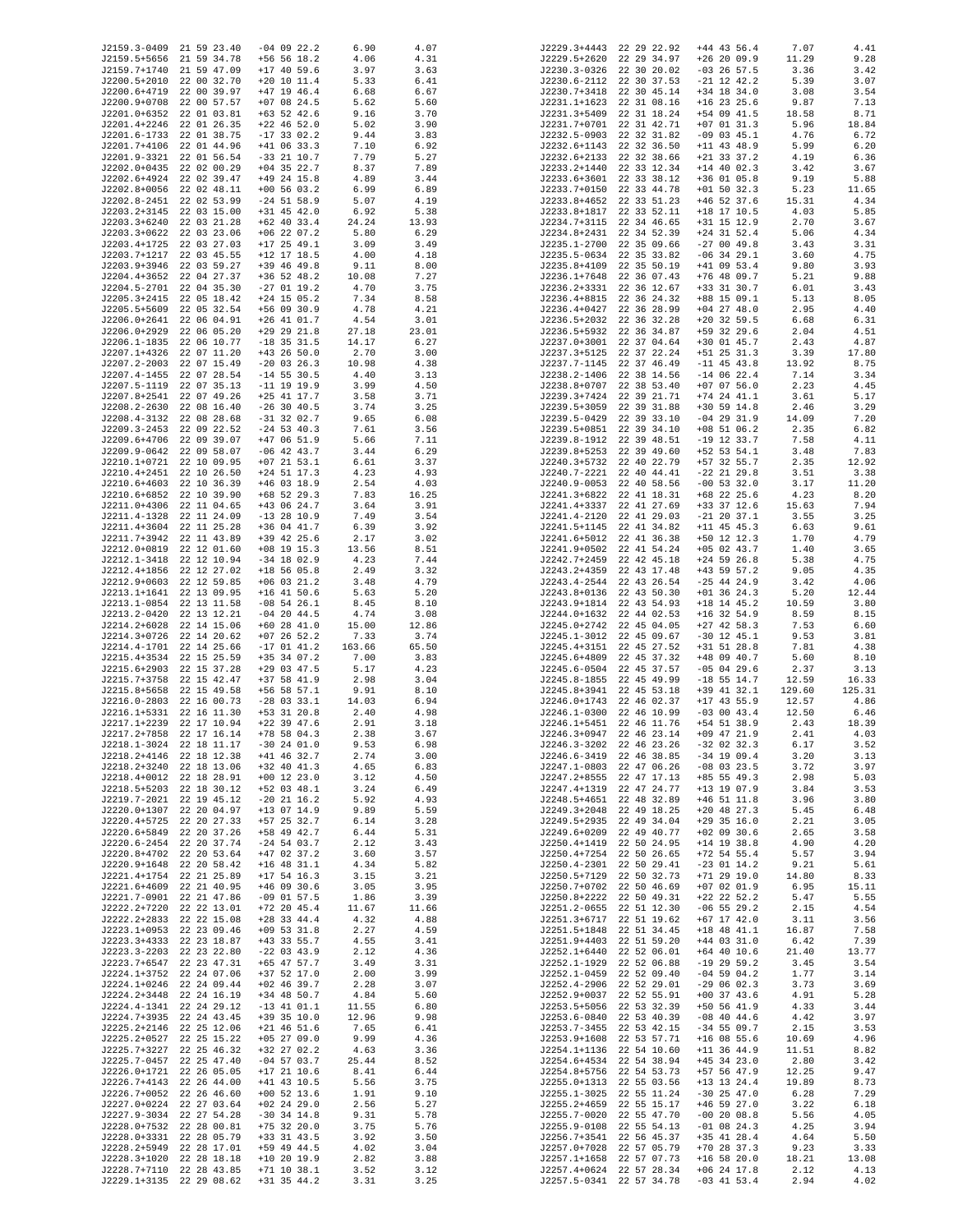| J2159.3-0409 21 59 23.40 |                          | $-04$ 09 22.2 | 6.90   | 4.07  | J2229.3+4443 22 29 22.92 |                          | $+44$ 43 56.4 | 7.07   | 4.41   |
|--------------------------|--------------------------|---------------|--------|-------|--------------------------|--------------------------|---------------|--------|--------|
| J2159.5+5656 21 59 34.78 |                          | $+56$ 56 18.2 | 4.06   | 4.31  | J2229.5+2620 22 29 34.97 |                          | $+26$ 20 09.9 | 11.29  | 9.28   |
| J2159.7+1740 21 59 47.09 |                          | $+17$ 40 59.6 | 3.97   | 3.63  | J2230.3-0326 22 30 20.02 |                          | $-03$ 26 57.5 | 3.36   | 3.42   |
| J2200.5+2010 22 00 32.70 |                          | $+20$ 10 11.4 | 5.33   | 6.41  | J2230.6-2112 22 30 37.53 |                          | $-21$ 12 42.2 | 5.39   | 3.07   |
| J2200.6+4719 22 00 39.97 |                          | $+47$ 19 46.4 | 6.68   | 6.67  | J2230.7+3418 22 30 45.14 |                          | $+34$ 18 34.0 | 3.08   | 3.54   |
| J2200.9+0708 22 00 57.57 |                          | $+07$ 08 24.5 | 5.62   | 5.60  | J2231.1+1623             | 22 31 08.16              | $+16$ 23 25.6 | 9.87   | 7.13   |
| J2201.0+6352 22 01 03.81 |                          |               |        | 3.70  | J2231.3+5409             |                          |               |        | 8.71   |
|                          |                          | $+63$ 52 42.6 | 9.16   |       |                          | 22 31 18.24              | +54 09 41.5   | 18.58  |        |
| J2201.4+2246 22 01 26.35 |                          | $+22$ 46 52.0 | 5.02   | 3.90  | J2231.7+0701 22 31 42.71 |                          | $+07$ 01 31.3 | 5.96   | 18.84  |
| J2201.6-1733 22 01 38.75 |                          | $-17$ 33 02.2 | 9.44   | 3.83  | J2232.5-0903 22 32 31.82 |                          | $-09$ 03 45.1 | 4.76   | 6.72   |
| J2201.7+4106 22 01 44.96 |                          | $+41$ 06 33.3 | 7.10   | 6.92  | J2232.6+1143             | 22 32 36.50              | $+11$ 43 48.9 | 5.99   | 6.20   |
| J2201.9-3321 22 01 56.54 |                          | $-33$ 21 10.7 | 7.79   | 5.27  | J2232.6+2133 22 32 38.66 |                          | $+21$ 33 37.2 | 4.19   | 6.36   |
| J2202.0+0435 22 02 00.29 |                          | $+04$ 35 22.7 | 8.37   |       |                          |                          |               |        |        |
|                          |                          |               |        | 7.89  | J2233.2+1440 22 33 12.34 |                          | $+14$ 40 02.3 | 3.42   | 3.67   |
| J2202.6+4924 22 02 39.47 |                          | $+49$ 24 15.8 | 4.89   | 3.44  | J2233.6+3601 22 33 38.12 |                          | $+36$ 01 05.8 | 9.19   | 5.88   |
| J2202.8+0056 22 02 48.11 |                          | $+00$ 56 03.2 | 6.99   | 6.89  | J2233.7+0150             | 22 33 44.78              | $+01$ 50 32.3 | 5.23   | 11.65  |
| J2202.8-2451 22 02 53.99 |                          | $-24$ 51 58.9 | 5.07   | 4.19  | J2233.8+4652 22 33 51.23 |                          | $+46$ 52 37.6 | 15.31  | 4.34   |
| J2203.2+3145 22 03 15.00 |                          | $+31$ 45 42.0 | 6.92   | 5.38  | J2233.8+1817 22 33 52.11 |                          | $+18$ 17 10.5 | 4.03   | 5.85   |
| J2203.3+6240 22 03 21.28 |                          | $+62$ 40 33.4 | 24.24  | 13.93 | J2234.7+3115 22 34 46.65 |                          | +31 15 12.9   | 2.70   | 3.67   |
| J2203.3+0622 22 03 23.06 |                          | $+06$ 22 07.2 | 5.80   | 6.29  | J2234.8+2431 22 34 52.39 |                          | $+24$ 31 52.4 | 5.06   | 4.34   |
|                          |                          |               |        |       |                          |                          |               |        |        |
| J2203.4+1725 22 03 27.03 |                          | $+17$ 25 49.1 | 3.09   | 3.49  | J2235.1-2700 22 35 09.66 |                          | $-270049.8$   | 3.43   | 3.31   |
| J2203.7+1217 22 03 45.55 |                          | $+12$ 17 18.5 | 4.00   | 4.18  | J2235.5-0634 22 35 33.82 |                          | $-06$ 34 29.1 | 3.60   | 4.75   |
| J2203.9+3946 22 03 59.27 |                          | $+39$ 46 49.8 | 9.11   | 8.00  | J2235.8+4109             | 22 35 50.19              | $+41$ 09 53.4 | 9.80   | 3.93   |
| J2204.4+3652 22 04 27.37 |                          | $+36$ 52 48.2 | 10.08  | 7.27  | J2236.1+7648             | 22 36 07.43              | $+76$ 48 09.7 | 5.21   | 9.88   |
| J2204.5-2701 22 04 35.30 |                          | $-27$ 01 19.2 | 4.70   | 3.75  | J2236.2+3331 22 36 12.67 |                          | +33 31 30.7   | 6.01   | 3.43   |
| J2205.3+2415 22 05 18.42 |                          | $+24$ 15 05.2 | 7.34   | 8.58  | J2236.4+8815 22 36 24.32 |                          | +88 15 09.1   | 5.13   | 8.05   |
|                          |                          |               |        |       |                          |                          |               |        |        |
| J2205.5+5609 22 05 32.54 |                          | $+56$ 09 30.9 | 4.78   | 4.21  | J2236.4+0427             | 22 36 28.99              | $+04$ 27 48.0 | 2.95   | 4.40   |
| J2206.0+2641 22 06 04.91 |                          | $+26$ 41 01.7 | 4.54   | 3.01  | J2236.5+2032             | 22 36 32.28              | $+20$ 32 59.5 | 6.68   | 6.31   |
| J2206.0+2929 22 06 05.20 |                          | $+29$ 29 21.8 | 27.18  | 23.01 | J2236.5+5932 22 36 34.87 |                          | +59 32 29.6   | 2.04   | 4.51   |
| J2206.1-1835 22 06 10.77 |                          | $-18$ 35 31.5 | 14.17  | 6.27  | J2237.0+3001 22 37 04.64 |                          | $+30$ 01 45.7 | 2.43   | 4.87   |
| J2207.1+4326 22 07 11.20 |                          | $+43$ 26 50.0 | 2.70   | 3.00  | J2237.3+5125 22 37 22.24 |                          | $+51$ 25 31.3 | 3.39   | 17.80  |
| J2207.2-2003 22 07 15.49 |                          | $-20$ 03 26.3 | 10.98  | 4.38  | J2237.7-1145 22 37 46.49 |                          | $-11$ 45 43.8 | 13.92  | 8.75   |
|                          |                          |               |        |       |                          |                          |               |        |        |
| J2207.4-1455 22 07 28.54 |                          | $-14$ 55 30.5 | 4.40   | 3.13  | J2238.2-1406 22 38 14.56 |                          | $-14$ 06 22.4 | 7.14   | 3.34   |
| J2207.5-1119 22 07 35.13 |                          | $-11$ 19 19.9 | 3.99   | 4.50  | J2238.8+0707 22 38 53.40 |                          | $+07$ 07 56.0 | 2.23   | 4.45   |
| J2207.8+2541 22 07 49.26 |                          | $+25$ 41 17.7 | 3.58   | 3.71  | J2239.3+7424 22 39 21.71 |                          | $+74$ 24 41.1 | 3.61   | 5.17   |
| J2208.2-2630 22 08 16.40 |                          | $-26$ 30 40.5 | 3.74   | 3.25  | J2239.5+3059             | 22 39 31.88              | $+30$ 59 14.8 | 2.46   | 3.29   |
| J2208.4-3132 22 08 28.68 |                          | $-31$ 32 02.7 | 9.65   | 6.08  | J2239.5-0429 22 39 33.10 |                          | $-04$ 29 31.9 | 14.09  | 7.20   |
| J2209.3-2453 22 09 22.52 |                          | $-24$ 53 40.3 | 7.61   | 3.56  | J2239.5+0851             | 22 39 34.10              | $+08$ 51 06.2 | 2.35   | 6.82   |
|                          |                          |               |        |       |                          |                          |               |        |        |
| J2209.6+4706 22 09 39.07 |                          | $+47$ 06 51.9 | 5.66   | 7.11  | J2239.8-1912             | 22 39 48.51              | $-19$ 12 33.7 | 7.58   | 4.11   |
| J2209.9-0642 22 09 58.07 |                          | $-06$ 42 43.7 | 3.44   | 6.29  | J2239.8+5253             | 22 39 49.60              | $+52$ 53 54.1 | 3.48   | 7.83   |
| J2210.1+0721 22 10 09.95 |                          | $+07$ 21 53.1 | 6.61   | 3.37  | J2240.3+5732 22 40 22.79 |                          | +57 32 55.7   | 2.35   | 12.92  |
| J2210.4+2451 22 10 26.50 |                          | $+24$ 51 17.3 | 4.23   | 4.93  | J2240.7-2221 22 40 44.41 |                          | $-22$ 21 29.8 | 3.51   | 3.38   |
| J2210.6+4603 22 10 36.39 |                          | $+46$ 03 18.9 | 2.54   | 4.03  | J2240.9-0053 22 40 58.56 |                          | $-00$ 53 32.0 | 3.17   | 11.20  |
| J2210.6+6852 22 10 39.90 |                          | +68 52 29.3   | 7.83   | 16.25 | J2241.3+6822 22 41 18.31 |                          | +68 22 25.6   | 4.23   | 8.20   |
|                          |                          |               |        |       |                          |                          |               |        |        |
| J2211.0+4306 22 11 04.65 |                          | $+43$ 06 24.7 | 3.64   | 3.91  | J2241.4+3337 22 41 27.69 |                          | +33 37 12.6   | 15.63  | 7.94   |
| J2211.4-1328 22 11 24.09 |                          | $-13$ 28 10.9 | 7.49   | 3.54  | J2241.4-2120 22 41 29.03 |                          | $-21$ 20 37.1 | 3.55   | 3.25   |
| J2211.4+3604 22 11 25.28 |                          | $+36$ 04 41.7 | 6.39   | 3.92  | J2241.5+1145 22 41 34.82 |                          | $+11$ 45 45.3 | 6.63   | 9.61   |
| J2211.7+3942 22 11 43.89 |                          | +39 42 25.6   | 2.17   | 3.02  | J2241.6+5012 22 41 36.38 |                          | +50 12 12.3   | 1.70   | 4.79   |
| J2212.0+0819 22 12 01.60 |                          | $+08$ 19 15.3 | 13.56  | 8.51  | J2241.9+0502 22 41 54.24 |                          | $+05$ 02 43.7 | 1.40   | 3.65   |
| J2212.1-3418 22 12 10.94 |                          | $-34$ 18 02.9 | 4.23   | 7.44  | J2242.7+2459             | 22 42 45.18              | $+24$ 59 26.8 | 5.38   | 4.75   |
|                          |                          |               |        |       |                          |                          |               |        |        |
| J2212.4+1856 22 12 27.02 |                          | $+18$ 56 05.8 | 2.49   | 3.32  | J2243.2+4359             | 22 43 17.48              | $+43$ 59 57.2 | 9.05   | 4.35   |
| J2212.9+0603 22 12 59.85 |                          | $+06$ 03 21.2 | 3.48   | 4.79  | J2243.4-2544             | 22 43 26.54              | $-25$ 44 24.9 | 3.42   | 4.06   |
| J2213.1+1641 22 13 09.95 |                          | $+16$ 41 50.6 | 5.63   | 5.20  | J2243.8+0136             | 22 43 50.30              | $+01$ 36 24.3 | 5.20   | 12.44  |
| J2213.1-0854 22 13 11.58 |                          | $-08$ 54 26.1 | 8.45   | 8.10  | J2243.9+1814             | 22 43 54.93              | $+18$ 14 45.2 | 10.59  | 3.80   |
| J2213.2-0420 22 13 12.21 |                          | $-04$ 20 44.5 | 4.74   | 3.08  | J2244.0+1632             | 22 44 02.53              | $+16$ 32 54.9 | 8.59   | 8.15   |
| J2214.2+6028 22 14 15.06 |                          | $+60$ 28 41.0 | 15.00  | 12.86 | J2245.0+2742 22 45 04.05 |                          | $+27$ 42 58.3 | 7.53   | 6.60   |
| J2214.3+0726 22 14 20.62 |                          |               |        | 3.74  |                          |                          |               |        | 3.81   |
|                          |                          | $+07$ 26 52.2 | 7.33   |       | J2245.1-3012 22 45 09.67 |                          | $-30$ 12 45.1 | 9.53   |        |
| J2214.4-1701 22 14 25.66 |                          | $-17$ 01 41.2 | 163.66 | 65.50 | J2245.4+3151 22 45 27.52 |                          | $+31$ 51 28.8 | 7.81   | 4.38   |
| J2215.4+3534 22 15 25.59 |                          | $+35$ 34 07.2 | 7.00   | 3.83  | J2245.6+4809 22 45 37.32 |                          | +48 09 40.7   | 5.60   | 8.10   |
| J2215.6+2903 22 15 37.28 |                          | $+29$ 03 47.5 | 5.17   | 4.23  | J2245.6-0504 22 45 37.57 |                          | $-05$ 04 29.6 | 2.37   | 3.13   |
| J2215.7+3758 22 15 42.47 |                          | $+37$ 58 41.9 | 2.98   | 3.04  | J2245.8-1855 22 45 49.99 |                          | $-18$ 55 14.7 | 12.59  | 16.33  |
| J2215.8+5658 22 15 49.58 |                          | $+56$ 58 57.1 | 9.91   | 8.10  | J2245.8+3941             | 22 45 53.18              | +39 41 32.1   | 129.60 | 125.31 |
| J2216.0-2803 22 16 00.73 |                          | $-28$ 03 33.1 | 14.03  | 6.94  | J2246.0+1743             | 22 46 02.37              | $+17$ 43 55.9 | 12.57  | 4.86   |
|                          |                          |               |        |       |                          |                          |               |        |        |
| J2216.1+5331 22 16 11.30 |                          | $+53$ 31 20.8 | 2.40   | 4.98  | J2246.1-0300 22 46 10.99 |                          | $-03$ 00 43.4 | 12.50  | 6.46   |
| J2217.1+2239 22 17 10.94 |                          | $+22$ 39 47.6 | 2.91   | 3.18  | J2246.1+5451 22 46 11.76 |                          | $+54$ 51 38.9 | 2.43   | 18.39  |
| J2217.2+7858 22 17 16.14 |                          | +78 58 04.3   | 2.38   | 3.67  | J2246.3+0947             | 22 46 23.14              | $+09$ 47 21.9 | 2.41   | 4.03   |
| J2218.1-3024 22 18 11.17 |                          | $-30$ 24 01.0 | 9.53   | 6.98  | J2246.3-3202 22 46 23.26 |                          | $-32$ 02 32.3 | 6.17   | 3.52   |
| J2218.2+4146 22 18 12.38 |                          | $+41$ 46 32.7 | 2.74   | 3.00  | J2246.6-3419 22 46 38.85 |                          | $-34$ 19 09.4 | 3.20   | 3.13   |
| J2218.2+3240 22 18 13.06 |                          | $+32$ 40 41.3 | 4.65   | 6.83  | J2247.1-0803 22 47 06.26 |                          | $-08$ 03 23.5 | 3.72   | 3.97   |
| J2218.4+0012 22 18 28.91 |                          | $+00$ 12 23.0 | 3.12   | 4.50  | J2247.2+8555             | 22 47 17.13              | $+85$ 55 49.3 | 2.98   | 5.03   |
|                          |                          |               |        |       |                          |                          |               |        |        |
| J2218.5+5203 22 18 30.12 |                          | $+52$ 03 48.1 | 3.24   | 6.49  | J2247.4+1319             | 22 47 24.77              | +13 19 07.9   | 3.84   | 3.53   |
| J2219.7-2021 22 19 45.12 |                          | $-20$ 21 16.2 | 5.92   | 4.93  | J2248.5+4651 22 48 32.89 |                          | $+46$ 51 11.8 | 3.96   | 3.80   |
| J2220.0+1307 22 20 04.97 |                          | $+13$ 07 14.9 | 9.89   | 5.59  | J2249.3+2048             | 22 49 18.25              | $+20$ 48 27.3 | 5.45   | 6.48   |
| J2220.4+5725 22 20 27.33 |                          | $+57$ 25 32.7 | 6.14   | 3.28  | J2249.5+2935             | 22 49 34.04              | $+29$ 35 16.0 | 2.21   | 3.05   |
| J2220.6+5849 22 20 37.26 |                          | +58 49 42.7   | 6.44   | 5.31  | J2249.6+0209             | 22 49 40.77              | $+02$ 09 30.6 | 2.65   | 3.58   |
| J2220.6-2454 22 20 37.74 |                          | $-24$ 54 03.7 | 2.12   | 3.43  | J2250.4+1419             | 22 50 24.95              | $+14$ 19 38.8 | 4.90   | 4.20   |
| J2220.8+4702 22 20 53.64 |                          | $+47$ 02 37.2 | 3.60   | 3.57  | J2250.4+7254             | 22 50 26.65              | $+72$ 54 55.4 | 5.57   | 3.94   |
|                          |                          |               |        |       | J2250.4-2301             |                          |               |        |        |
| J2220.9+1648 22 20 58.42 |                          | $+16$ 48 31.1 | 4.34   | 5.82  |                          | 22 50 29.41              | $-23$ 01 14.2 | 9.21   | 5.61   |
| J2221.4+1754 22 21 25.89 |                          | $+17$ 54 16.3 | 3.15   | 3.21  | J2250.5+7129             | 22 50 32.73              | $+71$ 29 19.0 | 14.80  | 8.33   |
| J2221.6+4609 22 21 40.95 |                          | $+46$ 09 30.6 | 3.05   | 3.95  | J2250.7+0702             | 22 50 46.69              | $+07$ 02 01.9 | 6.95   | 15.11  |
| J2221.7-0901 22 21 47.86 |                          | $-09$ 01 57.5 | 1.86   | 3.39  | J2250.8+2222             | 22 50 49.31              | $+22$ 22 52.2 | 5.47   | 5.55   |
| J2222.2+7220 22 22 13.01 |                          | $+72$ 20 45.4 | 11.67  | 11.66 | J2251.2-0655             | 22 51 12.30              | $-06$ 55 29.2 | 2.15   | 4.54   |
| J2222.2+2833 22 22 15.08 |                          | $+28$ 33 44.4 | 4.32   | 4.88  | J2251.3+6717             | 22 51 19.62              | $+67$ 17 42.0 | 3.11   | 3.56   |
| J2223.1+0953 22 23 09.46 |                          | $+09$ 53 31.8 | 2.27   | 4.59  | J2251.5+1848             | 22 51 34.45              | $+18$ 48 41.1 | 16.87  | 7.58   |
|                          |                          |               |        |       |                          |                          |               |        |        |
| J2223.3+4333 22 23 18.87 |                          | $+43$ 33 55.7 | 4.55   | 3.41  | J2251.9+4403             | 22 51 59.20              | $+44$ 03 31.0 | 6.42   | 7.39   |
| J2223.3-2203 22 23 22.80 |                          | $-22$ 03 43.9 | 2.12   | 4.36  | J2252.1+6440             | 22 52 06.01              | $+64$ 40 10.6 | 21.40  | 13.77  |
| J2223.7+6547 22 23 47.31 |                          | +65 47 57.7   | 3.49   | 3.31  | J2252.1-1929             | 22 52 06.88              | $-19$ 29 59.2 | 3.45   | 3.54   |
| J2224.1+3752 22 24 07.06 |                          | $+37$ 52 17.0 | 2.00   | 3.99  | J2252.1-0459 22 52 09.40 |                          | $-04$ 59 04.2 | 1.77   | 3.14   |
| J2224.1+0246 22 24 09.44 |                          | $+02$ 46 39.7 | 2.28   | 3.07  | J2252.4-2906 22 52 29.01 |                          | $-290602.3$   | 3.73   | 3.69   |
| J2224.2+3448 22 24 16.19 |                          | +34 48 50.7   | 4.84   | 5.60  | J2252.9+0037             | 22 52 55.91              | $+00$ 37 43.6 | 4.91   | 5.28   |
|                          |                          |               |        |       |                          |                          |               |        |        |
| J2224.4-1341 22 24 29.12 |                          | $-13$ 41 01.1 | 11.55  | 6.80  | J2253.5+5056             | 22 53 32.39              | $+50$ 56 41.9 | 4.33   | 3.44   |
| J2224.7+3935 22 24 43.45 |                          | $+39$ 35 10.0 | 12.96  | 9.98  | J2253.6-0840             | 22 53 40.39              | $-08$ 40 44.6 | 4.42   | 3.97   |
| J2225.2+2146 22 25 12.06 |                          | $+21$ 46 51.6 | 7.65   | 6.41  | J2253.7-3455             | 22 53 42.15              | $-34$ 55 09.7 | 2.15   | 3.53   |
| J2225.2+0527 22 25 15.22 |                          | $+05$ 27 09.0 | 9.99   | 4.36  | J2253.9+1608             | 22 53 57.71              | $+16$ 08 55.6 | 10.69  | 4.96   |
| J2225.7+3227 22 25 46.32 |                          | $+32$ 27 02.2 | 4.63   | 3.36  | J2254.1+1136             | 22 54 10.60              | $+11$ 36 44.9 | 11.51  | 8.82   |
| J2225.7-0457 22 25 47.40 |                          | $-04$ 57 03.7 | 25.44  | 8.52  | J2254.6+4534             | 22 54 38.94              | $+45$ 34 23.0 | 2.80   | 3.42   |
| J2226.0+1721 22 26 05.05 |                          | $+17$ 21 10.6 |        |       | J2254.8+5756             | 22 54 53.73              | +57 56 47.9   |        | 9.47   |
|                          |                          |               | 8.41   | 6.44  |                          |                          |               | 12.25  |        |
| J2226.7+4143 22 26 44.00 |                          | $+41$ 43 10.5 | 5.56   | 3.75  | J2255.0+1313             | 22 55 03.56              | +13 13 24.4   | 19.89  | 8.73   |
| J2226.7+0052 22 26 46.60 |                          | $+00$ 52 13.6 | 1.91   | 9.10  | J2255.1-3025             | 22 55 11.24              | $-30$ 25 47.0 | 6.28   | 7.29   |
| J2227.0+0224 22 27 03.64 |                          | $+02$ 24 29.0 | 2.56   | 5.27  | J2255.2+4659             | 22 55 15.17              | $+46$ 59 27.0 | 3.22   | 6.18   |
| J2227.9-3034 22 27 54.28 |                          | $-30$ 34 14.8 | 9.31   | 5.78  | J2255.7-0020             | 22 55 47.70              | $-00$ 20 08.8 | 5.56   | 4.05   |
| J2228.0+7532 22 28 00.81 |                          | $+75$ 32 20.0 | 3.75   | 5.76  | J2255.9-0108             | 22 55 54.13              | $-01$ 08 24.3 | 4.25   | 3.94   |
| J2228.0+3331 22 28 05.79 |                          | $+33$ 31 43.5 | 3.92   | 3.50  | J2256.7+3541             | 22 56 45.37              | +35 41 28.4   | 4.64   | 5.50   |
|                          |                          |               |        |       |                          |                          |               |        |        |
| J2228.2+5949 22 28 17.01 |                          | +59 49 44.5   | 4.02   | 3.04  | J2257.0+7028             | 22 57 05.79              | $+70$ 28 37.3 | 9.23   | 3.33   |
| J2228.3+1020 22 28 18.18 |                          | $+10$ 20 19.9 | 2.82   | 3.88  | J2257.1+1658             | 22 57 07.73              | $+16$ 58 20.0 | 18.21  | 13.08  |
|                          | J2228.7+7110 22 28 43.85 | $+71$ 10 38.1 | 3.52   | 3.12  | J2257.4+0624 22 57 28.34 |                          | $+06$ 24 17.8 | 2.12   | 4.13   |
|                          | J2229.1+3135 22 29 08.62 | $+31$ 35 44.2 | 3.31   | 3.25  |                          | J2257.5-0341 22 57 34.78 | $-03$ 41 53.4 | 2.94   | 4.02   |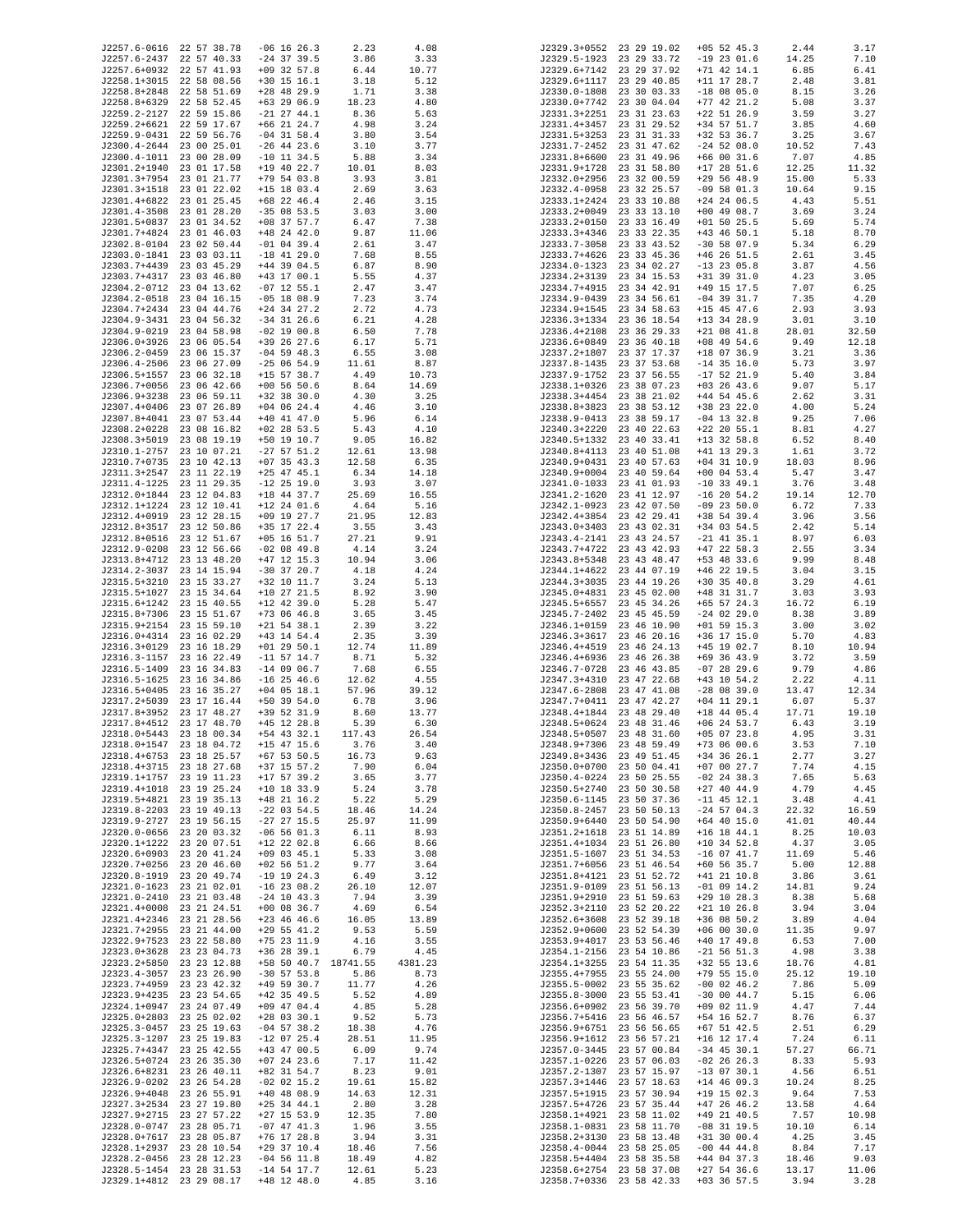| J2257.6-0616 22 57 38.78 |             | $-06$ 16 26.3   | 2.23     | 4.08    |              | J2329.3+0552 23 29 19.02 | $+05$ 52 45.3   | 2.44  | 3.17  |
|--------------------------|-------------|-----------------|----------|---------|--------------|--------------------------|-----------------|-------|-------|
| J2257.6-2437 22 57 40.33 |             | $-24$ 37 39.5   | 3.86     | 3.33    |              | J2329.5-1923 23 29 33.72 | $-19$ 23 01.6   | 14.25 | 7.10  |
| J2257.6+0932 22 57 41.93 |             | $+09$ 32 57.8   | 6.44     | 10.77   |              | J2329.6+7142 23 29 37.92 | $+71$ 42 14.1   | 6.85  | 6.41  |
| J2258.1+3015 22 58 08.56 |             | $+30$ 15 16.1   | 3.18     | 5.12    | J2329.6+1117 | 23 29 40.85              | $+11$ 17 28.7   | 2.48  | 3.81  |
| J2258.8+2848 22 58 51.69 |             | $+28$ 48 29.9   | 1.71     | 3.38    |              | J2330.0-1808 23 30 03.33 | $-18$ 08 05.0   | 8.15  | 3.26  |
| J2258.8+6329             | 22 58 52.45 | $+63$ 29 06.9   | 18.23    | 4.80    |              | J2330.0+7742 23 30 04.04 | $+77$ 42 21.2   | 5.08  | 3.37  |
|                          |             |                 |          |         |              |                          |                 |       |       |
| J2259.2-2127             | 22 59 15.86 | $-21$ 27 44.1   | 8.36     | 5.63    | J2331.3+2251 | 23 31 23.63              | $+22$ 51 26.9   | 3.59  | 3.27  |
| J2259.2+6621 22 59 17.67 |             | $+66$ 21 24.7   | 4.98     | 3.24    | J2331.4+3457 | 23 31 29.52              | +34 57 51.7     | 3.85  | 4.60  |
| J2259.9-0431 22 59 56.76 |             | $-04$ 31 58.4   | 3.80     | 3.54    |              | J2331.5+3253 23 31 31.33 | +32 53 36.7     | 3.25  | 3.67  |
| J2300.4-2644 23 00 25.01 |             | $-26$ 44 23.6   | 3.10     | 3.77    | J2331.7-2452 | 23 31 47.62              | $-24$ 52 08.0   | 10.52 | 7.43  |
| J2300.4-1011 23 00 28.09 |             | $-10$ 11 34.5   | 5.88     | 3.34    |              | J2331.8+6600 23 31 49.96 | $+66$ 00 31.6   | 7.07  | 4.85  |
| J2301.2+1940 23 01 17.58 |             | +19 40 22.7     | 10.01    | 8.03    | J2331.9+1728 | 23 31 58.80              | $+17$ 28 51.6   | 12.25 | 11.32 |
| J2301.3+7954 23 01 21.77 |             |                 |          |         |              | 23 32 00.59              |                 |       |       |
|                          |             | $+79$ 54 03.8   | 3.93     | 3.81    | J2332.0+2956 |                          | $+29$ 56 48.9   | 15.00 | 5.33  |
| J2301.3+1518 23 01 22.02 |             | $+15$ 18 03.4   | 2.69     | 3.63    | J2332.4-0958 | 23 32 25.57              | $-09$ 58 01.3   | 10.64 | 9.15  |
| J2301.4+6822 23 01 25.45 |             | $+68$ 22 46.4   | 2.46     | 3.15    |              | J2333.1+2424 23 33 10.88 | $+24$ 24 06.5   | 4.43  | 5.51  |
| J2301.4-3508 23 01 28.20 |             | $-35$ 08 53.5   | 3.03     | 3.00    | J2333.2+0049 | 23 33 13.10              | $+00$ 49 08.7   | 3.69  | 3.24  |
| J2301.5+0837 23 01 34.52 |             | $+08$ 37 57.7   | 6.47     | 7.38    | J2333.2+0150 | 23 33 16.49              | $+01$ 50 25.5   | 5.69  | 5.74  |
| J2301.7+4824 23 01 46.03 |             | $+48$ 24 42.0   | 9.87     | 11.06   | J2333.3+4346 | 23 33 22.35              | $+43$ 46 50.1   | 5.18  | 8.70  |
| J2302.8-0104 23 02 50.44 |             | $-01$ 04 39.4   | 2.61     | 3.47    | J2333.7-3058 | 23 33 43.52              | $-30$ 58 07.9   | 5.34  | 6.29  |
|                          |             | $-18$ 41 29.0   |          |         | J2333.7+4626 |                          |                 |       |       |
| J2303.0-1841 23 03 03.11 |             |                 | 7.68     | 8.55    |              | 23 33 45.36              | $+46$ 26 51.5   | 2.61  | 3.45  |
| J2303.7+4439 23 03 45.29 |             | $+44$ 39 04.5   | 6.87     | 8.90    | J2334.0-1323 | 23 34 02.27              | $-13$ 23 05.8   | 3.87  | 4.56  |
| J2303.7+4317             | 23 03 46.80 | $+43$ 17 00.1   | 5.55     | 4.37    | J2334.2+3139 | 23 34 15.53              | $+31$ 39 31.0   | 4.23  | 3.05  |
| J2304.2-0712 23 04 13.62 |             | $-07$ 12 55.1   | 2.47     | 3.47    |              | J2334.7+4915 23 34 42.91 | +49 15 17.5     | 7.07  | 6.25  |
| J2304.2-0518 23 04 16.15 |             | $-05$ 18 08.9   | 7.23     | 3.74    | J2334.9-0439 | 23 34 56.61              | $-04$ 39 31.7   | 7.35  | 4.20  |
| J2304.7+2434 23 04 44.76 |             | $+24$ 34 27.2   | 2.72     | 4.73    | J2334.9+1545 | 23 34 58.63              | $+15$ 45 47.6   | 2.93  | 3.93  |
| J2304.9-3431 23 04 56.32 |             | $-34$ 31 26.6   | 6.21     | 4.28    | J2336.3+1334 | 23 36 18.54              | $+13$ 34 28.9   | 3.01  | 3.10  |
| J2304.9-0219 23 04 58.98 |             | $-02$ 19 00.8   | 6.50     | 7.78    | J2336.4+2108 | 23 36 29.33              | $+21$ 08 41.8   | 28.01 | 32.50 |
|                          |             |                 |          |         |              |                          |                 |       |       |
| J2306.0+3926             | 23 06 05.54 | +39 26 27.6     | 6.17     | 5.71    | J2336.6+0849 | 23 36 40.18              | $+08$ 49 54.6   | 9.49  | 12.18 |
| J2306.2-0459             | 23 06 15.37 | $-04$ 59 48.3   | 6.55     | 3.08    | J2337.2+1807 | 23 37 17.37              | $+18$ 07 36.9   | 3.21  | 3.36  |
| J2306.4-2506             | 23 06 27.09 | $-25$ 06 54.9   | 11.61    | 8.87    | J2337.8-1435 | 23 37 53.68              | $-14$ 35 16.0   | 5.73  | 3.97  |
| J2306.5+1557             | 23 06 32.18 | $+15$ 57 38.7   | 4.49     | 10.73   | J2337.9-1752 | 23 37 56.55              | $-17$ 52 21.9   | 5.40  | 3.84  |
| J2306.7+0056             | 23 06 42.66 | $+00$ 56 50.6   | 8.64     | 14.69   | J2338.1+0326 | 23 38 07.23              | $+03$ 26 43.6   | 9.07  | 5.17  |
| J2306.9+3238             | 23 06 59.11 | $+32$ 38 30.0   | 4.30     | 3.25    | J2338.3+4454 | 23 38 21.02              | $+44$ 54 45.6   | 2.62  | 3.31  |
| J2307.4+0406             | 23 07 26.89 | $+04$ 06 24.4   | 4.46     | 3.10    | J2338.8+3823 | 23 38 53.12              | +38 23 22.0     | 4.00  | 5.24  |
|                          |             |                 |          |         |              |                          |                 |       |       |
| J2307.8+4041             | 23 07 53.44 | $+40$ 41 47.0   | 5.96     | 6.14    |              | J2338.9-0413 23 38 59.17 | $-04$ 13 32.8   | 9.25  | 7.06  |
| J2308.2+0228             | 23 08 16.82 | $+02$ 28 53.5   | 5.43     | 4.10    | J2340.3+2220 | 23 40 22.63              | $+22$ 20 55.1   | 8.81  | 4.27  |
| J2308.3+5019             | 23 08 19.19 | +50 19 10.7     | 9.05     | 16.82   |              | J2340.5+1332 23 40 33.41 | $+13$ 32 58.8   | 6.52  | 8.40  |
| J2310.1-2757             | 23 10 07.21 | $-27$ 57 51.2   | 12.61    | 13.98   | J2340.8+4113 | 23 40 51.08              | $+41$ 13 29.3   | 1.61  | 3.72  |
| J2310.7+0735 23 10 42.13 |             | $+07$ 35 43.3   | 12.58    | 6.35    | J2340.9+0431 | 23 40 57.63              | $+04$ 31 10.9   | 18.03 | 8.96  |
| J2311.3+2547             | 23 11 22.19 | $+25$ 47 45.1   | 6.34     | 14.18   | J2340.9+0004 | 23 40 59.64              | $+00$ 04 53.4   | 5.47  | 3.47  |
| J2311.4-1225             | 23 11 29.35 | $-12$ 25 19.0   | 3.93     | 3.07    | J2341.0-1033 | 23 41 01.93              | $-10$ 33 49.1   | 3.76  | 3.48  |
|                          |             |                 |          |         |              |                          |                 |       |       |
| J2312.0+1844 23 12 04.83 |             | +18 44 37.7     | 25.69    | 16.55   | J2341.2-1620 | 23 41 12.97              | $-16$ 20 54.2   | 19.14 | 12.70 |
| J2312.1+1224 23 12 10.41 |             | $+12$ 24 01.6   | 4.64     | 5.16    | J2342.1-0923 | 23 42 07.50              | $-09$ 23 50.0   | 6.72  | 7.33  |
| J2312.4+0919 23 12 28.15 |             | $+09$ 19 27.7   | 21.95    | 12.83   | J2342.4+3854 | 23 42 29.41              | +38 54 39.4     | 3.96  | 3.56  |
| J2312.8+3517 23 12 50.86 |             | +35 17 22.4     | 3.55     | 3.43    | J2343.0+3403 | 23 43 02.31              | +34 03 54.5     | 2.42  | 5.14  |
| J2312.8+0516 23 12 51.67 |             | $+05$ 16 51.7   | 27.21    | 9.91    | J2343.4-2141 | 23 43 24.57              | $-21$ 41 35.1   | 8.97  | 6.03  |
| J2312.9-0208 23 12 56.66 |             | $-02$ 08 49.8   | 4.14     | 3.24    |              | J2343.7+4722 23 43 42.93 | $+47$ 22 58.3   | 2.55  | 3.34  |
| J2313.8+4712 23 13 48.20 |             | $+47$ 12 15.3   | 10.94    | 3.06    | J2343.8+5348 | 23 43 48.47              | +53 48 33.6     | 9.99  | 8.48  |
| J2314.2-3037             | 23 14 15.94 | $-30$ 37 20.7   | 4.18     |         | J2344.1+4622 | 23 44 07.19              | $+46$ 22 19.5   | 3.04  | 3.15  |
|                          |             |                 |          | 4.24    |              |                          |                 |       |       |
| J2315.5+3210             | 23 15 33.27 | +32 10 11.7     | 3.24     | 5.13    | J2344.3+3035 | 23 44 19.26              | $+30$ 35 40.8   | 3.29  | 4.61  |
| J2315.5+1027             | 23 15 34.64 | $+10$ 27 21.5   | 8.92     | 3.90    | J2345.0+4831 | 23 45 02.00              | +48 31 31.7     | 3.03  | 3.93  |
| J2315.6+1242 23 15 40.55 |             | $+12$ 42 39.0   | 5.28     | 5.47    | J2345.5+6557 | 23 45 34.26              | $+65$ 57 24.3   | 16.72 | 6.19  |
| J2315.8+7306 23 15 51.67 |             | $+73$ 06 46.8   | 3.65     | 3.45    | J2345.7-2402 | 23 45 45.59              | $-24$ 02 29.0   | 8.38  | 3.89  |
| J2315.9+2154 23 15 59.10 |             | $+21$ 54 38.1   | 2.39     | 3.22    | J2346.1+0159 | 23 46 10.90              | $+01$ 59 15.3   | 3.00  | 3.02  |
| J2316.0+4314 23 16 02.29 |             | $+43$ 14 54.4   | 2.35     | 3.39    | J2346.3+3617 | 23 46 20.16              | $+36$ 17 15.0   | 5.70  | 4.83  |
| J2316.3+0129 23 16 18.29 |             | $+01$ 29 50.1   | 12.74    | 11.89   | J2346.4+4519 | 23 46 24.13              | $+45$ 19 02.7   | 8.10  | 10.94 |
|                          |             |                 |          |         |              |                          |                 |       |       |
| J2316.3-1157 23 16 22.49 |             | $-11$ 57 14.7   | 8.71     | 5.32    | J2346.4+6936 | 23 46 26.38              | $+69$ 36 43.9   | 3.72  | 3.59  |
| J2316.5-1409             | 23 16 34.83 | $-14$ 09 06.7   | 7.68     | 6.55    | J2346.7-0728 | 23 46 43.85              | $-07$ 28 29.6   | 9.79  | 4.86  |
| J2316.5-1625 23 16 34.86 |             | $-16$ 25 46.6   | 12.62    | 4.55    | J2347.3+4310 | 23 47 22.68              | $+43$ 10 54.2   | 2.22  | 4.11  |
| J2316.5+0405 23 16 35.27 |             | $+04$ 05 18.1   | 57.96    | 39.12   | J2347.6-2808 | 23 47 41.08              | $-28$ 08 39.0   | 13.47 | 12.34 |
| J2317.2+5039             | 23 17 16.44 | $+50$ 39 54.0   | 6.78     | 3.96    | J2347.7+0411 | 23 47 42.27              | $+04$ 11 29.1   | 6.07  | 5.37  |
| J2317.8+3952 23 17 48.27 |             | +39 52 31.9     | 8.60     | 13.77   | J2348.4+1844 | 23 48 29.40              | $+18$ 44 05.4   | 17.71 | 19.10 |
| J2317.8+4512 23 17 48.70 |             | $+45$ 12 28.8   | 5.39     | 6.30    |              | J2348.5+0624 23 48 31.46 | $+06$ 24 53.7   | 6.43  | 3.19  |
| J2318.0+5443             | 23 18 00.34 | +54 43 32.1     | 117.43   |         |              | J2348.5+0507 23 48 31.60 | $+05$ 07 23.8   | 4.95  |       |
|                          |             |                 |          | 26.54   |              |                          |                 |       | 3.31  |
| J2318.0+1547 23 18 04.72 |             | $+15$ 47 15.6   | 3.76     | 3.40    |              | J2348.9+7306 23 48 59.49 | $+73$ 06 00.6   | 3.53  | 7.10  |
| J2318.4+6753 23 18 25.57 |             | $+67$ 53 50.5   | 16.73    | 9.63    | J2349.8+3436 | 23 49 51.45              | $+34$ 36 26.1   | 2.77  | 3.27  |
| J2318.4+3715             | 23 18 27.68 | $+37$ 15 57.2   | 7.90     | 6.04    | J2350.0+0700 | 23 50 04.41              | $+07$ 00 27.7   | 7.74  | 4.15  |
| J2319.1+1757             | 23 19 11.23 | $+17$ 57 39.2   | 3.65     | 3.77    | J2350.4-0224 | 23 50 25.55              | $-02$ 24 38.3   | 7.65  | 5.63  |
| J2319.4+1018 23 19 25.24 |             | $+10$ 18 33.9   | 5.24     | 3.78    | J2350.5+2740 | 23 50 30.58              | $+27$ 40 44.9   | 4.79  | 4.45  |
| J2319.5+4821             | 23 19 35.13 | $+48$ 21 16.2   | 5.22     | 5.29    | J2350.6-1145 | 23 50 37.36              | $-11$ 45 12.1   | 3.48  | 4.41  |
| J2319.8-2203             | 23 19 49.13 | $-22$ 03 54.5   | 18.46    | 14.24   | J2350.8-2457 | 23 50 50.13              | $-24$ 57 04.3   | 22.32 | 16.59 |
| J2319.9-2727             | 23 19 56.15 | $-27$ 27 15.5   | 25.97    | 11.99   | J2350.9+6440 | 23 50 54.90              | $+64$ 40 15.0   | 41.01 | 40.44 |
|                          |             |                 |          |         |              |                          |                 |       |       |
| J2320.0-0656 23 20 03.32 |             | $-06$ 56 01.3   | 6.11     | 8.93    | J2351.2+1618 | 23 51 14.89              | $+16$ 18 44.1   | 8.25  | 10.03 |
| J2320.1+1222             | 23 20 07.51 | $+12$ 22 02.8   | 6.66     | 8.66    | J2351.4+1034 | 23 51 26.80              | $+10$ 34 52.8   | 4.37  | 3.05  |
| J2320.6+0903             | 23 20 41.24 | $+09$ 03 45.1   | 5.33     | 3.08    | J2351.5-1607 | 23 51 34.53              | $-16$ 07 $41.7$ | 11.69 | 5.46  |
| J2320.7+0256             | 23 20 46.60 | $+02$ 56 51.2   | 9.77     | 3.64    | J2351.7+6056 | 23 51 46.54              | $+60$ 56 35.7   | 5.00  | 12.88 |
| J2320.8-1919             | 23 20 49.74 | $-19$ 19 24.3   | 6.49     | 3.12    | J2351.8+4121 | 23 51 52.72              | $+41$ 21 10.8   | 3.86  | 3.61  |
| J2321.0-1623 23 21 02.01 |             | $-16$ 23 08.2   | 26.10    | 12.07   | J2351.9-0109 | 23 51 56.13              | $-01$ 09 14.2   | 14.81 | 9.24  |
| J2321.0-2410             | 23 21 03.48 | $-24$ 10 $43.3$ | 7.94     | 3.39    | J2351.9+2910 | 23 51 59.63              | $+29$ 10 28.3   | 8.38  | 5.68  |
| J2321.4+0008             | 23 21 24.51 | $+00$ 08 36.7   | 4.69     | 6.54    | J2352.3+2110 | 23 52 20.22              | $+21$ 10 26.8   | 3.94  | 3.04  |
|                          |             |                 |          |         |              | 23 52 39.18              |                 |       |       |
| J2321.4+2346             | 23 21 28.56 | $+23$ 46 46.6   | 16.05    | 13.89   | J2352.6+3608 |                          | $+36$ 08 50.2   | 3.89  | 4.04  |
| J2321.7+2955 23 21 44.00 |             | $+29$ 55 41.2   | 9.53     | 5.59    | J2352.9+0600 | 23 52 54.39              | $+06$ 00 30.0   | 11.35 | 9.97  |
| J2322.9+7523 23 22 58.80 |             | $+75$ 23 11.9   | 4.16     | 3.55    | J2353.9+4017 | 23 53 56.46              | $+40$ 17 49.8   | 6.53  | 7.00  |
| J2323.0+3628 23 23 04.73 |             | $+36$ 28 39.1   | 6.79     | 4.45    | J2354.1-2156 | 23 54 10.86              | $-21$ 56 51.3   | 4.98  | 3.38  |
| J2323.2+5850 23 23 12.88 |             | +58 50 40.7     | 18741.55 | 4381.23 | J2354.1+3255 | 23 54 11.35              | $+32$ 55 13.6   | 18.76 | 4.81  |
| J2323.4-3057             | 23 23 26.90 | $-30$ 57 53.8   | 5.86     | 8.73    | J2355.4+7955 | 23 55 24.00              | $+79$ 55 15.0   | 25.12 | 19.10 |
| J2323.7+4959 23 23 42.32 |             | +49 59 30.7     | 11.77    | 4.26    | J2355.5-0002 | 23 55 35.62              | $-00$ 02 46.2   | 7.86  | 5.09  |
| J2323.9+4235 23 23 54.65 |             | $+42$ 35 49.5   | 5.52     | 4.89    | J2355.8-3000 | 23 55 53.41              | $-30$ 00 44.7   | 5.15  |       |
|                          |             |                 |          |         |              |                          |                 |       | 6.06  |
| J2324.1+0947             | 23 24 07.49 | $+09$ 47 04.4   | 4.85     | 5.28    |              | J2356.6+0902 23 56 39.70 | $+09$ 02 11.9   | 4.47  | 7.44  |
| J2325.0+2803 23 25 02.02 |             | $+28$ 03 30.1   | 9.52     | 5.73    |              | J2356.7+5416 23 56 46.57 | +54 16 52.7     | 8.76  | 6.37  |
| J2325.3-0457             | 23 25 19.63 | $-04$ 57 38.2   | 18.38    | 4.76    | J2356.9+6751 | 23 56 56.65              | $+67$ 51 42.5   | 2.51  | 6.29  |
| J2325.3-1207             | 23 25 19.83 | $-12$ 07 25.4   | 28.51    | 11.95   | J2356.9+1612 | 23 56 57.21              | $+16$ 12 17.4   | 7.24  | 6.11  |
| J2325.7+4347 23 25 42.55 |             | +43 47 00.5     | 6.09     | 9.74    | J2357.0-3445 | 23 57 00.84              | $-34$ 45 30.1   | 57.27 | 66.71 |
| J2326.5+0724 23 26 35.30 |             | $+07$ 24 23.6   | 7.17     | 11.42   |              | J2357.1-0226 23 57 06.03 | $-02$ 26 26.3   | 8.33  | 5.93  |
|                          |             |                 |          |         |              |                          |                 |       |       |
| J2326.6+8231 23 26 40.11 |             | +82 31 54.7     | 8.23     | 9.01    | J2357.2-1307 | 23 57 15.97              | $-13$ 07 30.1   | 4.56  | 6.51  |
| J2326.9-0202 23 26 54.28 |             | $-02$ 02 15.2   | 19.61    | 15.82   | J2357.3+1446 | 23 57 18.63              | $+14$ 46 09.3   | 10.24 | 8.25  |
| J2326.9+4048 23 26 55.91 |             | $+40$ 48 08.9   | 14.63    | 12.31   | J2357.5+1915 | 23 57 30.94              | $+19$ 15 02.3   | 9.64  | 7.53  |
| J2327.3+2534 23 27 19.80 |             | $+25$ 34 44.1   | 2.80     | 3.28    | J2357.5+4726 | 23 57 35.44              | $+47$ 26 46.2   | 13.58 | 4.64  |
| J2327.9+2715             | 23 27 57.22 | $+27$ 15 53.9   | 12.35    | 7.80    | J2358.1+4921 | 23 58 11.02              | $+49$ 21 40.5   | 7.57  | 10.98 |
| J2328.0-0747             | 23 28 05.71 | $-07$ 47 41.3   | 1.96     | 3.55    | J2358.1-0831 | 23 58 11.70              | $-08$ 31 19.5   | 10.10 | 6.14  |
| J2328.0+7617             | 23 28 05.87 | $+76$ 17 28.8   | 3.94     | 3.31    | J2358.2+3130 | 23 58 13.48              | $+31$ 30 00.4   | 4.25  | 3.45  |
| J2328.1+2937             | 23 28 10.54 | $+29$ 37 10.4   | 18.46    | 7.56    | J2358.4-0044 | 23 58 25.05              | $-00$ 44 44.8   | 8.84  | 7.17  |
| J2328.2-0456 23 28 12.23 |             | $-04$ 56 11.8   | 18.49    | 4.82    | J2358.5+4404 | 23 58 35.58              | $+44$ 04 37.3   | 18.46 | 9.03  |
|                          |             |                 |          |         |              |                          |                 |       |       |
| J2328.5-1454 23 28 31.53 |             | $-14$ 54 17.7   | 12.61    | 5.23    |              | J2358.6+2754 23 58 37.08 | $+27$ 54 36.6   | 13.17 | 11.06 |
| J2329.1+4812 23 29 08.17 |             | +48 12 48.0     | 4.85     | 3.16    |              | J2358.7+0336 23 58 42.33 | $+03$ 36 57.5   | 3.94  | 3.28  |